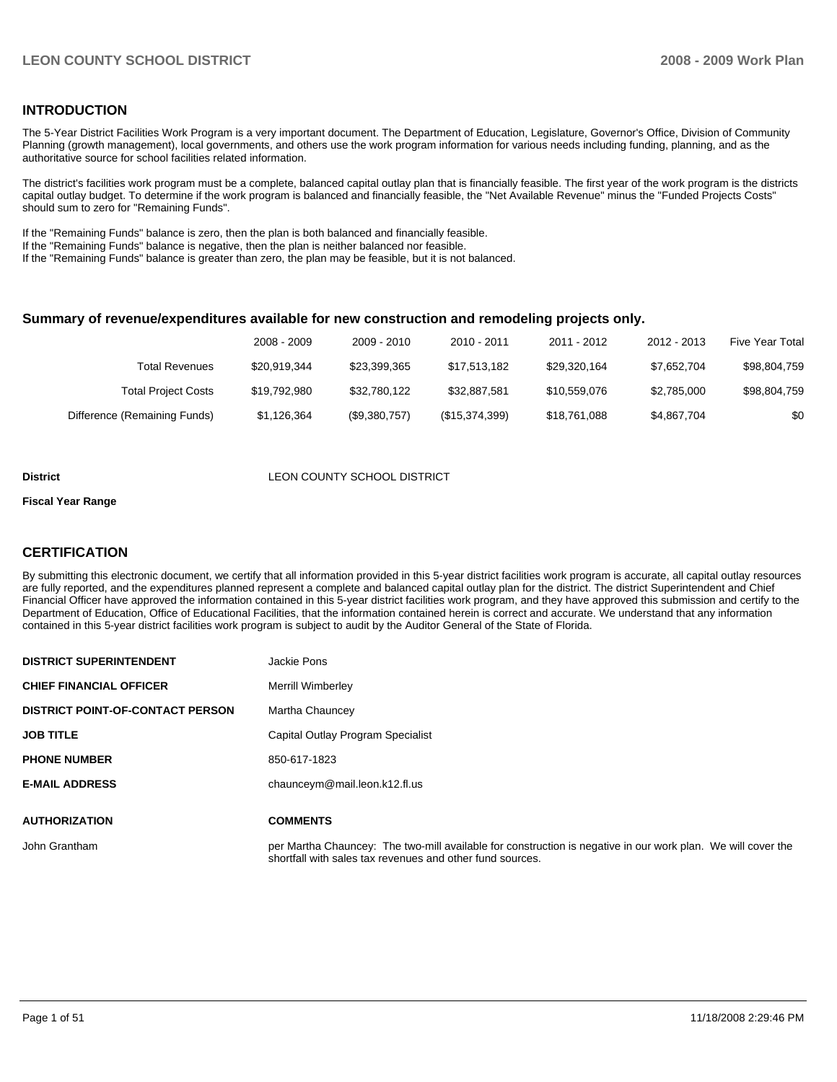### **INTRODUCTION**

The 5-Year District Facilities Work Program is a very important document. The Department of Education, Legislature, Governor's Office, Division of Community Planning (growth management), local governments, and others use the work program information for various needs including funding, planning, and as the authoritative source for school facilities related information.

The district's facilities work program must be a complete, balanced capital outlay plan that is financially feasible. The first year of the work program is the districts capital outlay budget. To determine if the work program is balanced and financially feasible, the "Net Available Revenue" minus the "Funded Projects Costs" should sum to zero for "Remaining Funds".

If the "Remaining Funds" balance is zero, then the plan is both balanced and financially feasible.

If the "Remaining Funds" balance is negative, then the plan is neither balanced nor feasible.

If the "Remaining Funds" balance is greater than zero, the plan may be feasible, but it is not balanced.

### **Summary of revenue/expenditures available for new construction and remodeling projects only.**

| <b>Five Year Total</b> | 2012 - 2013 | 2011 - 2012  | 2010 - 2011    | 2009 - 2010   | 2008 - 2009  |                              |
|------------------------|-------------|--------------|----------------|---------------|--------------|------------------------------|
| \$98,804,759           | \$7,652,704 | \$29.320.164 | \$17.513.182   | \$23,399,365  | \$20.919.344 | Total Revenues               |
| \$98,804,759           | \$2,785,000 | \$10.559.076 | \$32.887.581   | \$32.780.122  | \$19,792,980 | <b>Total Project Costs</b>   |
| \$0                    | \$4,867,704 | \$18,761,088 | (\$15,374,399) | (\$9,380,757) | \$1,126,364  | Difference (Remaining Funds) |

#### **District COUNTY SCHOOL DISTRICT**

### **Fiscal Year Range**

### **CERTIFICATION**

**DISTRICT SUPERINTENDENT Superintendent Joseph Pons** 

By submitting this electronic document, we certify that all information provided in this 5-year district facilities work program is accurate, all capital outlay resources are fully reported, and the expenditures planned represent a complete and balanced capital outlay plan for the district. The district Superintendent and Chief Financial Officer have approved the information contained in this 5-year district facilities work program, and they have approved this submission and certify to the Department of Education, Office of Educational Facilities, that the information contained herein is correct and accurate. We understand that any information contained in this 5-year district facilities work program is subject to audit by the Auditor General of the State of Florida.

| <b>DISIRICI SUFERINIENDENI</b>          | JACKIE FUIIS                                                                                                                                                              |
|-----------------------------------------|---------------------------------------------------------------------------------------------------------------------------------------------------------------------------|
| <b>CHIEF FINANCIAL OFFICER</b>          | Merrill Wimberley                                                                                                                                                         |
| <b>DISTRICT POINT-OF-CONTACT PERSON</b> | Martha Chauncey                                                                                                                                                           |
| <b>JOB TITLE</b>                        | Capital Outlay Program Specialist                                                                                                                                         |
| <b>PHONE NUMBER</b>                     | 850-617-1823                                                                                                                                                              |
| <b>E-MAIL ADDRESS</b>                   | chaunceym@mail.leon.k12.fl.us                                                                                                                                             |
|                                         |                                                                                                                                                                           |
| <b>AUTHORIZATION</b>                    | <b>COMMENTS</b>                                                                                                                                                           |
| John Grantham                           | per Martha Chauncey: The two-mill available for construction is negative in our work plan. We will cover the<br>shortfall with sales tax revenues and other fund sources. |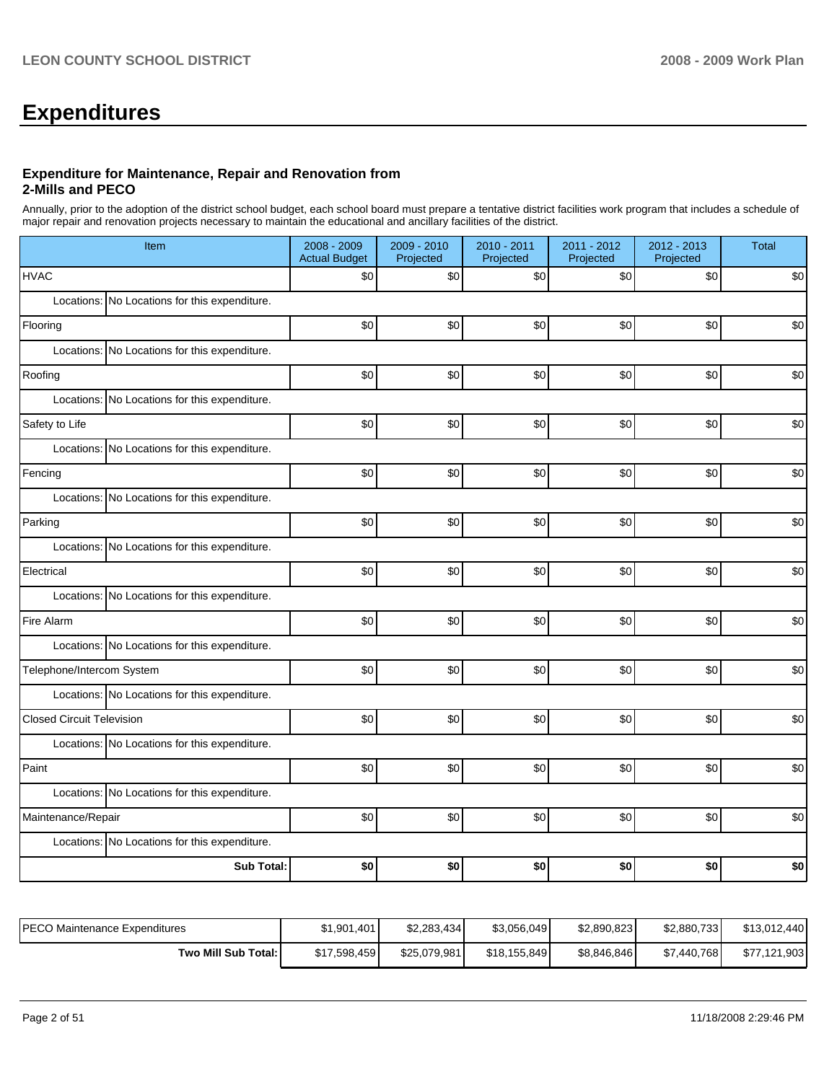# **Expenditures**

### **Expenditure for Maintenance, Repair and Renovation from 2-Mills and PECO**

Annually, prior to the adoption of the district school budget, each school board must prepare a tentative district facilities work program that includes a schedule of major repair and renovation projects necessary to maintain the educational and ancillary facilities of the district.

| Item                                          | 2008 - 2009<br><b>Actual Budget</b> | 2009 - 2010<br>Projected | 2010 - 2011<br>Projected | 2011 - 2012<br>Projected | $2012 - 2013$<br>Projected | Total |  |  |
|-----------------------------------------------|-------------------------------------|--------------------------|--------------------------|--------------------------|----------------------------|-------|--|--|
| <b>HVAC</b>                                   | \$0                                 | \$0                      | \$0                      | \$0                      | \$0                        | \$0   |  |  |
| Locations: No Locations for this expenditure. |                                     |                          |                          |                          |                            |       |  |  |
| Flooring                                      | \$0                                 | \$0                      | \$0                      | \$0                      | \$0                        | \$0   |  |  |
| Locations: No Locations for this expenditure. |                                     |                          |                          |                          |                            |       |  |  |
| Roofing                                       | \$0                                 | \$0                      | \$0                      | \$0                      | \$0                        | \$0   |  |  |
| Locations: No Locations for this expenditure. |                                     |                          |                          |                          |                            |       |  |  |
| Safety to Life                                | \$0                                 | \$0                      | \$0                      | \$0                      | \$0                        | \$0   |  |  |
| Locations: No Locations for this expenditure. |                                     |                          |                          |                          |                            |       |  |  |
| Fencing                                       | \$0                                 | \$0                      | \$0                      | \$0                      | \$0                        | \$0   |  |  |
| Locations: No Locations for this expenditure. |                                     |                          |                          |                          |                            |       |  |  |
| Parking                                       | \$0                                 | \$0                      | \$0                      | \$0                      | \$0                        | \$0   |  |  |
| Locations: No Locations for this expenditure. |                                     |                          |                          |                          |                            |       |  |  |
| Electrical                                    | \$0                                 | \$0                      | \$0                      | \$0                      | \$0                        | \$0   |  |  |
| Locations: No Locations for this expenditure. |                                     |                          |                          |                          |                            |       |  |  |
| Fire Alarm                                    | \$0                                 | \$0                      | \$0                      | \$0                      | \$0                        | \$0   |  |  |
| Locations: No Locations for this expenditure. |                                     |                          |                          |                          |                            |       |  |  |
| Telephone/Intercom System                     | \$0                                 | \$0                      | \$0                      | \$0                      | \$0                        | \$0   |  |  |
| Locations: No Locations for this expenditure. |                                     |                          |                          |                          |                            |       |  |  |
| <b>Closed Circuit Television</b>              | \$0                                 | \$0                      | \$0                      | \$0                      | \$0                        | \$0   |  |  |
| Locations: No Locations for this expenditure. |                                     |                          |                          |                          |                            |       |  |  |
| Paint                                         | \$0                                 | \$0                      | \$0                      | \$0                      | \$0                        | \$0   |  |  |
| Locations: No Locations for this expenditure. |                                     |                          |                          |                          |                            |       |  |  |
| Maintenance/Repair                            | \$0                                 | \$0                      | \$0                      | \$0                      | \$0                        | \$0   |  |  |
| Locations: No Locations for this expenditure. |                                     |                          |                          |                          |                            |       |  |  |
| <b>Sub Total:</b>                             | \$0                                 | \$0                      | \$0                      | \$0                      | \$0                        | \$0   |  |  |

| PECO Maintenance Expenditures | \$1,901,401  | \$2.283.434  | \$3,056,049  | \$2,890,823 | \$2,880,733 | \$13.012.440 |
|-------------------------------|--------------|--------------|--------------|-------------|-------------|--------------|
| Two Mill Sub Total:           | \$17,598,459 | \$25,079,981 | \$18,155,849 | \$8,846,846 | \$7,440,768 | \$77,121,903 |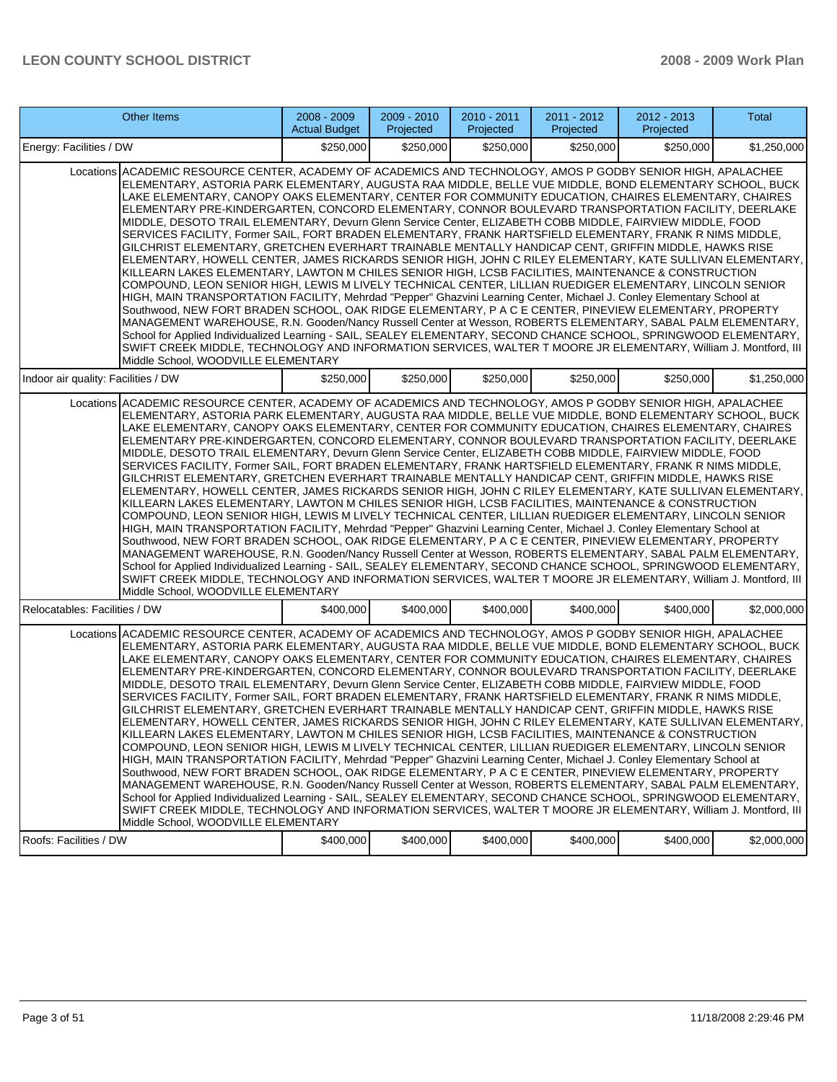|                                                                                                                                                                                                                                                                                                                                                                                                                                                                                                                                                                                                                                                                                                                                                                                                                                                                                                                                                                                                                                                                                                                                                                                                                                                                                                                                                                                                                                                                                                                                                                                                                                                                                                                                               | Other Items                                                                                                                                                                                                                                                                                                                                                                                                                                                                                                                                                                                                                                                                                                                                                                                                                                                                                                                                                                                                                                                                                                                                                                                                                                                                                                                                                                                                                                                                                                                                                                                                                                                                                                                                  | 2008 - 2009<br><b>Actual Budget</b> | 2009 - 2010<br>Projected | 2010 - 2011<br>Projected | 2011 - 2012<br>Projected | 2012 - 2013<br>Projected | Total       |
|-----------------------------------------------------------------------------------------------------------------------------------------------------------------------------------------------------------------------------------------------------------------------------------------------------------------------------------------------------------------------------------------------------------------------------------------------------------------------------------------------------------------------------------------------------------------------------------------------------------------------------------------------------------------------------------------------------------------------------------------------------------------------------------------------------------------------------------------------------------------------------------------------------------------------------------------------------------------------------------------------------------------------------------------------------------------------------------------------------------------------------------------------------------------------------------------------------------------------------------------------------------------------------------------------------------------------------------------------------------------------------------------------------------------------------------------------------------------------------------------------------------------------------------------------------------------------------------------------------------------------------------------------------------------------------------------------------------------------------------------------|----------------------------------------------------------------------------------------------------------------------------------------------------------------------------------------------------------------------------------------------------------------------------------------------------------------------------------------------------------------------------------------------------------------------------------------------------------------------------------------------------------------------------------------------------------------------------------------------------------------------------------------------------------------------------------------------------------------------------------------------------------------------------------------------------------------------------------------------------------------------------------------------------------------------------------------------------------------------------------------------------------------------------------------------------------------------------------------------------------------------------------------------------------------------------------------------------------------------------------------------------------------------------------------------------------------------------------------------------------------------------------------------------------------------------------------------------------------------------------------------------------------------------------------------------------------------------------------------------------------------------------------------------------------------------------------------------------------------------------------------|-------------------------------------|--------------------------|--------------------------|--------------------------|--------------------------|-------------|
| Energy: Facilities / DW                                                                                                                                                                                                                                                                                                                                                                                                                                                                                                                                                                                                                                                                                                                                                                                                                                                                                                                                                                                                                                                                                                                                                                                                                                                                                                                                                                                                                                                                                                                                                                                                                                                                                                                       |                                                                                                                                                                                                                                                                                                                                                                                                                                                                                                                                                                                                                                                                                                                                                                                                                                                                                                                                                                                                                                                                                                                                                                                                                                                                                                                                                                                                                                                                                                                                                                                                                                                                                                                                              | \$250,000                           | \$250,000                | \$250,000                | \$250,000                | \$250,000                | \$1,250,000 |
| Locations ACADEMIC RESOURCE CENTER, ACADEMY OF ACADEMICS AND TECHNOLOGY, AMOS P GODBY SENIOR HIGH, APALACHEE<br>ELEMENTARY, ASTORIA PARK ELEMENTARY, AUGUSTA RAA MIDDLE, BELLE VUE MIDDLE, BOND ELEMENTARY SCHOOL, BUCK<br>LAKE ELEMENTARY, CANOPY OAKS ELEMENTARY, CENTER FOR COMMUNITY EDUCATION, CHAIRES ELEMENTARY, CHAIRES<br>ELEMENTARY PRE-KINDERGARTEN, CONCORD ELEMENTARY, CONNOR BOULEVARD TRANSPORTATION FACILITY, DEERLAKE<br>MIDDLE, DESOTO TRAIL ELEMENTARY, Devurn Glenn Service Center, ELIZABETH COBB MIDDLE, FAIRVIEW MIDDLE, FOOD<br>SERVICES FACILITY, Former SAIL, FORT BRADEN ELEMENTARY, FRANK HARTSFIELD ELEMENTARY, FRANK R NIMS MIDDLE,<br>GILCHRIST ELEMENTARY, GRETCHEN EVERHART TRAINABLE MENTALLY HANDICAP CENT, GRIFFIN MIDDLE, HAWKS RISE<br>ELEMENTARY, HOWELL CENTER, JAMES RICKARDS SENIOR HIGH, JOHN C RILEY ELEMENTARY, KATE SULLIVAN ELEMENTARY,<br>KILLEARN LAKES ELEMENTARY, LAWTON M CHILES SENIOR HIGH, LCSB FACILITIES, MAINTENANCE & CONSTRUCTION<br>İCOMPOUND. LEON SENIOR HIGH. LEWIS M LIVELY TECHNICAL CENTER. LILLIAN RUEDIGER ELEMENTARY. LINCOLN SENIOR<br>HIGH, MAIN TRANSPORTATION FACILITY, Mehrdad "Pepper" Ghazvini Learning Center, Michael J. Conley Elementary School at<br>Southwood, NEW FORT BRADEN SCHOOL, OAK RIDGE ELEMENTARY, P A C E CENTER, PINEVIEW ELEMENTARY, PROPERTY<br>MANAGEMENT WAREHOUSE, R.N. Gooden/Nancy Russell Center at Wesson, ROBERTS ELEMENTARY, SABAL PALM ELEMENTARY,<br>School for Applied Individualized Learning - SAIL, SEALEY ELEMENTARY, SECOND CHANCE SCHOOL, SPRINGWOOD ELEMENTARY,<br>SWIFT CREEK MIDDLE, TECHNOLOGY AND INFORMATION SERVICES, WALTER T MOORE JR ELEMENTARY, William J. Montford, III<br>Middle School, WOODVILLE ELEMENTARY |                                                                                                                                                                                                                                                                                                                                                                                                                                                                                                                                                                                                                                                                                                                                                                                                                                                                                                                                                                                                                                                                                                                                                                                                                                                                                                                                                                                                                                                                                                                                                                                                                                                                                                                                              |                                     |                          |                          |                          |                          |             |
| Indoor air quality: Facilities / DW                                                                                                                                                                                                                                                                                                                                                                                                                                                                                                                                                                                                                                                                                                                                                                                                                                                                                                                                                                                                                                                                                                                                                                                                                                                                                                                                                                                                                                                                                                                                                                                                                                                                                                           |                                                                                                                                                                                                                                                                                                                                                                                                                                                                                                                                                                                                                                                                                                                                                                                                                                                                                                                                                                                                                                                                                                                                                                                                                                                                                                                                                                                                                                                                                                                                                                                                                                                                                                                                              | \$250,000                           | \$250,000                | \$250,000                | \$250,000                | \$250,000                | \$1.250.000 |
|                                                                                                                                                                                                                                                                                                                                                                                                                                                                                                                                                                                                                                                                                                                                                                                                                                                                                                                                                                                                                                                                                                                                                                                                                                                                                                                                                                                                                                                                                                                                                                                                                                                                                                                                               | Locations ACADEMIC RESOURCE CENTER, ACADEMY OF ACADEMICS AND TECHNOLOGY, AMOS P GODBY SENIOR HIGH, APALACHEE<br>ELEMENTARY, ASTORIA PARK ELEMENTARY, AUGUSTA RAA MIDDLE, BELLE VUE MIDDLE, BOND ELEMENTARY SCHOOL, BUCK<br>LAKE ELEMENTARY, CANOPY OAKS ELEMENTARY, CENTER FOR COMMUNITY EDUCATION, CHAIRES ELEMENTARY, CHAIRES<br>ELEMENTARY PRE-KINDERGARTEN, CONCORD ELEMENTARY, CONNOR BOULEVARD TRANSPORTATION FACILITY, DEERLAKE<br>MIDDLE, DESOTO TRAIL ELEMENTARY, Devurn Glenn Service Center, ELIZABETH COBB MIDDLE, FAIRVIEW MIDDLE, FOOD<br>SERVICES FACILITY, Former SAIL, FORT BRADEN ELEMENTARY, FRANK HARTSFIELD ELEMENTARY, FRANK R NIMS MIDDLE,<br>GILCHRIST ELEMENTARY, GRETCHEN EVERHART TRAINABLE MENTALLY HANDICAP CENT, GRIFFIN MIDDLE, HAWKS RISE<br>ELEMENTARY, HOWELL CENTER, JAMES RICKARDS SENIOR HIGH, JOHN C RILEY ELEMENTARY, KATE SULLIVAN ELEMENTARY,<br>KILLEARN LAKES ELEMENTARY, LAWTON M CHILES SENIOR HIGH, LCSB FACILITIES, MAINTENANCE & CONSTRUCTION<br>COMPOUND, LEON SENIOR HIGH, LEWIS M LIVELY TECHNICAL CENTER, LILLIAN RUEDIGER ELEMENTARY, LINCOLN SENIOR<br>HIGH, MAIN TRANSPORTATION FACILITY, Mehrdad "Pepper" Ghazvini Learning Center, Michael J. Conley Elementary School at<br>Southwood, NEW FORT BRADEN SCHOOL, OAK RIDGE ELEMENTARY, P A C E CENTER, PINEVIEW ELEMENTARY, PROPERTY<br>MANAGEMENT WAREHOUSE, R.N. Gooden/Nancy Russell Center at Wesson, ROBERTS ELEMENTARY, SABAL PALM ELEMENTARY,<br>School for Applied Individualized Learning - SAIL, SEALEY ELEMENTARY, SECOND CHANCE SCHOOL, SPRINGWOOD ELEMENTARY,<br>SWIFT CREEK MIDDLE, TECHNOLOGY AND INFORMATION SERVICES, WALTER T MOORE JR ELEMENTARY, William J. Montford, III<br>Middle School, WOODVILLE ELEMENTARY |                                     |                          |                          |                          |                          |             |
| Relocatables: Facilities / DW                                                                                                                                                                                                                                                                                                                                                                                                                                                                                                                                                                                                                                                                                                                                                                                                                                                                                                                                                                                                                                                                                                                                                                                                                                                                                                                                                                                                                                                                                                                                                                                                                                                                                                                 |                                                                                                                                                                                                                                                                                                                                                                                                                                                                                                                                                                                                                                                                                                                                                                                                                                                                                                                                                                                                                                                                                                                                                                                                                                                                                                                                                                                                                                                                                                                                                                                                                                                                                                                                              | \$400,000                           | \$400,000                | \$400,000                | \$400,000                | \$400,000                | \$2,000,000 |
|                                                                                                                                                                                                                                                                                                                                                                                                                                                                                                                                                                                                                                                                                                                                                                                                                                                                                                                                                                                                                                                                                                                                                                                                                                                                                                                                                                                                                                                                                                                                                                                                                                                                                                                                               | Locations ACADEMIC RESOURCE CENTER, ACADEMY OF ACADEMICS AND TECHNOLOGY, AMOS P GODBY SENIOR HIGH, APALACHEE<br>ELEMENTARY. ASTORIA PARK ELEMENTARY. AUGUSTA RAA MIDDLE. BELLE VUE MIDDLE. BOND ELEMENTARY SCHOOL. BUCK<br>LAKE ELEMENTARY, CANOPY OAKS ELEMENTARY, CENTER FOR COMMUNITY EDUCATION, CHAIRES ELEMENTARY, CHAIRES<br>ELEMENTARY PRE-KINDERGARTEN, CONCORD ELEMENTARY, CONNOR BOULEVARD TRANSPORTATION FACILITY, DEERLAKE<br>MIDDLE, DESOTO TRAIL ELEMENTARY, Devurn Glenn Service Center, ELIZABETH COBB MIDDLE, FAIRVIEW MIDDLE, FOOD<br>SERVICES FACILITY, Former SAIL, FORT BRADEN ELEMENTARY, FRANK HARTSFIELD ELEMENTARY, FRANK R NIMS MIDDLE,<br>GILCHRIST ELEMENTARY, GRETCHEN EVERHART TRAINABLE MENTALLY HANDICAP CENT, GRIFFIN MIDDLE, HAWKS RISE<br>ELEMENTARY, HOWELL CENTER, JAMES RICKARDS SENIOR HIGH, JOHN C RILEY ELEMENTARY, KATE SULLIVAN ELEMENTARY,<br>KILLEARN LAKES ELEMENTARY, LAWTON M CHILES SENIOR HIGH, LCSB FACILITIES, MAINTENANCE & CONSTRUCTION<br>COMPOUND, LEON SENIOR HIGH, LEWIS M LIVELY TECHNICAL CENTER, LILLIAN RUEDIGER ELEMENTARY, LINCOLN SENIOR<br>HIGH, MAIN TRANSPORTATION FACILITY, Mehrdad "Pepper" Ghazvini Learning Center, Michael J. Conley Elementary School at<br>Southwood, NEW FORT BRADEN SCHOOL, OAK RIDGE ELEMENTARY, P A C E CENTER, PINEVIEW ELEMENTARY, PROPERTY<br>MANAGEMENT WAREHOUSE, R.N. Gooden/Nancy Russell Center at Wesson, ROBERTS ELEMENTARY, SABAL PALM ELEMENTARY,<br>School for Applied Individualized Learning - SAIL, SEALEY ELEMENTARY, SECOND CHANCE SCHOOL, SPRINGWOOD ELEMENTARY,<br>SWIFT CREEK MIDDLE, TECHNOLOGY AND INFORMATION SERVICES, WALTER T MOORE JR ELEMENTARY, William J. Montford, III<br>Middle School, WOODVILLE ELEMENTARY |                                     |                          |                          |                          |                          |             |
| Roofs: Facilities / DW                                                                                                                                                                                                                                                                                                                                                                                                                                                                                                                                                                                                                                                                                                                                                                                                                                                                                                                                                                                                                                                                                                                                                                                                                                                                                                                                                                                                                                                                                                                                                                                                                                                                                                                        |                                                                                                                                                                                                                                                                                                                                                                                                                                                                                                                                                                                                                                                                                                                                                                                                                                                                                                                                                                                                                                                                                                                                                                                                                                                                                                                                                                                                                                                                                                                                                                                                                                                                                                                                              | \$400,000                           | \$400,000                | \$400,000                | \$400,000                | \$400,000                | \$2,000,000 |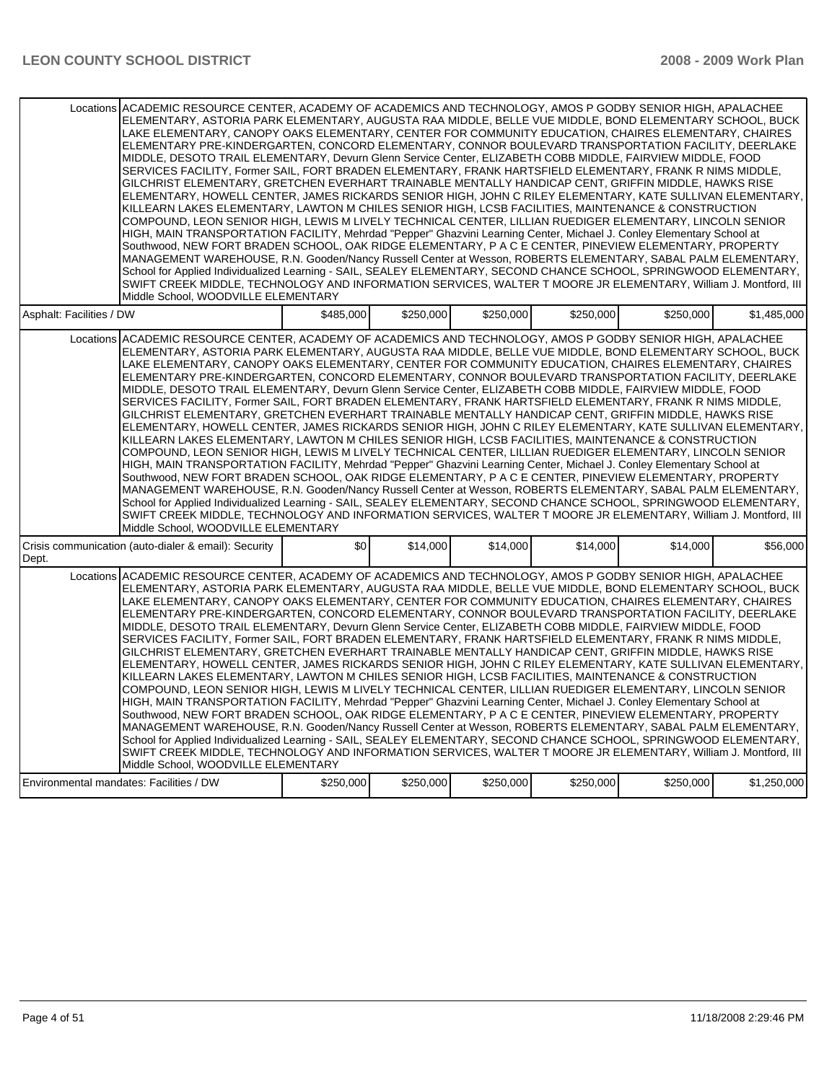|                          | Locations ACADEMIC RESOURCE CENTER, ACADEMY OF ACADEMICS AND TECHNOLOGY, AMOS P GODBY SENIOR HIGH, APALACHEE<br>ELEMENTARY, ASTORIA PARK ELEMENTARY, AUGUSTA RAA MIDDLE, BELLE VUE MIDDLE, BOND ELEMENTARY SCHOOL, BUCK<br>LAKE ELEMENTARY, CANOPY OAKS ELEMENTARY, CENTER FOR COMMUNITY EDUCATION, CHAIRES ELEMENTARY, CHAIRES<br>ELEMENTARY PRE-KINDERGARTEN, CONCORD ELEMENTARY, CONNOR BOULEVARD TRANSPORTATION FACILITY, DEERLAKE<br>MIDDLE, DESOTO TRAIL ELEMENTARY, Devurn Glenn Service Center, ELIZABETH COBB MIDDLE, FAIRVIEW MIDDLE, FOOD<br>SERVICES FACILITY, Former SAIL, FORT BRADEN ELEMENTARY, FRANK HARTSFIELD ELEMENTARY, FRANK R NIMS MIDDLE,<br>GILCHRIST ELEMENTARY, GRETCHEN EVERHART TRAINABLE MENTALLY HANDICAP CENT, GRIFFIN MIDDLE, HAWKS RISE<br>ELEMENTARY, HOWELL CENTER, JAMES RICKARDS SENIOR HIGH, JOHN C RILEY ELEMENTARY, KATE SULLIVAN ELEMENTARY,<br>KILLEARN LAKES ELEMENTARY. LAWTON M CHILES SENIOR HIGH. LCSB FACILITIES. MAINTENANCE & CONSTRUCTION<br>COMPOUND, LEON SENIOR HIGH, LEWIS M LIVELY TECHNICAL CENTER, LILLIAN RUEDIGER ELEMENTARY, LINCOLN SENIOR<br>HIGH, MAIN TRANSPORTATION FACILITY, Mehrdad "Pepper" Ghazvini Learning Center, Michael J. Conley Elementary School at<br>Southwood, NEW FORT BRADEN SCHOOL, OAK RIDGE ELEMENTARY, P A C E CENTER, PINEVIEW ELEMENTARY, PROPERTY<br>MANAGEMENT WAREHOUSE, R.N. Gooden/Nancy Russell Center at Wesson, ROBERTS ELEMENTARY, SABAL PALM ELEMENTARY,<br>School for Applied Individualized Learning - SAIL, SEALEY ELEMENTARY, SECOND CHANCE SCHOOL, SPRINGWOOD ELEMENTARY,<br>SWIFT CREEK MIDDLE, TECHNOLOGY AND INFORMATION SERVICES, WALTER T MOORE JR ELEMENTARY, William J. Montford, III<br>Middle School, WOODVILLE ELEMENTARY |           |           |           |           |           |             |
|--------------------------|----------------------------------------------------------------------------------------------------------------------------------------------------------------------------------------------------------------------------------------------------------------------------------------------------------------------------------------------------------------------------------------------------------------------------------------------------------------------------------------------------------------------------------------------------------------------------------------------------------------------------------------------------------------------------------------------------------------------------------------------------------------------------------------------------------------------------------------------------------------------------------------------------------------------------------------------------------------------------------------------------------------------------------------------------------------------------------------------------------------------------------------------------------------------------------------------------------------------------------------------------------------------------------------------------------------------------------------------------------------------------------------------------------------------------------------------------------------------------------------------------------------------------------------------------------------------------------------------------------------------------------------------------------------------------------------------------------------------------------------------|-----------|-----------|-----------|-----------|-----------|-------------|
| Asphalt: Facilities / DW |                                                                                                                                                                                                                                                                                                                                                                                                                                                                                                                                                                                                                                                                                                                                                                                                                                                                                                                                                                                                                                                                                                                                                                                                                                                                                                                                                                                                                                                                                                                                                                                                                                                                                                                                              | \$485,000 | \$250,000 | \$250,000 | \$250,000 | \$250,000 | \$1,485,000 |
|                          | Locations ACADEMIC RESOURCE CENTER, ACADEMY OF ACADEMICS AND TECHNOLOGY, AMOS P GODBY SENIOR HIGH, APALACHEE<br>ELEMENTARY, ASTORIA PARK ELEMENTARY, AUGUSTA RAA MIDDLE, BELLE VUE MIDDLE, BOND ELEMENTARY SCHOOL, BUCK<br>LAKE ELEMENTARY, CANOPY OAKS ELEMENTARY, CENTER FOR COMMUNITY EDUCATION, CHAIRES ELEMENTARY, CHAIRES<br>ELEMENTARY PRE-KINDERGARTEN, CONCORD ELEMENTARY, CONNOR BOULEVARD TRANSPORTATION FACILITY, DEERLAKE<br>MIDDLE, DESOTO TRAIL ELEMENTARY, Devurn Glenn Service Center, ELIZABETH COBB MIDDLE, FAIRVIEW MIDDLE, FOOD<br>SERVICES FACILITY, Former SAIL, FORT BRADEN ELEMENTARY, FRANK HARTSFIELD ELEMENTARY, FRANK R NIMS MIDDLE,<br>GILCHRIST ELEMENTARY, GRETCHEN EVERHART TRAINABLE MENTALLY HANDICAP CENT, GRIFFIN MIDDLE, HAWKS RISE<br>ELEMENTARY, HOWELL CENTER, JAMES RICKARDS SENIOR HIGH, JOHN C RILEY ELEMENTARY, KATE SULLIVAN ELEMENTARY,<br>KILLEARN LAKES ELEMENTARY, LAWTON M CHILES SENIOR HIGH, LCSB FACILITIES, MAINTENANCE & CONSTRUCTION<br>COMPOUND, LEON SENIOR HIGH, LEWIS M LIVELY TECHNICAL CENTER, LILLIAN RUEDIGER ELEMENTARY, LINCOLN SENIOR<br>HIGH, MAIN TRANSPORTATION FACILITY, Mehrdad "Pepper" Ghazvini Learning Center, Michael J. Conley Elementary School at<br>Southwood, NEW FORT BRADEN SCHOOL, OAK RIDGE ELEMENTARY, P A C E CENTER, PINEVIEW ELEMENTARY, PROPERTY<br>MANAGEMENT WAREHOUSE, R.N. Gooden/Nancy Russell Center at Wesson, ROBERTS ELEMENTARY, SABAL PALM ELEMENTARY,<br>School for Applied Individualized Learning - SAIL, SEALEY ELEMENTARY, SECOND CHANCE SCHOOL, SPRINGWOOD ELEMENTARY,<br>SWIFT CREEK MIDDLE, TECHNOLOGY AND INFORMATION SERVICES, WALTER T MOORE JR ELEMENTARY, William J. Montford, III<br>Middle School, WOODVILLE ELEMENTARY |           |           |           |           |           |             |
| Dept.                    | Crisis communication (auto-dialer & email): Security                                                                                                                                                                                                                                                                                                                                                                                                                                                                                                                                                                                                                                                                                                                                                                                                                                                                                                                                                                                                                                                                                                                                                                                                                                                                                                                                                                                                                                                                                                                                                                                                                                                                                         | \$0       | \$14,000  | \$14,000  | \$14,000  | \$14,000  | \$56,000    |
|                          | Locations ACADEMIC RESOURCE CENTER, ACADEMY OF ACADEMICS AND TECHNOLOGY, AMOS P GODBY SENIOR HIGH, APALACHEE<br>ELEMENTARY, ASTORIA PARK ELEMENTARY, AUGUSTA RAA MIDDLE, BELLE VUE MIDDLE, BOND ELEMENTARY SCHOOL, BUCK<br>LAKE ELEMENTARY. CANOPY OAKS ELEMENTARY. CENTER FOR COMMUNITY EDUCATION. CHAIRES ELEMENTARY. CHAIRES<br>ELEMENTARY PRE-KINDERGARTEN, CONCORD ELEMENTARY, CONNOR BOULEVARD TRANSPORTATION FACILITY, DEERLAKE<br>MIDDLE, DESOTO TRAIL ELEMENTARY, Devurn Glenn Service Center, ELIZABETH COBB MIDDLE, FAIRVIEW MIDDLE, FOOD<br>SERVICES FACILITY, Former SAIL, FORT BRADEN ELEMENTARY, FRANK HARTSFIELD ELEMENTARY, FRANK R NIMS MIDDLE,<br>GILCHRIST ELEMENTARY, GRETCHEN EVERHART TRAINABLE MENTALLY HANDICAP CENT, GRIFFIN MIDDLE, HAWKS RISE<br>ELEMENTARY, HOWELL CENTER, JAMES RICKARDS SENIOR HIGH, JOHN C RILEY ELEMENTARY, KATE SULLIVAN ELEMENTARY,<br>KILLEARN LAKES ELEMENTARY, LAWTON M CHILES SENIOR HIGH, LCSB FACILITIES, MAINTENANCE & CONSTRUCTION<br>COMPOUND, LEON SENIOR HIGH, LEWIS M LIVELY TECHNICAL CENTER, LILLIAN RUEDIGER ELEMENTARY, LINCOLN SENIOR<br>HIGH, MAIN TRANSPORTATION FACILITY, Mehrdad "Pepper" Ghazvini Learning Center, Michael J. Conley Elementary School at<br>Southwood, NEW FORT BRADEN SCHOOL, OAK RIDGE ELEMENTARY, P A C E CENTER, PINEVIEW ELEMENTARY, PROPERTY<br>MANAGEMENT WAREHOUSE, R.N. Gooden/Nancy Russell Center at Wesson, ROBERTS ELEMENTARY, SABAL PALM ELEMENTARY,<br>School for Applied Individualized Learning - SAIL, SEALEY ELEMENTARY, SECOND CHANCE SCHOOL, SPRINGWOOD ELEMENTARY,<br>SWIFT CREEK MIDDLE, TECHNOLOGY AND INFORMATION SERVICES, WALTER T MOORE JR ELEMENTARY, William J. Montford, III<br>Middle School, WOODVILLE ELEMENTARY |           |           |           |           |           |             |
|                          | Environmental mandates: Facilities / DW                                                                                                                                                                                                                                                                                                                                                                                                                                                                                                                                                                                                                                                                                                                                                                                                                                                                                                                                                                                                                                                                                                                                                                                                                                                                                                                                                                                                                                                                                                                                                                                                                                                                                                      | \$250,000 | \$250,000 | \$250,000 | \$250,000 | \$250,000 | \$1,250,000 |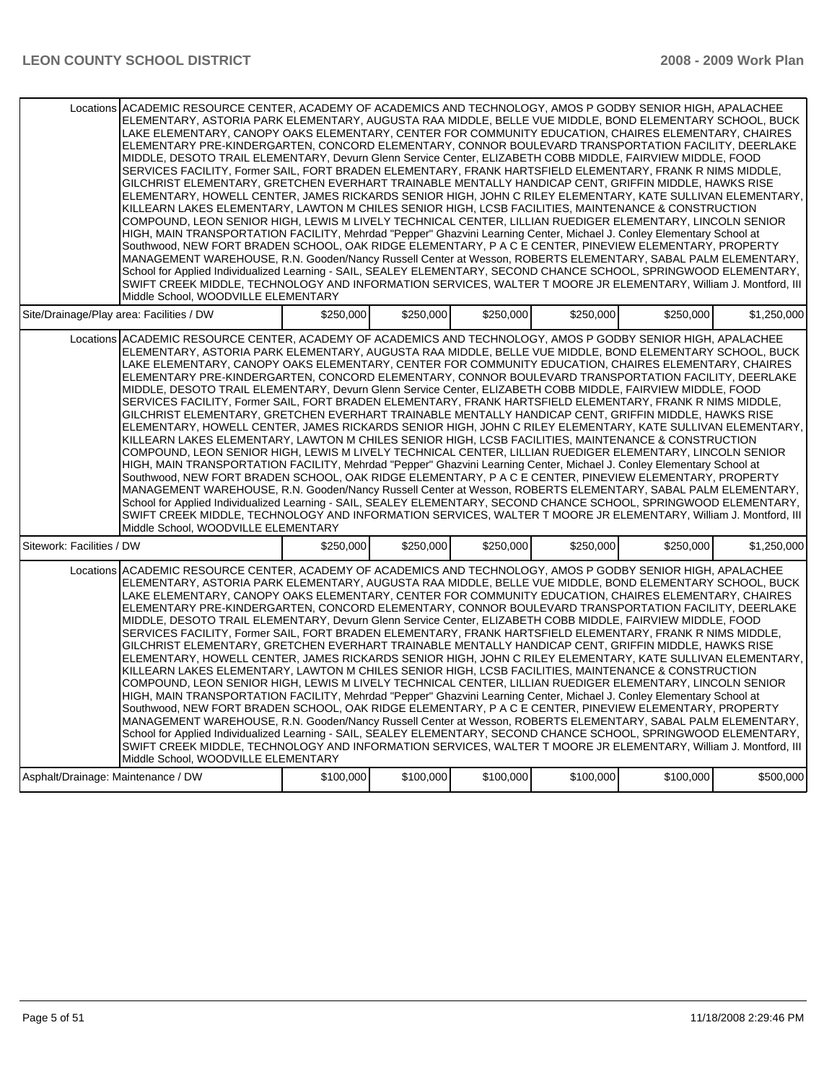|                                                                                                                                                                                                                                                                                                                                                                                                                                                                                                                                                                                                                                                                                                                                                                                                                                                                                                                                                                                                                                                                                                                                                                                                                                                                                                                                                                                                                                                                                                                                                                                                                                                                                                                                              | Locations ACADEMIC RESOURCE CENTER, ACADEMY OF ACADEMICS AND TECHNOLOGY, AMOS P GODBY SENIOR HIGH, APALACHEE<br>ELEMENTARY, ASTORIA PARK ELEMENTARY, AUGUSTA RAA MIDDLE, BELLE VUE MIDDLE, BOND ELEMENTARY SCHOOL, BUCK<br>LAKE ELEMENTARY, CANOPY OAKS ELEMENTARY, CENTER FOR COMMUNITY EDUCATION, CHAIRES ELEMENTARY, CHAIRES<br>ELEMENTARY PRE-KINDERGARTEN, CONCORD ELEMENTARY, CONNOR BOULEVARD TRANSPORTATION FACILITY, DEERLAKE<br>MIDDLE, DESOTO TRAIL ELEMENTARY, Devurn Glenn Service Center, ELIZABETH COBB MIDDLE, FAIRVIEW MIDDLE, FOOD<br>SERVICES FACILITY, Former SAIL, FORT BRADEN ELEMENTARY, FRANK HARTSFIELD ELEMENTARY, FRANK R NIMS MIDDLE,<br>GILCHRIST ELEMENTARY, GRETCHEN EVERHART TRAINABLE MENTALLY HANDICAP CENT, GRIFFIN MIDDLE, HAWKS RISE<br>ELEMENTARY, HOWELL CENTER, JAMES RICKARDS SENIOR HIGH, JOHN C RILEY ELEMENTARY, KATE SULLIVAN ELEMENTARY,<br>KILLEARN LAKES ELEMENTARY, LAWTON M CHILES SENIOR HIGH, LCSB FACILITIES, MAINTENANCE & CONSTRUCTION<br>COMPOUND, LEON SENIOR HIGH, LEWIS M LIVELY TECHNICAL CENTER, LILLIAN RUEDIGER ELEMENTARY, LINCOLN SENIOR<br>HIGH, MAIN TRANSPORTATION FACILITY, Mehrdad "Pepper" Ghazvini Learning Center, Michael J. Conley Elementary School at<br>Southwood, NEW FORT BRADEN SCHOOL, OAK RIDGE ELEMENTARY, P A C E CENTER, PINEVIEW ELEMENTARY, PROPERTY<br>MANAGEMENT WAREHOUSE, R.N. Gooden/Nancy Russell Center at Wesson, ROBERTS ELEMENTARY, SABAL PALM ELEMENTARY,<br>School for Applied Individualized Learning - SAIL, SEALEY ELEMENTARY, SECOND CHANCE SCHOOL, SPRINGWOOD ELEMENTARY,<br>SWIFT CREEK MIDDLE, TECHNOLOGY AND INFORMATION SERVICES, WALTER T MOORE JR ELEMENTARY, William J. Montford, III |           |           |           |           |             |  |  |
|----------------------------------------------------------------------------------------------------------------------------------------------------------------------------------------------------------------------------------------------------------------------------------------------------------------------------------------------------------------------------------------------------------------------------------------------------------------------------------------------------------------------------------------------------------------------------------------------------------------------------------------------------------------------------------------------------------------------------------------------------------------------------------------------------------------------------------------------------------------------------------------------------------------------------------------------------------------------------------------------------------------------------------------------------------------------------------------------------------------------------------------------------------------------------------------------------------------------------------------------------------------------------------------------------------------------------------------------------------------------------------------------------------------------------------------------------------------------------------------------------------------------------------------------------------------------------------------------------------------------------------------------------------------------------------------------------------------------------------------------|-------------------------------------------------------------------------------------------------------------------------------------------------------------------------------------------------------------------------------------------------------------------------------------------------------------------------------------------------------------------------------------------------------------------------------------------------------------------------------------------------------------------------------------------------------------------------------------------------------------------------------------------------------------------------------------------------------------------------------------------------------------------------------------------------------------------------------------------------------------------------------------------------------------------------------------------------------------------------------------------------------------------------------------------------------------------------------------------------------------------------------------------------------------------------------------------------------------------------------------------------------------------------------------------------------------------------------------------------------------------------------------------------------------------------------------------------------------------------------------------------------------------------------------------------------------------------------------------------------------------------------------------------------------------------------------------------------|-----------|-----------|-----------|-----------|-------------|--|--|
| Middle School, WOODVILLE ELEMENTARY                                                                                                                                                                                                                                                                                                                                                                                                                                                                                                                                                                                                                                                                                                                                                                                                                                                                                                                                                                                                                                                                                                                                                                                                                                                                                                                                                                                                                                                                                                                                                                                                                                                                                                          |                                                                                                                                                                                                                                                                                                                                                                                                                                                                                                                                                                                                                                                                                                                                                                                                                                                                                                                                                                                                                                                                                                                                                                                                                                                                                                                                                                                                                                                                                                                                                                                                                                                                                                       |           |           |           |           |             |  |  |
| Site/Drainage/Play area: Facilities / DW                                                                                                                                                                                                                                                                                                                                                                                                                                                                                                                                                                                                                                                                                                                                                                                                                                                                                                                                                                                                                                                                                                                                                                                                                                                                                                                                                                                                                                                                                                                                                                                                                                                                                                     | \$250,000                                                                                                                                                                                                                                                                                                                                                                                                                                                                                                                                                                                                                                                                                                                                                                                                                                                                                                                                                                                                                                                                                                                                                                                                                                                                                                                                                                                                                                                                                                                                                                                                                                                                                             | \$250.000 | \$250,000 | \$250.000 | \$250.000 | \$1,250,000 |  |  |
| Locations ACADEMIC RESOURCE CENTER, ACADEMY OF ACADEMICS AND TECHNOLOGY, AMOS P GODBY SENIOR HIGH, APALACHEE<br>ELEMENTARY, ASTORIA PARK ELEMENTARY, AUGUSTA RAA MIDDLE, BELLE VUE MIDDLE, BOND ELEMENTARY SCHOOL, BUCK<br>LAKE ELEMENTARY, CANOPY OAKS ELEMENTARY, CENTER FOR COMMUNITY EDUCATION, CHAIRES ELEMENTARY, CHAIRES<br>ELEMENTARY PRE-KINDERGARTEN, CONCORD ELEMENTARY, CONNOR BOULEVARD TRANSPORTATION FACILITY, DEERLAKE<br>MIDDLE, DESOTO TRAIL ELEMENTARY, Devurn Glenn Service Center, ELIZABETH COBB MIDDLE, FAIRVIEW MIDDLE, FOOD<br>SERVICES FACILITY, Former SAIL, FORT BRADEN ELEMENTARY, FRANK HARTSFIELD ELEMENTARY, FRANK R NIMS MIDDLE,<br>GILCHRIST ELEMENTARY, GRETCHEN EVERHART TRAINABLE MENTALLY HANDICAP CENT, GRIFFIN MIDDLE, HAWKS RISE<br>ELEMENTARY, HOWELL CENTER, JAMES RICKARDS SENIOR HIGH, JOHN C RILEY ELEMENTARY, KATE SULLIVAN ELEMENTARY,<br>KILLEARN LAKES ELEMENTARY, LAWTON M CHILES SENIOR HIGH, LCSB FACILITIES, MAINTENANCE & CONSTRUCTION<br>COMPOUND, LEON SENIOR HIGH, LEWIS M LIVELY TECHNICAL CENTER, LILLIAN RUEDIGER ELEMENTARY, LINCOLN SENIOR<br>HIGH, MAIN TRANSPORTATION FACILITY, Mehrdad "Pepper" Ghazvini Learning Center, Michael J. Conley Elementary School at<br>Southwood, NEW FORT BRADEN SCHOOL, OAK RIDGE ELEMENTARY, P A C E CENTER, PINEVIEW ELEMENTARY, PROPERTY<br>MANAGEMENT WAREHOUSE, R.N. Gooden/Nancy Russell Center at Wesson, ROBERTS ELEMENTARY, SABAL PALM ELEMENTARY,<br>School for Applied Individualized Learning - SAIL, SEALEY ELEMENTARY, SECOND CHANCE SCHOOL, SPRINGWOOD ELEMENTARY,<br>SWIFT CREEK MIDDLE, TECHNOLOGY AND INFORMATION SERVICES, WALTER T MOORE JR ELEMENTARY, William J. Montford, III<br>Middle School, WOODVILLE ELEMENTARY |                                                                                                                                                                                                                                                                                                                                                                                                                                                                                                                                                                                                                                                                                                                                                                                                                                                                                                                                                                                                                                                                                                                                                                                                                                                                                                                                                                                                                                                                                                                                                                                                                                                                                                       |           |           |           |           |             |  |  |
| Sitework: Facilities / DW                                                                                                                                                                                                                                                                                                                                                                                                                                                                                                                                                                                                                                                                                                                                                                                                                                                                                                                                                                                                                                                                                                                                                                                                                                                                                                                                                                                                                                                                                                                                                                                                                                                                                                                    | \$250,000                                                                                                                                                                                                                                                                                                                                                                                                                                                                                                                                                                                                                                                                                                                                                                                                                                                                                                                                                                                                                                                                                                                                                                                                                                                                                                                                                                                                                                                                                                                                                                                                                                                                                             | \$250,000 | \$250,000 | \$250,000 | \$250,000 | \$1,250,000 |  |  |
| Locations ACADEMIC RESOURCE CENTER, ACADEMY OF ACADEMICS AND TECHNOLOGY, AMOS P GODBY SENIOR HIGH, APALACHEE<br>ELEMENTARY, ASTORIA PARK ELEMENTARY, AUGUSTA RAA MIDDLE, BELLE VUE MIDDLE, BOND ELEMENTARY SCHOOL, BUCK<br>LAKE ELEMENTARY, CANOPY OAKS ELEMENTARY, CENTER FOR COMMUNITY EDUCATION, CHAIRES ELEMENTARY, CHAIRES<br>ELEMENTARY PRE-KINDERGARTEN, CONCORD ELEMENTARY, CONNOR BOULEVARD TRANSPORTATION FACILITY, DEERLAKE<br>MIDDLE, DESOTO TRAIL ELEMENTARY, Devurn Glenn Service Center, ELIZABETH COBB MIDDLE, FAIRVIEW MIDDLE, FOOD<br>SERVICES FACILITY, Former SAIL, FORT BRADEN ELEMENTARY, FRANK HARTSFIELD ELEMENTARY, FRANK R NIMS MIDDLE,<br>GILCHRIST ELEMENTARY, GRETCHEN EVERHART TRAINABLE MENTALLY HANDICAP CENT, GRIFFIN MIDDLE, HAWKS RISE<br>ELEMENTARY, HOWELL CENTER, JAMES RICKARDS SENIOR HIGH, JOHN C RILEY ELEMENTARY, KATE SULLIVAN ELEMENTARY,<br>KILLEARN LAKES ELEMENTARY, LAWTON M CHILES SENIOR HIGH, LCSB FACILITIES, MAINTENANCE & CONSTRUCTION<br>COMPOUND, LEON SENIOR HIGH, LEWIS M LIVELY TECHNICAL CENTER, LILLIAN RUEDIGER ELEMENTARY, LINCOLN SENIOR<br>HIGH, MAIN TRANSPORTATION FACILITY, Mehrdad "Pepper" Ghazvini Learning Center, Michael J. Conley Elementary School at<br>Southwood, NEW FORT BRADEN SCHOOL, OAK RIDGE ELEMENTARY, P A C E CENTER, PINEVIEW ELEMENTARY, PROPERTY<br>MANAGEMENT WAREHOUSE, R.N. Gooden/Nancy Russell Center at Wesson, ROBERTS ELEMENTARY, SABAL PALM ELEMENTARY,<br>School for Applied Individualized Learning - SAIL, SEALEY ELEMENTARY, SECOND CHANCE SCHOOL, SPRINGWOOD ELEMENTARY,<br>SWIFT CREEK MIDDLE, TECHNOLOGY AND INFORMATION SERVICES, WALTER T MOORE JR ELEMENTARY, William J. Montford, III<br>Middle School, WOODVILLE ELEMENTARY |                                                                                                                                                                                                                                                                                                                                                                                                                                                                                                                                                                                                                                                                                                                                                                                                                                                                                                                                                                                                                                                                                                                                                                                                                                                                                                                                                                                                                                                                                                                                                                                                                                                                                                       |           |           |           |           |             |  |  |
| Asphalt/Drainage: Maintenance / DW                                                                                                                                                                                                                                                                                                                                                                                                                                                                                                                                                                                                                                                                                                                                                                                                                                                                                                                                                                                                                                                                                                                                                                                                                                                                                                                                                                                                                                                                                                                                                                                                                                                                                                           | \$100,000                                                                                                                                                                                                                                                                                                                                                                                                                                                                                                                                                                                                                                                                                                                                                                                                                                                                                                                                                                                                                                                                                                                                                                                                                                                                                                                                                                                                                                                                                                                                                                                                                                                                                             | \$100,000 | \$100,000 | \$100,000 | \$100,000 | \$500,000   |  |  |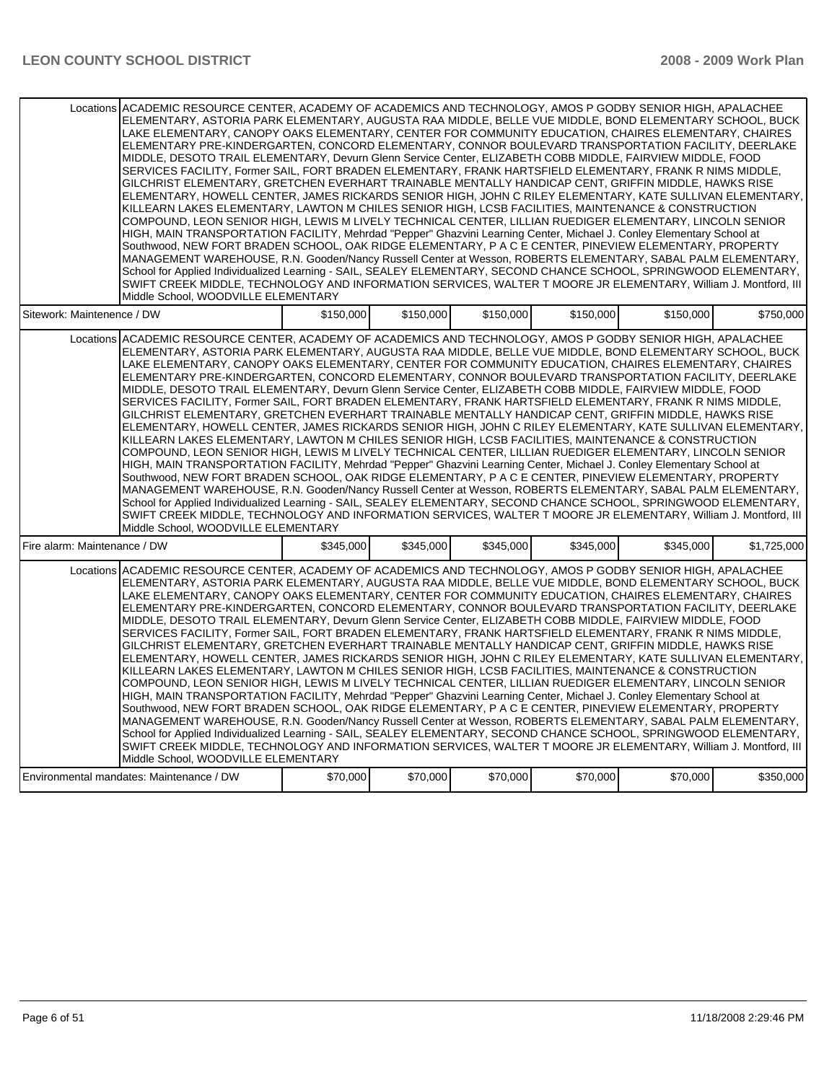| Locations ACADEMIC RESOURCE CENTER. ACADEMY OF ACADEMICS AND TECHNOLOGY. AMOS P GODBY SENIOR HIGH. APALACHEE<br>ELEMENTARY, ASTORIA PARK ELEMENTARY, AUGUSTA RAA MIDDLE, BELLE VUE MIDDLE, BOND ELEMENTARY SCHOOL, BUCK<br>LAKE ELEMENTARY, CANOPY OAKS ELEMENTARY, CENTER FOR COMMUNITY EDUCATION, CHAIRES ELEMENTARY, CHAIRES<br>ELEMENTARY PRE-KINDERGARTEN, CONCORD ELEMENTARY, CONNOR BOULEVARD TRANSPORTATION FACILITY, DEERLAKE<br>MIDDLE, DESOTO TRAIL ELEMENTARY, Devurn Glenn Service Center, ELIZABETH COBB MIDDLE, FAIRVIEW MIDDLE, FOOD<br>SERVICES FACILITY, Former SAIL, FORT BRADEN ELEMENTARY, FRANK HARTSFIELD ELEMENTARY, FRANK R NIMS MIDDLE,<br>GILCHRIST ELEMENTARY, GRETCHEN EVERHART TRAINABLE MENTALLY HANDICAP CENT, GRIFFIN MIDDLE, HAWKS RISE<br>ELEMENTARY, HOWELL CENTER, JAMES RICKARDS SENIOR HIGH, JOHN C RILEY ELEMENTARY, KATE SULLIVAN ELEMENTARY,<br>KILLEARN LAKES ELEMENTARY, LAWTON M CHILES SENIOR HIGH, LCSB FACILITIES, MAINTENANCE & CONSTRUCTION<br>COMPOUND, LEON SENIOR HIGH, LEWIS M LIVELY TECHNICAL CENTER, LILLIAN RUEDIGER ELEMENTARY, LINCOLN SENIOR<br>HIGH, MAIN TRANSPORTATION FACILITY, Mehrdad "Pepper" Ghazvini Learning Center, Michael J. Conley Elementary School at<br>Southwood, NEW FORT BRADEN SCHOOL, OAK RIDGE ELEMENTARY, P A C E CENTER, PINEVIEW ELEMENTARY, PROPERTY<br>MANAGEMENT WAREHOUSE, R.N. Gooden/Nancy Russell Center at Wesson, ROBERTS ELEMENTARY, SABAL PALM ELEMENTARY,<br>School for Applied Individualized Learning - SAIL, SEALEY ELEMENTARY, SECOND CHANCE SCHOOL, SPRINGWOOD ELEMENTARY,<br>SWIFT CREEK MIDDLE, TECHNOLOGY AND INFORMATION SERVICES, WALTER T MOORE JR ELEMENTARY, William J. Montford, III<br>Middle School, WOODVILLE ELEMENTARY |           |           |           |           |           |             |
|----------------------------------------------------------------------------------------------------------------------------------------------------------------------------------------------------------------------------------------------------------------------------------------------------------------------------------------------------------------------------------------------------------------------------------------------------------------------------------------------------------------------------------------------------------------------------------------------------------------------------------------------------------------------------------------------------------------------------------------------------------------------------------------------------------------------------------------------------------------------------------------------------------------------------------------------------------------------------------------------------------------------------------------------------------------------------------------------------------------------------------------------------------------------------------------------------------------------------------------------------------------------------------------------------------------------------------------------------------------------------------------------------------------------------------------------------------------------------------------------------------------------------------------------------------------------------------------------------------------------------------------------------------------------------------------------------------------------------------------------|-----------|-----------|-----------|-----------|-----------|-------------|
| Sitework: Maintenence / DW                                                                                                                                                                                                                                                                                                                                                                                                                                                                                                                                                                                                                                                                                                                                                                                                                                                                                                                                                                                                                                                                                                                                                                                                                                                                                                                                                                                                                                                                                                                                                                                                                                                                                                                   | \$150,000 | \$150,000 | \$150,000 | \$150,000 | \$150.000 | \$750,000   |
| Locations ACADEMIC RESOURCE CENTER, ACADEMY OF ACADEMICS AND TECHNOLOGY, AMOS P GODBY SENIOR HIGH, APALACHEE<br>ELEMENTARY, ASTORIA PARK ELEMENTARY, AUGUSTA RAA MIDDLE, BELLE VUE MIDDLE, BOND ELEMENTARY SCHOOL, BUCK<br>LAKE ELEMENTARY, CANOPY OAKS ELEMENTARY, CENTER FOR COMMUNITY EDUCATION, CHAIRES ELEMENTARY, CHAIRES<br>ELEMENTARY PRE-KINDERGARTEN, CONCORD ELEMENTARY, CONNOR BOULEVARD TRANSPORTATION FACILITY, DEERLAKE<br>MIDDLE, DESOTO TRAIL ELEMENTARY, Devurn Glenn Service Center, ELIZABETH COBB MIDDLE, FAIRVIEW MIDDLE, FOOD<br>SERVICES FACILITY, Former SAIL, FORT BRADEN ELEMENTARY, FRANK HARTSFIELD ELEMENTARY, FRANK R NIMS MIDDLE,<br>GILCHRIST ELEMENTARY, GRETCHEN EVERHART TRAINABLE MENTALLY HANDICAP CENT, GRIFFIN MIDDLE, HAWKS RISE<br>ELEMENTARY, HOWELL CENTER, JAMES RICKARDS SENIOR HIGH, JOHN C RILEY ELEMENTARY, KATE SULLIVAN ELEMENTARY,<br>KILLEARN LAKES ELEMENTARY, LAWTON M CHILES SENIOR HIGH, LCSB FACILITIES, MAINTENANCE & CONSTRUCTION<br>COMPOUND, LEON SENIOR HIGH, LEWIS M LIVELY TECHNICAL CENTER, LILLIAN RUEDIGER ELEMENTARY, LINCOLN SENIOR<br>HIGH, MAIN TRANSPORTATION FACILITY, Mehrdad "Pepper" Ghazvini Learning Center, Michael J. Conley Elementary School at<br>Southwood, NEW FORT BRADEN SCHOOL, OAK RIDGE ELEMENTARY, P A C E CENTER, PINEVIEW ELEMENTARY, PROPERTY<br>MANAGEMENT WAREHOUSE, R.N. Gooden/Nancy Russell Center at Wesson, ROBERTS ELEMENTARY, SABAL PALM ELEMENTARY,<br>School for Applied Individualized Learning - SAIL, SEALEY ELEMENTARY, SECOND CHANCE SCHOOL, SPRINGWOOD ELEMENTARY,<br>SWIFT CREEK MIDDLE, TECHNOLOGY AND INFORMATION SERVICES, WALTER T MOORE JR ELEMENTARY, William J. Montford, III<br>Middle School, WOODVILLE ELEMENTARY |           |           |           |           |           |             |
| Fire alarm: Maintenance / DW                                                                                                                                                                                                                                                                                                                                                                                                                                                                                                                                                                                                                                                                                                                                                                                                                                                                                                                                                                                                                                                                                                                                                                                                                                                                                                                                                                                                                                                                                                                                                                                                                                                                                                                 | \$345,000 | \$345,000 | \$345,000 | \$345,000 | \$345,000 | \$1,725,000 |
| Locations ACADEMIC RESOURCE CENTER, ACADEMY OF ACADEMICS AND TECHNOLOGY, AMOS P GODBY SENIOR HIGH, APALACHEE<br>ELEMENTARY, ASTORIA PARK ELEMENTARY, AUGUSTA RAA MIDDLE, BELLE VUE MIDDLE, BOND ELEMENTARY SCHOOL, BUCK<br>LAKE ELEMENTARY, CANOPY OAKS ELEMENTARY, CENTER FOR COMMUNITY EDUCATION, CHAIRES ELEMENTARY, CHAIRES<br>ELEMENTARY PRE-KINDERGARTEN, CONCORD ELEMENTARY, CONNOR BOULEVARD TRANSPORTATION FACILITY, DEERLAKE<br>MIDDLE, DESOTO TRAIL ELEMENTARY, Devurn Glenn Service Center, ELIZABETH COBB MIDDLE, FAIRVIEW MIDDLE, FOOD<br>SERVICES FACILITY, Former SAIL, FORT BRADEN ELEMENTARY, FRANK HARTSFIELD ELEMENTARY, FRANK R NIMS MIDDLE,<br>GILCHRIST ELEMENTARY, GRETCHEN EVERHART TRAINABLE MENTALLY HANDICAP CENT, GRIFFIN MIDDLE, HAWKS RISE<br>ELEMENTARY, HOWELL CENTER, JAMES RICKARDS SENIOR HIGH, JOHN C RILEY ELEMENTARY, KATE SULLIVAN ELEMENTARY,<br>KILLEARN LAKES ELEMENTARY, LAWTON M CHILES SENIOR HIGH, LCSB FACILITIES, MAINTENANCE & CONSTRUCTION<br>COMPOUND. LEON SENIOR HIGH. LEWIS M LIVELY TECHNICAL CENTER. LILLIAN RUEDIGER ELEMENTARY. LINCOLN SENIOR<br>HIGH, MAIN TRANSPORTATION FACILITY, Mehrdad "Pepper" Ghazvini Learning Center, Michael J. Conley Elementary School at<br>Southwood, NEW FORT BRADEN SCHOOL, OAK RIDGE ELEMENTARY, P A C E CENTER, PINEVIEW ELEMENTARY, PROPERTY<br>MANAGEMENT WAREHOUSE, R.N. Gooden/Nancy Russell Center at Wesson, ROBERTS ELEMENTARY, SABAL PALM ELEMENTARY,<br>School for Applied Individualized Learning - SAIL, SEALEY ELEMENTARY, SECOND CHANCE SCHOOL, SPRINGWOOD ELEMENTARY,<br>SWIFT CREEK MIDDLE, TECHNOLOGY AND INFORMATION SERVICES, WALTER T MOORE JR ELEMENTARY, William J. Montford, III<br>Middle School, WOODVILLE ELEMENTARY |           |           |           |           |           |             |
| Environmental mandates: Maintenance / DW                                                                                                                                                                                                                                                                                                                                                                                                                                                                                                                                                                                                                                                                                                                                                                                                                                                                                                                                                                                                                                                                                                                                                                                                                                                                                                                                                                                                                                                                                                                                                                                                                                                                                                     | \$70,000  | \$70,000  | \$70,000  | \$70,000  | \$70,000  | \$350,000   |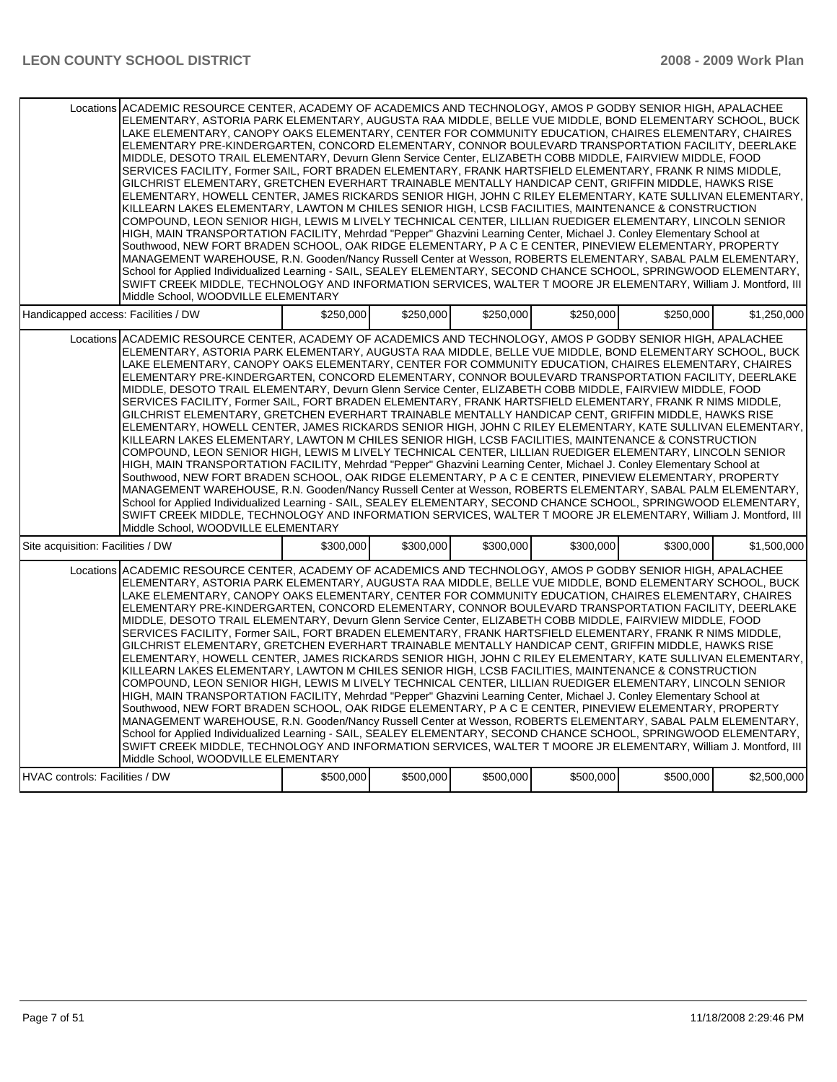| Locations ACADEMIC RESOURCE CENTER. ACADEMY OF ACADEMICS AND TECHNOLOGY. AMOS P GODBY SENIOR HIGH. APALACHEE<br>ELEMENTARY, ASTORIA PARK ELEMENTARY, AUGUSTA RAA MIDDLE, BELLE VUE MIDDLE, BOND ELEMENTARY SCHOOL, BUCK<br>LAKE ELEMENTARY, CANOPY OAKS ELEMENTARY, CENTER FOR COMMUNITY EDUCATION, CHAIRES ELEMENTARY, CHAIRES<br>ELEMENTARY PRE-KINDERGARTEN, CONCORD ELEMENTARY, CONNOR BOULEVARD TRANSPORTATION FACILITY, DEERLAKE<br>MIDDLE, DESOTO TRAIL ELEMENTARY, Devurn Glenn Service Center, ELIZABETH COBB MIDDLE, FAIRVIEW MIDDLE, FOOD<br>SERVICES FACILITY, Former SAIL, FORT BRADEN ELEMENTARY, FRANK HARTSFIELD ELEMENTARY, FRANK R NIMS MIDDLE,<br>GILCHRIST ELEMENTARY, GRETCHEN EVERHART TRAINABLE MENTALLY HANDICAP CENT, GRIFFIN MIDDLE, HAWKS RISE<br>ELEMENTARY, HOWELL CENTER, JAMES RICKARDS SENIOR HIGH, JOHN C RILEY ELEMENTARY, KATE SULLIVAN ELEMENTARY,<br>KILLEARN LAKES ELEMENTARY, LAWTON M CHILES SENIOR HIGH, LCSB FACILITIES, MAINTENANCE & CONSTRUCTION<br>COMPOUND, LEON SENIOR HIGH, LEWIS M LIVELY TECHNICAL CENTER, LILLIAN RUEDIGER ELEMENTARY, LINCOLN SENIOR<br>HIGH, MAIN TRANSPORTATION FACILITY, Mehrdad "Pepper" Ghazvini Learning Center, Michael J. Conley Elementary School at<br>Southwood, NEW FORT BRADEN SCHOOL, OAK RIDGE ELEMENTARY, P A C E CENTER, PINEVIEW ELEMENTARY, PROPERTY<br>MANAGEMENT WAREHOUSE, R.N. Gooden/Nancy Russell Center at Wesson, ROBERTS ELEMENTARY, SABAL PALM ELEMENTARY,<br>School for Applied Individualized Learning - SAIL, SEALEY ELEMENTARY, SECOND CHANCE SCHOOL, SPRINGWOOD ELEMENTARY,<br>SWIFT CREEK MIDDLE, TECHNOLOGY AND INFORMATION SERVICES, WALTER T MOORE JR ELEMENTARY, William J. Montford, III<br>Middle School, WOODVILLE ELEMENTARY |           |           |           |           |           |             |
|----------------------------------------------------------------------------------------------------------------------------------------------------------------------------------------------------------------------------------------------------------------------------------------------------------------------------------------------------------------------------------------------------------------------------------------------------------------------------------------------------------------------------------------------------------------------------------------------------------------------------------------------------------------------------------------------------------------------------------------------------------------------------------------------------------------------------------------------------------------------------------------------------------------------------------------------------------------------------------------------------------------------------------------------------------------------------------------------------------------------------------------------------------------------------------------------------------------------------------------------------------------------------------------------------------------------------------------------------------------------------------------------------------------------------------------------------------------------------------------------------------------------------------------------------------------------------------------------------------------------------------------------------------------------------------------------------------------------------------------------|-----------|-----------|-----------|-----------|-----------|-------------|
| Handicapped access: Facilities / DW                                                                                                                                                                                                                                                                                                                                                                                                                                                                                                                                                                                                                                                                                                                                                                                                                                                                                                                                                                                                                                                                                                                                                                                                                                                                                                                                                                                                                                                                                                                                                                                                                                                                                                          | \$250.000 | \$250.000 | \$250.000 | \$250.000 | \$250.000 | \$1,250,000 |
| Locations ACADEMIC RESOURCE CENTER, ACADEMY OF ACADEMICS AND TECHNOLOGY, AMOS P GODBY SENIOR HIGH, APALACHEE<br>ELEMENTARY, ASTORIA PARK ELEMENTARY, AUGUSTA RAA MIDDLE, BELLE VUE MIDDLE, BOND ELEMENTARY SCHOOL, BUCK<br>LAKE ELEMENTARY, CANOPY OAKS ELEMENTARY, CENTER FOR COMMUNITY EDUCATION, CHAIRES ELEMENTARY, CHAIRES<br>ELEMENTARY PRE-KINDERGARTEN, CONCORD ELEMENTARY, CONNOR BOULEVARD TRANSPORTATION FACILITY, DEERLAKE<br>MIDDLE, DESOTO TRAIL ELEMENTARY, Devurn Glenn Service Center, ELIZABETH COBB MIDDLE, FAIRVIEW MIDDLE, FOOD<br>SERVICES FACILITY, Former SAIL, FORT BRADEN ELEMENTARY, FRANK HARTSFIELD ELEMENTARY, FRANK R NIMS MIDDLE,<br>GILCHRIST ELEMENTARY, GRETCHEN EVERHART TRAINABLE MENTALLY HANDICAP CENT, GRIFFIN MIDDLE, HAWKS RISE<br>ELEMENTARY, HOWELL CENTER, JAMES RICKARDS SENIOR HIGH, JOHN C RILEY ELEMENTARY, KATE SULLIVAN ELEMENTARY,<br>KILLEARN LAKES ELEMENTARY, LAWTON M CHILES SENIOR HIGH, LCSB FACILITIES, MAINTENANCE & CONSTRUCTION<br>COMPOUND, LEON SENIOR HIGH, LEWIS M LIVELY TECHNICAL CENTER, LILLIAN RUEDIGER ELEMENTARY, LINCOLN SENIOR<br>HIGH, MAIN TRANSPORTATION FACILITY, Mehrdad "Pepper" Ghazvini Learning Center, Michael J. Conley Elementary School at<br>Southwood, NEW FORT BRADEN SCHOOL, OAK RIDGE ELEMENTARY, P A C E CENTER, PINEVIEW ELEMENTARY, PROPERTY<br>MANAGEMENT WAREHOUSE, R.N. Gooden/Nancy Russell Center at Wesson, ROBERTS ELEMENTARY, SABAL PALM ELEMENTARY,<br>School for Applied Individualized Learning - SAIL, SEALEY ELEMENTARY, SECOND CHANCE SCHOOL, SPRINGWOOD ELEMENTARY,<br>SWIFT CREEK MIDDLE, TECHNOLOGY AND INFORMATION SERVICES, WALTER T MOORE JR ELEMENTARY, William J. Montford, III<br>Middle School, WOODVILLE ELEMENTARY |           |           |           |           |           |             |
| Site acquisition: Facilities / DW                                                                                                                                                                                                                                                                                                                                                                                                                                                                                                                                                                                                                                                                                                                                                                                                                                                                                                                                                                                                                                                                                                                                                                                                                                                                                                                                                                                                                                                                                                                                                                                                                                                                                                            | \$300,000 | \$300,000 | \$300,000 | \$300,000 | \$300,000 | \$1,500,000 |
| Locations ACADEMIC RESOURCE CENTER, ACADEMY OF ACADEMICS AND TECHNOLOGY, AMOS P GODBY SENIOR HIGH, APALACHEE<br>ELEMENTARY, ASTORIA PARK ELEMENTARY, AUGUSTA RAA MIDDLE, BELLE VUE MIDDLE, BOND ELEMENTARY SCHOOL, BUCK<br>LAKE ELEMENTARY, CANOPY OAKS ELEMENTARY, CENTER FOR COMMUNITY EDUCATION, CHAIRES ELEMENTARY, CHAIRES<br>ELEMENTARY PRE-KINDERGARTEN, CONCORD ELEMENTARY, CONNOR BOULEVARD TRANSPORTATION FACILITY, DEERLAKE<br>MIDDLE, DESOTO TRAIL ELEMENTARY, Devurn Glenn Service Center, ELIZABETH COBB MIDDLE, FAIRVIEW MIDDLE, FOOD<br>SERVICES FACILITY, Former SAIL, FORT BRADEN ELEMENTARY, FRANK HARTSFIELD ELEMENTARY, FRANK R NIMS MIDDLE,<br>GILCHRIST ELEMENTARY, GRETCHEN EVERHART TRAINABLE MENTALLY HANDICAP CENT, GRIFFIN MIDDLE, HAWKS RISE<br>ELEMENTARY, HOWELL CENTER, JAMES RICKARDS SENIOR HIGH, JOHN C RILEY ELEMENTARY, KATE SULLIVAN ELEMENTARY,<br>KILLEARN LAKES ELEMENTARY, LAWTON M CHILES SENIOR HIGH, LCSB FACILITIES, MAINTENANCE & CONSTRUCTION<br>COMPOUND, LEON SENIOR HIGH, LEWIS M LIVELY TECHNICAL CENTER, LILLIAN RUEDIGER ELEMENTARY, LINCOLN SENIOR<br>HIGH, MAIN TRANSPORTATION FACILITY, Mehrdad "Pepper" Ghazvini Learning Center, Michael J. Conley Elementary School at<br>Southwood, NEW FORT BRADEN SCHOOL, OAK RIDGE ELEMENTARY, P A C E CENTER, PINEVIEW ELEMENTARY, PROPERTY<br>MANAGEMENT WAREHOUSE, R.N. Gooden/Nancy Russell Center at Wesson, ROBERTS ELEMENTARY, SABAL PALM ELEMENTARY,<br>School for Applied Individualized Learning - SAIL, SEALEY ELEMENTARY, SECOND CHANCE SCHOOL, SPRINGWOOD ELEMENTARY,<br>SWIFT CREEK MIDDLE, TECHNOLOGY AND INFORMATION SERVICES, WALTER T MOORE JR ELEMENTARY, William J. Montford, III<br>Middle School, WOODVILLE ELEMENTARY |           |           |           |           |           |             |
| HVAC controls: Facilities / DW                                                                                                                                                                                                                                                                                                                                                                                                                                                                                                                                                                                                                                                                                                                                                                                                                                                                                                                                                                                                                                                                                                                                                                                                                                                                                                                                                                                                                                                                                                                                                                                                                                                                                                               | \$500,000 | \$500,000 | \$500,000 | \$500,000 | \$500,000 | \$2,500,000 |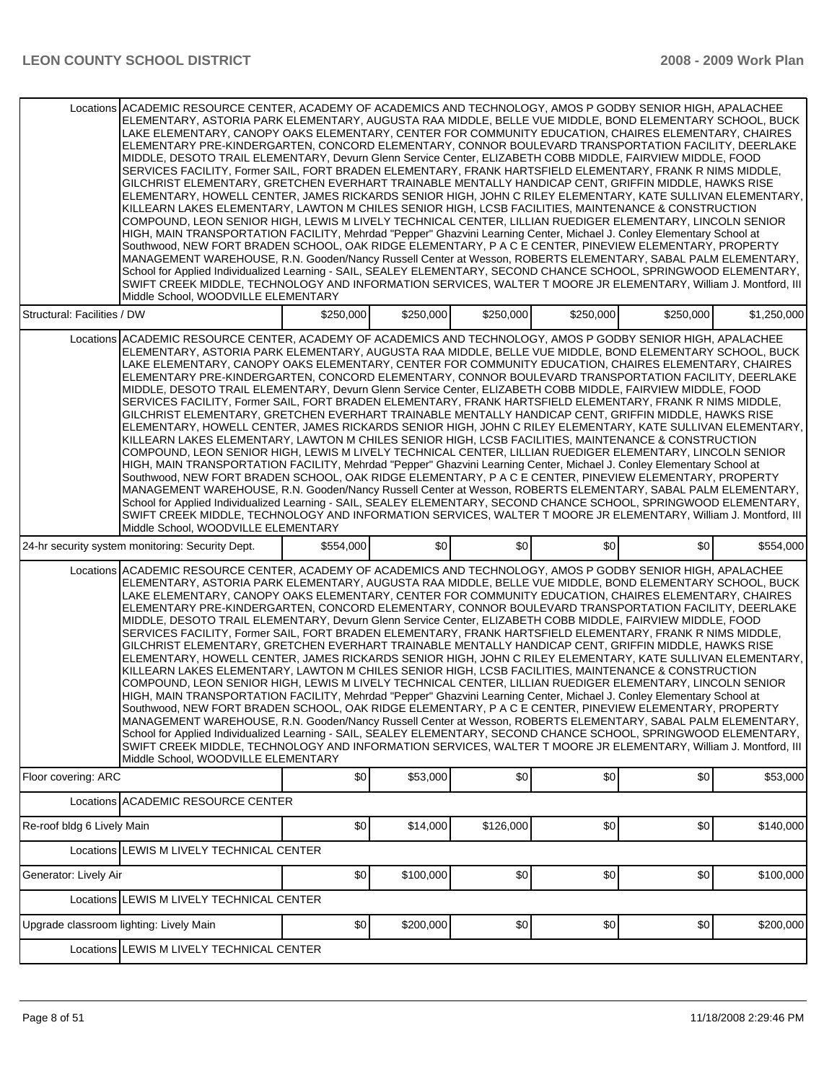|                                                                                                                                                                                                                                                                                                                                                                                                                                                                                                                                                                                                                                                                                                                                                                                                                                                                                                                                                                                                                                                                                                                                                                                                                                                                                                                                                                                                                                                                                                                                                                                                                                                                                                       | Locations ACADEMIC RESOURCE CENTER, ACADEMY OF ACADEMICS AND TECHNOLOGY, AMOS P GODBY SENIOR HIGH, APALACHEE<br>ELEMENTARY, ASTORIA PARK ELEMENTARY, AUGUSTA RAA MIDDLE, BELLE VUE MIDDLE, BOND ELEMENTARY SCHOOL, BUCK<br>LAKE ELEMENTARY, CANOPY OAKS ELEMENTARY, CENTER FOR COMMUNITY EDUCATION, CHAIRES ELEMENTARY, CHAIRES<br>ELEMENTARY PRE-KINDERGARTEN, CONCORD ELEMENTARY, CONNOR BOULEVARD TRANSPORTATION FACILITY, DEERLAKE<br>MIDDLE, DESOTO TRAIL ELEMENTARY, Devurn Glenn Service Center, ELIZABETH COBB MIDDLE, FAIRVIEW MIDDLE, FOOD<br>SERVICES FACILITY, Former SAIL, FORT BRADEN ELEMENTARY, FRANK HARTSFIELD ELEMENTARY, FRANK R NIMS MIDDLE,<br>GILCHRIST ELEMENTARY, GRETCHEN EVERHART TRAINABLE MENTALLY HANDICAP CENT, GRIFFIN MIDDLE, HAWKS RISE<br>ELEMENTARY, HOWELL CENTER, JAMES RICKARDS SENIOR HIGH, JOHN C RILEY ELEMENTARY, KATE SULLIVAN ELEMENTARY,<br>KILLEARN LAKES ELEMENTARY, LAWTON M CHILES SENIOR HIGH, LCSB FACILITIES, MAINTENANCE & CONSTRUCTION<br>COMPOUND, LEON SENIOR HIGH, LEWIS M LIVELY TECHNICAL CENTER, LILLIAN RUEDIGER ELEMENTARY, LINCOLN SENIOR<br>HIGH, MAIN TRANSPORTATION FACILITY, Mehrdad "Pepper" Ghazvini Learning Center, Michael J. Conley Elementary School at<br>Southwood, NEW FORT BRADEN SCHOOL, OAK RIDGE ELEMENTARY, P A C E CENTER, PINEVIEW ELEMENTARY, PROPERTY<br>MANAGEMENT WAREHOUSE, R.N. Gooden/Nancy Russell Center at Wesson, ROBERTS ELEMENTARY, SABAL PALM ELEMENTARY,<br>School for Applied Individualized Learning - SAIL, SEALEY ELEMENTARY, SECOND CHANCE SCHOOL, SPRINGWOOD ELEMENTARY,<br>SWIFT CREEK MIDDLE, TECHNOLOGY AND INFORMATION SERVICES, WALTER T MOORE JR ELEMENTARY, William J. Montford, III<br>Middle School, WOODVILLE ELEMENTARY |           |           |           |           |           |             |
|-------------------------------------------------------------------------------------------------------------------------------------------------------------------------------------------------------------------------------------------------------------------------------------------------------------------------------------------------------------------------------------------------------------------------------------------------------------------------------------------------------------------------------------------------------------------------------------------------------------------------------------------------------------------------------------------------------------------------------------------------------------------------------------------------------------------------------------------------------------------------------------------------------------------------------------------------------------------------------------------------------------------------------------------------------------------------------------------------------------------------------------------------------------------------------------------------------------------------------------------------------------------------------------------------------------------------------------------------------------------------------------------------------------------------------------------------------------------------------------------------------------------------------------------------------------------------------------------------------------------------------------------------------------------------------------------------------|----------------------------------------------------------------------------------------------------------------------------------------------------------------------------------------------------------------------------------------------------------------------------------------------------------------------------------------------------------------------------------------------------------------------------------------------------------------------------------------------------------------------------------------------------------------------------------------------------------------------------------------------------------------------------------------------------------------------------------------------------------------------------------------------------------------------------------------------------------------------------------------------------------------------------------------------------------------------------------------------------------------------------------------------------------------------------------------------------------------------------------------------------------------------------------------------------------------------------------------------------------------------------------------------------------------------------------------------------------------------------------------------------------------------------------------------------------------------------------------------------------------------------------------------------------------------------------------------------------------------------------------------------------------------------------------------------------------------------------------------|-----------|-----------|-----------|-----------|-----------|-------------|
| Structural: Facilities / DW                                                                                                                                                                                                                                                                                                                                                                                                                                                                                                                                                                                                                                                                                                                                                                                                                                                                                                                                                                                                                                                                                                                                                                                                                                                                                                                                                                                                                                                                                                                                                                                                                                                                           |                                                                                                                                                                                                                                                                                                                                                                                                                                                                                                                                                                                                                                                                                                                                                                                                                                                                                                                                                                                                                                                                                                                                                                                                                                                                                                                                                                                                                                                                                                                                                                                                                                                                                                                                              | \$250,000 | \$250,000 | \$250,000 | \$250,000 | \$250,000 | \$1,250,000 |
|                                                                                                                                                                                                                                                                                                                                                                                                                                                                                                                                                                                                                                                                                                                                                                                                                                                                                                                                                                                                                                                                                                                                                                                                                                                                                                                                                                                                                                                                                                                                                                                                                                                                                                       | Locations ACADEMIC RESOURCE CENTER, ACADEMY OF ACADEMICS AND TECHNOLOGY, AMOS P GODBY SENIOR HIGH, APALACHEE<br>ELEMENTARY, ASTORIA PARK ELEMENTARY, AUGUSTA RAA MIDDLE, BELLE VUE MIDDLE, BOND ELEMENTARY SCHOOL, BUCK<br>LAKE ELEMENTARY, CANOPY OAKS ELEMENTARY, CENTER FOR COMMUNITY EDUCATION, CHAIRES ELEMENTARY, CHAIRES<br>ELEMENTARY PRE-KINDERGARTEN, CONCORD ELEMENTARY, CONNOR BOULEVARD TRANSPORTATION FACILITY, DEERLAKE<br>MIDDLE, DESOTO TRAIL ELEMENTARY, Devurn Glenn Service Center, ELIZABETH COBB MIDDLE, FAIRVIEW MIDDLE, FOOD<br>SERVICES FACILITY, Former SAIL, FORT BRADEN ELEMENTARY, FRANK HARTSFIELD ELEMENTARY, FRANK R NIMS MIDDLE,<br>GILCHRIST ELEMENTARY, GRETCHEN EVERHART TRAINABLE MENTALLY HANDICAP CENT, GRIFFIN MIDDLE, HAWKS RISE<br>ELEMENTARY, HOWELL CENTER, JAMES RICKARDS SENIOR HIGH, JOHN C RILEY ELEMENTARY, KATE SULLIVAN ELEMENTARY,<br>KILLEARN LAKES ELEMENTARY, LAWTON M CHILES SENIOR HIGH, LCSB FACILITIES, MAINTENANCE & CONSTRUCTION<br>COMPOUND, LEON SENIOR HIGH, LEWIS M LIVELY TECHNICAL CENTER, LILLIAN RUEDIGER ELEMENTARY, LINCOLN SENIOR<br>HIGH, MAIN TRANSPORTATION FACILITY, Mehrdad "Pepper" Ghazvini Learning Center, Michael J. Conley Elementary School at<br>Southwood, NEW FORT BRADEN SCHOOL, OAK RIDGE ELEMENTARY, P A C E CENTER, PINEVIEW ELEMENTARY, PROPERTY<br>MANAGEMENT WAREHOUSE, R.N. Gooden/Nancy Russell Center at Wesson, ROBERTS ELEMENTARY, SABAL PALM ELEMENTARY,<br>School for Applied Individualized Learning - SAIL, SEALEY ELEMENTARY, SECOND CHANCE SCHOOL, SPRINGWOOD ELEMENTARY,<br>SWIFT CREEK MIDDLE, TECHNOLOGY AND INFORMATION SERVICES, WALTER T MOORE JR ELEMENTARY, William J. Montford, III<br>Middle School, WOODVILLE ELEMENTARY |           |           |           |           |           |             |
|                                                                                                                                                                                                                                                                                                                                                                                                                                                                                                                                                                                                                                                                                                                                                                                                                                                                                                                                                                                                                                                                                                                                                                                                                                                                                                                                                                                                                                                                                                                                                                                                                                                                                                       | 24-hr security system monitoring: Security Dept.                                                                                                                                                                                                                                                                                                                                                                                                                                                                                                                                                                                                                                                                                                                                                                                                                                                                                                                                                                                                                                                                                                                                                                                                                                                                                                                                                                                                                                                                                                                                                                                                                                                                                             | \$554,000 | \$0       | \$0       | \$0       | \$0       | \$554,000   |
| Locations ACADEMIC RESOURCE CENTER, ACADEMY OF ACADEMICS AND TECHNOLOGY, AMOS P GODBY SENIOR HIGH, APALACHEE<br>ELEMENTARY, ASTORIA PARK ELEMENTARY, AUGUSTA RAA MIDDLE, BELLE VUE MIDDLE, BOND ELEMENTARY SCHOOL, BUCK<br>LAKE ELEMENTARY, CANOPY OAKS ELEMENTARY, CENTER FOR COMMUNITY EDUCATION, CHAIRES ELEMENTARY, CHAIRES<br>ELEMENTARY PRE-KINDERGARTEN, CONCORD ELEMENTARY, CONNOR BOULEVARD TRANSPORTATION FACILITY, DEERLAKE<br>MIDDLE, DESOTO TRAIL ELEMENTARY, Devurn Glenn Service Center, ELIZABETH COBB MIDDLE, FAIRVIEW MIDDLE, FOOD<br>SERVICES FACILITY, Former SAIL, FORT BRADEN ELEMENTARY, FRANK HARTSFIELD ELEMENTARY, FRANK R NIMS MIDDLE,<br>GILCHRIST ELEMENTARY, GRETCHEN EVERHART TRAINABLE MENTALLY HANDICAP CENT, GRIFFIN MIDDLE, HAWKS RISE<br>ELEMENTARY, HOWELL CENTER, JAMES RICKARDS SENIOR HIGH, JOHN C RILEY ELEMENTARY, KATE SULLIVAN ELEMENTARY,<br>KILLEARN LAKES ELEMENTARY, LAWTON M CHILES SENIOR HIGH, LCSB FACILITIES, MAINTENANCE & CONSTRUCTION<br>COMPOUND, LEON SENIOR HIGH, LEWIS M LIVELY TECHNICAL CENTER, LILLIAN RUEDIGER ELEMENTARY, LINCOLN SENIOR<br>HIGH, MAIN TRANSPORTATION FACILITY, Mehrdad "Pepper" Ghazvini Learning Center, Michael J. Conley Elementary School at<br>Southwood, NEW FORT BRADEN SCHOOL, OAK RIDGE ELEMENTARY, P A C E CENTER, PINEVIEW ELEMENTARY, PROPERTY<br>MANAGEMENT WAREHOUSE, R.N. Gooden/Nancy Russell Center at Wesson, ROBERTS ELEMENTARY, SABAL PALM ELEMENTARY,<br>School for Applied Individualized Learning - SAIL, SEALEY ELEMENTARY, SECOND CHANCE SCHOOL, SPRINGWOOD ELEMENTARY,<br>SWIFT CREEK MIDDLE, TECHNOLOGY AND INFORMATION SERVICES, WALTER T MOORE JR ELEMENTARY, William J. Montford, III |                                                                                                                                                                                                                                                                                                                                                                                                                                                                                                                                                                                                                                                                                                                                                                                                                                                                                                                                                                                                                                                                                                                                                                                                                                                                                                                                                                                                                                                                                                                                                                                                                                                                                                                                              |           |           |           |           |           |             |
|                                                                                                                                                                                                                                                                                                                                                                                                                                                                                                                                                                                                                                                                                                                                                                                                                                                                                                                                                                                                                                                                                                                                                                                                                                                                                                                                                                                                                                                                                                                                                                                                                                                                                                       | Middle School, WOODVILLE ELEMENTARY                                                                                                                                                                                                                                                                                                                                                                                                                                                                                                                                                                                                                                                                                                                                                                                                                                                                                                                                                                                                                                                                                                                                                                                                                                                                                                                                                                                                                                                                                                                                                                                                                                                                                                          |           |           |           |           |           |             |
| Floor covering: ARC                                                                                                                                                                                                                                                                                                                                                                                                                                                                                                                                                                                                                                                                                                                                                                                                                                                                                                                                                                                                                                                                                                                                                                                                                                                                                                                                                                                                                                                                                                                                                                                                                                                                                   |                                                                                                                                                                                                                                                                                                                                                                                                                                                                                                                                                                                                                                                                                                                                                                                                                                                                                                                                                                                                                                                                                                                                                                                                                                                                                                                                                                                                                                                                                                                                                                                                                                                                                                                                              | \$0       | \$53,000  | \$0       | \$0       | \$0       | \$53,000    |
|                                                                                                                                                                                                                                                                                                                                                                                                                                                                                                                                                                                                                                                                                                                                                                                                                                                                                                                                                                                                                                                                                                                                                                                                                                                                                                                                                                                                                                                                                                                                                                                                                                                                                                       | Locations ACADEMIC RESOURCE CENTER                                                                                                                                                                                                                                                                                                                                                                                                                                                                                                                                                                                                                                                                                                                                                                                                                                                                                                                                                                                                                                                                                                                                                                                                                                                                                                                                                                                                                                                                                                                                                                                                                                                                                                           |           |           |           |           |           |             |
| Re-roof bldg 6 Lively Main                                                                                                                                                                                                                                                                                                                                                                                                                                                                                                                                                                                                                                                                                                                                                                                                                                                                                                                                                                                                                                                                                                                                                                                                                                                                                                                                                                                                                                                                                                                                                                                                                                                                            |                                                                                                                                                                                                                                                                                                                                                                                                                                                                                                                                                                                                                                                                                                                                                                                                                                                                                                                                                                                                                                                                                                                                                                                                                                                                                                                                                                                                                                                                                                                                                                                                                                                                                                                                              | \$0       | \$14,000  | \$126,000 | \$0       | \$0       | \$140,000   |
|                                                                                                                                                                                                                                                                                                                                                                                                                                                                                                                                                                                                                                                                                                                                                                                                                                                                                                                                                                                                                                                                                                                                                                                                                                                                                                                                                                                                                                                                                                                                                                                                                                                                                                       | Locations LEWIS M LIVELY TECHNICAL CENTER                                                                                                                                                                                                                                                                                                                                                                                                                                                                                                                                                                                                                                                                                                                                                                                                                                                                                                                                                                                                                                                                                                                                                                                                                                                                                                                                                                                                                                                                                                                                                                                                                                                                                                    |           |           |           |           |           |             |
| Generator: Lively Air                                                                                                                                                                                                                                                                                                                                                                                                                                                                                                                                                                                                                                                                                                                                                                                                                                                                                                                                                                                                                                                                                                                                                                                                                                                                                                                                                                                                                                                                                                                                                                                                                                                                                 |                                                                                                                                                                                                                                                                                                                                                                                                                                                                                                                                                                                                                                                                                                                                                                                                                                                                                                                                                                                                                                                                                                                                                                                                                                                                                                                                                                                                                                                                                                                                                                                                                                                                                                                                              | \$0       | \$100,000 | \$0       | \$0       | \$0       | \$100,000   |
|                                                                                                                                                                                                                                                                                                                                                                                                                                                                                                                                                                                                                                                                                                                                                                                                                                                                                                                                                                                                                                                                                                                                                                                                                                                                                                                                                                                                                                                                                                                                                                                                                                                                                                       | Locations LEWIS M LIVELY TECHNICAL CENTER                                                                                                                                                                                                                                                                                                                                                                                                                                                                                                                                                                                                                                                                                                                                                                                                                                                                                                                                                                                                                                                                                                                                                                                                                                                                                                                                                                                                                                                                                                                                                                                                                                                                                                    |           |           |           |           |           |             |
| Upgrade classroom lighting: Lively Main                                                                                                                                                                                                                                                                                                                                                                                                                                                                                                                                                                                                                                                                                                                                                                                                                                                                                                                                                                                                                                                                                                                                                                                                                                                                                                                                                                                                                                                                                                                                                                                                                                                               |                                                                                                                                                                                                                                                                                                                                                                                                                                                                                                                                                                                                                                                                                                                                                                                                                                                                                                                                                                                                                                                                                                                                                                                                                                                                                                                                                                                                                                                                                                                                                                                                                                                                                                                                              | \$0       | \$200,000 | \$0       | \$0       | \$0       | \$200,000   |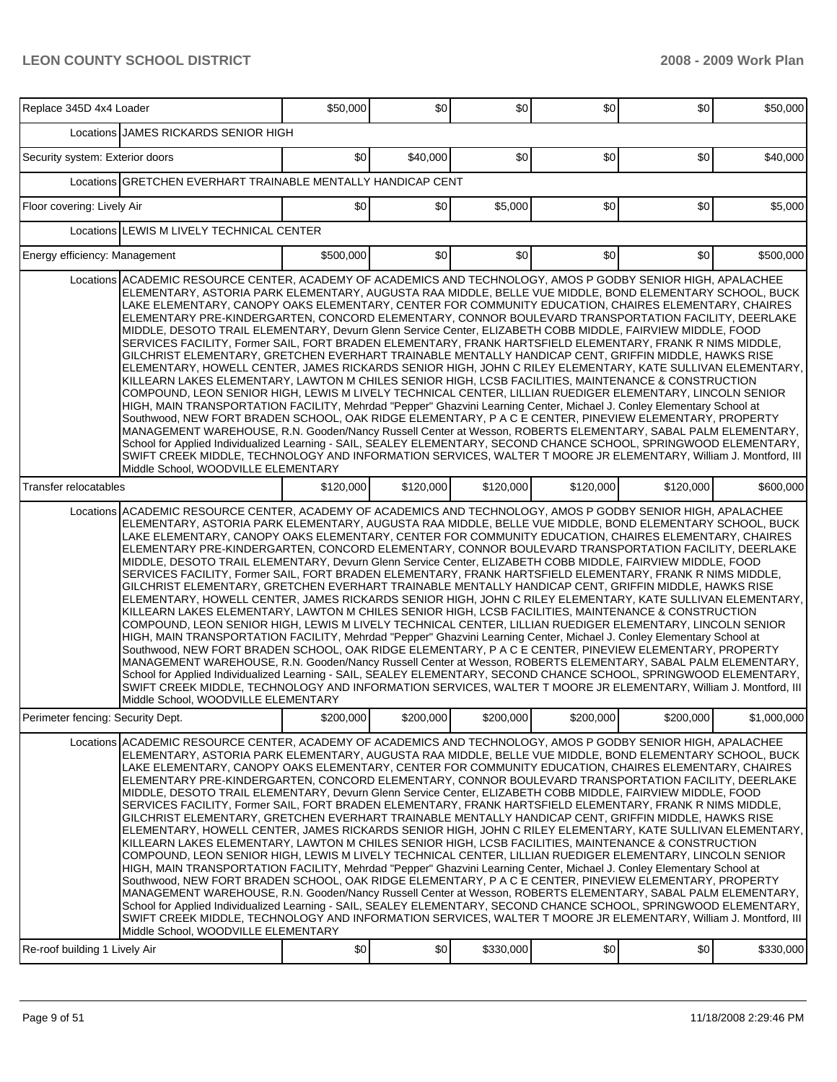| Replace 345D 4x4 Loader           |                                                                                                                                                                                                                                                                                                                                                                                                                                                                                                                                                                                                                                                                                                                                                                                                                                                                                                                                                                                                                                                                                                                                                                                                                                                                                                                                                                                                                                                                                                                                                                                                                                                                                                                                                  | \$50,000  | \$0       | \$0       | \$0       | \$0       | \$50,000    |
|-----------------------------------|--------------------------------------------------------------------------------------------------------------------------------------------------------------------------------------------------------------------------------------------------------------------------------------------------------------------------------------------------------------------------------------------------------------------------------------------------------------------------------------------------------------------------------------------------------------------------------------------------------------------------------------------------------------------------------------------------------------------------------------------------------------------------------------------------------------------------------------------------------------------------------------------------------------------------------------------------------------------------------------------------------------------------------------------------------------------------------------------------------------------------------------------------------------------------------------------------------------------------------------------------------------------------------------------------------------------------------------------------------------------------------------------------------------------------------------------------------------------------------------------------------------------------------------------------------------------------------------------------------------------------------------------------------------------------------------------------------------------------------------------------|-----------|-----------|-----------|-----------|-----------|-------------|
|                                   | Locations JAMES RICKARDS SENIOR HIGH                                                                                                                                                                                                                                                                                                                                                                                                                                                                                                                                                                                                                                                                                                                                                                                                                                                                                                                                                                                                                                                                                                                                                                                                                                                                                                                                                                                                                                                                                                                                                                                                                                                                                                             |           |           |           |           |           |             |
| Security system: Exterior doors   |                                                                                                                                                                                                                                                                                                                                                                                                                                                                                                                                                                                                                                                                                                                                                                                                                                                                                                                                                                                                                                                                                                                                                                                                                                                                                                                                                                                                                                                                                                                                                                                                                                                                                                                                                  | \$0       | \$40,000  | \$0       | \$0       | \$0       | \$40,000    |
|                                   | Locations GRETCHEN EVERHART TRAINABLE MENTALLY HANDICAP CENT                                                                                                                                                                                                                                                                                                                                                                                                                                                                                                                                                                                                                                                                                                                                                                                                                                                                                                                                                                                                                                                                                                                                                                                                                                                                                                                                                                                                                                                                                                                                                                                                                                                                                     |           |           |           |           |           |             |
| Floor covering: Lively Air        |                                                                                                                                                                                                                                                                                                                                                                                                                                                                                                                                                                                                                                                                                                                                                                                                                                                                                                                                                                                                                                                                                                                                                                                                                                                                                                                                                                                                                                                                                                                                                                                                                                                                                                                                                  | \$0       | \$0       | \$5,000   | \$0       | \$0       | \$5,000     |
| Locations                         | LEWIS M LIVELY TECHNICAL CENTER                                                                                                                                                                                                                                                                                                                                                                                                                                                                                                                                                                                                                                                                                                                                                                                                                                                                                                                                                                                                                                                                                                                                                                                                                                                                                                                                                                                                                                                                                                                                                                                                                                                                                                                  |           |           |           |           |           |             |
| Energy efficiency: Management     |                                                                                                                                                                                                                                                                                                                                                                                                                                                                                                                                                                                                                                                                                                                                                                                                                                                                                                                                                                                                                                                                                                                                                                                                                                                                                                                                                                                                                                                                                                                                                                                                                                                                                                                                                  | \$500,000 | \$0       | \$0       | \$0       | \$0       | \$500,000   |
|                                   | Locations ACADEMIC RESOURCE CENTER, ACADEMY OF ACADEMICS AND TECHNOLOGY, AMOS P GODBY SENIOR HIGH, APALACHEE<br>ELEMENTARY, ASTORIA PARK ELEMENTARY, AUGUSTA RAA MIDDLE, BELLE VUE MIDDLE, BOND ELEMENTARY SCHOOL, BUCK<br>LAKE ELEMENTARY, CANOPY OAKS ELEMENTARY, CENTER FOR COMMUNITY EDUCATION, CHAIRES ELEMENTARY, CHAIRES<br>ELEMENTARY PRE-KINDERGARTEN, CONCORD ELEMENTARY, CONNOR BOULEVARD TRANSPORTATION FACILITY, DEERLAKE<br>MIDDLE, DESOTO TRAIL ELEMENTARY, Devurn Glenn Service Center, ELIZABETH COBB MIDDLE, FAIRVIEW MIDDLE, FOOD<br>SERVICES FACILITY, Former SAIL, FORT BRADEN ELEMENTARY, FRANK HARTSFIELD ELEMENTARY, FRANK R NIMS MIDDLE,<br>GILCHRIST ELEMENTARY, GRETCHEN EVERHART TRAINABLE MENTALLY HANDICAP CENT, GRIFFIN MIDDLE, HAWKS RISE<br>ELEMENTARY, HOWELL CENTER, JAMES RICKARDS SENIOR HIGH, JOHN C RILEY ELEMENTARY, KATE SULLIVAN ELEMENTARY,<br>KILLEARN LAKES ELEMENTARY, LAWTON M CHILES SENIOR HIGH, LCSB FACILITIES, MAINTENANCE & CONSTRUCTION<br>COMPOUND, LEON SENIOR HIGH, LEWIS M LIVELY TECHNICAL CENTER, LILLIAN RUEDIGER ELEMENTARY, LINCOLN SENIOR<br>HIGH, MAIN TRANSPORTATION FACILITY, Mehrdad "Pepper" Ghazvini Learning Center, Michael J. Conley Elementary School at<br>Southwood, NEW FORT BRADEN SCHOOL, OAK RIDGE ELEMENTARY, P A C E CENTER, PINEVIEW ELEMENTARY, PROPERTY<br>MANAGEMENT WAREHOUSE, R.N. Gooden/Nancy Russell Center at Wesson, ROBERTS ELEMENTARY, SABAL PALM ELEMENTARY,<br>School for Applied Individualized Learning - SAIL, SEALEY ELEMENTARY, SECOND CHANCE SCHOOL, SPRINGWOOD ELEMENTARY,<br>SWIFT CREEK MIDDLE, TECHNOLOGY AND INFORMATION SERVICES, WALTER T MOORE JR ELEMENTARY, William J. Montford, III<br>Middle School. WOODVILLE ELEMENTARY     |           |           |           |           |           |             |
| Transfer relocatables             |                                                                                                                                                                                                                                                                                                                                                                                                                                                                                                                                                                                                                                                                                                                                                                                                                                                                                                                                                                                                                                                                                                                                                                                                                                                                                                                                                                                                                                                                                                                                                                                                                                                                                                                                                  | \$120,000 | \$120,000 | \$120,000 | \$120,000 | \$120,000 | \$600,000   |
|                                   | Locations ACADEMIC RESOURCE CENTER, ACADEMY OF ACADEMICS AND TECHNOLOGY, AMOS P GODBY SENIOR HIGH, APALACHEE<br>ELEMENTARY, ASTORIA PARK ELEMENTARY, AUGUSTA RAA MIDDLE, BELLE VUE MIDDLE, BOND ELEMENTARY SCHOOL, BUCK<br>LAKE ELEMENTARY, CANOPY OAKS ELEMENTARY, CENTER FOR COMMUNITY EDUCATION, CHAIRES ELEMENTARY, CHAIRES<br>ELEMENTARY PRE-KINDERGARTEN, CONCORD ELEMENTARY, CONNOR BOULEVARD TRANSPORTATION FACILITY, DEERLAKE <br>MIDDLE, DESOTO TRAIL ELEMENTARY, Devurn Glenn Service Center, ELIZABETH COBB MIDDLE, FAIRVIEW MIDDLE, FOOD<br>SERVICES FACILITY, Former SAIL, FORT BRADEN ELEMENTARY, FRANK HARTSFIELD ELEMENTARY, FRANK R NIMS MIDDLE,<br>GILCHRIST ELEMENTARY, GRETCHEN EVERHART TRAINABLE MENTALLY HANDICAP CENT, GRIFFIN MIDDLE, HAWKS RISE<br>ELEMENTARY, HOWELL CENTER, JAMES RICKARDS SENIOR HIGH, JOHN C RILEY ELEMENTARY, KATE SULLIVAN ELEMENTARY,<br>KILLEARN LAKES ELEMENTARY, LAWTON M CHILES SENIOR HIGH, LCSB FACILITIES, MAINTENANCE & CONSTRUCTION<br>COMPOUND, LEON SENIOR HIGH, LEWIS M LIVELY TECHNICAL CENTER, LILLIAN RUEDIGER ELEMENTARY, LINCOLN SENIOR<br>HIGH, MAIN TRANSPORTATION FACILITY, Mehrdad "Pepper" Ghazvini Learning Center, Michael J. Conley Elementary School at<br>Southwood, NEW FORT BRADEN SCHOOL, OAK RIDGE ELEMENTARY, P A C E CENTER, PINEVIEW ELEMENTARY, PROPERTY<br>MANAGEMENT WAREHOUSE, R.N. Gooden/Nancy Russell Center at Wesson, ROBERTS ELEMENTARY, SABAL PALM ELEMENTARY,<br>School for Applied Individualized Learning - SAIL, SEALEY ELEMENTARY, SECOND CHANCE SCHOOL, SPRINGWOOD ELEMENTARY,<br>SWIFT CREEK MIDDLE, TECHNOLOGY AND INFORMATION SERVICES, WALTER T MOORE JR ELEMENTARY, William J. Montford, Ill<br>Middle School, WOODVILLE ELEMENTARY    |           |           |           |           |           |             |
| Perimeter fencing: Security Dept. |                                                                                                                                                                                                                                                                                                                                                                                                                                                                                                                                                                                                                                                                                                                                                                                                                                                                                                                                                                                                                                                                                                                                                                                                                                                                                                                                                                                                                                                                                                                                                                                                                                                                                                                                                  | \$200,000 | \$200,000 | \$200,000 | \$200,000 | \$200,000 | \$1,000,000 |
|                                   | Locations ACADEMIC RESOURCE CENTER. ACADEMY OF ACADEMICS AND TECHNOLOGY. AMOS P GODBY SENIOR HIGH. APALACHEE<br>ELEMENTARY, ASTORIA PARK ELEMENTARY, AUGUSTA RAA MIDDLE, BELLE VUE MIDDLE, BOND ELEMENTARY SCHOOL, BUCK<br>LAKE ELEMENTARY, CANOPY OAKS ELEMENTARY, CENTER FOR COMMUNITY EDUCATION, CHAIRES ELEMENTARY, CHAIRES<br>ELEMENTARY PRE-KINDERGARTEN, CONCORD ELEMENTARY, CONNOR BOULEVARD TRANSPORTATION FACILITY, DEERLAKE <br>MIDDLE, DESOTO TRAIL ELEMENTARY, Devurn Glenn Service Center, ELIZABETH COBB MIDDLE, FAIRVIEW MIDDLE, FOOD<br>SERVICES FACILITY, Former SAIL, FORT BRADEN ELEMENTARY, FRANK HARTSFIELD ELEMENTARY, FRANK R NIMS MIDDLE,<br>GILCHRIST ELEMENTARY, GRETCHEN EVERHART TRAINABLE MENTALLY HANDICAP CENT, GRIFFIN MIDDLE, HAWKS RISE<br> ELEMENTARY, HOWELL CENTER, JAMES RICKARDS SENIOR HIGH, JOHN C RILEY ELEMENTARY, KATE SULLIVAN ELEMENTARY,  <br>KILLEARN LAKES ELEMENTARY, LAWTON M CHILES SENIOR HIGH, LCSB FACILITIES, MAINTENANCE & CONSTRUCTION<br>COMPOUND, LEON SENIOR HIGH, LEWIS M LIVELY TECHNICAL CENTER, LILLIAN RUEDIGER ELEMENTARY, LINCOLN SENIOR<br>HIGH, MAIN TRANSPORTATION FACILITY, Mehrdad "Pepper" Ghazvini Learning Center, Michael J. Conley Elementary School at<br>Southwood, NEW FORT BRADEN SCHOOL, OAK RIDGE ELEMENTARY, P A C E CENTER, PINEVIEW ELEMENTARY, PROPERTY<br>MANAGEMENT WAREHOUSE, R.N. Gooden/Nancy Russell Center at Wesson, ROBERTS ELEMENTARY, SABAL PALM ELEMENTARY,<br>School for Applied Individualized Learning - SAIL, SEALEY ELEMENTARY, SECOND CHANCE SCHOOL, SPRINGWOOD ELEMENTARY,<br>SWIFT CREEK MIDDLE, TECHNOLOGY AND INFORMATION SERVICES, WALTER T MOORE JR ELEMENTARY, William J. Montford, III<br>Middle School, WOODVILLE ELEMENTARY |           |           |           |           |           |             |
| Re-roof building 1 Lively Air     |                                                                                                                                                                                                                                                                                                                                                                                                                                                                                                                                                                                                                                                                                                                                                                                                                                                                                                                                                                                                                                                                                                                                                                                                                                                                                                                                                                                                                                                                                                                                                                                                                                                                                                                                                  | \$0       | \$0       | \$330,000 | \$0       | \$0       | \$330,000   |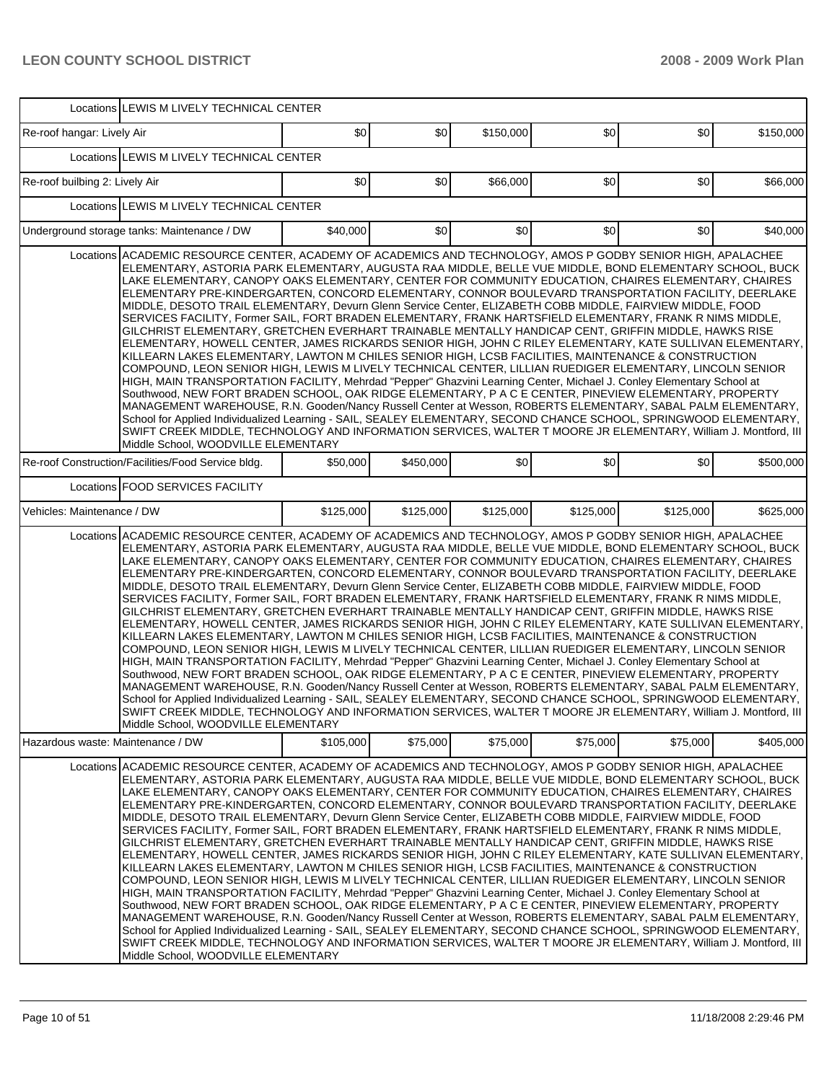|                                   | Locations LEWIS M LIVELY TECHNICAL CENTER                                                                                                                                                                                                                                                                                                                                                                                                                                                                                                                                                                                                                                                                                                                                                                                                                                                                                                                                                                                                                                                                                                                                                                                                                                                                                                                                                                                                                                                                                                                                                                                                                                                                                                      |           |           |           |           |           |           |
|-----------------------------------|------------------------------------------------------------------------------------------------------------------------------------------------------------------------------------------------------------------------------------------------------------------------------------------------------------------------------------------------------------------------------------------------------------------------------------------------------------------------------------------------------------------------------------------------------------------------------------------------------------------------------------------------------------------------------------------------------------------------------------------------------------------------------------------------------------------------------------------------------------------------------------------------------------------------------------------------------------------------------------------------------------------------------------------------------------------------------------------------------------------------------------------------------------------------------------------------------------------------------------------------------------------------------------------------------------------------------------------------------------------------------------------------------------------------------------------------------------------------------------------------------------------------------------------------------------------------------------------------------------------------------------------------------------------------------------------------------------------------------------------------|-----------|-----------|-----------|-----------|-----------|-----------|
| Re-roof hangar: Lively Air        |                                                                                                                                                                                                                                                                                                                                                                                                                                                                                                                                                                                                                                                                                                                                                                                                                                                                                                                                                                                                                                                                                                                                                                                                                                                                                                                                                                                                                                                                                                                                                                                                                                                                                                                                                | \$0       | \$0       | \$150,000 | \$0       | \$0       | \$150,000 |
|                                   | Locations LEWIS M LIVELY TECHNICAL CENTER                                                                                                                                                                                                                                                                                                                                                                                                                                                                                                                                                                                                                                                                                                                                                                                                                                                                                                                                                                                                                                                                                                                                                                                                                                                                                                                                                                                                                                                                                                                                                                                                                                                                                                      |           |           |           |           |           |           |
| Re-roof builbing 2: Lively Air    |                                                                                                                                                                                                                                                                                                                                                                                                                                                                                                                                                                                                                                                                                                                                                                                                                                                                                                                                                                                                                                                                                                                                                                                                                                                                                                                                                                                                                                                                                                                                                                                                                                                                                                                                                | \$0       | \$0       | \$66,000  | \$0       | \$0       | \$66,000  |
|                                   | Locations LEWIS M LIVELY TECHNICAL CENTER                                                                                                                                                                                                                                                                                                                                                                                                                                                                                                                                                                                                                                                                                                                                                                                                                                                                                                                                                                                                                                                                                                                                                                                                                                                                                                                                                                                                                                                                                                                                                                                                                                                                                                      |           |           |           |           |           |           |
|                                   | Underground storage tanks: Maintenance / DW                                                                                                                                                                                                                                                                                                                                                                                                                                                                                                                                                                                                                                                                                                                                                                                                                                                                                                                                                                                                                                                                                                                                                                                                                                                                                                                                                                                                                                                                                                                                                                                                                                                                                                    | \$40,000  | \$0       | \$0]      | \$0       | \$0       | \$40,000  |
|                                   | Locations ACADEMIC RESOURCE CENTER, ACADEMY OF ACADEMICS AND TECHNOLOGY, AMOS P GODBY SENIOR HIGH, APALACHEE<br>ELEMENTARY, ASTORIA PARK ELEMENTARY, AUGUSTA RAA MIDDLE, BELLE VUE MIDDLE, BOND ELEMENTARY SCHOOL, BUCK<br>LAKE ELEMENTARY, CANOPY OAKS ELEMENTARY, CENTER FOR COMMUNITY EDUCATION, CHAIRES ELEMENTARY, CHAIRES<br>ELEMENTARY PRE-KINDERGARTEN, CONCORD ELEMENTARY, CONNOR BOULEVARD TRANSPORTATION FACILITY, DEERLAKE<br>MIDDLE, DESOTO TRAIL ELEMENTARY, Devurn Glenn Service Center, ELIZABETH COBB MIDDLE, FAIRVIEW MIDDLE, FOOD<br>SERVICES FACILITY, Former SAIL, FORT BRADEN ELEMENTARY, FRANK HARTSFIELD ELEMENTARY, FRANK R NIMS MIDDLE,<br>GILCHRIST ELEMENTARY, GRETCHEN EVERHART TRAINABLE MENTALLY HANDICAP CENT, GRIFFIN MIDDLE, HAWKS RISE<br>ELEMENTARY, HOWELL CENTER, JAMES RICKARDS SENIOR HIGH, JOHN C RILEY ELEMENTARY, KATE SULLIVAN ELEMENTARY,<br>KILLEARN LAKES ELEMENTARY, LAWTON M CHILES SENIOR HIGH, LCSB FACILITIES, MAINTENANCE & CONSTRUCTION<br>COMPOUND, LEON SENIOR HIGH, LEWIS M LIVELY TECHNICAL CENTER, LILLIAN RUEDIGER ELEMENTARY, LINCOLN SENIOR<br>HIGH, MAIN TRANSPORTATION FACILITY, Mehrdad "Pepper" Ghazvini Learning Center, Michael J. Conley Elementary School at<br>Southwood, NEW FORT BRADEN SCHOOL, OAK RIDGE ELEMENTARY, P A C E CENTER, PINEVIEW ELEMENTARY, PROPERTY<br>MANAGEMENT WAREHOUSE, R.N. Gooden/Nancy Russell Center at Wesson, ROBERTS ELEMENTARY, SABAL PALM ELEMENTARY,<br>School for Applied Individualized Learning - SAIL, SEALEY ELEMENTARY, SECOND CHANCE SCHOOL, SPRINGWOOD ELEMENTARY,<br>SWIFT CREEK MIDDLE, TECHNOLOGY AND INFORMATION SERVICES, WALTER T MOORE JR ELEMENTARY, William J. Montford, III<br>Middle School, WOODVILLE ELEMENTARY   |           |           |           |           |           |           |
|                                   | Re-roof Construction/Facilities/Food Service bldg.                                                                                                                                                                                                                                                                                                                                                                                                                                                                                                                                                                                                                                                                                                                                                                                                                                                                                                                                                                                                                                                                                                                                                                                                                                                                                                                                                                                                                                                                                                                                                                                                                                                                                             | \$50,000  | \$450,000 | \$0       | \$0       | \$0       | \$500,000 |
|                                   | Locations FOOD SERVICES FACILITY                                                                                                                                                                                                                                                                                                                                                                                                                                                                                                                                                                                                                                                                                                                                                                                                                                                                                                                                                                                                                                                                                                                                                                                                                                                                                                                                                                                                                                                                                                                                                                                                                                                                                                               |           |           |           |           |           |           |
| Vehicles: Maintenance / DW        |                                                                                                                                                                                                                                                                                                                                                                                                                                                                                                                                                                                                                                                                                                                                                                                                                                                                                                                                                                                                                                                                                                                                                                                                                                                                                                                                                                                                                                                                                                                                                                                                                                                                                                                                                | \$125,000 | \$125,000 | \$125,000 | \$125,000 | \$125,000 | \$625,000 |
|                                   | Locations ACADEMIC RESOURCE CENTER, ACADEMY OF ACADEMICS AND TECHNOLOGY, AMOS P GODBY SENIOR HIGH, APALACHEE<br>ELEMENTARY, ASTORIA PARK ELEMENTARY, AUGUSTA RAA MIDDLE, BELLE VUE MIDDLE, BOND ELEMENTARY SCHOOL, BUCK<br>LAKE ELEMENTARY, CANOPY OAKS ELEMENTARY, CENTER FOR COMMUNITY EDUCATION, CHAIRES ELEMENTARY, CHAIRES<br>ELEMENTARY PRE-KINDERGARTEN, CONCORD ELEMENTARY, CONNOR BOULEVARD TRANSPORTATION FACILITY, DEERLAKE<br>MIDDLE, DESOTO TRAIL ELEMENTARY, Devurn Glenn Service Center, ELIZABETH COBB MIDDLE, FAIRVIEW MIDDLE, FOOD<br>SERVICES FACILITY, Former SAIL, FORT BRADEN ELEMENTARY, FRANK HARTSFIELD ELEMENTARY, FRANK R NIMS MIDDLE,<br>GILCHRIST ELEMENTARY, GRETCHEN EVERHART TRAINABLE MENTALLY HANDICAP CENT, GRIFFIN MIDDLE, HAWKS RISE<br>ELEMENTARY, HOWELL CENTER, JAMES RICKARDS SENIOR HIGH, JOHN C RILEY ELEMENTARY, KATE SULLIVAN ELEMENTARY,  <br>KILLEARN LAKES ELEMENTARY, LAWTON M CHILES SENIOR HIGH, LCSB FACILITIES, MAINTENANCE & CONSTRUCTION<br>COMPOUND, LEON SENIOR HIGH, LEWIS M LIVELY TECHNICAL CENTER, LILLIAN RUEDIGER ELEMENTARY, LINCOLN SENIOR<br>HIGH, MAIN TRANSPORTATION FACILITY, Mehrdad "Pepper" Ghazvini Learning Center, Michael J. Conley Elementary School at<br>Southwood, NEW FORT BRADEN SCHOOL, OAK RIDGE ELEMENTARY, P A C E CENTER, PINEVIEW ELEMENTARY, PROPERTY<br>MANAGEMENT WAREHOUSE, R.N. Gooden/Nancy Russell Center at Wesson, ROBERTS ELEMENTARY, SABAL PALM ELEMENTARY,<br>School for Applied Individualized Learning - SAIL, SEALEY ELEMENTARY, SECOND CHANCE SCHOOL, SPRINGWOOD ELEMENTARY,<br>SWIFT CREEK MIDDLE, TECHNOLOGY AND INFORMATION SERVICES, WALTER T MOORE JR ELEMENTARY, William J. Montford, III                                        |           |           |           |           |           |           |
| Hazardous waste: Maintenance / DW |                                                                                                                                                                                                                                                                                                                                                                                                                                                                                                                                                                                                                                                                                                                                                                                                                                                                                                                                                                                                                                                                                                                                                                                                                                                                                                                                                                                                                                                                                                                                                                                                                                                                                                                                                | \$105,000 | \$75,000  | \$75,000  | \$75,000  | \$75,000  | \$405,000 |
|                                   | Locations ACADEMIC RESOURCE CENTER, ACADEMY OF ACADEMICS AND TECHNOLOGY, AMOS P GODBY SENIOR HIGH, APALACHEE<br>ELEMENTARY, ASTORIA PARK ELEMENTARY, AUGUSTA RAA MIDDLE, BELLE VUE MIDDLE, BOND ELEMENTARY SCHOOL, BUCK<br>LAKE ELEMENTARY, CANOPY OAKS ELEMENTARY, CENTER FOR COMMUNITY EDUCATION, CHAIRES ELEMENTARY, CHAIRES<br>ELEMENTARY PRE-KINDERGARTEN, CONCORD ELEMENTARY, CONNOR BOULEVARD TRANSPORTATION FACILITY, DEERLAKE<br>MIDDLE, DESOTO TRAIL ELEMENTARY, Devurn Glenn Service Center, ELIZABETH COBB MIDDLE, FAIRVIEW MIDDLE, FOOD<br>SERVICES FACILITY, Former SAIL, FORT BRADEN ELEMENTARY, FRANK HARTSFIELD ELEMENTARY, FRANK R NIMS MIDDLE,<br>GILCHRIST ELEMENTARY, GRETCHEN EVERHART TRAINABLE MENTALLY HANDICAP CENT, GRIFFIN MIDDLE, HAWKS RISE<br>ELEMENTARY. HOWELL CENTER. JAMES RICKARDS SENIOR HIGH. JOHN C RILEY ELEMENTARY. KATE SULLIVAN ELEMENTARY. I<br>KILLEARN LAKES ELEMENTARY, LAWTON M CHILES SENIOR HIGH, LCSB FACILITIES, MAINTENANCE & CONSTRUCTION<br>COMPOUND, LEON SENIOR HIGH, LEWIS M LIVELY TECHNICAL CENTER, LILLIAN RUEDIGER ELEMENTARY, LINCOLN SENIOR<br>HIGH, MAIN TRANSPORTATION FACILITY, Mehrdad "Pepper" Ghazvini Learning Center, Michael J. Conley Elementary School at<br>Southwood, NEW FORT BRADEN SCHOOL, OAK RIDGE ELEMENTARY, P A C E CENTER, PINEVIEW ELEMENTARY, PROPERTY<br>MANAGEMENT WAREHOUSE, R.N. Gooden/Nancy Russell Center at Wesson, ROBERTS ELEMENTARY, SABAL PALM ELEMENTARY,<br>School for Applied Individualized Learning - SAIL, SEALEY ELEMENTARY, SECOND CHANCE SCHOOL, SPRINGWOOD ELEMENTARY,<br>SWIFT CREEK MIDDLE, TECHNOLOGY AND INFORMATION SERVICES, WALTER T MOORE JR ELEMENTARY, William J. Montford, III<br>Middle School, WOODVILLE ELEMENTARY |           |           |           |           |           |           |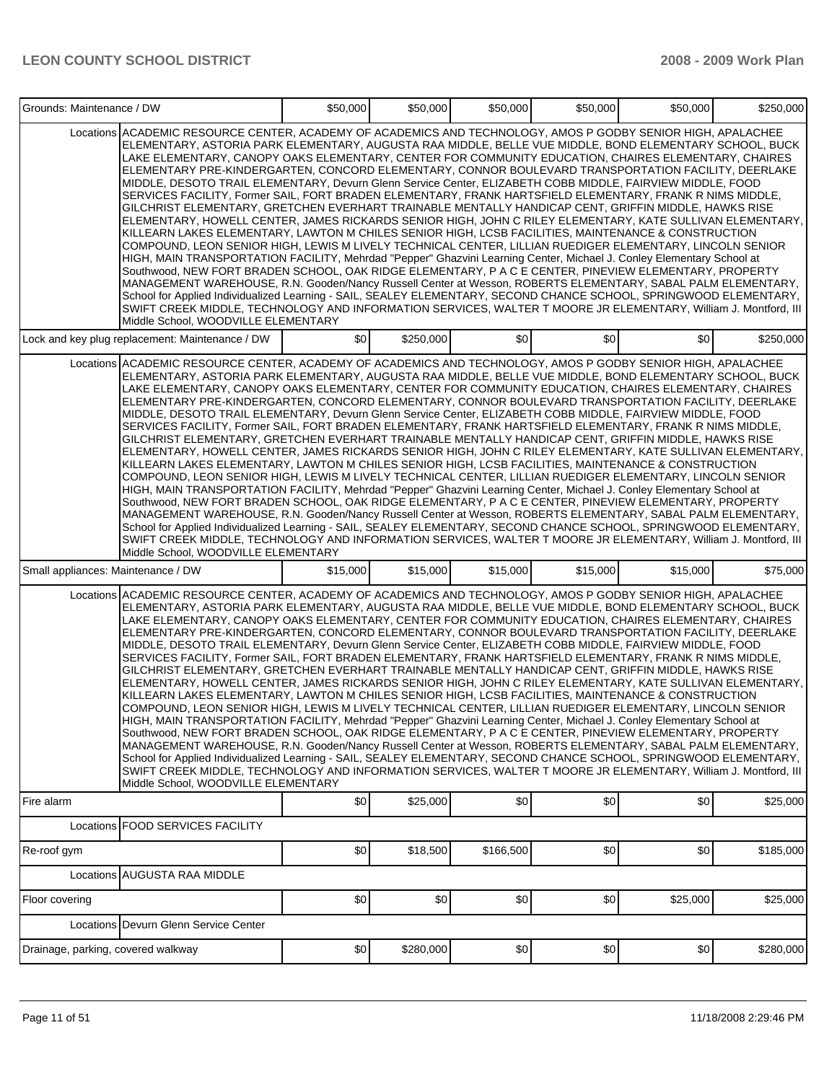| Grounds: Maintenance / DW          |                                                                                                                                                                                                                                                                                                                                                                                                                                                                                                                                                                                                                                                                                                                                                                                                                                                                                                                                                                                                                                                                                                                                                                                                                                                                                                                                                                                                                                                                                                                                                                                                                                                                                                                                              | \$50,000 | \$50,000  | \$50,000  | \$50,000 | \$50,000 | \$250,000 |
|------------------------------------|----------------------------------------------------------------------------------------------------------------------------------------------------------------------------------------------------------------------------------------------------------------------------------------------------------------------------------------------------------------------------------------------------------------------------------------------------------------------------------------------------------------------------------------------------------------------------------------------------------------------------------------------------------------------------------------------------------------------------------------------------------------------------------------------------------------------------------------------------------------------------------------------------------------------------------------------------------------------------------------------------------------------------------------------------------------------------------------------------------------------------------------------------------------------------------------------------------------------------------------------------------------------------------------------------------------------------------------------------------------------------------------------------------------------------------------------------------------------------------------------------------------------------------------------------------------------------------------------------------------------------------------------------------------------------------------------------------------------------------------------|----------|-----------|-----------|----------|----------|-----------|
|                                    | Locations ACADEMIC RESOURCE CENTER, ACADEMY OF ACADEMICS AND TECHNOLOGY, AMOS P GODBY SENIOR HIGH, APALACHEE<br>ELEMENTARY, ASTORIA PARK ELEMENTARY, AUGUSTA RAA MIDDLE, BELLE VUE MIDDLE, BOND ELEMENTARY SCHOOL, BUCK<br>LAKE ELEMENTARY, CANOPY OAKS ELEMENTARY, CENTER FOR COMMUNITY EDUCATION, CHAIRES ELEMENTARY, CHAIRES<br>ELEMENTARY PRE-KINDERGARTEN, CONCORD ELEMENTARY, CONNOR BOULEVARD TRANSPORTATION FACILITY, DEERLAKE<br>MIDDLE, DESOTO TRAIL ELEMENTARY, Devurn Glenn Service Center, ELIZABETH COBB MIDDLE, FAIRVIEW MIDDLE, FOOD<br>SERVICES FACILITY, Former SAIL, FORT BRADEN ELEMENTARY, FRANK HARTSFIELD ELEMENTARY, FRANK R NIMS MIDDLE,<br>GILCHRIST ELEMENTARY, GRETCHEN EVERHART TRAINABLE MENTALLY HANDICAP CENT, GRIFFIN MIDDLE, HAWKS RISE<br>ELEMENTARY, HOWELL CENTER, JAMES RICKARDS SENIOR HIGH, JOHN C RILEY ELEMENTARY, KATE SULLIVAN ELEMENTARY,<br>KILLEARN LAKES ELEMENTARY, LAWTON M CHILES SENIOR HIGH, LCSB FACILITIES, MAINTENANCE & CONSTRUCTION<br>COMPOUND, LEON SENIOR HIGH, LEWIS M LIVELY TECHNICAL CENTER, LILLIAN RUEDIGER ELEMENTARY, LINCOLN SENIOR<br>HIGH, MAIN TRANSPORTATION FACILITY, Mehrdad "Pepper" Ghazvini Learning Center, Michael J. Conley Elementary School at<br>Southwood, NEW FORT BRADEN SCHOOL, OAK RIDGE ELEMENTARY, P A C E CENTER, PINEVIEW ELEMENTARY, PROPERTY<br>MANAGEMENT WAREHOUSE, R.N. Gooden/Nancy Russell Center at Wesson, ROBERTS ELEMENTARY, SABAL PALM ELEMENTARY,<br>School for Applied Individualized Learning - SAIL, SEALEY ELEMENTARY, SECOND CHANCE SCHOOL, SPRINGWOOD ELEMENTARY,<br>SWIFT CREEK MIDDLE, TECHNOLOGY AND INFORMATION SERVICES, WALTER T MOORE JR ELEMENTARY, William J. Montford, III<br>Middle School, WOODVILLE ELEMENTARY |          |           |           |          |          |           |
|                                    | Lock and key plug replacement: Maintenance / DW                                                                                                                                                                                                                                                                                                                                                                                                                                                                                                                                                                                                                                                                                                                                                                                                                                                                                                                                                                                                                                                                                                                                                                                                                                                                                                                                                                                                                                                                                                                                                                                                                                                                                              | \$0      | \$250,000 | \$0       | \$0      | \$0      | \$250,000 |
|                                    | Locations ACADEMIC RESOURCE CENTER, ACADEMY OF ACADEMICS AND TECHNOLOGY, AMOS P GODBY SENIOR HIGH, APALACHEE<br>ELEMENTARY, ASTORIA PARK ELEMENTARY, AUGUSTA RAA MIDDLE, BELLE VUE MIDDLE, BOND ELEMENTARY SCHOOL, BUCK<br>LAKE ELEMENTARY, CANOPY OAKS ELEMENTARY, CENTER FOR COMMUNITY EDUCATION, CHAIRES ELEMENTARY, CHAIRES<br>ELEMENTARY PRE-KINDERGARTEN, CONCORD ELEMENTARY, CONNOR BOULEVARD TRANSPORTATION FACILITY, DEERLAKE<br>MIDDLE, DESOTO TRAIL ELEMENTARY, Devurn Glenn Service Center, ELIZABETH COBB MIDDLE, FAIRVIEW MIDDLE, FOOD<br>SERVICES FACILITY, Former SAIL, FORT BRADEN ELEMENTARY, FRANK HARTSFIELD ELEMENTARY, FRANK R NIMS MIDDLE,<br>GILCHRIST ELEMENTARY. GRETCHEN EVERHART TRAINABLE MENTALLY HANDICAP CENT. GRIFFIN MIDDLE. HAWKS RISE<br>ELEMENTARY, HOWELL CENTER, JAMES RICKARDS SENIOR HIGH, JOHN C RILEY ELEMENTARY, KATE SULLIVAN ELEMENTARY,<br>KILLEARN LAKES ELEMENTARY, LAWTON M CHILES SENIOR HIGH, LCSB FACILITIES, MAINTENANCE & CONSTRUCTION<br>COMPOUND, LEON SENIOR HIGH, LEWIS M LIVELY TECHNICAL CENTER, LILLIAN RUEDIGER ELEMENTARY, LINCOLN SENIOR<br>HIGH, MAIN TRANSPORTATION FACILITY, Mehrdad "Pepper" Ghazvini Learning Center, Michael J. Conley Elementary School at<br>Southwood, NEW FORT BRADEN SCHOOL, OAK RIDGE ELEMENTARY, P A C E CENTER, PINEVIEW ELEMENTARY, PROPERTY<br>MANAGEMENT WAREHOUSE, R.N. Gooden/Nancy Russell Center at Wesson, ROBERTS ELEMENTARY, SABAL PALM ELEMENTARY,<br>School for Applied Individualized Learning - SAIL, SEALEY ELEMENTARY, SECOND CHANCE SCHOOL, SPRINGWOOD ELEMENTARY,<br>SWIFT CREEK MIDDLE, TECHNOLOGY AND INFORMATION SERVICES, WALTER T MOORE JR ELEMENTARY, William J. Montford, III<br>Middle School, WOODVILLE ELEMENTARY |          |           |           |          |          |           |
| Small appliances: Maintenance / DW |                                                                                                                                                                                                                                                                                                                                                                                                                                                                                                                                                                                                                                                                                                                                                                                                                                                                                                                                                                                                                                                                                                                                                                                                                                                                                                                                                                                                                                                                                                                                                                                                                                                                                                                                              | \$15,000 | \$15,000  | \$15,000  | \$15,000 | \$15,000 | \$75,000  |
|                                    | Locations ACADEMIC RESOURCE CENTER, ACADEMY OF ACADEMICS AND TECHNOLOGY, AMOS P GODBY SENIOR HIGH, APALACHEE<br>ELEMENTARY, ASTORIA PARK ELEMENTARY, AUGUSTA RAA MIDDLE, BELLE VUE MIDDLE, BOND ELEMENTARY SCHOOL, BUCK<br>LAKE ELEMENTARY, CANOPY OAKS ELEMENTARY, CENTER FOR COMMUNITY EDUCATION, CHAIRES ELEMENTARY, CHAIRES<br>ELEMENTARY PRE-KINDERGARTEN, CONCORD ELEMENTARY, CONNOR BOULEVARD TRANSPORTATION FACILITY, DEERLAKE<br>MIDDLE, DESOTO TRAIL ELEMENTARY, Devurn Glenn Service Center, ELIZABETH COBB MIDDLE, FAIRVIEW MIDDLE, FOOD<br>SERVICES FACILITY, Former SAIL, FORT BRADEN ELEMENTARY, FRANK HARTSFIELD ELEMENTARY, FRANK R NIMS MIDDLE,<br>GILCHRIST ELEMENTARY, GRETCHEN EVERHART TRAINABLE MENTALLY HANDICAP CENT, GRIFFIN MIDDLE, HAWKS RISE<br>ELEMENTARY, HOWELL CENTER, JAMES RICKARDS SENIOR HIGH, JOHN C RILEY ELEMENTARY, KATE SULLIVAN ELEMENTARY,<br>KILLEARN LAKES ELEMENTARY, LAWTON M CHILES SENIOR HIGH, LCSB FACILITIES, MAINTENANCE & CONSTRUCTION<br>COMPOUND, LEON SENIOR HIGH, LEWIS M LIVELY TECHNICAL CENTER, LILLIAN RUEDIGER ELEMENTARY, LINCOLN SENIOR<br>HIGH, MAIN TRANSPORTATION FACILITY, Mehrdad "Pepper" Ghazvini Learning Center, Michael J. Conley Elementary School at<br>Southwood, NEW FORT BRADEN SCHOOL, OAK RIDGE ELEMENTARY, P A C E CENTER, PINEVIEW ELEMENTARY, PROPERTY<br>MANAGEMENT WAREHOUSE, R.N. Gooden/Nancy Russell Center at Wesson, ROBERTS ELEMENTARY, SABAL PALM ELEMENTARY,<br>School for Applied Individualized Learning - SAIL, SEALEY ELEMENTARY, SECOND CHANCE SCHOOL, SPRINGWOOD ELEMENTARY,<br>SWIFT CREEK MIDDLE, TECHNOLOGY AND INFORMATION SERVICES, WALTER T MOORE JR ELEMENTARY, William J. Montford, III<br>Middle School, WOODVILLE ELEMENTARY |          |           |           |          |          |           |
| Fire alarm                         |                                                                                                                                                                                                                                                                                                                                                                                                                                                                                                                                                                                                                                                                                                                                                                                                                                                                                                                                                                                                                                                                                                                                                                                                                                                                                                                                                                                                                                                                                                                                                                                                                                                                                                                                              | \$0      | \$25,000  | \$0       | \$0      | \$0      | \$25,000  |
|                                    | Locations FOOD SERVICES FACILITY                                                                                                                                                                                                                                                                                                                                                                                                                                                                                                                                                                                                                                                                                                                                                                                                                                                                                                                                                                                                                                                                                                                                                                                                                                                                                                                                                                                                                                                                                                                                                                                                                                                                                                             |          |           |           |          |          |           |
| Re-roof gym                        |                                                                                                                                                                                                                                                                                                                                                                                                                                                                                                                                                                                                                                                                                                                                                                                                                                                                                                                                                                                                                                                                                                                                                                                                                                                                                                                                                                                                                                                                                                                                                                                                                                                                                                                                              | \$0      | \$18,500  | \$166,500 | \$0      | \$0      | \$185,000 |
|                                    | Locations AUGUSTA RAA MIDDLE                                                                                                                                                                                                                                                                                                                                                                                                                                                                                                                                                                                                                                                                                                                                                                                                                                                                                                                                                                                                                                                                                                                                                                                                                                                                                                                                                                                                                                                                                                                                                                                                                                                                                                                 |          |           |           |          |          |           |
| Floor covering                     | Locations Devurn Glenn Service Center                                                                                                                                                                                                                                                                                                                                                                                                                                                                                                                                                                                                                                                                                                                                                                                                                                                                                                                                                                                                                                                                                                                                                                                                                                                                                                                                                                                                                                                                                                                                                                                                                                                                                                        | \$0      | \$0       | \$0       | \$0      | \$25,000 | \$25,000  |
| Drainage, parking, covered walkway |                                                                                                                                                                                                                                                                                                                                                                                                                                                                                                                                                                                                                                                                                                                                                                                                                                                                                                                                                                                                                                                                                                                                                                                                                                                                                                                                                                                                                                                                                                                                                                                                                                                                                                                                              | \$0      | \$280,000 | \$0       | \$0      | \$0      | \$280,000 |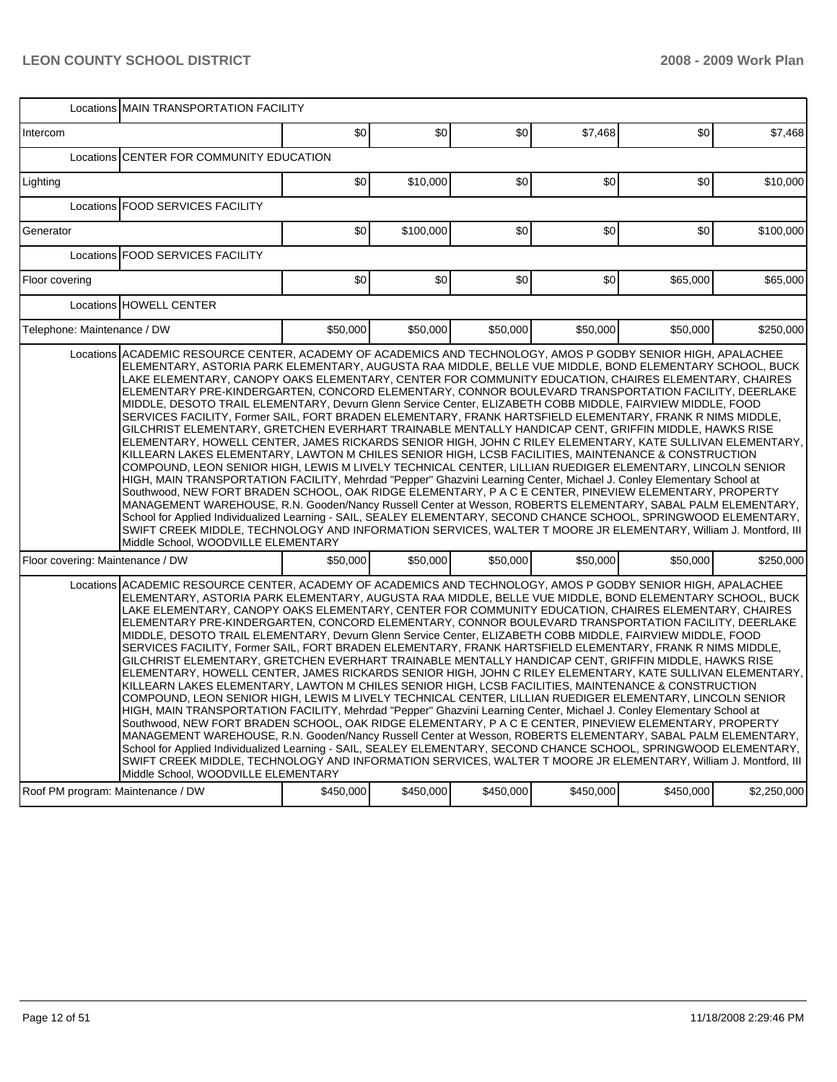|                                   | Locations MAIN TRANSPORTATION FACILITY                                                                                                                                                                                                                                                                                                                                                                                                                                                                                                                                                                                                                                                                                                                                                                                                                                                                                                                                                                                                                                                                                                                                                                                                                                                                                                                                                                                                                                                                                                                                                                                                                                                                                                       |           |           |           |           |           |             |  |
|-----------------------------------|----------------------------------------------------------------------------------------------------------------------------------------------------------------------------------------------------------------------------------------------------------------------------------------------------------------------------------------------------------------------------------------------------------------------------------------------------------------------------------------------------------------------------------------------------------------------------------------------------------------------------------------------------------------------------------------------------------------------------------------------------------------------------------------------------------------------------------------------------------------------------------------------------------------------------------------------------------------------------------------------------------------------------------------------------------------------------------------------------------------------------------------------------------------------------------------------------------------------------------------------------------------------------------------------------------------------------------------------------------------------------------------------------------------------------------------------------------------------------------------------------------------------------------------------------------------------------------------------------------------------------------------------------------------------------------------------------------------------------------------------|-----------|-----------|-----------|-----------|-----------|-------------|--|
| Intercom                          |                                                                                                                                                                                                                                                                                                                                                                                                                                                                                                                                                                                                                                                                                                                                                                                                                                                                                                                                                                                                                                                                                                                                                                                                                                                                                                                                                                                                                                                                                                                                                                                                                                                                                                                                              | \$0       | \$0       | \$0       | \$7,468   | \$0       | \$7,468     |  |
| Locations                         | CENTER FOR COMMUNITY EDUCATION                                                                                                                                                                                                                                                                                                                                                                                                                                                                                                                                                                                                                                                                                                                                                                                                                                                                                                                                                                                                                                                                                                                                                                                                                                                                                                                                                                                                                                                                                                                                                                                                                                                                                                               |           |           |           |           |           |             |  |
| Lighting                          |                                                                                                                                                                                                                                                                                                                                                                                                                                                                                                                                                                                                                                                                                                                                                                                                                                                                                                                                                                                                                                                                                                                                                                                                                                                                                                                                                                                                                                                                                                                                                                                                                                                                                                                                              | \$0       | \$10,000  | \$0       | \$0       | \$0       | \$10,000    |  |
|                                   | Locations FOOD SERVICES FACILITY                                                                                                                                                                                                                                                                                                                                                                                                                                                                                                                                                                                                                                                                                                                                                                                                                                                                                                                                                                                                                                                                                                                                                                                                                                                                                                                                                                                                                                                                                                                                                                                                                                                                                                             |           |           |           |           |           |             |  |
| Generator                         |                                                                                                                                                                                                                                                                                                                                                                                                                                                                                                                                                                                                                                                                                                                                                                                                                                                                                                                                                                                                                                                                                                                                                                                                                                                                                                                                                                                                                                                                                                                                                                                                                                                                                                                                              | \$0       | \$100,000 | \$0       | \$0       | \$0       | \$100,000   |  |
|                                   | Locations   FOOD SERVICES FACILITY                                                                                                                                                                                                                                                                                                                                                                                                                                                                                                                                                                                                                                                                                                                                                                                                                                                                                                                                                                                                                                                                                                                                                                                                                                                                                                                                                                                                                                                                                                                                                                                                                                                                                                           |           |           |           |           |           |             |  |
| Floor covering                    |                                                                                                                                                                                                                                                                                                                                                                                                                                                                                                                                                                                                                                                                                                                                                                                                                                                                                                                                                                                                                                                                                                                                                                                                                                                                                                                                                                                                                                                                                                                                                                                                                                                                                                                                              | \$0       | \$0       | \$0       | \$0       | \$65,000  | \$65,000    |  |
|                                   | Locations HOWELL CENTER                                                                                                                                                                                                                                                                                                                                                                                                                                                                                                                                                                                                                                                                                                                                                                                                                                                                                                                                                                                                                                                                                                                                                                                                                                                                                                                                                                                                                                                                                                                                                                                                                                                                                                                      |           |           |           |           |           |             |  |
| Telephone: Maintenance / DW       |                                                                                                                                                                                                                                                                                                                                                                                                                                                                                                                                                                                                                                                                                                                                                                                                                                                                                                                                                                                                                                                                                                                                                                                                                                                                                                                                                                                                                                                                                                                                                                                                                                                                                                                                              | \$50,000  | \$50,000  | \$50,000  | \$50,000  | \$50,000  | \$250,000   |  |
|                                   | ELEMENTARY, ASTORIA PARK ELEMENTARY, AUGUSTA RAA MIDDLE, BELLE VUE MIDDLE, BOND ELEMENTARY SCHOOL, BUCK<br>LAKE ELEMENTARY, CANOPY OAKS ELEMENTARY, CENTER FOR COMMUNITY EDUCATION, CHAIRES ELEMENTARY, CHAIRES<br>ELEMENTARY PRE-KINDERGARTEN, CONCORD ELEMENTARY, CONNOR BOULEVARD TRANSPORTATION FACILITY, DEERLAKE<br>MIDDLE, DESOTO TRAIL ELEMENTARY, Devurn Glenn Service Center, ELIZABETH COBB MIDDLE, FAIRVIEW MIDDLE, FOOD<br>SERVICES FACILITY, Former SAIL, FORT BRADEN ELEMENTARY, FRANK HARTSFIELD ELEMENTARY, FRANK R NIMS MIDDLE,<br>GILCHRIST ELEMENTARY, GRETCHEN EVERHART TRAINABLE MENTALLY HANDICAP CENT, GRIFFIN MIDDLE, HAWKS RISE<br>ELEMENTARY, HOWELL CENTER, JAMES RICKARDS SENIOR HIGH, JOHN C RILEY ELEMENTARY, KATE SULLIVAN ELEMENTARY,<br>KILLEARN LAKES ELEMENTARY, LAWTON M CHILES SENIOR HIGH, LCSB FACILITIES, MAINTENANCE & CONSTRUCTION<br>COMPOUND, LEON SENIOR HIGH, LEWIS M LIVELY TECHNICAL CENTER, LILLIAN RUEDIGER ELEMENTARY, LINCOLN SENIOR<br>HIGH, MAIN TRANSPORTATION FACILITY, Mehrdad "Pepper" Ghazvini Learning Center, Michael J. Conley Elementary School at<br>Southwood, NEW FORT BRADEN SCHOOL, OAK RIDGE ELEMENTARY, P A C E CENTER, PINEVIEW ELEMENTARY, PROPERTY<br>MANAGEMENT WAREHOUSE, R.N. Gooden/Nancy Russell Center at Wesson, ROBERTS ELEMENTARY, SABAL PALM ELEMENTARY,<br>School for Applied Individualized Learning - SAIL, SEALEY ELEMENTARY, SECOND CHANCE SCHOOL, SPRINGWOOD ELEMENTARY,<br>SWIFT CREEK MIDDLE, TECHNOLOGY AND INFORMATION SERVICES, WALTER T MOORE JR ELEMENTARY, William J. Montford, III<br>Middle School. WOODVILLE ELEMENTARY                                                                                                                 |           |           |           |           |           |             |  |
| Floor covering: Maintenance / DW  |                                                                                                                                                                                                                                                                                                                                                                                                                                                                                                                                                                                                                                                                                                                                                                                                                                                                                                                                                                                                                                                                                                                                                                                                                                                                                                                                                                                                                                                                                                                                                                                                                                                                                                                                              | \$50,000  | \$50,000  | \$50,000  | \$50,000  | \$50,000  | \$250,000   |  |
|                                   | Locations ACADEMIC RESOURCE CENTER, ACADEMY OF ACADEMICS AND TECHNOLOGY, AMOS P GODBY SENIOR HIGH, APALACHEE<br>ELEMENTARY, ASTORIA PARK ELEMENTARY, AUGUSTA RAA MIDDLE, BELLE VUE MIDDLE, BOND ELEMENTARY SCHOOL, BUCK<br>LAKE ELEMENTARY, CANOPY OAKS ELEMENTARY, CENTER FOR COMMUNITY EDUCATION, CHAIRES ELEMENTARY, CHAIRES<br>ELEMENTARY PRE-KINDERGARTEN, CONCORD ELEMENTARY, CONNOR BOULEVARD TRANSPORTATION FACILITY, DEERLAKE<br>MIDDLE, DESOTO TRAIL ELEMENTARY, Devurn Glenn Service Center, ELIZABETH COBB MIDDLE, FAIRVIEW MIDDLE, FOOD<br>SERVICES FACILITY, Former SAIL, FORT BRADEN ELEMENTARY, FRANK HARTSFIELD ELEMENTARY, FRANK R NIMS MIDDLE,<br>GILCHRIST ELEMENTARY, GRETCHEN EVERHART TRAINABLE MENTALLY HANDICAP CENT, GRIFFIN MIDDLE, HAWKS RISE<br>ELEMENTARY, HOWELL CENTER, JAMES RICKARDS SENIOR HIGH, JOHN C RILEY ELEMENTARY, KATE SULLIVAN ELEMENTARY,<br>KILLEARN LAKES ELEMENTARY, LAWTON M CHILES SENIOR HIGH, LCSB FACILITIES, MAINTENANCE & CONSTRUCTION<br>COMPOUND, LEON SENIOR HIGH, LEWIS M LIVELY TECHNICAL CENTER, LILLIAN RUEDIGER ELEMENTARY, LINCOLN SENIOR<br>HIGH, MAIN TRANSPORTATION FACILITY, Mehrdad "Pepper" Ghazvini Learning Center, Michael J. Conley Elementary School at<br>Southwood, NEW FORT BRADEN SCHOOL, OAK RIDGE ELEMENTARY, P A C E CENTER, PINEVIEW ELEMENTARY, PROPERTY<br>MANAGEMENT WAREHOUSE, R.N. Gooden/Nancy Russell Center at Wesson, ROBERTS ELEMENTARY, SABAL PALM ELEMENTARY,<br>School for Applied Individualized Learning - SAIL, SEALEY ELEMENTARY, SECOND CHANCE SCHOOL, SPRINGWOOD ELEMENTARY,<br>SWIFT CREEK MIDDLE, TECHNOLOGY AND INFORMATION SERVICES, WALTER T MOORE JR ELEMENTARY, William J. Montford, III<br>Middle School, WOODVILLE ELEMENTARY |           |           |           |           |           |             |  |
| Roof PM program: Maintenance / DW |                                                                                                                                                                                                                                                                                                                                                                                                                                                                                                                                                                                                                                                                                                                                                                                                                                                                                                                                                                                                                                                                                                                                                                                                                                                                                                                                                                                                                                                                                                                                                                                                                                                                                                                                              | \$450,000 | \$450,000 | \$450,000 | \$450,000 | \$450,000 | \$2,250,000 |  |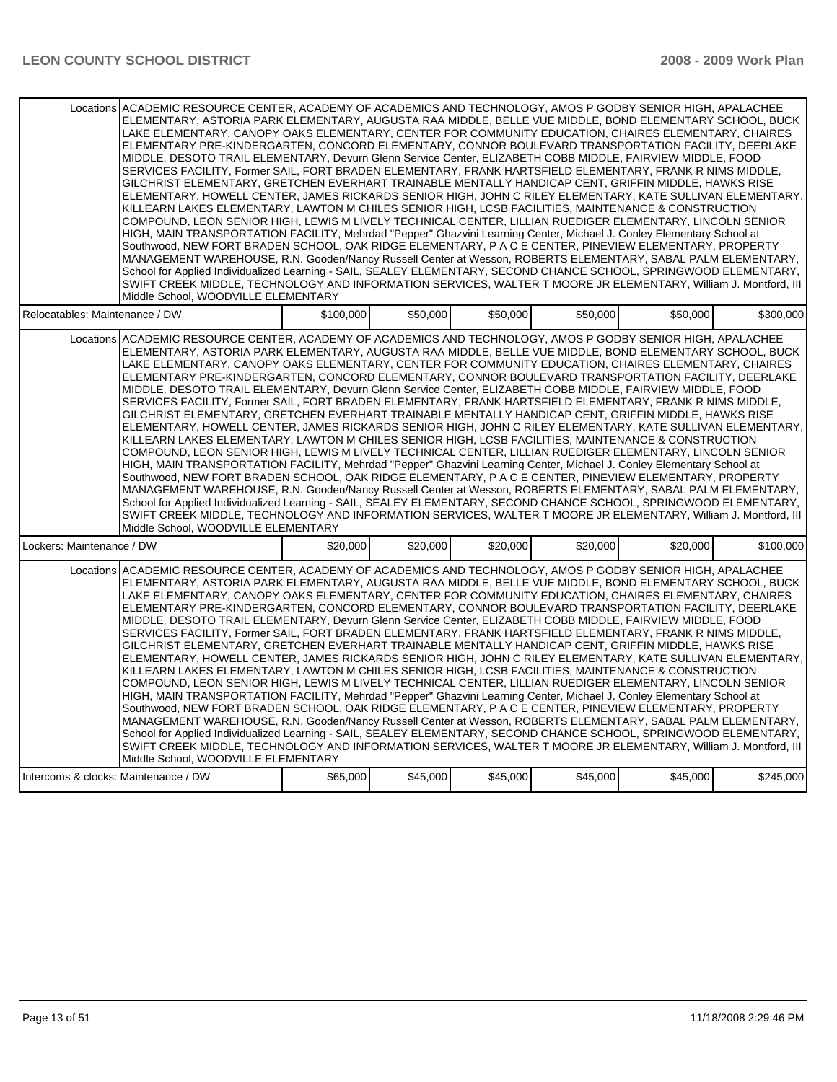| Locations ACADEMIC RESOURCE CENTER. ACADEMY OF ACADEMICS AND TECHNOLOGY. AMOS P GODBY SENIOR HIGH. APALACHEE<br>ELEMENTARY, ASTORIA PARK ELEMENTARY, AUGUSTA RAA MIDDLE, BELLE VUE MIDDLE, BOND ELEMENTARY SCHOOL, BUCK<br>LAKE ELEMENTARY, CANOPY OAKS ELEMENTARY, CENTER FOR COMMUNITY EDUCATION, CHAIRES ELEMENTARY, CHAIRES<br>ELEMENTARY PRE-KINDERGARTEN, CONCORD ELEMENTARY, CONNOR BOULEVARD TRANSPORTATION FACILITY, DEERLAKE<br>MIDDLE, DESOTO TRAIL ELEMENTARY, Devurn Glenn Service Center, ELIZABETH COBB MIDDLE, FAIRVIEW MIDDLE, FOOD<br>SERVICES FACILITY, Former SAIL, FORT BRADEN ELEMENTARY, FRANK HARTSFIELD ELEMENTARY, FRANK R NIMS MIDDLE,<br>GILCHRIST ELEMENTARY, GRETCHEN EVERHART TRAINABLE MENTALLY HANDICAP CENT, GRIFFIN MIDDLE, HAWKS RISE<br>ELEMENTARY, HOWELL CENTER, JAMES RICKARDS SENIOR HIGH, JOHN C RILEY ELEMENTARY, KATE SULLIVAN ELEMENTARY,<br>KILLEARN LAKES ELEMENTARY. LAWTON M CHILES SENIOR HIGH. LCSB FACILITIES. MAINTENANCE & CONSTRUCTION<br>COMPOUND, LEON SENIOR HIGH, LEWIS M LIVELY TECHNICAL CENTER, LILLIAN RUEDIGER ELEMENTARY, LINCOLN SENIOR<br>HIGH, MAIN TRANSPORTATION FACILITY, Mehrdad "Pepper" Ghazvini Learning Center, Michael J. Conley Elementary School at<br>Southwood, NEW FORT BRADEN SCHOOL, OAK RIDGE ELEMENTARY, P A C E CENTER, PINEVIEW ELEMENTARY, PROPERTY<br>MANAGEMENT WAREHOUSE, R.N. Gooden/Nancy Russell Center at Wesson, ROBERTS ELEMENTARY, SABAL PALM ELEMENTARY,<br>School for Applied Individualized Learning - SAIL, SEALEY ELEMENTARY, SECOND CHANCE SCHOOL, SPRINGWOOD ELEMENTARY,<br>SWIFT CREEK MIDDLE, TECHNOLOGY AND INFORMATION SERVICES, WALTER T MOORE JR ELEMENTARY, William J. Montford, III<br>Middle School, WOODVILLE ELEMENTARY |           |          |          |          |          |           |
|----------------------------------------------------------------------------------------------------------------------------------------------------------------------------------------------------------------------------------------------------------------------------------------------------------------------------------------------------------------------------------------------------------------------------------------------------------------------------------------------------------------------------------------------------------------------------------------------------------------------------------------------------------------------------------------------------------------------------------------------------------------------------------------------------------------------------------------------------------------------------------------------------------------------------------------------------------------------------------------------------------------------------------------------------------------------------------------------------------------------------------------------------------------------------------------------------------------------------------------------------------------------------------------------------------------------------------------------------------------------------------------------------------------------------------------------------------------------------------------------------------------------------------------------------------------------------------------------------------------------------------------------------------------------------------------------------------------------------------------------|-----------|----------|----------|----------|----------|-----------|
| Relocatables: Maintenance / DW                                                                                                                                                                                                                                                                                                                                                                                                                                                                                                                                                                                                                                                                                                                                                                                                                                                                                                                                                                                                                                                                                                                                                                                                                                                                                                                                                                                                                                                                                                                                                                                                                                                                                                               | \$100,000 | \$50,000 | \$50,000 | \$50,000 | \$50,000 | \$300,000 |
| Locations ACADEMIC RESOURCE CENTER, ACADEMY OF ACADEMICS AND TECHNOLOGY, AMOS P GODBY SENIOR HIGH, APALACHEE<br>ELEMENTARY, ASTORIA PARK ELEMENTARY, AUGUSTA RAA MIDDLE, BELLE VUE MIDDLE, BOND ELEMENTARY SCHOOL, BUCK<br>LAKE ELEMENTARY, CANOPY OAKS ELEMENTARY, CENTER FOR COMMUNITY EDUCATION, CHAIRES ELEMENTARY, CHAIRES<br>ELEMENTARY PRE-KINDERGARTEN, CONCORD ELEMENTARY, CONNOR BOULEVARD TRANSPORTATION FACILITY, DEERLAKE<br>MIDDLE, DESOTO TRAIL ELEMENTARY, Devurn Glenn Service Center, ELIZABETH COBB MIDDLE, FAIRVIEW MIDDLE, FOOD<br>SERVICES FACILITY, Former SAIL, FORT BRADEN ELEMENTARY, FRANK HARTSFIELD ELEMENTARY, FRANK R NIMS MIDDLE,<br>GILCHRIST ELEMENTARY, GRETCHEN EVERHART TRAINABLE MENTALLY HANDICAP CENT, GRIFFIN MIDDLE, HAWKS RISE<br>ELEMENTARY, HOWELL CENTER, JAMES RICKARDS SENIOR HIGH, JOHN C RILEY ELEMENTARY, KATE SULLIVAN ELEMENTARY,<br>KILLEARN LAKES ELEMENTARY, LAWTON M CHILES SENIOR HIGH, LCSB FACILITIES, MAINTENANCE & CONSTRUCTION<br>COMPOUND, LEON SENIOR HIGH, LEWIS M LIVELY TECHNICAL CENTER, LILLIAN RUEDIGER ELEMENTARY, LINCOLN SENIOR<br>HIGH, MAIN TRANSPORTATION FACILITY, Mehrdad "Pepper" Ghazvini Learning Center, Michael J. Conley Elementary School at<br>Southwood, NEW FORT BRADEN SCHOOL, OAK RIDGE ELEMENTARY, P A C E CENTER, PINEVIEW ELEMENTARY, PROPERTY<br>MANAGEMENT WAREHOUSE, R.N. Gooden/Nancy Russell Center at Wesson, ROBERTS ELEMENTARY, SABAL PALM ELEMENTARY,<br>School for Applied Individualized Learning - SAIL, SEALEY ELEMENTARY, SECOND CHANCE SCHOOL, SPRINGWOOD ELEMENTARY,<br>SWIFT CREEK MIDDLE, TECHNOLOGY AND INFORMATION SERVICES, WALTER T MOORE JR ELEMENTARY, William J. Montford, III<br>Middle School, WOODVILLE ELEMENTARY |           |          |          |          |          |           |
| Lockers: Maintenance / DW                                                                                                                                                                                                                                                                                                                                                                                                                                                                                                                                                                                                                                                                                                                                                                                                                                                                                                                                                                                                                                                                                                                                                                                                                                                                                                                                                                                                                                                                                                                                                                                                                                                                                                                    | \$20,000  | \$20,000 | \$20,000 | \$20,000 | \$20,000 | \$100.000 |
| Locations ACADEMIC RESOURCE CENTER, ACADEMY OF ACADEMICS AND TECHNOLOGY, AMOS P GODBY SENIOR HIGH, APALACHEE<br>ELEMENTARY, ASTORIA PARK ELEMENTARY, AUGUSTA RAA MIDDLE, BELLE VUE MIDDLE, BOND ELEMENTARY SCHOOL, BUCK<br>LAKE ELEMENTARY, CANOPY OAKS ELEMENTARY, CENTER FOR COMMUNITY EDUCATION, CHAIRES ELEMENTARY, CHAIRES<br>ELEMENTARY PRE-KINDERGARTEN, CONCORD ELEMENTARY, CONNOR BOULEVARD TRANSPORTATION FACILITY, DEERLAKE<br>MIDDLE, DESOTO TRAIL ELEMENTARY, Devurn Glenn Service Center, ELIZABETH COBB MIDDLE, FAIRVIEW MIDDLE, FOOD<br>SERVICES FACILITY, Former SAIL, FORT BRADEN ELEMENTARY, FRANK HARTSFIELD ELEMENTARY, FRANK R NIMS MIDDLE,<br>GILCHRIST ELEMENTARY, GRETCHEN EVERHART TRAINABLE MENTALLY HANDICAP CENT, GRIFFIN MIDDLE, HAWKS RISE<br>ELEMENTARY, HOWELL CENTER, JAMES RICKARDS SENIOR HIGH, JOHN C RILEY ELEMENTARY, KATE SULLIVAN ELEMENTARY,<br>KILLEARN LAKES ELEMENTARY, LAWTON M CHILES SENIOR HIGH, LCSB FACILITIES, MAINTENANCE & CONSTRUCTION<br>COMPOUND, LEON SENIOR HIGH, LEWIS M LIVELY TECHNICAL CENTER, LILLIAN RUEDIGER ELEMENTARY, LINCOLN SENIOR<br>HIGH, MAIN TRANSPORTATION FACILITY, Mehrdad "Pepper" Ghazvini Learning Center, Michael J. Conley Elementary School at<br>Southwood, NEW FORT BRADEN SCHOOL, OAK RIDGE ELEMENTARY, P A C E CENTER, PINEVIEW ELEMENTARY, PROPERTY<br>MANAGEMENT WAREHOUSE, R.N. Gooden/Nancy Russell Center at Wesson, ROBERTS ELEMENTARY, SABAL PALM ELEMENTARY,<br>School for Applied Individualized Learning - SAIL, SEALEY ELEMENTARY, SECOND CHANCE SCHOOL, SPRINGWOOD ELEMENTARY,<br>SWIFT CREEK MIDDLE, TECHNOLOGY AND INFORMATION SERVICES, WALTER T MOORE JR ELEMENTARY, William J. Montford, III<br>Middle School. WOODVILLE ELEMENTARY |           |          |          |          |          |           |
| Intercoms & clocks: Maintenance / DW                                                                                                                                                                                                                                                                                                                                                                                                                                                                                                                                                                                                                                                                                                                                                                                                                                                                                                                                                                                                                                                                                                                                                                                                                                                                                                                                                                                                                                                                                                                                                                                                                                                                                                         | \$65,000  | \$45,000 | \$45,000 | \$45,000 | \$45,000 | \$245,000 |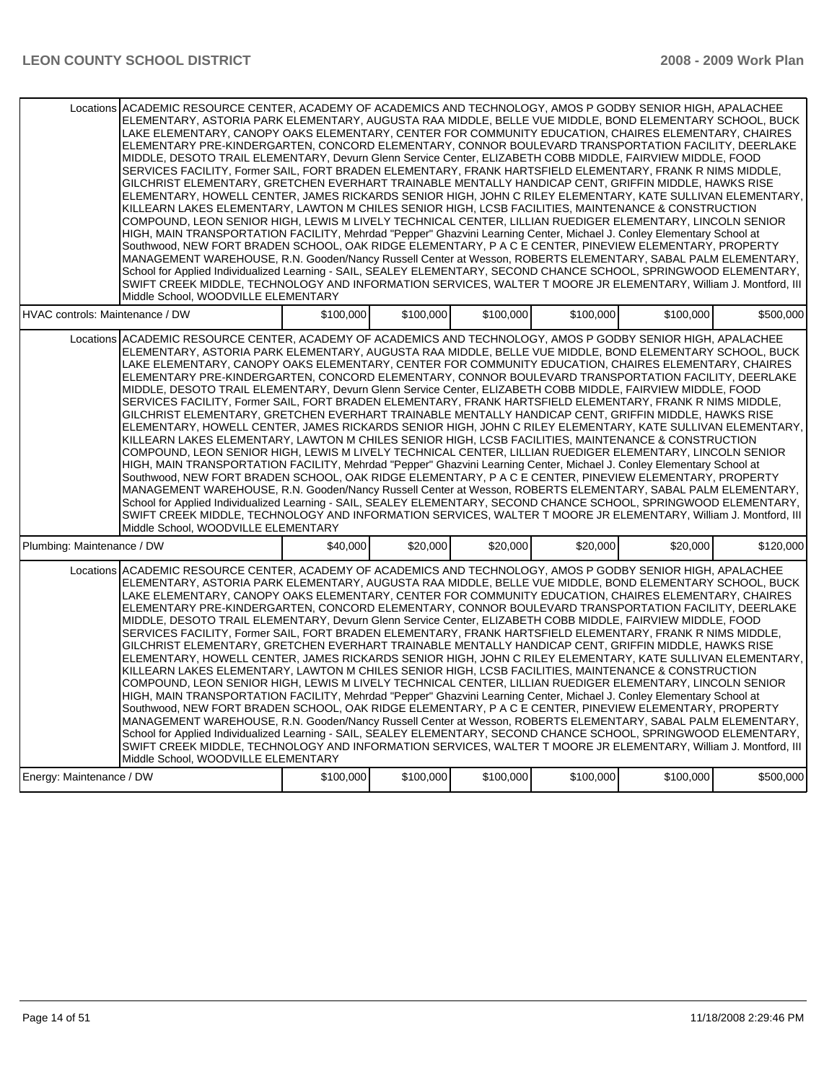|                                                                                                                                                                                                                                                                                                                                                                                                                                                                                                                                                                                                                                                                                                                                                                                                                                                                                                                                                                                                                                                                                                                                                                                                                                                                                                                                                                                                                                                                                                                                                                                                                                                                                                                                              | Locations ACADEMIC RESOURCE CENTER. ACADEMY OF ACADEMICS AND TECHNOLOGY. AMOS P GODBY SENIOR HIGH. APALACHEE<br>ELEMENTARY, ASTORIA PARK ELEMENTARY, AUGUSTA RAA MIDDLE, BELLE VUE MIDDLE, BOND ELEMENTARY SCHOOL, BUCK<br>LAKE ELEMENTARY, CANOPY OAKS ELEMENTARY, CENTER FOR COMMUNITY EDUCATION, CHAIRES ELEMENTARY, CHAIRES<br>ELEMENTARY PRE-KINDERGARTEN, CONCORD ELEMENTARY, CONNOR BOULEVARD TRANSPORTATION FACILITY, DEERLAKE<br>MIDDLE, DESOTO TRAIL ELEMENTARY, Devurn Glenn Service Center, ELIZABETH COBB MIDDLE, FAIRVIEW MIDDLE, FOOD<br>SERVICES FACILITY, Former SAIL, FORT BRADEN ELEMENTARY, FRANK HARTSFIELD ELEMENTARY, FRANK R NIMS MIDDLE,<br>GILCHRIST ELEMENTARY, GRETCHEN EVERHART TRAINABLE MENTALLY HANDICAP CENT, GRIFFIN MIDDLE, HAWKS RISE<br>ELEMENTARY, HOWELL CENTER, JAMES RICKARDS SENIOR HIGH, JOHN C RILEY ELEMENTARY, KATE SULLIVAN ELEMENTARY,<br>KILLEARN LAKES ELEMENTARY. LAWTON M CHILES SENIOR HIGH. LCSB FACILITIES. MAINTENANCE & CONSTRUCTION<br>COMPOUND, LEON SENIOR HIGH, LEWIS M LIVELY TECHNICAL CENTER, LILLIAN RUEDIGER ELEMENTARY, LINCOLN SENIOR<br>HIGH, MAIN TRANSPORTATION FACILITY, Mehrdad "Pepper" Ghazvini Learning Center, Michael J. Conley Elementary School at<br>Southwood, NEW FORT BRADEN SCHOOL, OAK RIDGE ELEMENTARY, P A C E CENTER, PINEVIEW ELEMENTARY, PROPERTY<br>MANAGEMENT WAREHOUSE, R.N. Gooden/Nancy Russell Center at Wesson, ROBERTS ELEMENTARY, SABAL PALM ELEMENTARY,<br>School for Applied Individualized Learning - SAIL, SEALEY ELEMENTARY, SECOND CHANCE SCHOOL, SPRINGWOOD ELEMENTARY,<br>SWIFT CREEK MIDDLE, TECHNOLOGY AND INFORMATION SERVICES, WALTER T MOORE JR ELEMENTARY, William J. Montford, III<br>Middle School, WOODVILLE ELEMENTARY |           |           |           |           |           |           |  |  |  |
|----------------------------------------------------------------------------------------------------------------------------------------------------------------------------------------------------------------------------------------------------------------------------------------------------------------------------------------------------------------------------------------------------------------------------------------------------------------------------------------------------------------------------------------------------------------------------------------------------------------------------------------------------------------------------------------------------------------------------------------------------------------------------------------------------------------------------------------------------------------------------------------------------------------------------------------------------------------------------------------------------------------------------------------------------------------------------------------------------------------------------------------------------------------------------------------------------------------------------------------------------------------------------------------------------------------------------------------------------------------------------------------------------------------------------------------------------------------------------------------------------------------------------------------------------------------------------------------------------------------------------------------------------------------------------------------------------------------------------------------------|----------------------------------------------------------------------------------------------------------------------------------------------------------------------------------------------------------------------------------------------------------------------------------------------------------------------------------------------------------------------------------------------------------------------------------------------------------------------------------------------------------------------------------------------------------------------------------------------------------------------------------------------------------------------------------------------------------------------------------------------------------------------------------------------------------------------------------------------------------------------------------------------------------------------------------------------------------------------------------------------------------------------------------------------------------------------------------------------------------------------------------------------------------------------------------------------------------------------------------------------------------------------------------------------------------------------------------------------------------------------------------------------------------------------------------------------------------------------------------------------------------------------------------------------------------------------------------------------------------------------------------------------------------------------------------------------------------------------------------------------|-----------|-----------|-----------|-----------|-----------|-----------|--|--|--|
| HVAC controls: Maintenance / DW                                                                                                                                                                                                                                                                                                                                                                                                                                                                                                                                                                                                                                                                                                                                                                                                                                                                                                                                                                                                                                                                                                                                                                                                                                                                                                                                                                                                                                                                                                                                                                                                                                                                                                              |                                                                                                                                                                                                                                                                                                                                                                                                                                                                                                                                                                                                                                                                                                                                                                                                                                                                                                                                                                                                                                                                                                                                                                                                                                                                                                                                                                                                                                                                                                                                                                                                                                                                                                                                              | \$100,000 | \$100,000 | \$100,000 | \$100,000 | \$100,000 | \$500,000 |  |  |  |
| Locations ACADEMIC RESOURCE CENTER, ACADEMY OF ACADEMICS AND TECHNOLOGY, AMOS P GODBY SENIOR HIGH, APALACHEE<br>ELEMENTARY, ASTORIA PARK ELEMENTARY, AUGUSTA RAA MIDDLE, BELLE VUE MIDDLE, BOND ELEMENTARY SCHOOL, BUCK<br>LAKE ELEMENTARY, CANOPY OAKS ELEMENTARY, CENTER FOR COMMUNITY EDUCATION, CHAIRES ELEMENTARY, CHAIRES<br>ELEMENTARY PRE-KINDERGARTEN, CONCORD ELEMENTARY, CONNOR BOULEVARD TRANSPORTATION FACILITY, DEERLAKE<br>MIDDLE, DESOTO TRAIL ELEMENTARY, Devurn Glenn Service Center, ELIZABETH COBB MIDDLE, FAIRVIEW MIDDLE, FOOD<br>SERVICES FACILITY, Former SAIL, FORT BRADEN ELEMENTARY, FRANK HARTSFIELD ELEMENTARY, FRANK R NIMS MIDDLE,<br>GILCHRIST ELEMENTARY, GRETCHEN EVERHART TRAINABLE MENTALLY HANDICAP CENT, GRIFFIN MIDDLE, HAWKS RISE<br>ELEMENTARY, HOWELL CENTER, JAMES RICKARDS SENIOR HIGH, JOHN C RILEY ELEMENTARY, KATE SULLIVAN ELEMENTARY,<br>KILLEARN LAKES ELEMENTARY, LAWTON M CHILES SENIOR HIGH, LCSB FACILITIES, MAINTENANCE & CONSTRUCTION<br>COMPOUND, LEON SENIOR HIGH, LEWIS M LIVELY TECHNICAL CENTER, LILLIAN RUEDIGER ELEMENTARY, LINCOLN SENIOR<br>HIGH, MAIN TRANSPORTATION FACILITY, Mehrdad "Pepper" Ghazvini Learning Center, Michael J. Conley Elementary School at<br>Southwood, NEW FORT BRADEN SCHOOL, OAK RIDGE ELEMENTARY, P A C E CENTER, PINEVIEW ELEMENTARY, PROPERTY<br>MANAGEMENT WAREHOUSE, R.N. Gooden/Nancy Russell Center at Wesson, ROBERTS ELEMENTARY, SABAL PALM ELEMENTARY,<br>School for Applied Individualized Learning - SAIL, SEALEY ELEMENTARY, SECOND CHANCE SCHOOL, SPRINGWOOD ELEMENTARY,<br>SWIFT CREEK MIDDLE, TECHNOLOGY AND INFORMATION SERVICES, WALTER T MOORE JR ELEMENTARY, William J. Montford, III<br>Middle School, WOODVILLE ELEMENTARY |                                                                                                                                                                                                                                                                                                                                                                                                                                                                                                                                                                                                                                                                                                                                                                                                                                                                                                                                                                                                                                                                                                                                                                                                                                                                                                                                                                                                                                                                                                                                                                                                                                                                                                                                              |           |           |           |           |           |           |  |  |  |
| Plumbing: Maintenance / DW                                                                                                                                                                                                                                                                                                                                                                                                                                                                                                                                                                                                                                                                                                                                                                                                                                                                                                                                                                                                                                                                                                                                                                                                                                                                                                                                                                                                                                                                                                                                                                                                                                                                                                                   |                                                                                                                                                                                                                                                                                                                                                                                                                                                                                                                                                                                                                                                                                                                                                                                                                                                                                                                                                                                                                                                                                                                                                                                                                                                                                                                                                                                                                                                                                                                                                                                                                                                                                                                                              | \$40,000  | \$20,000  | \$20,000  | \$20,000  | \$20,000  | \$120,000 |  |  |  |
| Locations ACADEMIC RESOURCE CENTER, ACADEMY OF ACADEMICS AND TECHNOLOGY, AMOS P GODBY SENIOR HIGH, APALACHEE<br>ELEMENTARY, ASTORIA PARK ELEMENTARY, AUGUSTA RAA MIDDLE, BELLE VUE MIDDLE, BOND ELEMENTARY SCHOOL, BUCK<br>LAKE ELEMENTARY, CANOPY OAKS ELEMENTARY, CENTER FOR COMMUNITY EDUCATION, CHAIRES ELEMENTARY, CHAIRES<br>ELEMENTARY PRE-KINDERGARTEN, CONCORD ELEMENTARY, CONNOR BOULEVARD TRANSPORTATION FACILITY, DEERLAKE<br>MIDDLE, DESOTO TRAIL ELEMENTARY, Devurn Glenn Service Center, ELIZABETH COBB MIDDLE, FAIRVIEW MIDDLE, FOOD<br>SERVICES FACILITY, Former SAIL, FORT BRADEN ELEMENTARY, FRANK HARTSFIELD ELEMENTARY, FRANK R NIMS MIDDLE,<br>GILCHRIST ELEMENTARY, GRETCHEN EVERHART TRAINABLE MENTALLY HANDICAP CENT, GRIFFIN MIDDLE, HAWKS RISE<br>ELEMENTARY, HOWELL CENTER, JAMES RICKARDS SENIOR HIGH, JOHN C RILEY ELEMENTARY, KATE SULLIVAN ELEMENTARY,<br>KILLEARN LAKES ELEMENTARY, LAWTON M CHILES SENIOR HIGH, LCSB FACILITIES, MAINTENANCE & CONSTRUCTION<br>COMPOUND, LEON SENIOR HIGH, LEWIS M LIVELY TECHNICAL CENTER, LILLIAN RUEDIGER ELEMENTARY, LINCOLN SENIOR<br>HIGH, MAIN TRANSPORTATION FACILITY, Mehrdad "Pepper" Ghazvini Learning Center, Michael J. Conley Elementary School at<br>Southwood, NEW FORT BRADEN SCHOOL, OAK RIDGE ELEMENTARY, P A C E CENTER, PINEVIEW ELEMENTARY, PROPERTY<br>MANAGEMENT WAREHOUSE, R.N. Gooden/Nancy Russell Center at Wesson, ROBERTS ELEMENTARY, SABAL PALM ELEMENTARY,<br>School for Applied Individualized Learning - SAIL, SEALEY ELEMENTARY, SECOND CHANCE SCHOOL, SPRINGWOOD ELEMENTARY,<br>SWIFT CREEK MIDDLE, TECHNOLOGY AND INFORMATION SERVICES, WALTER T MOORE JR ELEMENTARY, William J. Montford, III<br>Middle School, WOODVILLE ELEMENTARY |                                                                                                                                                                                                                                                                                                                                                                                                                                                                                                                                                                                                                                                                                                                                                                                                                                                                                                                                                                                                                                                                                                                                                                                                                                                                                                                                                                                                                                                                                                                                                                                                                                                                                                                                              |           |           |           |           |           |           |  |  |  |
| Energy: Maintenance / DW                                                                                                                                                                                                                                                                                                                                                                                                                                                                                                                                                                                                                                                                                                                                                                                                                                                                                                                                                                                                                                                                                                                                                                                                                                                                                                                                                                                                                                                                                                                                                                                                                                                                                                                     |                                                                                                                                                                                                                                                                                                                                                                                                                                                                                                                                                                                                                                                                                                                                                                                                                                                                                                                                                                                                                                                                                                                                                                                                                                                                                                                                                                                                                                                                                                                                                                                                                                                                                                                                              | \$100,000 | \$100,000 | \$100,000 | \$100,000 | \$100,000 | \$500,000 |  |  |  |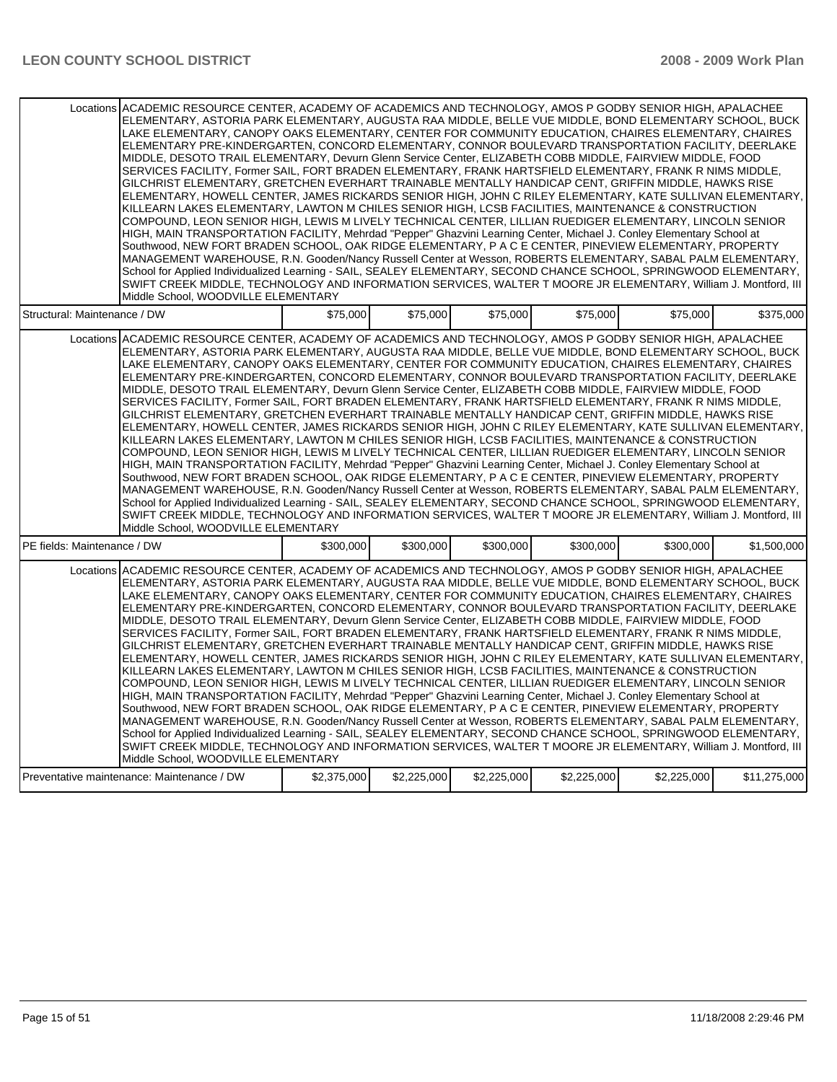|                                            | Locations ACADEMIC RESOURCE CENTER, ACADEMY OF ACADEMICS AND TECHNOLOGY, AMOS P GODBY SENIOR HIGH, APALACHEE<br>ELEMENTARY, ASTORIA PARK ELEMENTARY, AUGUSTA RAA MIDDLE, BELLE VUE MIDDLE, BOND ELEMENTARY SCHOOL, BUCK<br>LAKE ELEMENTARY. CANOPY OAKS ELEMENTARY. CENTER FOR COMMUNITY EDUCATION. CHAIRES ELEMENTARY. CHAIRES<br>ELEMENTARY PRE-KINDERGARTEN, CONCORD ELEMENTARY, CONNOR BOULEVARD TRANSPORTATION FACILITY, DEERLAKE<br>MIDDLE, DESOTO TRAIL ELEMENTARY, Devurn Glenn Service Center, ELIZABETH COBB MIDDLE, FAIRVIEW MIDDLE, FOOD<br>SERVICES FACILITY, Former SAIL, FORT BRADEN ELEMENTARY, FRANK HARTSFIELD ELEMENTARY, FRANK R NIMS MIDDLE,<br>GILCHRIST ELEMENTARY, GRETCHEN EVERHART TRAINABLE MENTALLY HANDICAP CENT, GRIFFIN MIDDLE, HAWKS RISE<br>ELEMENTARY, HOWELL CENTER, JAMES RICKARDS SENIOR HIGH, JOHN C RILEY ELEMENTARY, KATE SULLIVAN ELEMENTARY,<br>KILLEARN LAKES ELEMENTARY, LAWTON M CHILES SENIOR HIGH, LCSB FACILITIES, MAINTENANCE & CONSTRUCTION<br>COMPOUND, LEON SENIOR HIGH, LEWIS M LIVELY TECHNICAL CENTER, LILLIAN RUEDIGER ELEMENTARY, LINCOLN SENIOR<br>HIGH, MAIN TRANSPORTATION FACILITY, Mehrdad "Pepper" Ghazvini Learning Center, Michael J. Conley Elementary School at<br>Southwood, NEW FORT BRADEN SCHOOL, OAK RIDGE ELEMENTARY, P A C E CENTER, PINEVIEW ELEMENTARY, PROPERTY<br>MANAGEMENT WAREHOUSE, R.N. Gooden/Nancy Russell Center at Wesson, ROBERTS ELEMENTARY, SABAL PALM ELEMENTARY,<br>School for Applied Individualized Learning - SAIL, SEALEY ELEMENTARY, SECOND CHANCE SCHOOL, SPRINGWOOD ELEMENTARY,<br>SWIFT CREEK MIDDLE, TECHNOLOGY AND INFORMATION SERVICES, WALTER T MOORE JR ELEMENTARY, William J. Montford, III<br>Middle School, WOODVILLE ELEMENTARY |             |             |             |             |             |              |
|--------------------------------------------|----------------------------------------------------------------------------------------------------------------------------------------------------------------------------------------------------------------------------------------------------------------------------------------------------------------------------------------------------------------------------------------------------------------------------------------------------------------------------------------------------------------------------------------------------------------------------------------------------------------------------------------------------------------------------------------------------------------------------------------------------------------------------------------------------------------------------------------------------------------------------------------------------------------------------------------------------------------------------------------------------------------------------------------------------------------------------------------------------------------------------------------------------------------------------------------------------------------------------------------------------------------------------------------------------------------------------------------------------------------------------------------------------------------------------------------------------------------------------------------------------------------------------------------------------------------------------------------------------------------------------------------------------------------------------------------------------------------------------------------------|-------------|-------------|-------------|-------------|-------------|--------------|
| Structural: Maintenance / DW               |                                                                                                                                                                                                                                                                                                                                                                                                                                                                                                                                                                                                                                                                                                                                                                                                                                                                                                                                                                                                                                                                                                                                                                                                                                                                                                                                                                                                                                                                                                                                                                                                                                                                                                                                              | \$75,000    | \$75,000    | \$75,000    | \$75,000    | \$75.000    | \$375.000    |
|                                            | Locations ACADEMIC RESOURCE CENTER, ACADEMY OF ACADEMICS AND TECHNOLOGY, AMOS P GODBY SENIOR HIGH, APALACHEE<br>ELEMENTARY, ASTORIA PARK ELEMENTARY, AUGUSTA RAA MIDDLE, BELLE VUE MIDDLE, BOND ELEMENTARY SCHOOL, BUCK<br>LAKE ELEMENTARY, CANOPY OAKS ELEMENTARY, CENTER FOR COMMUNITY EDUCATION, CHAIRES ELEMENTARY, CHAIRES<br>ELEMENTARY PRE-KINDERGARTEN, CONCORD ELEMENTARY, CONNOR BOULEVARD TRANSPORTATION FACILITY, DEERLAKE<br>MIDDLE, DESOTO TRAIL ELEMENTARY, Devurn Glenn Service Center, ELIZABETH COBB MIDDLE, FAIRVIEW MIDDLE, FOOD<br>SERVICES FACILITY. Former SAIL, FORT BRADEN ELEMENTARY, FRANK HARTSFIELD ELEMENTARY, FRANK R NIMS MIDDLE.<br>GILCHRIST ELEMENTARY, GRETCHEN EVERHART TRAINABLE MENTALLY HANDICAP CENT, GRIFFIN MIDDLE, HAWKS RISE<br>ELEMENTARY, HOWELL CENTER, JAMES RICKARDS SENIOR HIGH, JOHN C RILEY ELEMENTARY, KATE SULLIVAN ELEMENTARY,<br>KILLEARN LAKES ELEMENTARY, LAWTON M CHILES SENIOR HIGH, LCSB FACILITIES, MAINTENANCE & CONSTRUCTION<br>COMPOUND, LEON SENIOR HIGH, LEWIS M LIVELY TECHNICAL CENTER, LILLIAN RUEDIGER ELEMENTARY, LINCOLN SENIOR<br>HIGH, MAIN TRANSPORTATION FACILITY, Mehrdad "Pepper" Ghazvini Learning Center, Michael J. Conley Elementary School at<br>Southwood, NEW FORT BRADEN SCHOOL, OAK RIDGE ELEMENTARY, P A C E CENTER, PINEVIEW ELEMENTARY, PROPERTY<br>MANAGEMENT WAREHOUSE, R.N. Gooden/Nancy Russell Center at Wesson, ROBERTS ELEMENTARY, SABAL PALM ELEMENTARY,<br>School for Applied Individualized Learning - SAIL, SEALEY ELEMENTARY, SECOND CHANCE SCHOOL, SPRINGWOOD ELEMENTARY,<br>SWIFT CREEK MIDDLE, TECHNOLOGY AND INFORMATION SERVICES, WALTER T MOORE JR ELEMENTARY, William J. Montford, III<br>Middle School, WOODVILLE ELEMENTARY |             |             |             |             |             |              |
| PE fields: Maintenance / DW                |                                                                                                                                                                                                                                                                                                                                                                                                                                                                                                                                                                                                                                                                                                                                                                                                                                                                                                                                                                                                                                                                                                                                                                                                                                                                                                                                                                                                                                                                                                                                                                                                                                                                                                                                              | \$300,000   | \$300,000   | \$300,000   | \$300,000   | \$300,000   | \$1,500,000  |
|                                            | Locations ACADEMIC RESOURCE CENTER, ACADEMY OF ACADEMICS AND TECHNOLOGY, AMOS P GODBY SENIOR HIGH, APALACHEE<br>ELEMENTARY, ASTORIA PARK ELEMENTARY, AUGUSTA RAA MIDDLE, BELLE VUE MIDDLE, BOND ELEMENTARY SCHOOL, BUCK<br>LAKE ELEMENTARY, CANOPY OAKS ELEMENTARY, CENTER FOR COMMUNITY EDUCATION, CHAIRES ELEMENTARY, CHAIRES<br>ELEMENTARY PRE-KINDERGARTEN, CONCORD ELEMENTARY, CONNOR BOULEVARD TRANSPORTATION FACILITY, DEERLAKE<br>MIDDLE, DESOTO TRAIL ELEMENTARY, Devurn Glenn Service Center, ELIZABETH COBB MIDDLE, FAIRVIEW MIDDLE, FOOD<br>SERVICES FACILITY, Former SAIL, FORT BRADEN ELEMENTARY, FRANK HARTSFIELD ELEMENTARY, FRANK R NIMS MIDDLE,<br>GILCHRIST ELEMENTARY, GRETCHEN EVERHART TRAINABLE MENTALLY HANDICAP CENT, GRIFFIN MIDDLE, HAWKS RISE<br>ELEMENTARY, HOWELL CENTER, JAMES RICKARDS SENIOR HIGH, JOHN C RILEY ELEMENTARY, KATE SULLIVAN ELEMENTARY,<br>KILLEARN LAKES ELEMENTARY, LAWTON M CHILES SENIOR HIGH, LCSB FACILITIES, MAINTENANCE & CONSTRUCTION<br>COMPOUND, LEON SENIOR HIGH, LEWIS M LIVELY TECHNICAL CENTER, LILLIAN RUEDIGER ELEMENTARY, LINCOLN SENIOR<br>HIGH, MAIN TRANSPORTATION FACILITY, Mehrdad "Pepper" Ghazvini Learning Center, Michael J. Conley Elementary School at<br>Southwood, NEW FORT BRADEN SCHOOL, OAK RIDGE ELEMENTARY, P A C E CENTER, PINEVIEW ELEMENTARY, PROPERTY<br>MANAGEMENT WAREHOUSE, R.N. Gooden/Nancy Russell Center at Wesson, ROBERTS ELEMENTARY, SABAL PALM ELEMENTARY,<br>School for Applied Individualized Learning - SAIL, SEALEY ELEMENTARY, SECOND CHANCE SCHOOL, SPRINGWOOD ELEMENTARY,<br>SWIFT CREEK MIDDLE, TECHNOLOGY AND INFORMATION SERVICES, WALTER T MOORE JR ELEMENTARY, William J. Montford, III<br>Middle School, WOODVILLE ELEMENTARY |             |             |             |             |             |              |
| Preventative maintenance: Maintenance / DW |                                                                                                                                                                                                                                                                                                                                                                                                                                                                                                                                                                                                                                                                                                                                                                                                                                                                                                                                                                                                                                                                                                                                                                                                                                                                                                                                                                                                                                                                                                                                                                                                                                                                                                                                              | \$2,375,000 | \$2,225,000 | \$2,225,000 | \$2,225,000 | \$2,225,000 | \$11,275,000 |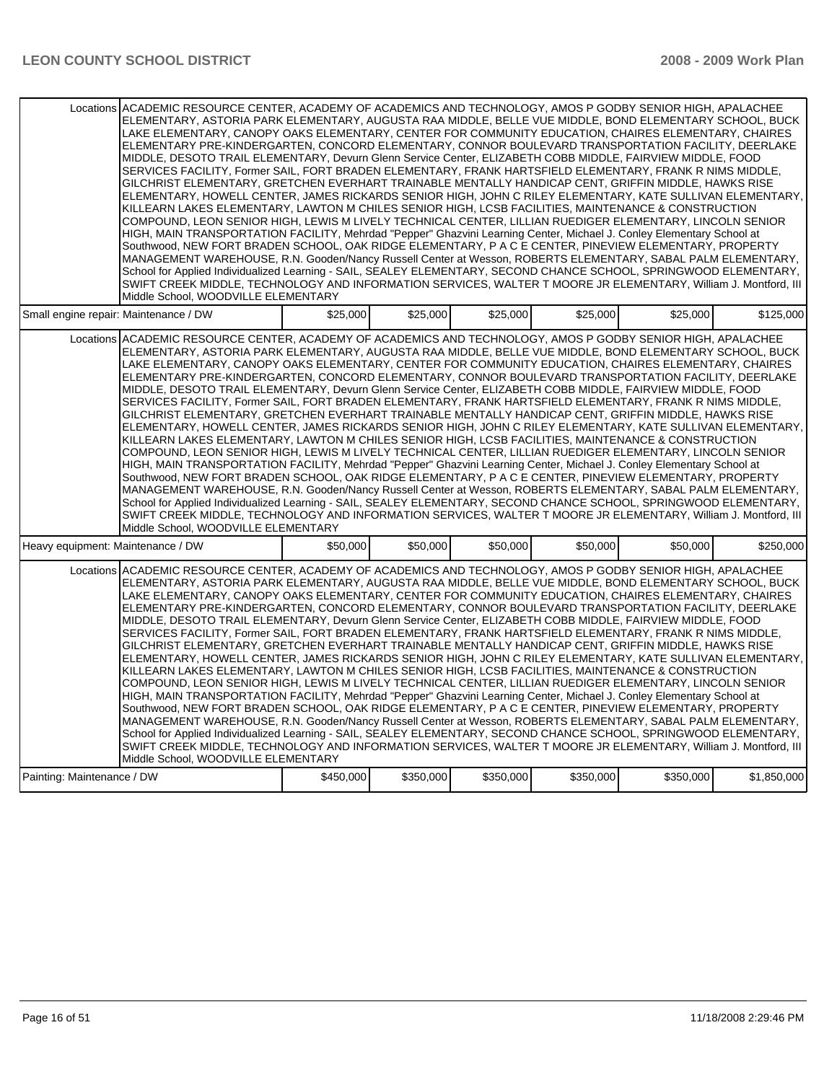|                                       | Locations ACADEMIC RESOURCE CENTER, ACADEMY OF ACADEMICS AND TECHNOLOGY, AMOS P GODBY SENIOR HIGH, APALACHEE<br>ELEMENTARY, ASTORIA PARK ELEMENTARY, AUGUSTA RAA MIDDLE, BELLE VUE MIDDLE, BOND ELEMENTARY SCHOOL, BUCK<br>LAKE ELEMENTARY. CANOPY OAKS ELEMENTARY. CENTER FOR COMMUNITY EDUCATION. CHAIRES ELEMENTARY. CHAIRES<br>ELEMENTARY PRE-KINDERGARTEN, CONCORD ELEMENTARY, CONNOR BOULEVARD TRANSPORTATION FACILITY, DEERLAKE<br>MIDDLE, DESOTO TRAIL ELEMENTARY, Devurn Glenn Service Center, ELIZABETH COBB MIDDLE, FAIRVIEW MIDDLE, FOOD<br>SERVICES FACILITY, Former SAIL, FORT BRADEN ELEMENTARY, FRANK HARTSFIELD ELEMENTARY, FRANK R NIMS MIDDLE,<br>GILCHRIST ELEMENTARY, GRETCHEN EVERHART TRAINABLE MENTALLY HANDICAP CENT, GRIFFIN MIDDLE, HAWKS RISE<br>ELEMENTARY, HOWELL CENTER, JAMES RICKARDS SENIOR HIGH, JOHN C RILEY ELEMENTARY, KATE SULLIVAN ELEMENTARY,<br>KILLEARN LAKES ELEMENTARY, LAWTON M CHILES SENIOR HIGH, LCSB FACILITIES, MAINTENANCE & CONSTRUCTION<br>COMPOUND, LEON SENIOR HIGH, LEWIS M LIVELY TECHNICAL CENTER, LILLIAN RUEDIGER ELEMENTARY, LINCOLN SENIOR<br>HIGH, MAIN TRANSPORTATION FACILITY, Mehrdad "Pepper" Ghazvini Learning Center, Michael J. Conley Elementary School at<br>Southwood, NEW FORT BRADEN SCHOOL, OAK RIDGE ELEMENTARY, P A C E CENTER, PINEVIEW ELEMENTARY, PROPERTY<br>MANAGEMENT WAREHOUSE, R.N. Gooden/Nancy Russell Center at Wesson, ROBERTS ELEMENTARY, SABAL PALM ELEMENTARY,<br>School for Applied Individualized Learning - SAIL, SEALEY ELEMENTARY, SECOND CHANCE SCHOOL, SPRINGWOOD ELEMENTARY,<br>SWIFT CREEK MIDDLE, TECHNOLOGY AND INFORMATION SERVICES, WALTER T MOORE JR ELEMENTARY, William J. Montford, III<br>Middle School, WOODVILLE ELEMENTARY |           |           |           |           |           |             |
|---------------------------------------|----------------------------------------------------------------------------------------------------------------------------------------------------------------------------------------------------------------------------------------------------------------------------------------------------------------------------------------------------------------------------------------------------------------------------------------------------------------------------------------------------------------------------------------------------------------------------------------------------------------------------------------------------------------------------------------------------------------------------------------------------------------------------------------------------------------------------------------------------------------------------------------------------------------------------------------------------------------------------------------------------------------------------------------------------------------------------------------------------------------------------------------------------------------------------------------------------------------------------------------------------------------------------------------------------------------------------------------------------------------------------------------------------------------------------------------------------------------------------------------------------------------------------------------------------------------------------------------------------------------------------------------------------------------------------------------------------------------------------------------------|-----------|-----------|-----------|-----------|-----------|-------------|
| Small engine repair: Maintenance / DW |                                                                                                                                                                                                                                                                                                                                                                                                                                                                                                                                                                                                                                                                                                                                                                                                                                                                                                                                                                                                                                                                                                                                                                                                                                                                                                                                                                                                                                                                                                                                                                                                                                                                                                                                              | \$25,000  | \$25,000  | \$25,000  | \$25,000  | \$25,000  | \$125,000   |
|                                       | Locations ACADEMIC RESOURCE CENTER, ACADEMY OF ACADEMICS AND TECHNOLOGY, AMOS P GODBY SENIOR HIGH, APALACHEE<br>ELEMENTARY, ASTORIA PARK ELEMENTARY, AUGUSTA RAA MIDDLE, BELLE VUE MIDDLE, BOND ELEMENTARY SCHOOL, BUCK<br>LAKE ELEMENTARY, CANOPY OAKS ELEMENTARY, CENTER FOR COMMUNITY EDUCATION, CHAIRES ELEMENTARY, CHAIRES<br>ELEMENTARY PRE-KINDERGARTEN, CONCORD ELEMENTARY, CONNOR BOULEVARD TRANSPORTATION FACILITY, DEERLAKE<br>MIDDLE, DESOTO TRAIL ELEMENTARY, Devurn Glenn Service Center, ELIZABETH COBB MIDDLE, FAIRVIEW MIDDLE, FOOD<br>SERVICES FACILITY. Former SAIL, FORT BRADEN ELEMENTARY, FRANK HARTSFIELD ELEMENTARY, FRANK R NIMS MIDDLE.<br>GILCHRIST ELEMENTARY, GRETCHEN EVERHART TRAINABLE MENTALLY HANDICAP CENT, GRIFFIN MIDDLE, HAWKS RISE<br>ELEMENTARY, HOWELL CENTER, JAMES RICKARDS SENIOR HIGH, JOHN C RILEY ELEMENTARY, KATE SULLIVAN ELEMENTARY,<br>KILLEARN LAKES ELEMENTARY, LAWTON M CHILES SENIOR HIGH, LCSB FACILITIES, MAINTENANCE & CONSTRUCTION<br>COMPOUND, LEON SENIOR HIGH, LEWIS M LIVELY TECHNICAL CENTER, LILLIAN RUEDIGER ELEMENTARY, LINCOLN SENIOR<br>HIGH, MAIN TRANSPORTATION FACILITY, Mehrdad "Pepper" Ghazvini Learning Center, Michael J. Conley Elementary School at<br>Southwood, NEW FORT BRADEN SCHOOL, OAK RIDGE ELEMENTARY, P A C E CENTER, PINEVIEW ELEMENTARY, PROPERTY<br>MANAGEMENT WAREHOUSE, R.N. Gooden/Nancy Russell Center at Wesson, ROBERTS ELEMENTARY, SABAL PALM ELEMENTARY,<br>School for Applied Individualized Learning - SAIL, SEALEY ELEMENTARY, SECOND CHANCE SCHOOL, SPRINGWOOD ELEMENTARY,<br>SWIFT CREEK MIDDLE, TECHNOLOGY AND INFORMATION SERVICES, WALTER T MOORE JR ELEMENTARY, William J. Montford, III<br>Middle School, WOODVILLE ELEMENTARY |           |           |           |           |           |             |
| Heavy equipment: Maintenance / DW     |                                                                                                                                                                                                                                                                                                                                                                                                                                                                                                                                                                                                                                                                                                                                                                                                                                                                                                                                                                                                                                                                                                                                                                                                                                                                                                                                                                                                                                                                                                                                                                                                                                                                                                                                              | \$50,000  | \$50,000  | \$50,000  | \$50,000  | \$50,000  | \$250,000   |
|                                       | Locations ACADEMIC RESOURCE CENTER, ACADEMY OF ACADEMICS AND TECHNOLOGY, AMOS P GODBY SENIOR HIGH, APALACHEE<br>ELEMENTARY, ASTORIA PARK ELEMENTARY, AUGUSTA RAA MIDDLE, BELLE VUE MIDDLE, BOND ELEMENTARY SCHOOL, BUCK<br>LAKE ELEMENTARY, CANOPY OAKS ELEMENTARY, CENTER FOR COMMUNITY EDUCATION, CHAIRES ELEMENTARY, CHAIRES<br>ELEMENTARY PRE-KINDERGARTEN, CONCORD ELEMENTARY, CONNOR BOULEVARD TRANSPORTATION FACILITY, DEERLAKE<br>MIDDLE, DESOTO TRAIL ELEMENTARY, Devurn Glenn Service Center, ELIZABETH COBB MIDDLE, FAIRVIEW MIDDLE, FOOD<br>SERVICES FACILITY, Former SAIL, FORT BRADEN ELEMENTARY, FRANK HARTSFIELD ELEMENTARY, FRANK R NIMS MIDDLE,<br>GILCHRIST ELEMENTARY, GRETCHEN EVERHART TRAINABLE MENTALLY HANDICAP CENT, GRIFFIN MIDDLE, HAWKS RISE<br>ELEMENTARY, HOWELL CENTER, JAMES RICKARDS SENIOR HIGH, JOHN C RILEY ELEMENTARY, KATE SULLIVAN ELEMENTARY,<br>KILLEARN LAKES ELEMENTARY, LAWTON M CHILES SENIOR HIGH, LCSB FACILITIES, MAINTENANCE & CONSTRUCTION<br>COMPOUND, LEON SENIOR HIGH, LEWIS M LIVELY TECHNICAL CENTER, LILLIAN RUEDIGER ELEMENTARY, LINCOLN SENIOR<br>HIGH, MAIN TRANSPORTATION FACILITY, Mehrdad "Pepper" Ghazvini Learning Center, Michael J. Conley Elementary School at<br>Southwood, NEW FORT BRADEN SCHOOL, OAK RIDGE ELEMENTARY, P A C E CENTER, PINEVIEW ELEMENTARY, PROPERTY<br>MANAGEMENT WAREHOUSE, R.N. Gooden/Nancy Russell Center at Wesson, ROBERTS ELEMENTARY, SABAL PALM ELEMENTARY,<br>School for Applied Individualized Learning - SAIL, SEALEY ELEMENTARY, SECOND CHANCE SCHOOL, SPRINGWOOD ELEMENTARY,<br>SWIFT CREEK MIDDLE, TECHNOLOGY AND INFORMATION SERVICES, WALTER T MOORE JR ELEMENTARY, William J. Montford, III<br>Middle School. WOODVILLE ELEMENTARY |           |           |           |           |           |             |
| Painting: Maintenance / DW            |                                                                                                                                                                                                                                                                                                                                                                                                                                                                                                                                                                                                                                                                                                                                                                                                                                                                                                                                                                                                                                                                                                                                                                                                                                                                                                                                                                                                                                                                                                                                                                                                                                                                                                                                              | \$450,000 | \$350,000 | \$350,000 | \$350,000 | \$350,000 | \$1,850,000 |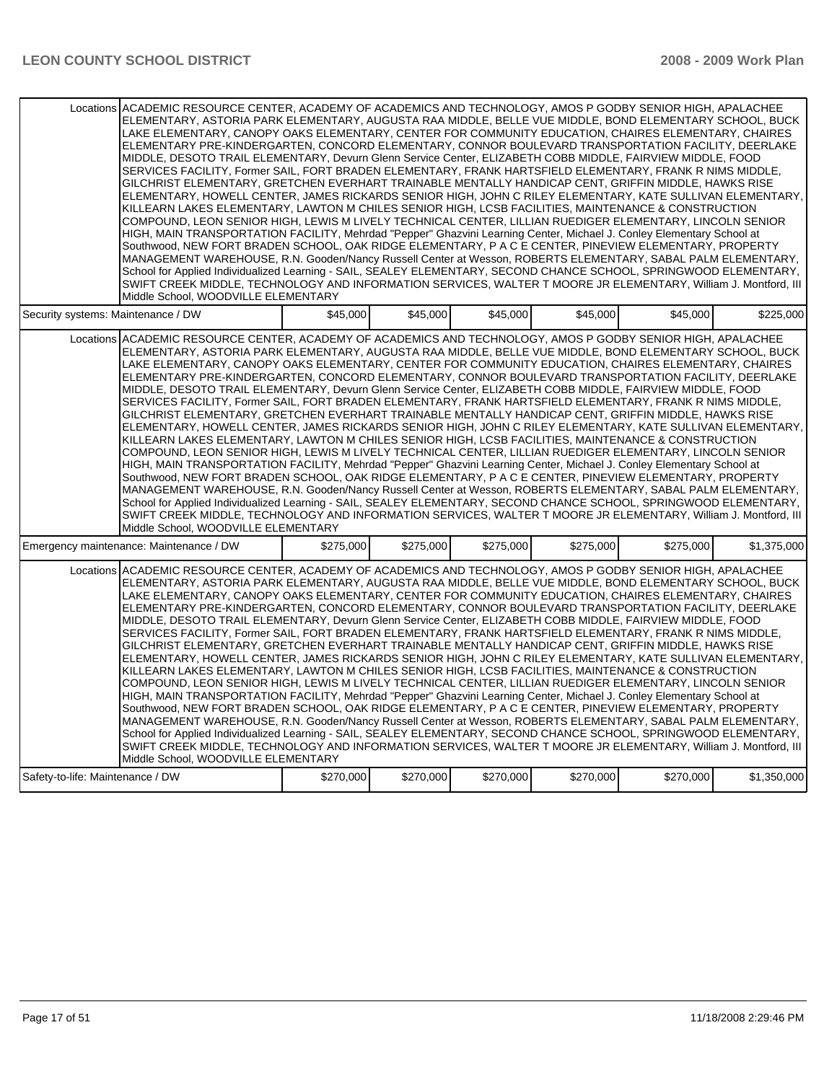| Locations ACADEMIC RESOURCE CENTER, ACADEMY OF ACADEMICS AND TECHNOLOGY, AMOS P GODBY SENIOR HIGH, APALACHEE<br>ELEMENTARY, ASTORIA PARK ELEMENTARY, AUGUSTA RAA MIDDLE, BELLE VUE MIDDLE, BOND ELEMENTARY SCHOOL, BUCK<br>LAKE ELEMENTARY. CANOPY OAKS ELEMENTARY. CENTER FOR COMMUNITY EDUCATION. CHAIRES ELEMENTARY. CHAIRES<br>ELEMENTARY PRE-KINDERGARTEN, CONCORD ELEMENTARY, CONNOR BOULEVARD TRANSPORTATION FACILITY, DEERLAKE<br>MIDDLE, DESOTO TRAIL ELEMENTARY, Devurn Glenn Service Center, ELIZABETH COBB MIDDLE, FAIRVIEW MIDDLE, FOOD<br>SERVICES FACILITY, Former SAIL, FORT BRADEN ELEMENTARY, FRANK HARTSFIELD ELEMENTARY, FRANK R NIMS MIDDLE,<br>GILCHRIST ELEMENTARY, GRETCHEN EVERHART TRAINABLE MENTALLY HANDICAP CENT, GRIFFIN MIDDLE, HAWKS RISE<br>ELEMENTARY, HOWELL CENTER, JAMES RICKARDS SENIOR HIGH, JOHN C RILEY ELEMENTARY, KATE SULLIVAN ELEMENTARY,<br>KILLEARN LAKES ELEMENTARY, LAWTON M CHILES SENIOR HIGH, LCSB FACILITIES, MAINTENANCE & CONSTRUCTION<br>COMPOUND, LEON SENIOR HIGH, LEWIS M LIVELY TECHNICAL CENTER, LILLIAN RUEDIGER ELEMENTARY, LINCOLN SENIOR<br>HIGH, MAIN TRANSPORTATION FACILITY, Mehrdad "Pepper" Ghazvini Learning Center, Michael J. Conley Elementary School at<br>Southwood, NEW FORT BRADEN SCHOOL, OAK RIDGE ELEMENTARY, P A C E CENTER, PINEVIEW ELEMENTARY, PROPERTY<br>MANAGEMENT WAREHOUSE, R.N. Gooden/Nancy Russell Center at Wesson, ROBERTS ELEMENTARY, SABAL PALM ELEMENTARY,<br>School for Applied Individualized Learning - SAIL, SEALEY ELEMENTARY, SECOND CHANCE SCHOOL, SPRINGWOOD ELEMENTARY,<br>SWIFT CREEK MIDDLE, TECHNOLOGY AND INFORMATION SERVICES, WALTER T MOORE JR ELEMENTARY, William J. Montford, III<br>Middle School, WOODVILLE ELEMENTARY |           |           |           |           |           |             |
|----------------------------------------------------------------------------------------------------------------------------------------------------------------------------------------------------------------------------------------------------------------------------------------------------------------------------------------------------------------------------------------------------------------------------------------------------------------------------------------------------------------------------------------------------------------------------------------------------------------------------------------------------------------------------------------------------------------------------------------------------------------------------------------------------------------------------------------------------------------------------------------------------------------------------------------------------------------------------------------------------------------------------------------------------------------------------------------------------------------------------------------------------------------------------------------------------------------------------------------------------------------------------------------------------------------------------------------------------------------------------------------------------------------------------------------------------------------------------------------------------------------------------------------------------------------------------------------------------------------------------------------------------------------------------------------------------------------------------------------------|-----------|-----------|-----------|-----------|-----------|-------------|
| Security systems: Maintenance / DW                                                                                                                                                                                                                                                                                                                                                                                                                                                                                                                                                                                                                                                                                                                                                                                                                                                                                                                                                                                                                                                                                                                                                                                                                                                                                                                                                                                                                                                                                                                                                                                                                                                                                                           | \$45,000  | \$45,000  | \$45,000  | \$45,000  | \$45,000  | \$225.000   |
| Locations ACADEMIC RESOURCE CENTER, ACADEMY OF ACADEMICS AND TECHNOLOGY, AMOS P GODBY SENIOR HIGH, APALACHEE<br>ELEMENTARY, ASTORIA PARK ELEMENTARY, AUGUSTA RAA MIDDLE, BELLE VUE MIDDLE, BOND ELEMENTARY SCHOOL, BUCK<br>LAKE ELEMENTARY, CANOPY OAKS ELEMENTARY, CENTER FOR COMMUNITY EDUCATION, CHAIRES ELEMENTARY, CHAIRES<br>ELEMENTARY PRE-KINDERGARTEN, CONCORD ELEMENTARY, CONNOR BOULEVARD TRANSPORTATION FACILITY, DEERLAKE<br>MIDDLE, DESOTO TRAIL ELEMENTARY, Devurn Glenn Service Center, ELIZABETH COBB MIDDLE, FAIRVIEW MIDDLE, FOOD<br>SERVICES FACILITY. Former SAIL, FORT BRADEN ELEMENTARY, FRANK HARTSFIELD ELEMENTARY, FRANK R NIMS MIDDLE.<br>GILCHRIST ELEMENTARY, GRETCHEN EVERHART TRAINABLE MENTALLY HANDICAP CENT, GRIFFIN MIDDLE, HAWKS RISE<br>ELEMENTARY, HOWELL CENTER, JAMES RICKARDS SENIOR HIGH, JOHN C RILEY ELEMENTARY, KATE SULLIVAN ELEMENTARY,<br>KILLEARN LAKES ELEMENTARY, LAWTON M CHILES SENIOR HIGH, LCSB FACILITIES, MAINTENANCE & CONSTRUCTION<br>COMPOUND, LEON SENIOR HIGH, LEWIS M LIVELY TECHNICAL CENTER, LILLIAN RUEDIGER ELEMENTARY, LINCOLN SENIOR<br>HIGH, MAIN TRANSPORTATION FACILITY, Mehrdad "Pepper" Ghazvini Learning Center, Michael J. Conley Elementary School at<br>Southwood, NEW FORT BRADEN SCHOOL, OAK RIDGE ELEMENTARY, P A C E CENTER, PINEVIEW ELEMENTARY, PROPERTY<br>MANAGEMENT WAREHOUSE, R.N. Gooden/Nancy Russell Center at Wesson, ROBERTS ELEMENTARY, SABAL PALM ELEMENTARY,<br>School for Applied Individualized Learning - SAIL, SEALEY ELEMENTARY, SECOND CHANCE SCHOOL, SPRINGWOOD ELEMENTARY,<br>SWIFT CREEK MIDDLE, TECHNOLOGY AND INFORMATION SERVICES, WALTER T MOORE JR ELEMENTARY, William J. Montford, III<br>Middle School, WOODVILLE ELEMENTARY |           |           |           |           |           |             |
| Emergency maintenance: Maintenance / DW                                                                                                                                                                                                                                                                                                                                                                                                                                                                                                                                                                                                                                                                                                                                                                                                                                                                                                                                                                                                                                                                                                                                                                                                                                                                                                                                                                                                                                                                                                                                                                                                                                                                                                      | \$275,000 | \$275,000 | \$275,000 | \$275,000 | \$275,000 | \$1,375,000 |
| Locations ACADEMIC RESOURCE CENTER, ACADEMY OF ACADEMICS AND TECHNOLOGY, AMOS P GODBY SENIOR HIGH, APALACHEE<br>ELEMENTARY, ASTORIA PARK ELEMENTARY, AUGUSTA RAA MIDDLE, BELLE VUE MIDDLE, BOND ELEMENTARY SCHOOL, BUCK<br>LAKE ELEMENTARY, CANOPY OAKS ELEMENTARY, CENTER FOR COMMUNITY EDUCATION, CHAIRES ELEMENTARY, CHAIRES<br>ELEMENTARY PRE-KINDERGARTEN, CONCORD ELEMENTARY, CONNOR BOULEVARD TRANSPORTATION FACILITY, DEERLAKE<br>MIDDLE, DESOTO TRAIL ELEMENTARY, Devurn Glenn Service Center, ELIZABETH COBB MIDDLE, FAIRVIEW MIDDLE, FOOD<br>SERVICES FACILITY, Former SAIL, FORT BRADEN ELEMENTARY, FRANK HARTSFIELD ELEMENTARY, FRANK R NIMS MIDDLE,<br>GILCHRIST ELEMENTARY, GRETCHEN EVERHART TRAINABLE MENTALLY HANDICAP CENT, GRIFFIN MIDDLE, HAWKS RISE<br>ELEMENTARY, HOWELL CENTER, JAMES RICKARDS SENIOR HIGH, JOHN C RILEY ELEMENTARY, KATE SULLIVAN ELEMENTARY,<br>KILLEARN LAKES ELEMENTARY, LAWTON M CHILES SENIOR HIGH, LCSB FACILITIES, MAINTENANCE & CONSTRUCTION<br>COMPOUND, LEON SENIOR HIGH, LEWIS M LIVELY TECHNICAL CENTER, LILLIAN RUEDIGER ELEMENTARY, LINCOLN SENIOR<br>HIGH, MAIN TRANSPORTATION FACILITY, Mehrdad "Pepper" Ghazvini Learning Center, Michael J. Conley Elementary School at<br>Southwood, NEW FORT BRADEN SCHOOL, OAK RIDGE ELEMENTARY, P A C E CENTER, PINEVIEW ELEMENTARY, PROPERTY<br>MANAGEMENT WAREHOUSE, R.N. Gooden/Nancy Russell Center at Wesson, ROBERTS ELEMENTARY, SABAL PALM ELEMENTARY,<br>School for Applied Individualized Learning - SAIL, SEALEY ELEMENTARY, SECOND CHANCE SCHOOL, SPRINGWOOD ELEMENTARY,<br>SWIFT CREEK MIDDLE, TECHNOLOGY AND INFORMATION SERVICES, WALTER T MOORE JR ELEMENTARY, William J. Montford, III<br>Middle School. WOODVILLE ELEMENTARY |           |           |           |           |           |             |
| Safety-to-life: Maintenance / DW                                                                                                                                                                                                                                                                                                                                                                                                                                                                                                                                                                                                                                                                                                                                                                                                                                                                                                                                                                                                                                                                                                                                                                                                                                                                                                                                                                                                                                                                                                                                                                                                                                                                                                             | \$270,000 | \$270,000 | \$270,000 | \$270,000 | \$270,000 | \$1,350,000 |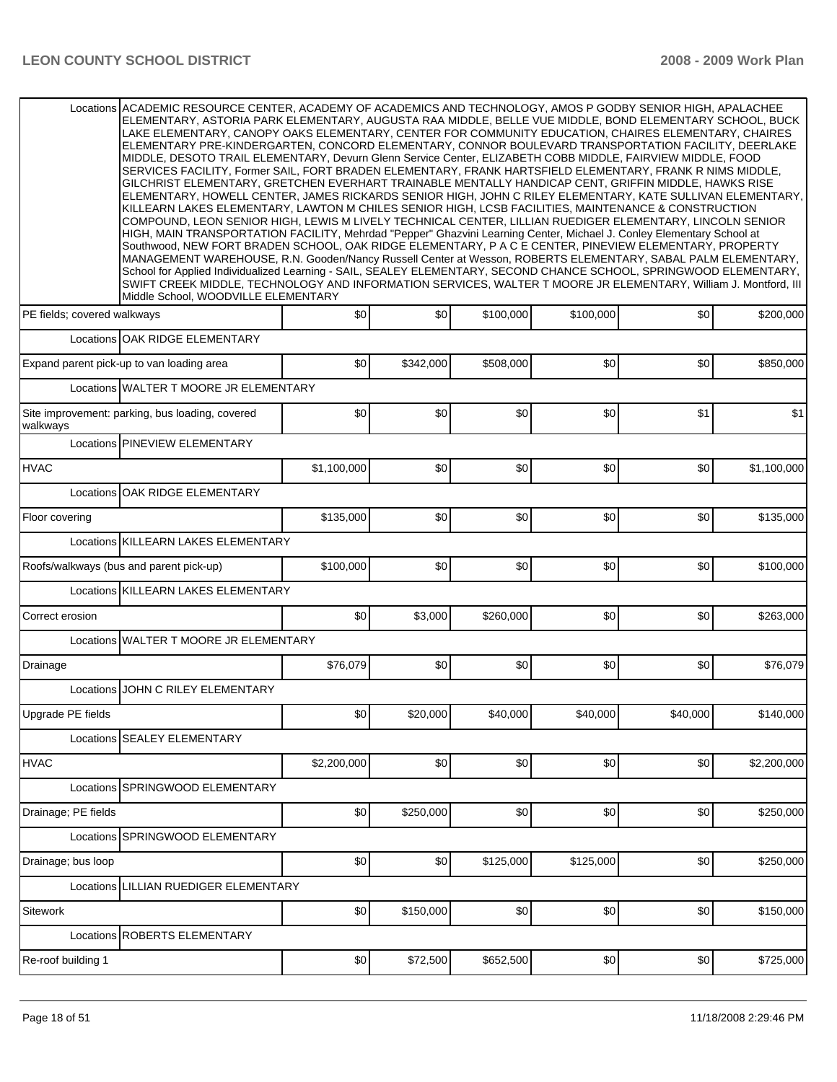| Locations ACADEMIC RESOURCE CENTER, ACADEMY OF ACADEMICS AND TECHNOLOGY, AMOS P GODBY SENIOR HIGH, APALACHEE<br>ELEMENTARY, ASTORIA PARK ELEMENTARY, AUGUSTA RAA MIDDLE, BELLE VUE MIDDLE, BOND ELEMENTARY SCHOOL, BUCK<br>LAKE ELEMENTARY, CANOPY OAKS ELEMENTARY, CENTER FOR COMMUNITY EDUCATION, CHAIRES ELEMENTARY, CHAIRES<br>ELEMENTARY PRE-KINDERGARTEN, CONCORD ELEMENTARY, CONNOR BOULEVARD TRANSPORTATION FACILITY, DEERLAKE<br>MIDDLE, DESOTO TRAIL ELEMENTARY, Devurn Glenn Service Center, ELIZABETH COBB MIDDLE, FAIRVIEW MIDDLE, FOOD<br>SERVICES FACILITY, Former SAIL, FORT BRADEN ELEMENTARY, FRANK HARTSFIELD ELEMENTARY, FRANK R NIMS MIDDLE,<br>GILCHRIST ELEMENTARY, GRETCHEN EVERHART TRAINABLE MENTALLY HANDICAP CENT, GRIFFIN MIDDLE, HAWKS RISE<br>ELEMENTARY, HOWELL CENTER, JAMES RICKARDS SENIOR HIGH, JOHN C RILEY ELEMENTARY, KATE SULLIVAN ELEMENTARY,<br>KILLEARN LAKES ELEMENTARY, LAWTON M CHILES SENIOR HIGH, LCSB FACILITIES, MAINTENANCE & CONSTRUCTION<br>COMPOUND, LEON SENIOR HIGH, LEWIS M LIVELY TECHNICAL CENTER, LILLIAN RUEDIGER ELEMENTARY, LINCOLN SENIOR<br>HIGH, MAIN TRANSPORTATION FACILITY, Mehrdad "Pepper" Ghazvini Learning Center, Michael J. Conley Elementary School at<br>Southwood, NEW FORT BRADEN SCHOOL, OAK RIDGE ELEMENTARY, P A C E CENTER, PINEVIEW ELEMENTARY, PROPERTY<br>MANAGEMENT WAREHOUSE, R.N. Gooden/Nancy Russell Center at Wesson, ROBERTS ELEMENTARY, SABAL PALM ELEMENTARY,<br>School for Applied Individualized Learning - SAIL, SEALEY ELEMENTARY, SECOND CHANCE SCHOOL, SPRINGWOOD ELEMENTARY,<br>SWIFT CREEK MIDDLE, TECHNOLOGY AND INFORMATION SERVICES, WALTER T MOORE JR ELEMENTARY, William J. Montford, III<br>Middle School. WOODVILLE ELEMENTARY |             |           |           |           |          |             |
|----------------------------------------------------------------------------------------------------------------------------------------------------------------------------------------------------------------------------------------------------------------------------------------------------------------------------------------------------------------------------------------------------------------------------------------------------------------------------------------------------------------------------------------------------------------------------------------------------------------------------------------------------------------------------------------------------------------------------------------------------------------------------------------------------------------------------------------------------------------------------------------------------------------------------------------------------------------------------------------------------------------------------------------------------------------------------------------------------------------------------------------------------------------------------------------------------------------------------------------------------------------------------------------------------------------------------------------------------------------------------------------------------------------------------------------------------------------------------------------------------------------------------------------------------------------------------------------------------------------------------------------------------------------------------------------------------------------------------------------------|-------------|-----------|-----------|-----------|----------|-------------|
| PE fields; covered walkways                                                                                                                                                                                                                                                                                                                                                                                                                                                                                                                                                                                                                                                                                                                                                                                                                                                                                                                                                                                                                                                                                                                                                                                                                                                                                                                                                                                                                                                                                                                                                                                                                                                                                                                  | \$0         | \$0       | \$100,000 | \$100,000 | \$0      | \$200,000   |
| Locations OAK RIDGE ELEMENTARY                                                                                                                                                                                                                                                                                                                                                                                                                                                                                                                                                                                                                                                                                                                                                                                                                                                                                                                                                                                                                                                                                                                                                                                                                                                                                                                                                                                                                                                                                                                                                                                                                                                                                                               |             |           |           |           |          |             |
| Expand parent pick-up to van loading area                                                                                                                                                                                                                                                                                                                                                                                                                                                                                                                                                                                                                                                                                                                                                                                                                                                                                                                                                                                                                                                                                                                                                                                                                                                                                                                                                                                                                                                                                                                                                                                                                                                                                                    | \$0         | \$342,000 | \$508,000 | \$0       | \$0      | \$850,000   |
| Locations WALTER T MOORE JR ELEMENTARY                                                                                                                                                                                                                                                                                                                                                                                                                                                                                                                                                                                                                                                                                                                                                                                                                                                                                                                                                                                                                                                                                                                                                                                                                                                                                                                                                                                                                                                                                                                                                                                                                                                                                                       |             |           |           |           |          |             |
| Site improvement: parking, bus loading, covered<br>walkways                                                                                                                                                                                                                                                                                                                                                                                                                                                                                                                                                                                                                                                                                                                                                                                                                                                                                                                                                                                                                                                                                                                                                                                                                                                                                                                                                                                                                                                                                                                                                                                                                                                                                  | \$0         | \$0       | \$0       | \$0       | \$1      | \$1         |
| Locations PINEVIEW ELEMENTARY                                                                                                                                                                                                                                                                                                                                                                                                                                                                                                                                                                                                                                                                                                                                                                                                                                                                                                                                                                                                                                                                                                                                                                                                                                                                                                                                                                                                                                                                                                                                                                                                                                                                                                                |             |           |           |           |          |             |
| <b>HVAC</b>                                                                                                                                                                                                                                                                                                                                                                                                                                                                                                                                                                                                                                                                                                                                                                                                                                                                                                                                                                                                                                                                                                                                                                                                                                                                                                                                                                                                                                                                                                                                                                                                                                                                                                                                  | \$1,100,000 | \$0       | \$0       | \$0       | \$0      | \$1,100,000 |
| OAK RIDGE ELEMENTARY<br>Locations                                                                                                                                                                                                                                                                                                                                                                                                                                                                                                                                                                                                                                                                                                                                                                                                                                                                                                                                                                                                                                                                                                                                                                                                                                                                                                                                                                                                                                                                                                                                                                                                                                                                                                            |             |           |           |           |          |             |
| Floor covering                                                                                                                                                                                                                                                                                                                                                                                                                                                                                                                                                                                                                                                                                                                                                                                                                                                                                                                                                                                                                                                                                                                                                                                                                                                                                                                                                                                                                                                                                                                                                                                                                                                                                                                               | \$135,000   | \$0       | 30        | \$0       | \$0      | \$135,000   |
| Locations KILLEARN LAKES ELEMENTARY                                                                                                                                                                                                                                                                                                                                                                                                                                                                                                                                                                                                                                                                                                                                                                                                                                                                                                                                                                                                                                                                                                                                                                                                                                                                                                                                                                                                                                                                                                                                                                                                                                                                                                          |             |           |           |           |          |             |
| Roofs/walkways (bus and parent pick-up)                                                                                                                                                                                                                                                                                                                                                                                                                                                                                                                                                                                                                                                                                                                                                                                                                                                                                                                                                                                                                                                                                                                                                                                                                                                                                                                                                                                                                                                                                                                                                                                                                                                                                                      | \$100,000   | \$0       | 30        | \$0       | \$0      | \$100,000   |
| Locations KILLEARN LAKES ELEMENTARY                                                                                                                                                                                                                                                                                                                                                                                                                                                                                                                                                                                                                                                                                                                                                                                                                                                                                                                                                                                                                                                                                                                                                                                                                                                                                                                                                                                                                                                                                                                                                                                                                                                                                                          |             |           |           |           |          |             |
| Correct erosion                                                                                                                                                                                                                                                                                                                                                                                                                                                                                                                                                                                                                                                                                                                                                                                                                                                                                                                                                                                                                                                                                                                                                                                                                                                                                                                                                                                                                                                                                                                                                                                                                                                                                                                              | \$0         | \$3,000   | \$260,000 | \$0       | \$0      | \$263,000   |
| WALTER T MOORE JR ELEMENTARY<br>Locations                                                                                                                                                                                                                                                                                                                                                                                                                                                                                                                                                                                                                                                                                                                                                                                                                                                                                                                                                                                                                                                                                                                                                                                                                                                                                                                                                                                                                                                                                                                                                                                                                                                                                                    |             |           |           |           |          |             |
| Drainage                                                                                                                                                                                                                                                                                                                                                                                                                                                                                                                                                                                                                                                                                                                                                                                                                                                                                                                                                                                                                                                                                                                                                                                                                                                                                                                                                                                                                                                                                                                                                                                                                                                                                                                                     | \$76,079    | \$0       | 30        | \$0       | \$0      | \$76,079    |
| JOHN C RILEY ELEMENTARY<br>Locations                                                                                                                                                                                                                                                                                                                                                                                                                                                                                                                                                                                                                                                                                                                                                                                                                                                                                                                                                                                                                                                                                                                                                                                                                                                                                                                                                                                                                                                                                                                                                                                                                                                                                                         |             |           |           |           |          |             |
| Upgrade PE fields                                                                                                                                                                                                                                                                                                                                                                                                                                                                                                                                                                                                                                                                                                                                                                                                                                                                                                                                                                                                                                                                                                                                                                                                                                                                                                                                                                                                                                                                                                                                                                                                                                                                                                                            | \$0         | \$20,000  | \$40,000  | \$40,000  | \$40,000 | \$140,000   |
| Locations SEALEY ELEMENTARY                                                                                                                                                                                                                                                                                                                                                                                                                                                                                                                                                                                                                                                                                                                                                                                                                                                                                                                                                                                                                                                                                                                                                                                                                                                                                                                                                                                                                                                                                                                                                                                                                                                                                                                  |             |           |           |           |          |             |
| <b>HVAC</b>                                                                                                                                                                                                                                                                                                                                                                                                                                                                                                                                                                                                                                                                                                                                                                                                                                                                                                                                                                                                                                                                                                                                                                                                                                                                                                                                                                                                                                                                                                                                                                                                                                                                                                                                  | \$2,200,000 | \$0       | \$0       | \$0       | \$0      | \$2,200,000 |
| Locations SPRINGWOOD ELEMENTARY                                                                                                                                                                                                                                                                                                                                                                                                                                                                                                                                                                                                                                                                                                                                                                                                                                                                                                                                                                                                                                                                                                                                                                                                                                                                                                                                                                                                                                                                                                                                                                                                                                                                                                              |             |           |           |           |          |             |
| Drainage; PE fields                                                                                                                                                                                                                                                                                                                                                                                                                                                                                                                                                                                                                                                                                                                                                                                                                                                                                                                                                                                                                                                                                                                                                                                                                                                                                                                                                                                                                                                                                                                                                                                                                                                                                                                          | \$0         | \$250,000 | \$0       | \$0       | \$0      | \$250,000   |
| Locations SPRINGWOOD ELEMENTARY                                                                                                                                                                                                                                                                                                                                                                                                                                                                                                                                                                                                                                                                                                                                                                                                                                                                                                                                                                                                                                                                                                                                                                                                                                                                                                                                                                                                                                                                                                                                                                                                                                                                                                              |             |           |           |           |          |             |
| Drainage; bus loop                                                                                                                                                                                                                                                                                                                                                                                                                                                                                                                                                                                                                                                                                                                                                                                                                                                                                                                                                                                                                                                                                                                                                                                                                                                                                                                                                                                                                                                                                                                                                                                                                                                                                                                           | \$0         | \$0       | \$125,000 | \$125,000 | \$0      | \$250,000   |
| Locations LILLIAN RUEDIGER ELEMENTARY                                                                                                                                                                                                                                                                                                                                                                                                                                                                                                                                                                                                                                                                                                                                                                                                                                                                                                                                                                                                                                                                                                                                                                                                                                                                                                                                                                                                                                                                                                                                                                                                                                                                                                        |             |           |           |           |          |             |
| Sitework                                                                                                                                                                                                                                                                                                                                                                                                                                                                                                                                                                                                                                                                                                                                                                                                                                                                                                                                                                                                                                                                                                                                                                                                                                                                                                                                                                                                                                                                                                                                                                                                                                                                                                                                     | \$0         | \$150,000 | \$0       | \$0       | \$0      | \$150,000   |
| Locations ROBERTS ELEMENTARY                                                                                                                                                                                                                                                                                                                                                                                                                                                                                                                                                                                                                                                                                                                                                                                                                                                                                                                                                                                                                                                                                                                                                                                                                                                                                                                                                                                                                                                                                                                                                                                                                                                                                                                 |             |           |           |           |          |             |
| Re-roof building 1                                                                                                                                                                                                                                                                                                                                                                                                                                                                                                                                                                                                                                                                                                                                                                                                                                                                                                                                                                                                                                                                                                                                                                                                                                                                                                                                                                                                                                                                                                                                                                                                                                                                                                                           | \$0         | \$72,500  | \$652,500 | \$0       | \$0      | \$725,000   |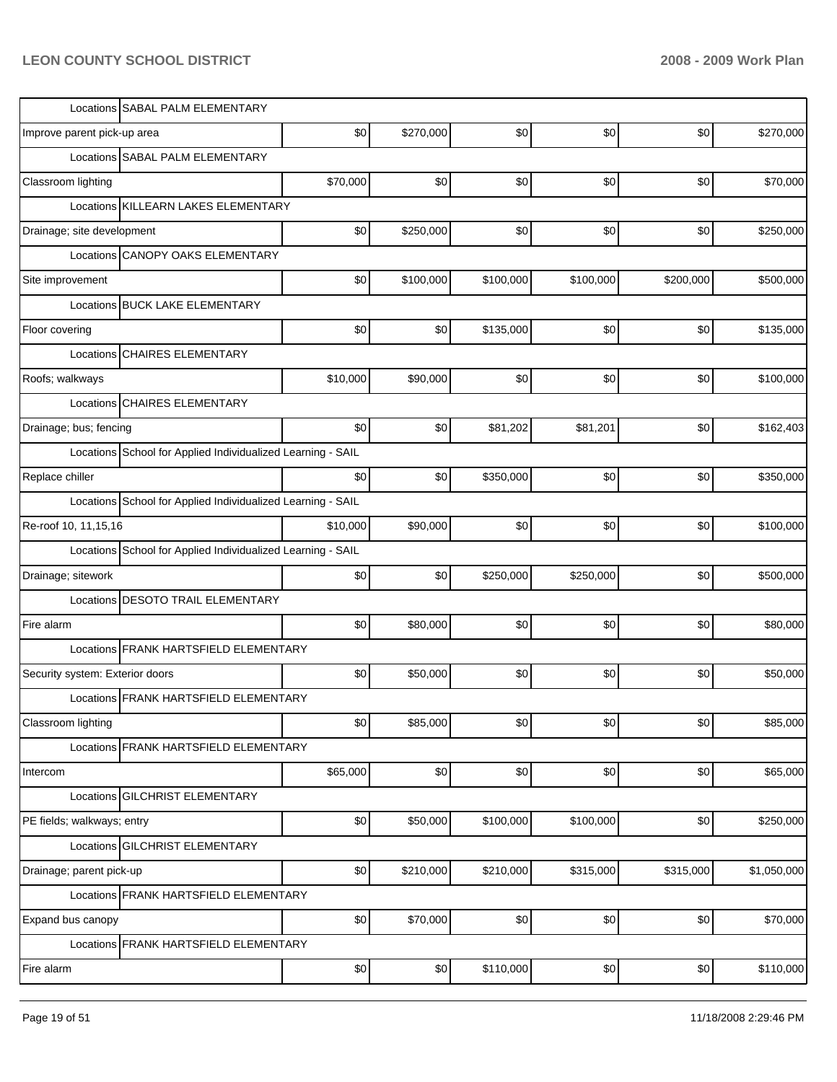| Locations SABAL PALM ELEMENTARY                             |          |           |           |           |           |             |
|-------------------------------------------------------------|----------|-----------|-----------|-----------|-----------|-------------|
| Improve parent pick-up area                                 | \$0      | \$270,000 | \$0       | \$0       | \$0       | \$270,000   |
| Locations SABAL PALM ELEMENTARY                             |          |           |           |           |           |             |
| Classroom lighting                                          | \$70,000 | \$0       | \$0       | \$0       | \$0       | \$70,000    |
| KILLEARN LAKES ELEMENTARY<br>Locations                      |          |           |           |           |           |             |
| Drainage; site development                                  | \$0      | \$250,000 | \$0       | \$0       | \$0       | \$250,000   |
| <b>CANOPY OAKS ELEMENTARY</b><br>Locations                  |          |           |           |           |           |             |
| Site improvement                                            | \$0      | \$100,000 | \$100,000 | \$100,000 | \$200,000 | \$500,000   |
| Locations BUCK LAKE ELEMENTARY                              |          |           |           |           |           |             |
| Floor covering                                              | \$0      | \$0       | \$135,000 | \$0       | \$0       | \$135,000   |
| <b>CHAIRES ELEMENTARY</b><br>Locations                      |          |           |           |           |           |             |
| Roofs; walkways                                             | \$10,000 | \$90,000  | \$0       | \$0       | \$0       | \$100,000   |
| <b>CHAIRES ELEMENTARY</b><br>Locations                      |          |           |           |           |           |             |
| Drainage; bus; fencing                                      | \$0      | \$0       | \$81,202  | \$81,201  | \$0       | \$162,403   |
| Locations School for Applied Individualized Learning - SAIL |          |           |           |           |           |             |
| Replace chiller                                             | \$0      | \$0       | \$350,000 | \$0       | \$0       | \$350,000   |
| Locations School for Applied Individualized Learning - SAIL |          |           |           |           |           |             |
| Re-roof 10, 11, 15, 16                                      | \$10,000 | \$90,000  | \$0       | \$0       | \$0       | \$100,000   |
| Locations School for Applied Individualized Learning - SAIL |          |           |           |           |           |             |
| Drainage; sitework                                          | \$0      | \$0       | \$250,000 | \$250,000 | \$0       | \$500,000   |
| <b>DESOTO TRAIL ELEMENTARY</b><br>Locations                 |          |           |           |           |           |             |
| Fire alarm                                                  | \$0      | \$80,000  | \$0       | \$0       | \$0       | \$80,000    |
| Locations FRANK HARTSFIELD ELEMENTARY                       |          |           |           |           |           |             |
| Security system: Exterior doors                             | \$0      | \$50,000  | \$0       | \$0       | \$0       | \$50,000    |
| Locations FRANK HARTSFIELD ELEMENTARY                       |          |           |           |           |           |             |
| Classroom lighting                                          | \$0      | \$85,000  | \$0]      | \$0       | \$0       | \$85,000    |
| Locations FRANK HARTSFIELD ELEMENTARY                       |          |           |           |           |           |             |
| Intercom                                                    | \$65,000 | \$0       | \$0       | \$0       | \$0       | \$65,000    |
| Locations GILCHRIST ELEMENTARY                              |          |           |           |           |           |             |
| PE fields; walkways; entry                                  | \$0      | \$50,000  | \$100,000 | \$100,000 | \$0       | \$250,000   |
| Locations GILCHRIST ELEMENTARY                              |          |           |           |           |           |             |
| Drainage; parent pick-up                                    | \$0      | \$210,000 | \$210,000 | \$315,000 | \$315,000 | \$1,050,000 |
| Locations FRANK HARTSFIELD ELEMENTARY                       |          |           |           |           |           |             |
| Expand bus canopy                                           | \$0      | \$70,000  | \$0       | \$0       | \$0       | \$70,000    |
| Locations FRANK HARTSFIELD ELEMENTARY                       |          |           |           |           |           |             |
| Fire alarm                                                  | \$0      | \$0       | \$110,000 | \$0       | \$0       | \$110,000   |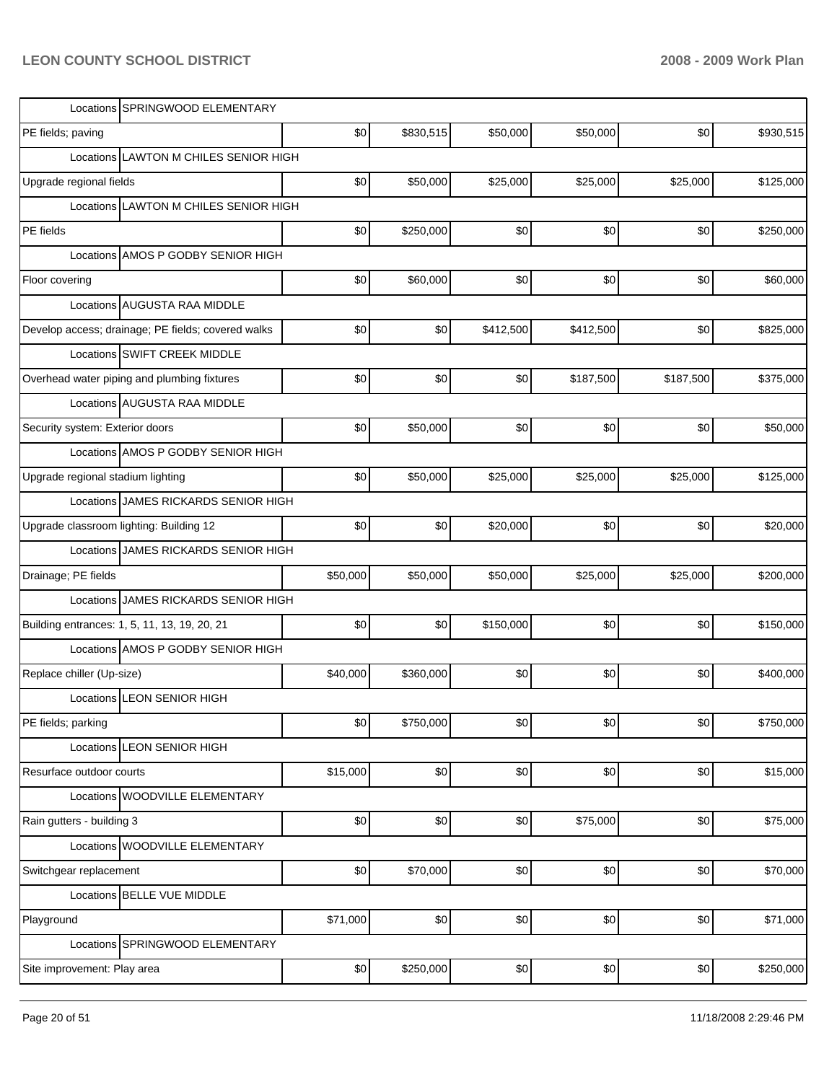| Locations SPRINGWOOD ELEMENTARY                    |          |           |           |           |           |           |
|----------------------------------------------------|----------|-----------|-----------|-----------|-----------|-----------|
| PE fields; paving                                  | \$0      | \$830,515 | \$50,000  | \$50,000  | \$0       | \$930,515 |
| <b>LAWTON M CHILES SENIOR HIGH</b><br>Locations    |          |           |           |           |           |           |
| Upgrade regional fields                            | \$0      | \$50,000  | \$25,000  | \$25,000  | \$25,000  | \$125,000 |
| Locations LAWTON M CHILES SENIOR HIGH              |          |           |           |           |           |           |
| PE fields                                          | \$0      | \$250,000 | \$0       | \$0       | \$0       | \$250,000 |
| Locations AMOS P GODBY SENIOR HIGH                 |          |           |           |           |           |           |
| Floor covering                                     | \$0      | \$60,000  | \$0       | \$0       | \$0       | \$60,000  |
| Locations AUGUSTA RAA MIDDLE                       |          |           |           |           |           |           |
| Develop access; drainage; PE fields; covered walks | \$0      | \$0       | \$412,500 | \$412,500 | \$0       | \$825,000 |
| Locations SWIFT CREEK MIDDLE                       |          |           |           |           |           |           |
| Overhead water piping and plumbing fixtures        | \$0      | \$0       | \$0       | \$187,500 | \$187,500 | \$375,000 |
| Locations AUGUSTA RAA MIDDLE                       |          |           |           |           |           |           |
| Security system: Exterior doors                    | \$0      | \$50,000  | \$0       | \$0       | \$0       | \$50,000  |
| Locations AMOS P GODBY SENIOR HIGH                 |          |           |           |           |           |           |
| Upgrade regional stadium lighting                  | \$0      | \$50,000  | \$25,000  | \$25,000  | \$25,000  | \$125,000 |
| Locations JAMES RICKARDS SENIOR HIGH               |          |           |           |           |           |           |
| Upgrade classroom lighting: Building 12            | \$0      | \$0       | \$20,000  | \$0       | \$0       | \$20,000  |
| Locations JAMES RICKARDS SENIOR HIGH               |          |           |           |           |           |           |
| Drainage; PE fields                                | \$50,000 | \$50,000  | \$50,000  | \$25,000  | \$25,000  | \$200,000 |
| Locations JAMES RICKARDS SENIOR HIGH               |          |           |           |           |           |           |
| Building entrances: 1, 5, 11, 13, 19, 20, 21       | \$0      | \$0       | \$150,000 | \$0       | \$0       | \$150,000 |
| Locations AMOS P GODBY SENIOR HIGH                 |          |           |           |           |           |           |
| Replace chiller (Up-size)                          | \$40,000 | \$360,000 | \$0       | \$0       | \$0       | \$400,000 |
| Locations LEON SENIOR HIGH                         |          |           |           |           |           |           |
| PE fields; parking                                 | \$0      | \$750,000 | \$0]      | \$0       | \$0       | \$750,000 |
| Locations LEON SENIOR HIGH                         |          |           |           |           |           |           |
| Resurface outdoor courts                           | \$15,000 | \$0       | \$0]      | \$0       | \$0       | \$15,000  |
| Locations WOODVILLE ELEMENTARY                     |          |           |           |           |           |           |
| Rain gutters - building 3                          | \$0      | \$0       | \$0]      | \$75,000  | \$0       | \$75,000  |
| Locations WOODVILLE ELEMENTARY                     |          |           |           |           |           |           |
| Switchgear replacement                             | \$0      | \$70,000  | \$0]      | \$0       | \$0       | \$70,000  |
| Locations BELLE VUE MIDDLE                         |          |           |           |           |           |           |
| Playground                                         | \$71,000 | \$0       | \$0       | \$0       | \$0       | \$71,000  |
| Locations SPRINGWOOD ELEMENTARY                    |          |           |           |           |           |           |
| Site improvement: Play area                        | \$0      | \$250,000 | \$0]      | \$0       | \$0       | \$250,000 |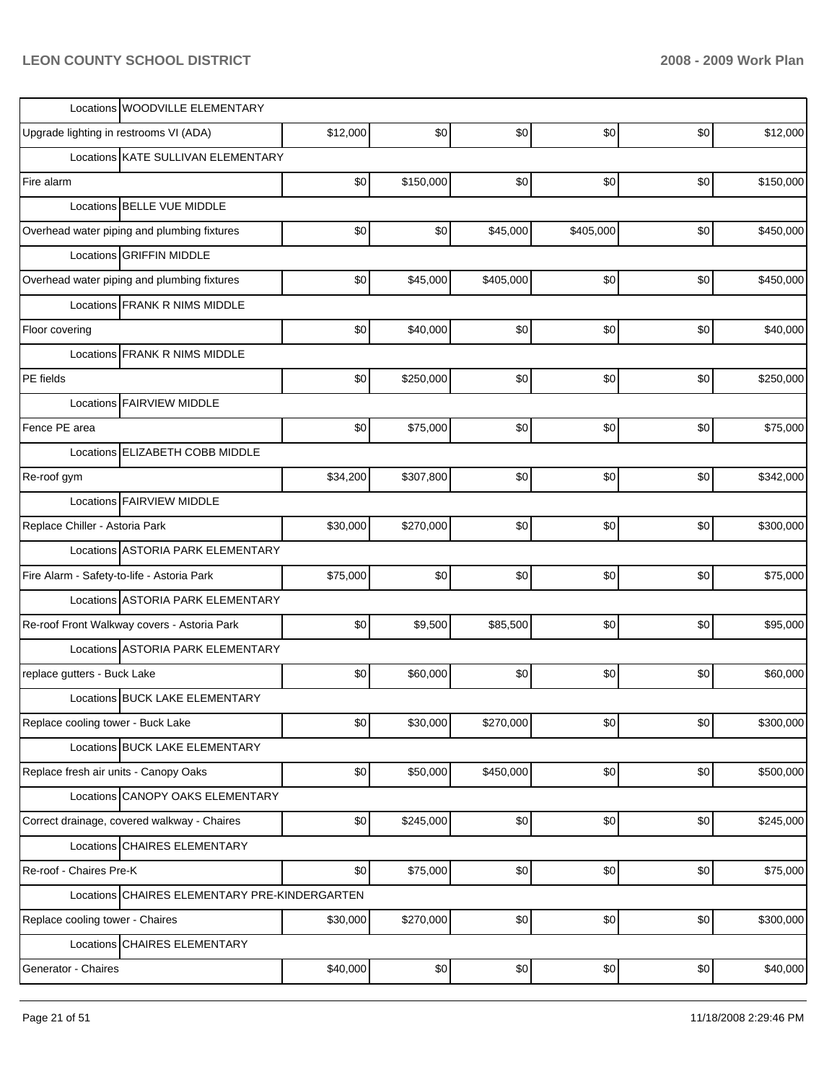| Locations WOODVILLE ELEMENTARY                |          |           |           |           |     |           |
|-----------------------------------------------|----------|-----------|-----------|-----------|-----|-----------|
| Upgrade lighting in restrooms VI (ADA)        | \$12,000 | \$0       | \$0       | \$0       | \$0 | \$12,000  |
| Locations KATE SULLIVAN ELEMENTARY            |          |           |           |           |     |           |
| Fire alarm                                    | \$0      | \$150,000 | \$0       | \$0       | \$0 | \$150,000 |
| Locations BELLE VUE MIDDLE                    |          |           |           |           |     |           |
| Overhead water piping and plumbing fixtures   | \$0      | \$0       | \$45,000  | \$405,000 | \$0 | \$450,000 |
| Locations GRIFFIN MIDDLE                      |          |           |           |           |     |           |
| Overhead water piping and plumbing fixtures   | \$0      | \$45,000  | \$405,000 | \$0       | \$0 | \$450,000 |
| Locations FRANK R NIMS MIDDLE                 |          |           |           |           |     |           |
| Floor covering                                | \$0      | \$40,000  | \$0       | \$0       | \$0 | \$40,000  |
| Locations FRANK R NIMS MIDDLE                 |          |           |           |           |     |           |
| PE fields                                     | \$0      | \$250,000 | \$0       | \$0       | \$0 | \$250,000 |
| Locations FAIRVIEW MIDDLE                     |          |           |           |           |     |           |
| Fence PE area                                 | \$0      | \$75,000  | \$0       | \$0       | \$0 | \$75,000  |
| Locations ELIZABETH COBB MIDDLE               |          |           |           |           |     |           |
| Re-roof gym                                   | \$34,200 | \$307,800 | \$0       | \$0       | \$0 | \$342,000 |
| Locations FAIRVIEW MIDDLE                     |          |           |           |           |     |           |
| Replace Chiller - Astoria Park                | \$30,000 | \$270,000 | \$0       | \$0       | \$0 | \$300,000 |
| Locations ASTORIA PARK ELEMENTARY             |          |           |           |           |     |           |
| Fire Alarm - Safety-to-life - Astoria Park    | \$75,000 | \$0       | \$0       | \$0       | \$0 | \$75,000  |
| Locations ASTORIA PARK ELEMENTARY             |          |           |           |           |     |           |
| Re-roof Front Walkway covers - Astoria Park   | \$0      | \$9,500   | \$85,500  | \$0       | \$0 | \$95,000  |
| Locations ASTORIA PARK ELEMENTARY             |          |           |           |           |     |           |
| replace gutters - Buck Lake                   | \$0      | \$60,000  | \$0       | \$0       | \$0 | \$60,000  |
| Locations BUCK LAKE ELEMENTARY                |          |           |           |           |     |           |
| Replace cooling tower - Buck Lake             | \$0      | \$30,000  | \$270,000 | \$0       | \$0 | \$300,000 |
| Locations BUCK LAKE ELEMENTARY                |          |           |           |           |     |           |
| Replace fresh air units - Canopy Oaks         | \$0      | \$50,000  | \$450,000 | \$0       | \$0 | \$500,000 |
| Locations CANOPY OAKS ELEMENTARY              |          |           |           |           |     |           |
| Correct drainage, covered walkway - Chaires   | \$0      | \$245,000 | \$0       | \$0       | \$0 | \$245,000 |
| Locations CHAIRES ELEMENTARY                  |          |           |           |           |     |           |
| Re-roof - Chaires Pre-K                       | \$0      | \$75,000  | \$0       | \$0       | \$0 | \$75,000  |
| Locations CHAIRES ELEMENTARY PRE-KINDERGARTEN |          |           |           |           |     |           |
| Replace cooling tower - Chaires               | \$30,000 | \$270,000 | \$0       | \$0       | \$0 | \$300,000 |
| Locations CHAIRES ELEMENTARY                  |          |           |           |           |     |           |
| Generator - Chaires                           | \$40,000 | \$0       | \$0       | \$0       | \$0 | \$40,000  |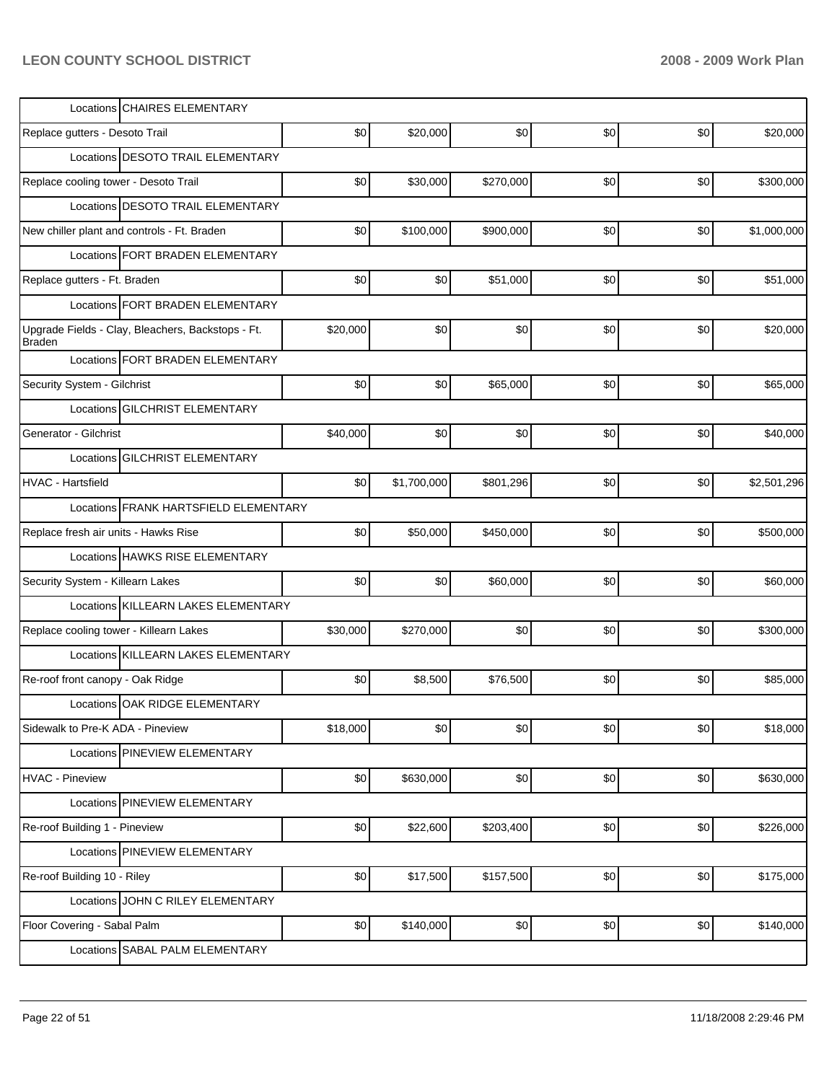| Locations CHAIRES ELEMENTARY                                       |          |             |           |     |     |             |
|--------------------------------------------------------------------|----------|-------------|-----------|-----|-----|-------------|
| Replace gutters - Desoto Trail                                     | \$0      | \$20,000    | \$0       | \$0 | \$0 | \$20,000    |
| Locations <b>IDESOTO TRAIL ELEMENTARY</b>                          |          |             |           |     |     |             |
| Replace cooling tower - Desoto Trail                               | \$0      | \$30,000    | \$270,000 | \$0 | \$0 | \$300,000   |
| Locations DESOTO TRAIL ELEMENTARY                                  |          |             |           |     |     |             |
| New chiller plant and controls - Ft. Braden                        | \$0      | \$100,000   | \$900,000 | \$0 | \$0 | \$1,000,000 |
| Locations   FORT BRADEN ELEMENTARY                                 |          |             |           |     |     |             |
| Replace gutters - Ft. Braden                                       | \$0      | \$0         | \$51,000  | \$0 | \$0 | \$51,000    |
| Locations FORT BRADEN ELEMENTARY                                   |          |             |           |     |     |             |
| Upgrade Fields - Clay, Bleachers, Backstops - Ft.<br><b>Braden</b> | \$20,000 | \$0         | \$0       | \$0 | \$0 | \$20,000    |
| Locations FORT BRADEN ELEMENTARY                                   |          |             |           |     |     |             |
| Security System - Gilchrist                                        | \$0      | \$0         | \$65,000  | \$0 | \$0 | \$65,000    |
| Locations GILCHRIST ELEMENTARY                                     |          |             |           |     |     |             |
| Generator - Gilchrist                                              | \$40,000 | \$0         | \$0       | \$0 | \$0 | \$40,000    |
| Locations GILCHRIST ELEMENTARY                                     |          |             |           |     |     |             |
| <b>HVAC - Hartsfield</b>                                           | \$0      | \$1,700,000 | \$801,296 | \$0 | \$0 | \$2,501,296 |
| Locations FRANK HARTSFIELD ELEMENTARY                              |          |             |           |     |     |             |
| Replace fresh air units - Hawks Rise                               | \$0      | \$50,000    | \$450,000 | \$0 | \$0 | \$500,000   |
| Locations HAWKS RISE ELEMENTARY                                    |          |             |           |     |     |             |
| Security System - Killearn Lakes                                   | \$0      | \$0         | \$60,000  | \$0 | \$0 | \$60,000    |
| Locations KILLEARN LAKES ELEMENTARY                                |          |             |           |     |     |             |
| Replace cooling tower - Killearn Lakes                             | \$30,000 | \$270,000   | \$0       | \$0 | \$0 | \$300,000   |
| Locations KILLEARN LAKES ELEMENTARY                                |          |             |           |     |     |             |
| Re-roof front canopy - Oak Ridge                                   | \$0      | \$8,500     | \$76,500  | \$0 | \$0 | \$85,000    |
| Locations OAK RIDGE ELEMENTARY                                     |          |             |           |     |     |             |
| Sidewalk to Pre-K ADA - Pineview                                   | \$18,000 | \$0         | \$0       | \$0 | \$0 | \$18,000    |
| Locations PINEVIEW ELEMENTARY                                      |          |             |           |     |     |             |
| <b>HVAC - Pineview</b>                                             | \$0      | \$630,000   | \$0]      | \$0 | \$0 | \$630,000   |
| Locations PINEVIEW ELEMENTARY                                      |          |             |           |     |     |             |
| Re-roof Building 1 - Pineview                                      | \$0      | \$22,600    | \$203,400 | \$0 | \$0 | \$226,000   |
| Locations PINEVIEW ELEMENTARY                                      |          |             |           |     |     |             |
| Re-roof Building 10 - Riley                                        | \$0      | \$17,500    | \$157,500 | \$0 | \$0 | \$175,000   |
| Locations JOHN C RILEY ELEMENTARY                                  |          |             |           |     |     |             |
| Floor Covering - Sabal Palm                                        | \$0      | \$140,000   | \$0]      | \$0 | \$0 | \$140,000   |
| Locations SABAL PALM ELEMENTARY                                    |          |             |           |     |     |             |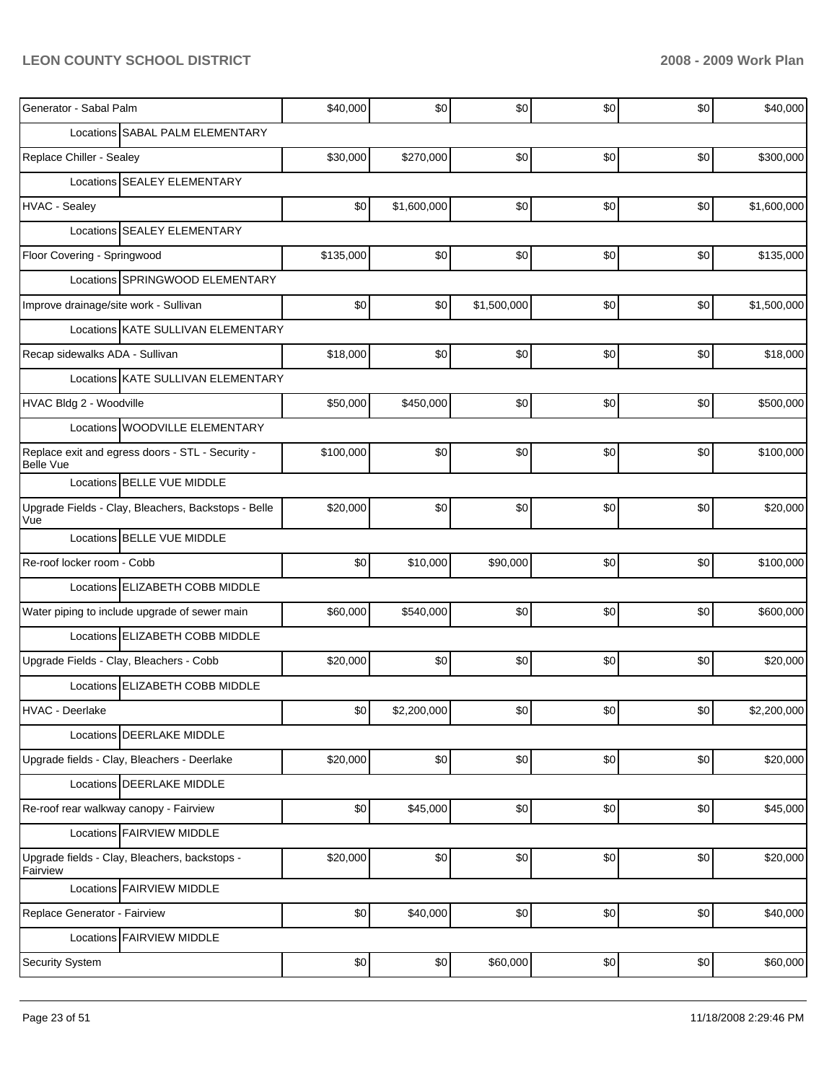| Generator - Sabal Palm                                               | \$40,000  | \$0         | \$0         | \$0   | \$0    | \$40,000    |
|----------------------------------------------------------------------|-----------|-------------|-------------|-------|--------|-------------|
| Locations SABAL PALM ELEMENTARY                                      |           |             |             |       |        |             |
| Replace Chiller - Sealey                                             | \$30,000  | \$270,000   | \$0         | \$0   | \$0    | \$300,000   |
| Locations SEALEY ELEMENTARY                                          |           |             |             |       |        |             |
| <b>HVAC - Sealey</b>                                                 | \$0       | \$1,600,000 | \$0         | \$0   | \$0    | \$1,600,000 |
| Locations SEALEY ELEMENTARY                                          |           |             |             |       |        |             |
| Floor Covering - Springwood                                          | \$135,000 | \$0         | \$0         | \$0   | \$0    | \$135,000   |
| Locations SPRINGWOOD ELEMENTARY                                      |           |             |             |       |        |             |
| Improve drainage/site work - Sullivan                                | \$0       | \$0         | \$1,500,000 | \$0   | \$0    | \$1,500,000 |
| Locations KATE SULLIVAN ELEMENTARY                                   |           |             |             |       |        |             |
| Recap sidewalks ADA - Sullivan                                       | \$18,000  | \$0         | \$0         | \$0   | \$0    | \$18,000    |
| Locations KATE SULLIVAN ELEMENTARY                                   |           |             |             |       |        |             |
| HVAC Bldg 2 - Woodville                                              | \$50,000  | \$450,000   | \$0         | \$0   | \$0    | \$500,000   |
| Locations WOODVILLE ELEMENTARY                                       |           |             |             |       |        |             |
| Replace exit and egress doors - STL - Security -<br><b>Belle Vue</b> | \$100,000 | \$0         | \$0         | \$0   | \$0    | \$100,000   |
| Locations BELLE VUE MIDDLE                                           |           |             |             |       |        |             |
| Upgrade Fields - Clay, Bleachers, Backstops - Belle<br>Vue           | \$20,000  | \$0         | \$0         | \$0   | \$0    | \$20,000    |
| Locations BELLE VUE MIDDLE                                           |           |             |             |       |        |             |
| Re-roof locker room - Cobb                                           | \$0       | \$10,000    | \$90,000    | \$0   | \$0    | \$100,000   |
| Locations ELIZABETH COBB MIDDLE                                      |           |             |             |       |        |             |
| Water piping to include upgrade of sewer main                        | \$60,000  | \$540,000   | \$0         | \$0   | \$0    | \$600,000   |
| Locations ELIZABETH COBB MIDDLE                                      |           |             |             |       |        |             |
| Upgrade Fields - Clay, Bleachers - Cobb                              | \$20,000  | \$0         | \$0         | \$0   | \$0    | \$20,000    |
| Locations ELIZABETH COBB MIDDLE                                      |           |             |             |       |        |             |
| HVAC - Deerlake                                                      | \$0       | \$2,200,000 | \$0]        | $\$0$ | $$0\,$ | \$2,200,000 |
| Locations DEERLAKE MIDDLE                                            |           |             |             |       |        |             |
| Upgrade fields - Clay, Bleachers - Deerlake                          | \$20,000  | \$0         | \$0         | \$0   | \$0    | \$20,000    |
| Locations DEERLAKE MIDDLE                                            |           |             |             |       |        |             |
| Re-roof rear walkway canopy - Fairview                               | \$0       | \$45,000    | \$0]        | \$0   | \$0    | \$45,000    |
| Locations FAIRVIEW MIDDLE                                            |           |             |             |       |        |             |
| Upgrade fields - Clay, Bleachers, backstops -<br>Fairview            | \$20,000  | \$0         | \$0         | \$0   | \$0    | \$20,000    |
| Locations FAIRVIEW MIDDLE                                            |           |             |             |       |        |             |
| Replace Generator - Fairview                                         | \$0       | \$40,000    | \$0         | \$0   | \$0    | \$40,000    |
| Locations FAIRVIEW MIDDLE                                            |           |             |             |       |        |             |
| Security System                                                      | \$0       | \$0         | \$60,000    | \$0   | \$0    | \$60,000    |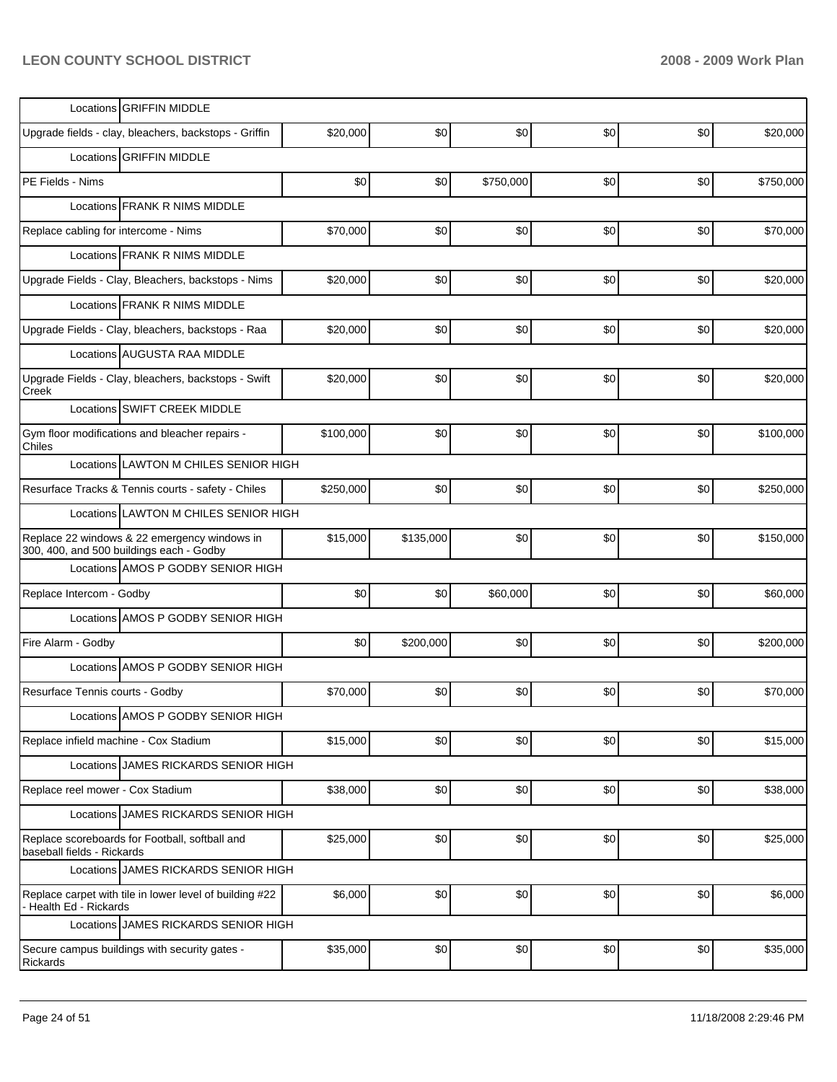| Locations GRIFFIN MIDDLE                                                                 |           |           |           |     |     |           |
|------------------------------------------------------------------------------------------|-----------|-----------|-----------|-----|-----|-----------|
| Upgrade fields - clay, bleachers, backstops - Griffin                                    | \$20,000  | \$0       | \$0       | \$0 | \$0 | \$20,000  |
| Locations GRIFFIN MIDDLE                                                                 |           |           |           |     |     |           |
| PE Fields - Nims                                                                         | \$0       | \$0       | \$750,000 | \$0 | \$0 | \$750,000 |
| Locations FRANK R NIMS MIDDLE                                                            |           |           |           |     |     |           |
| Replace cabling for intercome - Nims                                                     | \$70,000  | \$0       | \$0       | \$0 | \$0 | \$70,000  |
| Locations FRANK R NIMS MIDDLE                                                            |           |           |           |     |     |           |
| Upgrade Fields - Clay, Bleachers, backstops - Nims                                       | \$20,000  | \$0       | \$0       | \$0 | \$0 | \$20,000  |
| Locations FRANK R NIMS MIDDLE                                                            |           |           |           |     |     |           |
| Upgrade Fields - Clay, bleachers, backstops - Raa                                        | \$20,000  | \$0       | \$0       | \$0 | \$0 | \$20,000  |
| Locations AUGUSTA RAA MIDDLE                                                             |           |           |           |     |     |           |
| Upgrade Fields - Clay, bleachers, backstops - Swift<br>Creek                             | \$20,000  | \$0       | \$0       | \$0 | \$0 | \$20,000  |
| Locations SWIFT CREEK MIDDLE                                                             |           |           |           |     |     |           |
| Gym floor modifications and bleacher repairs -<br>Chiles                                 | \$100.000 | \$0       | \$0       | \$0 | \$0 | \$100,000 |
| Locations LAWTON M CHILES SENIOR HIGH                                                    |           |           |           |     |     |           |
| Resurface Tracks & Tennis courts - safety - Chiles                                       | \$250,000 | \$0       | \$0       | \$0 | \$0 | \$250,000 |
| Locations LAWTON M CHILES SENIOR HIGH                                                    |           |           |           |     |     |           |
| Replace 22 windows & 22 emergency windows in<br>300, 400, and 500 buildings each - Godby | \$15,000  | \$135,000 | \$0       | \$0 | \$0 | \$150,000 |
| Locations AMOS P GODBY SENIOR HIGH                                                       |           |           |           |     |     |           |
| Replace Intercom - Godby                                                                 | \$0       | \$0       | \$60,000  | \$0 | \$0 | \$60,000  |
| Locations AMOS P GODBY SENIOR HIGH                                                       |           |           |           |     |     |           |
| Fire Alarm - Godby                                                                       | \$0       | \$200,000 | \$0       | \$0 | \$0 | \$200,000 |
| Locations AMOS P GODBY SENIOR HIGH                                                       |           |           |           |     |     |           |
| Resurface Tennis courts - Godby                                                          | \$70,000  | \$0       | \$0       | \$0 | \$0 | \$70,000  |
| Locations AMOS P GODBY SENIOR HIGH                                                       |           |           |           |     |     |           |
| Replace infield machine - Cox Stadium                                                    | \$15,000  | \$0       | \$0       | \$0 | \$0 | \$15,000  |
| Locations JAMES RICKARDS SENIOR HIGH                                                     |           |           |           |     |     |           |
| Replace reel mower - Cox Stadium                                                         | \$38,000  | \$0       | \$0       | \$0 | \$0 | \$38,000  |
| Locations JAMES RICKARDS SENIOR HIGH                                                     |           |           |           |     |     |           |
| Replace scoreboards for Football, softball and<br>baseball fields - Rickards             | \$25,000  | \$0       | \$0       | \$0 | \$0 | \$25,000  |
| Locations JAMES RICKARDS SENIOR HIGH                                                     |           |           |           |     |     |           |
| Replace carpet with tile in lower level of building #22<br>Health Ed - Rickards          | \$6,000   | \$0       | \$0       | \$0 | \$0 | \$6,000   |
| Locations JAMES RICKARDS SENIOR HIGH                                                     |           |           |           |     |     |           |
| Secure campus buildings with security gates -<br>Rickards                                | \$35,000  | \$0       | \$0       | \$0 | \$0 | \$35,000  |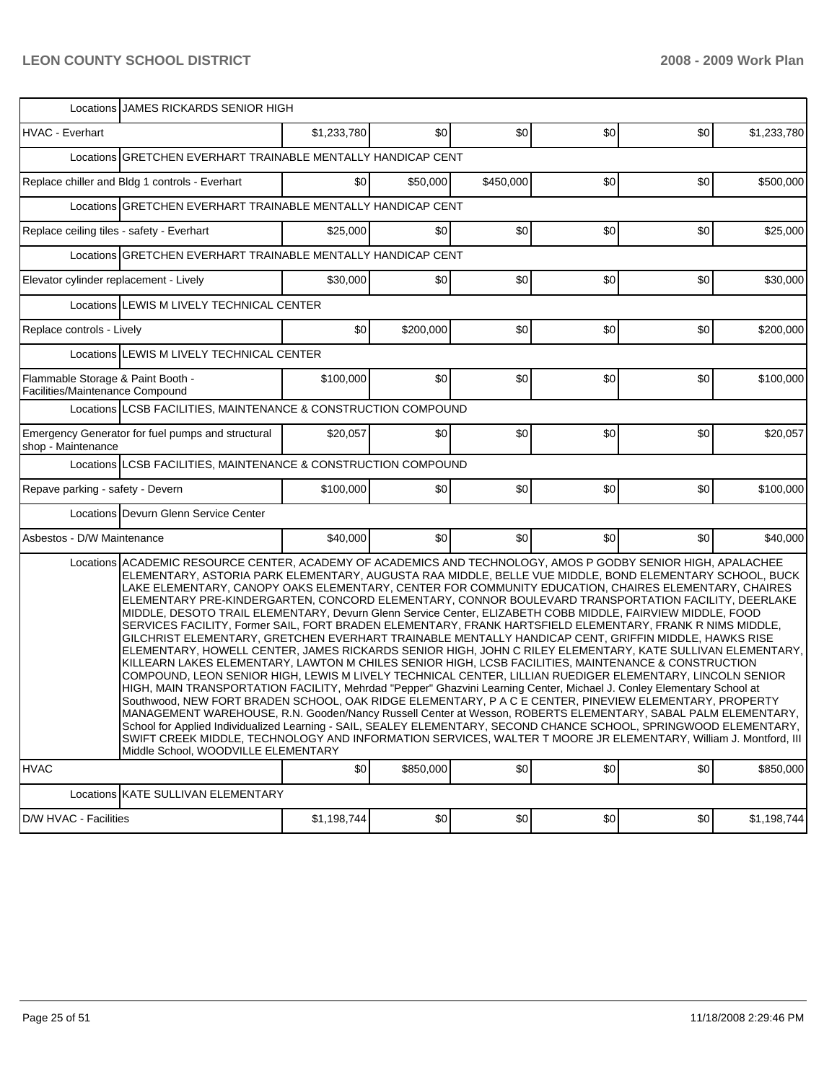|                                                                      | Locations JJAMES RICKARDS SENIOR HIGH                                                                                                                                                                                                                                                                                                                                                                                                                                                                                                                                                                                                                                                                                                                                                                                                                                                                                                                                                                                                                                                                                                                                                                                                                                                                                                                                                                                                                                                                                                                                                                                                                                                                                                          |             |           |           |     |     |             |  |  |  |  |
|----------------------------------------------------------------------|------------------------------------------------------------------------------------------------------------------------------------------------------------------------------------------------------------------------------------------------------------------------------------------------------------------------------------------------------------------------------------------------------------------------------------------------------------------------------------------------------------------------------------------------------------------------------------------------------------------------------------------------------------------------------------------------------------------------------------------------------------------------------------------------------------------------------------------------------------------------------------------------------------------------------------------------------------------------------------------------------------------------------------------------------------------------------------------------------------------------------------------------------------------------------------------------------------------------------------------------------------------------------------------------------------------------------------------------------------------------------------------------------------------------------------------------------------------------------------------------------------------------------------------------------------------------------------------------------------------------------------------------------------------------------------------------------------------------------------------------|-------------|-----------|-----------|-----|-----|-------------|--|--|--|--|
| HVAC - Everhart                                                      |                                                                                                                                                                                                                                                                                                                                                                                                                                                                                                                                                                                                                                                                                                                                                                                                                                                                                                                                                                                                                                                                                                                                                                                                                                                                                                                                                                                                                                                                                                                                                                                                                                                                                                                                                | \$1,233,780 | \$0       | \$0       | \$0 | \$0 | \$1,233,780 |  |  |  |  |
|                                                                      | Locations GRETCHEN EVERHART TRAINABLE MENTALLY HANDICAP CENT                                                                                                                                                                                                                                                                                                                                                                                                                                                                                                                                                                                                                                                                                                                                                                                                                                                                                                                                                                                                                                                                                                                                                                                                                                                                                                                                                                                                                                                                                                                                                                                                                                                                                   |             |           |           |     |     |             |  |  |  |  |
|                                                                      | Replace chiller and Bldg 1 controls - Everhart                                                                                                                                                                                                                                                                                                                                                                                                                                                                                                                                                                                                                                                                                                                                                                                                                                                                                                                                                                                                                                                                                                                                                                                                                                                                                                                                                                                                                                                                                                                                                                                                                                                                                                 | \$0         | \$50,000  | \$450,000 | \$0 | \$0 | \$500,000   |  |  |  |  |
|                                                                      | Locations GRETCHEN EVERHART TRAINABLE MENTALLY HANDICAP CENT                                                                                                                                                                                                                                                                                                                                                                                                                                                                                                                                                                                                                                                                                                                                                                                                                                                                                                                                                                                                                                                                                                                                                                                                                                                                                                                                                                                                                                                                                                                                                                                                                                                                                   |             |           |           |     |     |             |  |  |  |  |
| Replace ceiling tiles - safety - Everhart                            |                                                                                                                                                                                                                                                                                                                                                                                                                                                                                                                                                                                                                                                                                                                                                                                                                                                                                                                                                                                                                                                                                                                                                                                                                                                                                                                                                                                                                                                                                                                                                                                                                                                                                                                                                | \$25,000    | \$0       | \$0       | \$0 | \$0 | \$25,000    |  |  |  |  |
|                                                                      | Locations GRETCHEN EVERHART TRAINABLE MENTALLY HANDICAP CENT                                                                                                                                                                                                                                                                                                                                                                                                                                                                                                                                                                                                                                                                                                                                                                                                                                                                                                                                                                                                                                                                                                                                                                                                                                                                                                                                                                                                                                                                                                                                                                                                                                                                                   |             |           |           |     |     |             |  |  |  |  |
| Elevator cylinder replacement - Lively                               |                                                                                                                                                                                                                                                                                                                                                                                                                                                                                                                                                                                                                                                                                                                                                                                                                                                                                                                                                                                                                                                                                                                                                                                                                                                                                                                                                                                                                                                                                                                                                                                                                                                                                                                                                | \$30,000    | \$0       | \$0       | \$0 | \$0 | \$30,000    |  |  |  |  |
|                                                                      | Locations LEWIS M LIVELY TECHNICAL CENTER                                                                                                                                                                                                                                                                                                                                                                                                                                                                                                                                                                                                                                                                                                                                                                                                                                                                                                                                                                                                                                                                                                                                                                                                                                                                                                                                                                                                                                                                                                                                                                                                                                                                                                      |             |           |           |     |     |             |  |  |  |  |
| Replace controls - Lively                                            |                                                                                                                                                                                                                                                                                                                                                                                                                                                                                                                                                                                                                                                                                                                                                                                                                                                                                                                                                                                                                                                                                                                                                                                                                                                                                                                                                                                                                                                                                                                                                                                                                                                                                                                                                | \$0         | \$200,000 | \$0       | \$0 | \$0 | \$200,000   |  |  |  |  |
|                                                                      | Locations LEWIS M LIVELY TECHNICAL CENTER                                                                                                                                                                                                                                                                                                                                                                                                                                                                                                                                                                                                                                                                                                                                                                                                                                                                                                                                                                                                                                                                                                                                                                                                                                                                                                                                                                                                                                                                                                                                                                                                                                                                                                      |             |           |           |     |     |             |  |  |  |  |
| Flammable Storage & Paint Booth -<br>Facilities/Maintenance Compound |                                                                                                                                                                                                                                                                                                                                                                                                                                                                                                                                                                                                                                                                                                                                                                                                                                                                                                                                                                                                                                                                                                                                                                                                                                                                                                                                                                                                                                                                                                                                                                                                                                                                                                                                                | \$100,000   | \$0       | \$0       | \$0 | \$0 | \$100,000   |  |  |  |  |
|                                                                      | Locations LCSB FACILITIES, MAINTENANCE & CONSTRUCTION COMPOUND                                                                                                                                                                                                                                                                                                                                                                                                                                                                                                                                                                                                                                                                                                                                                                                                                                                                                                                                                                                                                                                                                                                                                                                                                                                                                                                                                                                                                                                                                                                                                                                                                                                                                 |             |           |           |     |     |             |  |  |  |  |
| shop - Maintenance                                                   | Emergency Generator for fuel pumps and structural                                                                                                                                                                                                                                                                                                                                                                                                                                                                                                                                                                                                                                                                                                                                                                                                                                                                                                                                                                                                                                                                                                                                                                                                                                                                                                                                                                                                                                                                                                                                                                                                                                                                                              | \$20,057    | \$0       | \$0       | \$0 | \$0 | \$20,057    |  |  |  |  |
|                                                                      | Locations LCSB FACILITIES, MAINTENANCE & CONSTRUCTION COMPOUND                                                                                                                                                                                                                                                                                                                                                                                                                                                                                                                                                                                                                                                                                                                                                                                                                                                                                                                                                                                                                                                                                                                                                                                                                                                                                                                                                                                                                                                                                                                                                                                                                                                                                 |             |           |           |     |     |             |  |  |  |  |
| Repave parking - safety - Devern                                     |                                                                                                                                                                                                                                                                                                                                                                                                                                                                                                                                                                                                                                                                                                                                                                                                                                                                                                                                                                                                                                                                                                                                                                                                                                                                                                                                                                                                                                                                                                                                                                                                                                                                                                                                                | \$100,000   | \$0       | \$0       | \$0 | \$0 | \$100,000   |  |  |  |  |
|                                                                      | Locations Devurn Glenn Service Center                                                                                                                                                                                                                                                                                                                                                                                                                                                                                                                                                                                                                                                                                                                                                                                                                                                                                                                                                                                                                                                                                                                                                                                                                                                                                                                                                                                                                                                                                                                                                                                                                                                                                                          |             |           |           |     |     |             |  |  |  |  |
| Asbestos - D/W Maintenance                                           |                                                                                                                                                                                                                                                                                                                                                                                                                                                                                                                                                                                                                                                                                                                                                                                                                                                                                                                                                                                                                                                                                                                                                                                                                                                                                                                                                                                                                                                                                                                                                                                                                                                                                                                                                | \$40,000    | \$0       | \$0       | \$0 | \$0 | \$40,000    |  |  |  |  |
|                                                                      | Locations ACADEMIC RESOURCE CENTER, ACADEMY OF ACADEMICS AND TECHNOLOGY, AMOS P GODBY SENIOR HIGH, APALACHEE<br>ELEMENTARY, ASTORIA PARK ELEMENTARY, AUGUSTA RAA MIDDLE, BELLE VUE MIDDLE, BOND ELEMENTARY SCHOOL, BUCK<br>LAKE ELEMENTARY, CANOPY OAKS ELEMENTARY, CENTER FOR COMMUNITY EDUCATION, CHAIRES ELEMENTARY, CHAIRES<br>ELEMENTARY PRE-KINDERGARTEN, CONCORD ELEMENTARY, CONNOR BOULEVARD TRANSPORTATION FACILITY, DEERLAKE<br>MIDDLE, DESOTO TRAIL ELEMENTARY, Devurn Glenn Service Center, ELIZABETH COBB MIDDLE, FAIRVIEW MIDDLE, FOOD<br>SERVICES FACILITY, Former SAIL, FORT BRADEN ELEMENTARY, FRANK HARTSFIELD ELEMENTARY, FRANK R NIMS MIDDLE,<br>GILCHRIST ELEMENTARY, GRETCHEN EVERHART TRAINABLE MENTALLY HANDICAP CENT, GRIFFIN MIDDLE, HAWKS RISE<br>ELEMENTARY, HOWELL CENTER, JAMES RICKARDS SENIOR HIGH, JOHN C RILEY ELEMENTARY, KATE SULLIVAN ELEMENTARY,  <br>KILLEARN LAKES ELEMENTARY, LAWTON M CHILES SENIOR HIGH, LCSB FACILITIES, MAINTENANCE & CONSTRUCTION<br>COMPOUND, LEON SENIOR HIGH, LEWIS M LIVELY TECHNICAL CENTER, LILLIAN RUEDIGER ELEMENTARY, LINCOLN SENIOR<br>HIGH, MAIN TRANSPORTATION FACILITY, Mehrdad "Pepper" Ghazvini Learning Center, Michael J. Conley Elementary School at<br>Southwood, NEW FORT BRADEN SCHOOL, OAK RIDGE ELEMENTARY, P A C E CENTER, PINEVIEW ELEMENTARY, PROPERTY<br>MANAGEMENT WAREHOUSE, R.N. Gooden/Nancy Russell Center at Wesson, ROBERTS ELEMENTARY, SABAL PALM ELEMENTARY,<br>School for Applied Individualized Learning - SAIL, SEALEY ELEMENTARY, SECOND CHANCE SCHOOL, SPRINGWOOD ELEMENTARY,<br>SWIFT CREEK MIDDLE, TECHNOLOGY AND INFORMATION SERVICES, WALTER T MOORE JR ELEMENTARY, William J. Montford, III<br>Middle School. WOODVILLE ELEMENTARY |             |           |           |     |     |             |  |  |  |  |
| <b>HVAC</b>                                                          |                                                                                                                                                                                                                                                                                                                                                                                                                                                                                                                                                                                                                                                                                                                                                                                                                                                                                                                                                                                                                                                                                                                                                                                                                                                                                                                                                                                                                                                                                                                                                                                                                                                                                                                                                | \$0         | \$850,000 | \$0       | \$0 | \$0 | \$850,000   |  |  |  |  |
|                                                                      | Locations KATE SULLIVAN ELEMENTARY                                                                                                                                                                                                                                                                                                                                                                                                                                                                                                                                                                                                                                                                                                                                                                                                                                                                                                                                                                                                                                                                                                                                                                                                                                                                                                                                                                                                                                                                                                                                                                                                                                                                                                             |             |           |           |     |     |             |  |  |  |  |
| D/W HVAC - Facilities                                                |                                                                                                                                                                                                                                                                                                                                                                                                                                                                                                                                                                                                                                                                                                                                                                                                                                                                                                                                                                                                                                                                                                                                                                                                                                                                                                                                                                                                                                                                                                                                                                                                                                                                                                                                                | \$1,198,744 | \$0       | \$0       | \$0 | \$0 | \$1,198,744 |  |  |  |  |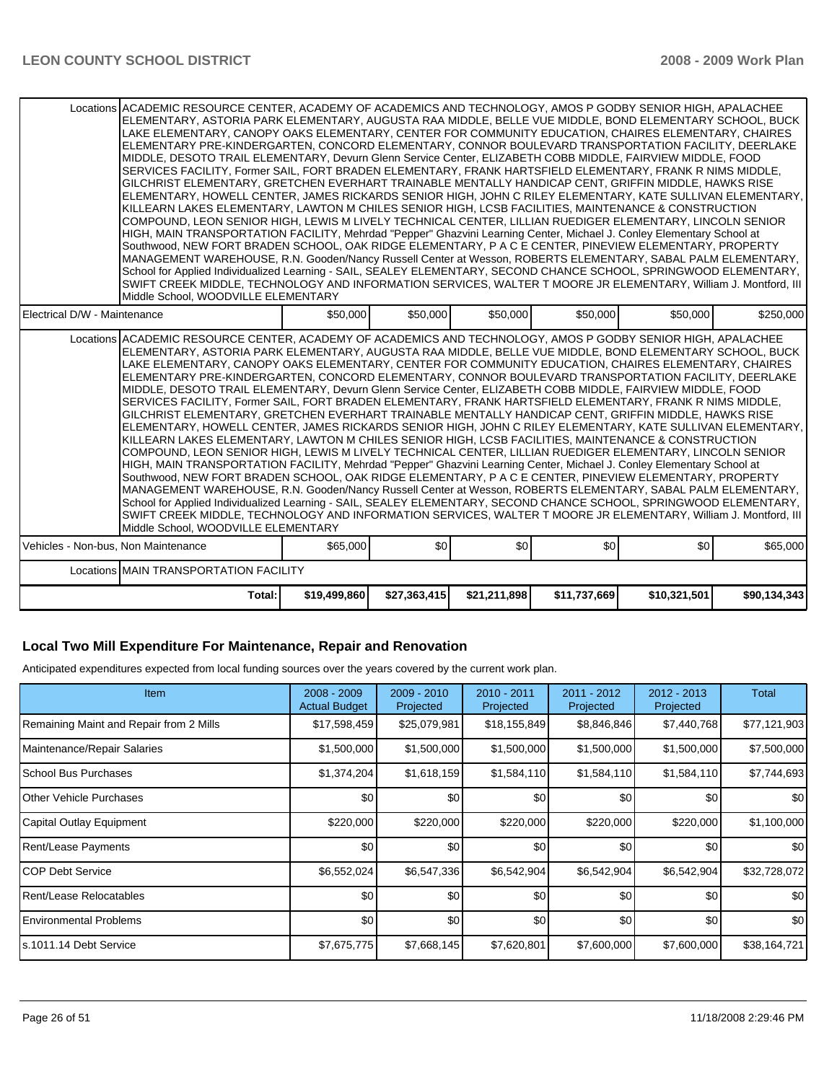|                                                                                                                                                                                                                                                                                                                                                                                                                                                                                                                                                                                                                                                                                                                                                                                                                                                                                                                                                                                                                                                                                                                                                                                                                                                                                                                                                                                                                                                                                                                                                                                                                                                                                                                                              | Locations ACADEMIC RESOURCE CENTER, ACADEMY OF ACADEMICS AND TECHNOLOGY, AMOS P GODBY SENIOR HIGH, APALACHEE<br>ELEMENTARY, ASTORIA PARK ELEMENTARY, AUGUSTA RAA MIDDLE, BELLE VUE MIDDLE, BOND ELEMENTARY SCHOOL, BUCK<br>LAKE ELEMENTARY, CANOPY OAKS ELEMENTARY, CENTER FOR COMMUNITY EDUCATION, CHAIRES ELEMENTARY, CHAIRES<br>ELEMENTARY PRE-KINDERGARTEN, CONCORD ELEMENTARY, CONNOR BOULEVARD TRANSPORTATION FACILITY, DEERLAKE<br>MIDDLE, DESOTO TRAIL ELEMENTARY, Devurn Glenn Service Center, ELIZABETH COBB MIDDLE, FAIRVIEW MIDDLE, FOOD<br>SERVICES FACILITY, Former SAIL, FORT BRADEN ELEMENTARY, FRANK HARTSFIELD ELEMENTARY, FRANK R NIMS MIDDLE,<br>GILCHRIST ELEMENTARY, GRETCHEN EVERHART TRAINABLE MENTALLY HANDICAP CENT, GRIFFIN MIDDLE, HAWKS RISE<br>ELEMENTARY, HOWELL CENTER, JAMES RICKARDS SENIOR HIGH, JOHN C RILEY ELEMENTARY, KATE SULLIVAN ELEMENTARY,<br>KILLEARN LAKES ELEMENTARY, LAWTON M CHILES SENIOR HIGH, LCSB FACILITIES, MAINTENANCE & CONSTRUCTION<br>COMPOUND, LEON SENIOR HIGH, LEWIS M LIVELY TECHNICAL CENTER, LILLIAN RUEDIGER ELEMENTARY, LINCOLN SENIOR<br>HIGH, MAIN TRANSPORTATION FACILITY, Mehrdad "Pepper" Ghazvini Learning Center, Michael J. Conley Elementary School at<br>Southwood, NEW FORT BRADEN SCHOOL, OAK RIDGE ELEMENTARY, P A C E CENTER, PINEVIEW ELEMENTARY, PROPERTY<br>MANAGEMENT WAREHOUSE, R.N. Gooden/Nancy Russell Center at Wesson, ROBERTS ELEMENTARY, SABAL PALM ELEMENTARY,<br>School for Applied Individualized Learning - SAIL, SEALEY ELEMENTARY, SECOND CHANCE SCHOOL, SPRINGWOOD ELEMENTARY,<br>SWIFT CREEK MIDDLE, TECHNOLOGY AND INFORMATION SERVICES, WALTER T MOORE JR ELEMENTARY, William J. Montford, III<br>Middle School, WOODVILLE ELEMENTARY |              |              |              |              |              |  |  |  |  |
|----------------------------------------------------------------------------------------------------------------------------------------------------------------------------------------------------------------------------------------------------------------------------------------------------------------------------------------------------------------------------------------------------------------------------------------------------------------------------------------------------------------------------------------------------------------------------------------------------------------------------------------------------------------------------------------------------------------------------------------------------------------------------------------------------------------------------------------------------------------------------------------------------------------------------------------------------------------------------------------------------------------------------------------------------------------------------------------------------------------------------------------------------------------------------------------------------------------------------------------------------------------------------------------------------------------------------------------------------------------------------------------------------------------------------------------------------------------------------------------------------------------------------------------------------------------------------------------------------------------------------------------------------------------------------------------------------------------------------------------------|----------------------------------------------------------------------------------------------------------------------------------------------------------------------------------------------------------------------------------------------------------------------------------------------------------------------------------------------------------------------------------------------------------------------------------------------------------------------------------------------------------------------------------------------------------------------------------------------------------------------------------------------------------------------------------------------------------------------------------------------------------------------------------------------------------------------------------------------------------------------------------------------------------------------------------------------------------------------------------------------------------------------------------------------------------------------------------------------------------------------------------------------------------------------------------------------------------------------------------------------------------------------------------------------------------------------------------------------------------------------------------------------------------------------------------------------------------------------------------------------------------------------------------------------------------------------------------------------------------------------------------------------------------------------------------------------------------------------------------------------|--------------|--------------|--------------|--------------|--------------|--|--|--|--|
| Electrical D/W - Maintenance                                                                                                                                                                                                                                                                                                                                                                                                                                                                                                                                                                                                                                                                                                                                                                                                                                                                                                                                                                                                                                                                                                                                                                                                                                                                                                                                                                                                                                                                                                                                                                                                                                                                                                                 | \$50,000                                                                                                                                                                                                                                                                                                                                                                                                                                                                                                                                                                                                                                                                                                                                                                                                                                                                                                                                                                                                                                                                                                                                                                                                                                                                                                                                                                                                                                                                                                                                                                                                                                                                                                                                     | \$50,000     | \$50,000     | \$50,000     | \$50,000     | \$250,000    |  |  |  |  |
| Locations ACADEMIC RESOURCE CENTER, ACADEMY OF ACADEMICS AND TECHNOLOGY, AMOS P GODBY SENIOR HIGH, APALACHEE<br>ELEMENTARY, ASTORIA PARK ELEMENTARY, AUGUSTA RAA MIDDLE, BELLE VUE MIDDLE, BOND ELEMENTARY SCHOOL, BUCK<br>LAKE ELEMENTARY, CANOPY OAKS ELEMENTARY, CENTER FOR COMMUNITY EDUCATION, CHAIRES ELEMENTARY, CHAIRES<br>ELEMENTARY PRE-KINDERGARTEN, CONCORD ELEMENTARY, CONNOR BOULEVARD TRANSPORTATION FACILITY, DEERLAKE<br>MIDDLE, DESOTO TRAIL ELEMENTARY, Devurn Glenn Service Center, ELIZABETH COBB MIDDLE, FAIRVIEW MIDDLE, FOOD<br>SERVICES FACILITY, Former SAIL, FORT BRADEN ELEMENTARY, FRANK HARTSFIELD ELEMENTARY, FRANK R NIMS MIDDLE,<br>GILCHRIST ELEMENTARY, GRETCHEN EVERHART TRAINABLE MENTALLY HANDICAP CENT, GRIFFIN MIDDLE, HAWKS RISE<br>ELEMENTARY, HOWELL CENTER, JAMES RICKARDS SENIOR HIGH, JOHN C RILEY ELEMENTARY, KATE SULLIVAN ELEMENTARY,<br>KILLEARN LAKES ELEMENTARY, LAWTON M CHILES SENIOR HIGH, LCSB FACILITIES, MAINTENANCE & CONSTRUCTION<br>COMPOUND, LEON SENIOR HIGH, LEWIS M LIVELY TECHNICAL CENTER, LILLIAN RUEDIGER ELEMENTARY, LINCOLN SENIOR<br>HIGH, MAIN TRANSPORTATION FACILITY, Mehrdad "Pepper" Ghazvini Learning Center, Michael J. Conley Elementary School at<br>Southwood, NEW FORT BRADEN SCHOOL, OAK RIDGE ELEMENTARY, P A C E CENTER, PINEVIEW ELEMENTARY, PROPERTY<br>MANAGEMENT WAREHOUSE, R.N. Gooden/Nancy Russell Center at Wesson, ROBERTS ELEMENTARY, SABAL PALM ELEMENTARY,<br>School for Applied Individualized Learning - SAIL, SEALEY ELEMENTARY, SECOND CHANCE SCHOOL, SPRINGWOOD ELEMENTARY,<br>SWIFT CREEK MIDDLE, TECHNOLOGY AND INFORMATION SERVICES, WALTER T MOORE JR ELEMENTARY, William J. Montford, III<br>Middle School, WOODVILLE ELEMENTARY |                                                                                                                                                                                                                                                                                                                                                                                                                                                                                                                                                                                                                                                                                                                                                                                                                                                                                                                                                                                                                                                                                                                                                                                                                                                                                                                                                                                                                                                                                                                                                                                                                                                                                                                                              |              |              |              |              |              |  |  |  |  |
| Vehicles - Non-bus, Non Maintenance                                                                                                                                                                                                                                                                                                                                                                                                                                                                                                                                                                                                                                                                                                                                                                                                                                                                                                                                                                                                                                                                                                                                                                                                                                                                                                                                                                                                                                                                                                                                                                                                                                                                                                          | \$65,000                                                                                                                                                                                                                                                                                                                                                                                                                                                                                                                                                                                                                                                                                                                                                                                                                                                                                                                                                                                                                                                                                                                                                                                                                                                                                                                                                                                                                                                                                                                                                                                                                                                                                                                                     | \$0          | \$0          | \$0          | \$0          | \$65,000     |  |  |  |  |
| Locations MAIN TRANSPORTATION FACILITY                                                                                                                                                                                                                                                                                                                                                                                                                                                                                                                                                                                                                                                                                                                                                                                                                                                                                                                                                                                                                                                                                                                                                                                                                                                                                                                                                                                                                                                                                                                                                                                                                                                                                                       |                                                                                                                                                                                                                                                                                                                                                                                                                                                                                                                                                                                                                                                                                                                                                                                                                                                                                                                                                                                                                                                                                                                                                                                                                                                                                                                                                                                                                                                                                                                                                                                                                                                                                                                                              |              |              |              |              |              |  |  |  |  |
| Total:                                                                                                                                                                                                                                                                                                                                                                                                                                                                                                                                                                                                                                                                                                                                                                                                                                                                                                                                                                                                                                                                                                                                                                                                                                                                                                                                                                                                                                                                                                                                                                                                                                                                                                                                       | \$19,499,860                                                                                                                                                                                                                                                                                                                                                                                                                                                                                                                                                                                                                                                                                                                                                                                                                                                                                                                                                                                                                                                                                                                                                                                                                                                                                                                                                                                                                                                                                                                                                                                                                                                                                                                                 | \$27,363,415 | \$21,211,898 | \$11,737,669 | \$10,321,501 | \$90,134,343 |  |  |  |  |

### **Local Two Mill Expenditure For Maintenance, Repair and Renovation**

Anticipated expenditures expected from local funding sources over the years covered by the current work plan.

| <b>Item</b>                             | $2008 - 2009$<br><b>Actual Budget</b> | $2009 - 2010$<br>Projected | 2010 - 2011<br>Projected | $2011 - 2012$<br>Projected | 2012 - 2013<br>Projected | <b>Total</b> |
|-----------------------------------------|---------------------------------------|----------------------------|--------------------------|----------------------------|--------------------------|--------------|
| Remaining Maint and Repair from 2 Mills | \$17,598,459                          | \$25,079,981               | \$18,155,849             | \$8,846,846                | \$7,440,768              | \$77,121,903 |
| Maintenance/Repair Salaries             | \$1,500,000                           | \$1,500,000                | \$1,500,000              | \$1,500,000                | \$1,500,000              | \$7,500,000  |
| School Bus Purchases                    | \$1,374,204                           | \$1,618,159                | \$1,584,110              | \$1,584,110                | \$1,584,110              | \$7,744,693  |
| <b>O</b> ther Vehicle Purchases         | \$0                                   | \$0                        | \$0                      | \$0                        | \$0                      | \$0          |
| Capital Outlay Equipment                | \$220,000                             | \$220,000                  | \$220,000                | \$220,000                  | \$220,000                | \$1,100,000  |
| Rent/Lease Payments                     | \$0                                   | \$0                        | \$0                      | \$0                        | \$0                      | \$0          |
| ICOP Debt Service                       | \$6,552,024                           | \$6,547,336                | \$6,542,904              | \$6,542,904                | \$6,542,904              | \$32,728,072 |
| Rent/Lease Relocatables                 | \$0                                   | \$0                        | \$0                      | \$0                        | \$0                      | \$0          |
| <b>Environmental Problems</b>           | \$0                                   | \$0                        | \$0                      | \$0                        | \$0                      | \$0          |
| ls.1011.14 Debt Service                 | \$7,675,775                           | \$7,668,145                | \$7,620,801              | \$7,600,000                | \$7,600,000              | \$38,164,721 |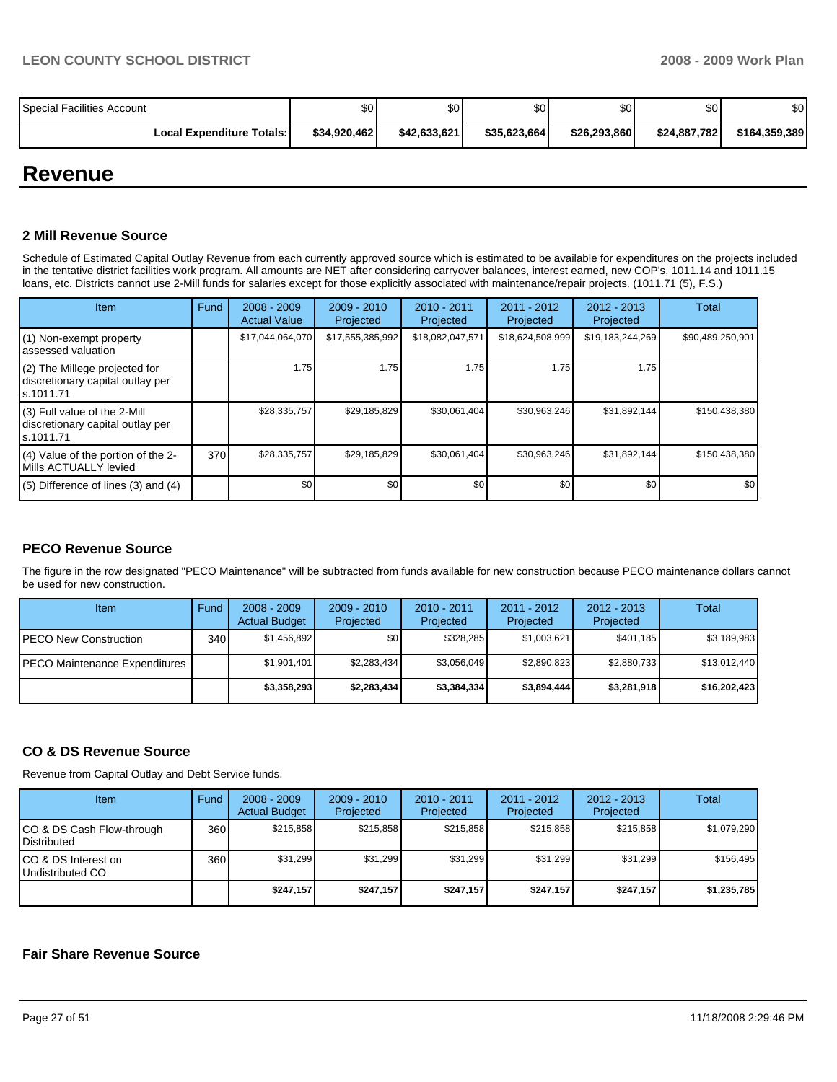| Special Facilities Account       | \$0          | \$0          | \$0          | \$0 <sub>1</sub> | \$0          | \$0           |
|----------------------------------|--------------|--------------|--------------|------------------|--------------|---------------|
| <b>Local Expenditure Totals:</b> | \$34,920,462 | \$42,633,621 | \$35,623,664 | \$26,293,860     | \$24,887,782 | \$164,359,389 |

# **Revenue**

### **2 Mill Revenue Source**

Schedule of Estimated Capital Outlay Revenue from each currently approved source which is estimated to be available for expenditures on the projects included in the tentative district facilities work program. All amounts are NET after considering carryover balances, interest earned, new COP's, 1011.14 and 1011.15 loans, etc. Districts cannot use 2-Mill funds for salaries except for those explicitly associated with maintenance/repair projects. (1011.71 (5), F.S.)

| Item                                                                           | Fund | $2008 - 2009$<br><b>Actual Value</b> | $2009 - 2010$<br>Projected | $2010 - 2011$<br>Projected | $2011 - 2012$<br>Projected | $2012 - 2013$<br>Projected | Total            |
|--------------------------------------------------------------------------------|------|--------------------------------------|----------------------------|----------------------------|----------------------------|----------------------------|------------------|
| (1) Non-exempt property<br>assessed valuation                                  |      | \$17,044,064,070                     | \$17,555,385,992           | \$18,082,047,571           | \$18,624,508,999           | \$19,183,244,269           | \$90,489,250,901 |
| (2) The Millege projected for<br>discretionary capital outlay per<br>s.1011.71 |      | 1.75                                 | 1.75                       | 1.75                       | 1.75                       | 1.75                       |                  |
| (3) Full value of the 2-Mill<br>discretionary capital outlay per<br>s.1011.71  |      | \$28,335,757                         | \$29,185,829               | \$30,061,404               | \$30,963,246               | \$31,892,144               | \$150,438,380    |
| (4) Value of the portion of the 2-<br>Mills ACTUALLY levied                    | 370  | \$28,335,757                         | \$29,185,829               | \$30,061,404               | \$30,963,246               | \$31,892,144               | \$150,438,380    |
| $(5)$ Difference of lines (3) and (4)                                          |      | \$0                                  | \$0                        | \$0                        | \$0                        | \$0                        | \$0 <sub>1</sub> |

### **PECO Revenue Source**

The figure in the row designated "PECO Maintenance" will be subtracted from funds available for new construction because PECO maintenance dollars cannot be used for new construction.

| Item                          | Fund | $2008 - 2009$<br><b>Actual Budget</b> | $2009 - 2010$<br>Projected | $2010 - 2011$<br>Projected | $2011 - 2012$<br>Projected | $2012 - 2013$<br>Projected | <b>Total</b> |
|-------------------------------|------|---------------------------------------|----------------------------|----------------------------|----------------------------|----------------------------|--------------|
| IPECO New Construction        | 340  | \$1.456.892                           | \$0                        | \$328,285                  | \$1,003,621                | \$401,185                  | \$3,189,983  |
| PECO Maintenance Expenditures |      | \$1.901.401                           | \$2,283,434                | \$3,056,049                | \$2,890,823                | \$2,880,733                | \$13,012,440 |
|                               |      | \$3,358,293                           | \$2,283,434                | \$3,384,334                | \$3,894,444                | \$3,281,918                | \$16,202,423 |

### **CO & DS Revenue Source**

Revenue from Capital Outlay and Debt Service funds.

| Item                                            | <b>Fund</b> | $2008 - 2009$<br><b>Actual Budget</b> | $2009 - 2010$<br>Projected | $2010 - 2011$<br>Projected | $2011 - 2012$<br>Projected | $2012 - 2013$<br>Projected | Total       |
|-------------------------------------------------|-------------|---------------------------------------|----------------------------|----------------------------|----------------------------|----------------------------|-------------|
| CO & DS Cash Flow-through<br><b>Distributed</b> | 360         | \$215.858                             | \$215.858                  | \$215.858                  | \$215.858                  | \$215.858                  | \$1,079,290 |
| CO & DS Interest on<br>Undistributed CO         | 360         | \$31.299                              | \$31,299                   | \$31.299                   | \$31.299                   | \$31.299                   | \$156.495   |
|                                                 |             | \$247.157                             | \$247.157                  | \$247.157                  | \$247.157                  | \$247.157                  | \$1,235,785 |

### **Fair Share Revenue Source**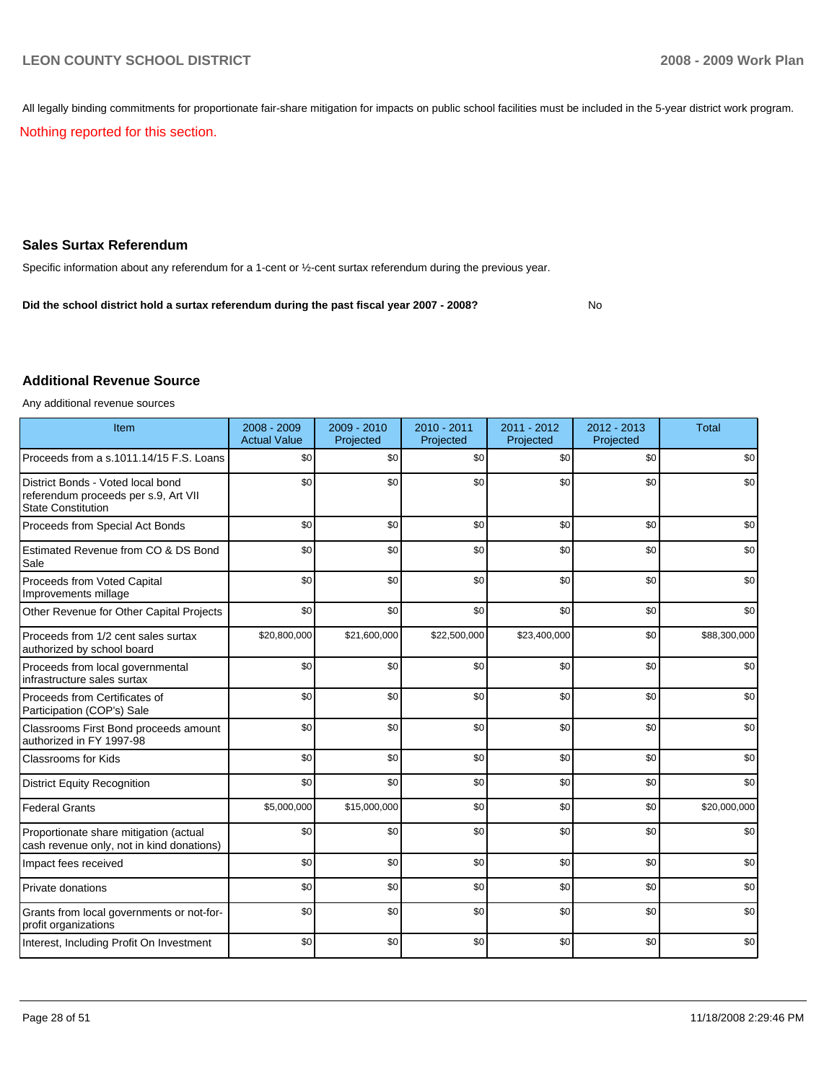All legally binding commitments for proportionate fair-share mitigation for impacts on public school facilities must be included in the 5-year district work program.

Nothing reported for this section.

### **Sales Surtax Referendum**

Specific information about any referendum for a 1-cent or ½-cent surtax referendum during the previous year.

**Did the school district hold a surtax referendum during the past fiscal year 2007 - 2008?** No

### **Additional Revenue Source**

Any additional revenue sources

| Item                                                                                                   | 2008 - 2009<br><b>Actual Value</b> | 2009 - 2010<br>Projected | 2010 - 2011<br>Projected | 2011 - 2012<br>Projected | $2012 - 2013$<br>Projected | Total        |
|--------------------------------------------------------------------------------------------------------|------------------------------------|--------------------------|--------------------------|--------------------------|----------------------------|--------------|
| Proceeds from a s.1011.14/15 F.S. Loans                                                                | \$0                                | \$0                      | \$0                      | \$0                      | \$0                        | \$0          |
| District Bonds - Voted local bond<br>referendum proceeds per s.9, Art VII<br><b>State Constitution</b> | \$0                                | \$0                      | \$0                      | \$0                      | \$0                        | \$0          |
| Proceeds from Special Act Bonds                                                                        | \$0                                | \$0                      | \$0                      | \$0                      | \$0                        | \$0          |
| Estimated Revenue from CO & DS Bond<br>Sale                                                            | \$0                                | \$0                      | \$0                      | \$0                      | \$0                        | \$0          |
| Proceeds from Voted Capital<br>Improvements millage                                                    | \$0                                | \$0                      | \$0                      | \$0                      | \$0                        | \$0          |
| Other Revenue for Other Capital Projects                                                               | \$0                                | \$0                      | \$0                      | \$0                      | \$0                        | \$0          |
| Proceeds from 1/2 cent sales surtax<br>authorized by school board                                      | \$20,800,000                       | \$21,600,000             | \$22,500,000             | \$23,400,000             | \$0                        | \$88,300,000 |
| Proceeds from local governmental<br>infrastructure sales surtax                                        | \$0                                | \$0                      | \$0                      | \$0                      | \$0                        | \$0          |
| Proceeds from Certificates of<br>Participation (COP's) Sale                                            | \$0                                | \$0                      | \$0                      | \$0                      | \$0                        | \$0          |
| Classrooms First Bond proceeds amount<br>authorized in FY 1997-98                                      | \$0                                | \$0                      | \$0                      | \$0                      | \$0                        | \$0          |
| Classrooms for Kids                                                                                    | \$0                                | \$0                      | \$0                      | \$0                      | \$0                        | \$0          |
| <b>District Equity Recognition</b>                                                                     | \$0                                | \$0                      | \$0                      | \$0                      | \$0                        | \$0          |
| <b>Federal Grants</b>                                                                                  | \$5,000,000                        | \$15,000,000             | \$0                      | \$0                      | \$0                        | \$20,000,000 |
| Proportionate share mitigation (actual<br>cash revenue only, not in kind donations)                    | \$0                                | \$0                      | \$0                      | \$0                      | \$0                        | \$0          |
| Impact fees received                                                                                   | \$0                                | \$0                      | \$0                      | \$0                      | \$0                        | \$0          |
| Private donations                                                                                      | \$0                                | \$0                      | \$0                      | \$0                      | \$0                        | \$0          |
| Grants from local governments or not-for-<br>profit organizations                                      | \$0                                | \$0                      | \$0                      | \$0                      | \$0                        | \$0          |
| Interest, Including Profit On Investment                                                               | \$0                                | \$0                      | \$0                      | \$0                      | \$0                        | \$0          |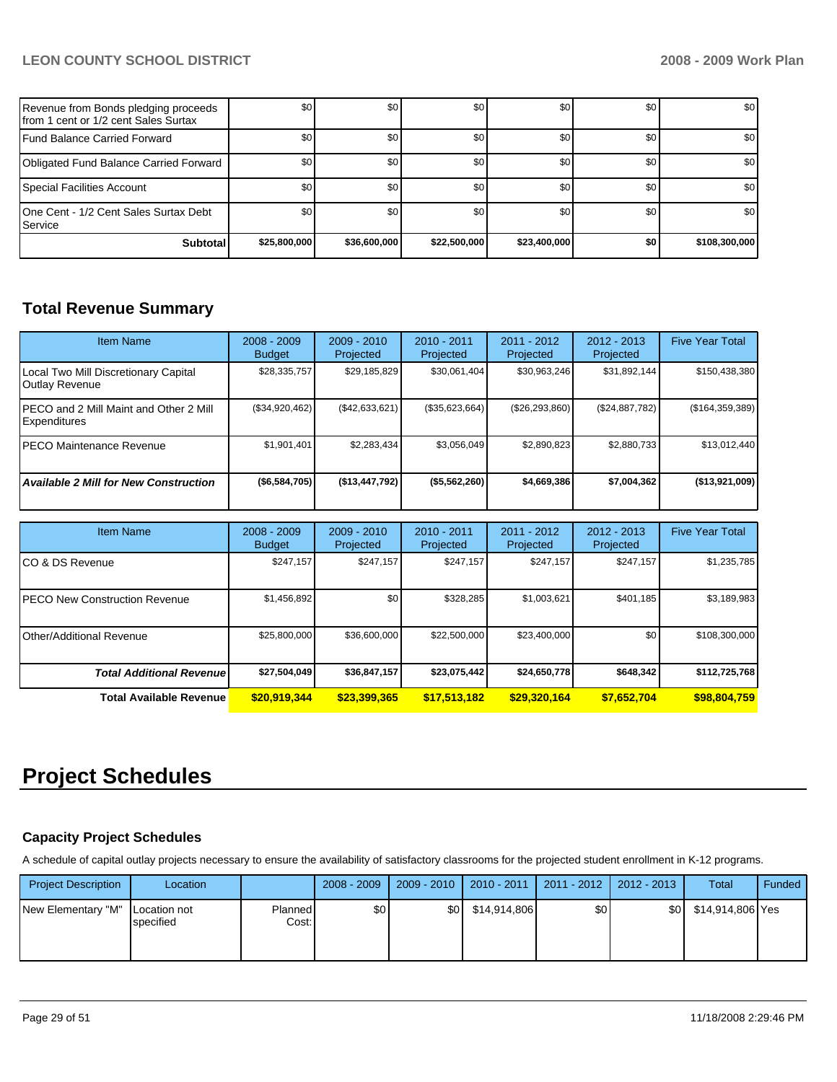| Revenue from Bonds pledging proceeds<br>from 1 cent or 1/2 cent Sales Surtax | \$0          | \$0          | \$0          | \$0              | \$0              | \$0              |
|------------------------------------------------------------------------------|--------------|--------------|--------------|------------------|------------------|------------------|
| Fund Balance Carried Forward                                                 | \$0          | \$0          | \$0          | \$0 <sub>1</sub> | \$0              | \$0              |
| Obligated Fund Balance Carried Forward                                       | \$0          | \$0          | \$0          | \$0              | <b>SO</b>        | \$0              |
| Special Facilities Account                                                   | \$0          | \$0          | \$0          | \$0              | \$0 <sub>1</sub> | \$0 <sub>1</sub> |
| 10ne Cent - 1/2 Cent Sales Surtax Debt<br><b>I</b> Service                   | \$0          | \$0          | \$0          | \$0              | \$0              | \$0              |
| <b>Subtotal</b>                                                              | \$25,800,000 | \$36,600,000 | \$22,500,000 | \$23,400,000     | \$0              | \$108,300,000    |

# **Total Revenue Summary**

| <b>Item Name</b>                                              | $2008 - 2009$<br><b>Budget</b> | $2009 - 2010$<br>Projected | $2010 - 2011$<br>Projected | 2011 - 2012<br>Projected | $2012 - 2013$<br>Projected | <b>Five Year Total</b> |
|---------------------------------------------------------------|--------------------------------|----------------------------|----------------------------|--------------------------|----------------------------|------------------------|
| Local Two Mill Discretionary Capital<br><b>Outlay Revenue</b> | \$28,335,757                   | \$29,185,829               | \$30,061,404               | \$30,963,246             | \$31,892,144               | \$150,438,380          |
| PECO and 2 Mill Maint and Other 2 Mill<br><b>Expenditures</b> | (\$34,920,462)                 | (\$42,633,621)             | (\$35,623,664)             | (S26, 293, 860)          | (\$24,887,782)             | (\$164,359,389)        |
| IPECO Maintenance Revenue                                     | \$1,901,401                    | \$2,283,434                | \$3,056,049                | \$2,890,823              | \$2,880,733                | \$13,012,440           |
| <b>Available 2 Mill for New Construction</b>                  | ( \$6,584,705)                 | ( \$13,447,792)            | (\$5,562,260)              | \$4,669,386              | \$7,004,362                | (\$13,921,009)         |

| <b>Item Name</b>                      | $2008 - 2009$<br><b>Budget</b> | $2009 - 2010$<br>Projected | $2010 - 2011$<br>Projected | $2011 - 2012$<br>Projected | $2012 - 2013$<br>Projected | <b>Five Year Total</b> |
|---------------------------------------|--------------------------------|----------------------------|----------------------------|----------------------------|----------------------------|------------------------|
| ICO & DS Revenue                      | \$247,157                      | \$247,157                  | \$247.157                  | \$247,157                  | \$247.157                  | \$1,235,785            |
| <b>IPECO New Construction Revenue</b> | \$1,456,892                    | \$0 <sub>1</sub>           | \$328.285                  | \$1,003,621                | \$401.185                  | \$3,189,983            |
| Other/Additional Revenue              | \$25,800,000                   | \$36,600,000               | \$22,500,000               | \$23,400,000               | \$0                        | \$108,300,000          |
| <b>Total Additional Revenue</b>       | \$27,504,049                   | \$36,847,157               | \$23,075,442               | \$24,650,778               | \$648.342                  | \$112,725,768          |
| <b>Total Available Revenue</b>        | \$20,919,344                   | \$23,399,365               | \$17,513,182               | \$29,320,164               | \$7,652,704                | \$98,804,759           |

# **Project Schedules**

### **Capacity Project Schedules**

A schedule of capital outlay projects necessary to ensure the availability of satisfactory classrooms for the projected student enrollment in K-12 programs.

| <b>Project Description</b>        | Location  |                  | $2008 - 2009$ | 2009 - 2010      | $2010 - 2011$ | 2011 - 2012      | 2012 - 2013 | Total            | Funded |
|-----------------------------------|-----------|------------------|---------------|------------------|---------------|------------------|-------------|------------------|--------|
| New Elementary "M"   Location not | specified | Planned<br>Cost: | \$0           | \$0 <sub>1</sub> | \$14,914,806  | \$0 <sub>1</sub> | \$0         | \$14,914,806 Yes |        |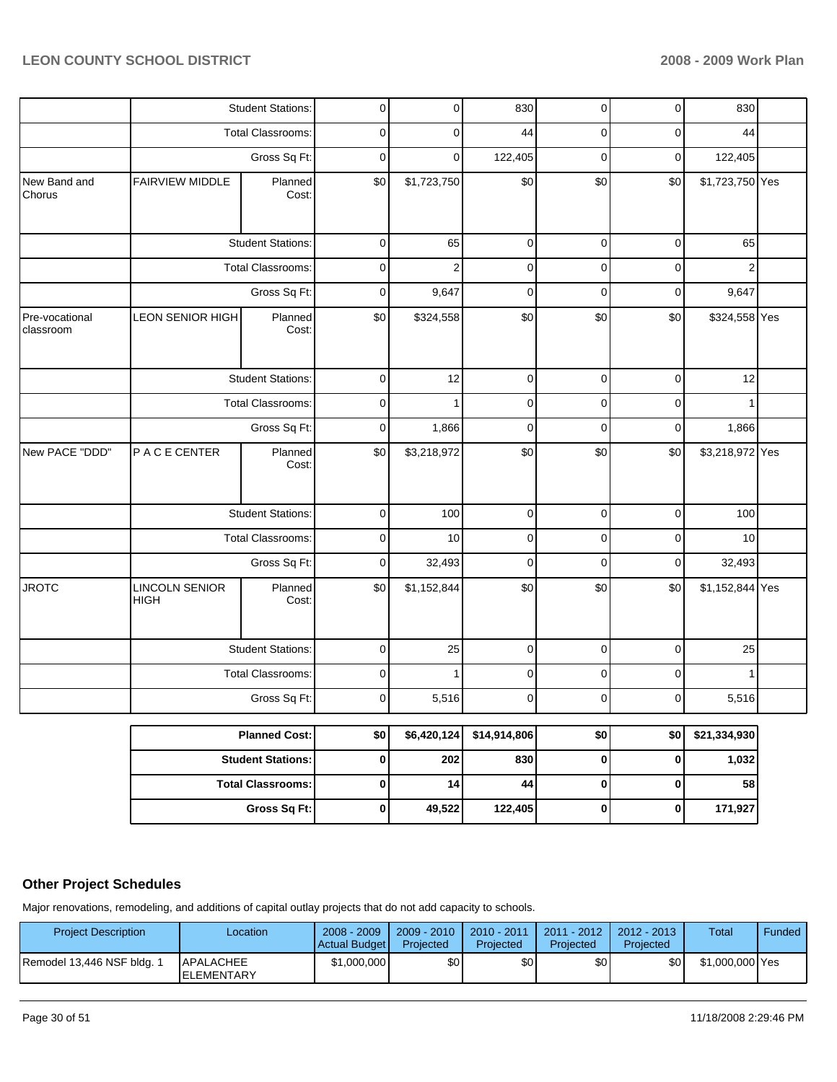|                             |                                      | <b>Student Stations:</b> | 0           | 0              | 830          | $\overline{0}$ | $\overline{0}$ | 830             |  |
|-----------------------------|--------------------------------------|--------------------------|-------------|----------------|--------------|----------------|----------------|-----------------|--|
|                             |                                      | Total Classrooms:        | 0           | 0              | 44           | $\mathbf 0$    | $\pmb{0}$      | 44              |  |
|                             |                                      | Gross Sq Ft:             | $\mathbf 0$ | 0              | 122,405      | $\pmb{0}$      | $\pmb{0}$      | 122,405         |  |
| New Band and<br>Chorus      | <b>FAIRVIEW MIDDLE</b>               | Planned<br>Cost:         | \$0         | \$1,723,750    | \$0          | \$0            | \$0            | \$1,723,750 Yes |  |
|                             |                                      | <b>Student Stations:</b> | 0           | 65             | $\pmb{0}$    | 0              | $\mathbf 0$    | 65              |  |
|                             |                                      | Total Classrooms:        | 0           | $\overline{2}$ | $\pmb{0}$    | 0              | $\mathbf 0$    | $\overline{2}$  |  |
|                             |                                      | Gross Sq Ft:             | 0           | 9,647          | $\mathbf 0$  | 0              | $\mathbf 0$    | 9,647           |  |
| Pre-vocational<br>classroom | LEON SENIOR HIGH                     | Planned<br>Cost:         | \$0         | \$324,558      | \$0          | \$0            | \$0            | \$324,558 Yes   |  |
|                             |                                      | <b>Student Stations:</b> | $\pmb{0}$   | 12             | $\pmb{0}$    | $\mathbf 0$    | $\pmb{0}$      | 12              |  |
|                             |                                      | Total Classrooms:        | $\mathbf 0$ | 1              | $\pmb{0}$    | 0              | $\pmb{0}$      | $\mathbf{1}$    |  |
|                             | Gross Sq Ft:                         |                          | $\pmb{0}$   | 1,866          | $\pmb{0}$    | $\pmb{0}$      | 0              | 1,866           |  |
| New PACE "DDD"              | P A C E CENTER                       | Planned<br>Cost:         | \$0         | \$3,218,972    | \$0          | \$0            | \$0            | \$3,218,972 Yes |  |
|                             |                                      | <b>Student Stations:</b> | 0           | 100            | $\pmb{0}$    | 0              | $\mathbf 0$    | 100             |  |
|                             |                                      | Total Classrooms:        | 0           | 10             | $\pmb{0}$    | 0              | $\mathbf 0$    | 10              |  |
|                             |                                      | Gross Sq Ft:             | $\mathbf 0$ | 32,493         | $\pmb{0}$    | 0              | $\pmb{0}$      | 32,493          |  |
| <b>JROTC</b>                | <b>LINCOLN SENIOR</b><br><b>HIGH</b> | Planned<br>Cost:         | \$0         | \$1,152,844    | \$0          | \$0            | \$0            | \$1,152,844 Yes |  |
|                             |                                      | <b>Student Stations:</b> | $\pmb{0}$   | 25             | $\mathbf 0$  | $\mathbf 0$    | $\mathbf 0$    | 25              |  |
|                             |                                      | Total Classrooms:        | $\pmb{0}$   | 1              | $\pmb{0}$    | $\pmb{0}$      | $\pmb{0}$      | $\mathbf{1}$    |  |
|                             |                                      | Gross Sq Ft:             | 0           | 5,516          | 0            | 0              | $\mathbf 0$    | 5,516           |  |
|                             |                                      | <b>Planned Cost:</b>     | \$0         | \$6,420,124    | \$14,914,806 | \$0            | \$0            | \$21,334,930    |  |
|                             |                                      | <b>Student Stations:</b> | $\pmb{0}$   | 202            | 830          | $\pmb{0}$      | $\pmb{0}$      | 1,032           |  |
|                             |                                      | <b>Total Classrooms:</b> | 0           | 14             | 44           | $\pmb{0}$      | $\pmb{0}$      | 58              |  |
|                             |                                      | Gross Sq Ft:             | $\pmb{0}$   | 49,522         | 122,405      | $\pmb{0}$      | $\pmb{0}$      | 171,927         |  |

### **Other Project Schedules**

Major renovations, remodeling, and additions of capital outlay projects that do not add capacity to schools.

| <b>Project Description</b> | Location                        | $2008 - 2009$<br>Actual Budget | $2009 - 2010$<br>Projected | $2010 - 2011$<br>Projected | 2011 - 2012  <br>Projected | $2012 - 2013$<br>Projected | Total           | Funded ' |
|----------------------------|---------------------------------|--------------------------------|----------------------------|----------------------------|----------------------------|----------------------------|-----------------|----------|
| Remodel 13,446 NSF bldg. 1 | APALACHEE<br><b>IELEMENTARY</b> | \$1,000,000                    | \$0                        | \$0                        | \$0                        | \$0                        | \$1,000,000 Yes |          |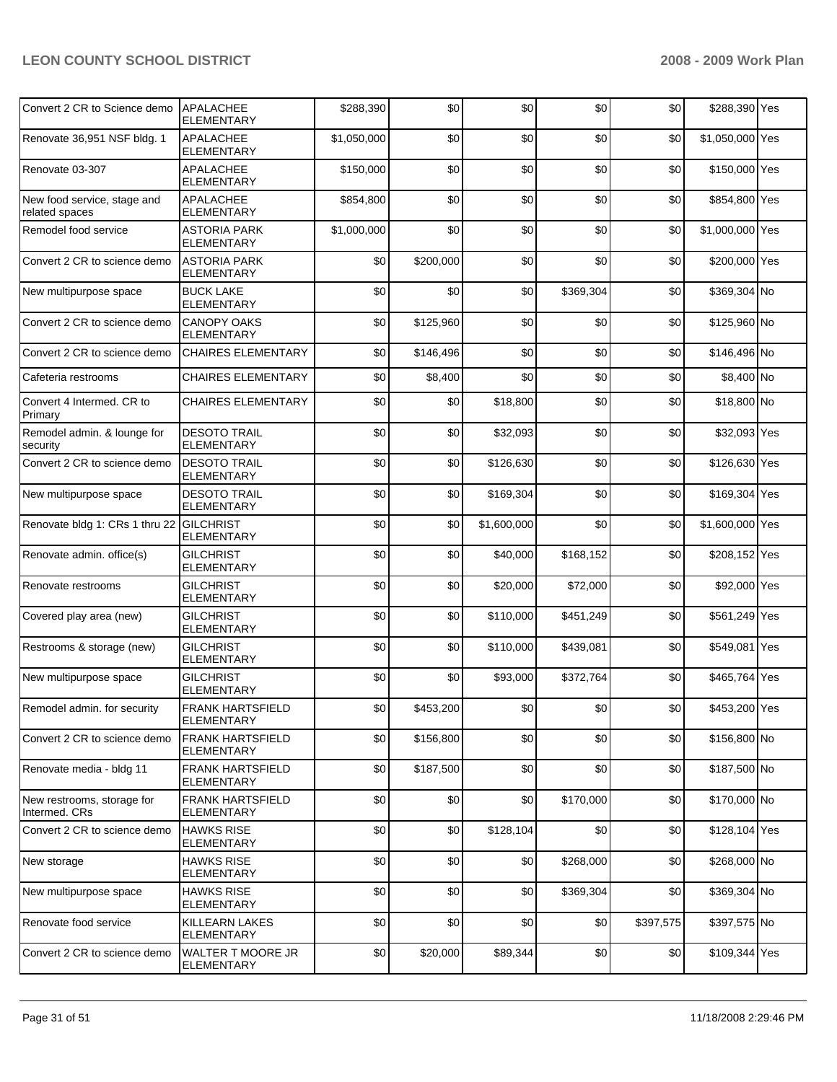| Convert 2 CR to Science demo                  | APALACHEE<br><b>ELEMENTARY</b>                | \$288,390   | \$0       | \$0         | \$0       | \$0       | \$288,390 Yes   |  |
|-----------------------------------------------|-----------------------------------------------|-------------|-----------|-------------|-----------|-----------|-----------------|--|
| Renovate 36,951 NSF bldg. 1                   | <b>APALACHEE</b><br><b>ELEMENTARY</b>         | \$1,050,000 | \$0       | \$0         | \$0       | \$0       | \$1,050,000 Yes |  |
| Renovate 03-307                               | <b>APALACHEE</b><br><b>ELEMENTARY</b>         | \$150,000   | \$0       | \$0         | \$0       | \$0       | \$150,000 Yes   |  |
| New food service, stage and<br>related spaces | <b>APALACHEE</b><br><b>ELEMENTARY</b>         | \$854,800   | \$0       | \$0         | \$0       | \$0       | \$854,800 Yes   |  |
| Remodel food service                          | <b>ASTORIA PARK</b><br>ELEMENTARY             | \$1,000,000 | \$0       | \$0         | \$0       | \$0       | \$1,000,000 Yes |  |
| Convert 2 CR to science demo                  | <b>ASTORIA PARK</b><br><b>ELEMENTARY</b>      | \$0         | \$200,000 | \$0         | \$0       | \$0       | \$200,000 Yes   |  |
| New multipurpose space                        | <b>BUCK LAKE</b><br>ELEMENTARY                | \$0         | \$0       | \$0         | \$369,304 | \$0       | \$369,304 No    |  |
| Convert 2 CR to science demo                  | <b>CANOPY OAKS</b><br><b>ELEMENTARY</b>       | \$0         | \$125,960 | \$0         | \$0       | \$0       | \$125,960 No    |  |
| Convert 2 CR to science demo                  | <b>CHAIRES ELEMENTARY</b>                     | \$0         | \$146,496 | \$0         | \$0       | \$0       | \$146,496 No    |  |
| Cafeteria restrooms                           | <b>CHAIRES ELEMENTARY</b>                     | \$0         | \$8,400   | \$0         | \$0       | \$0       | \$8,400 No      |  |
| Convert 4 Intermed. CR to<br>Primary          | <b>CHAIRES ELEMENTARY</b>                     | \$0         | \$0       | \$18,800    | \$0       | \$0       | \$18,800 No     |  |
| Remodel admin. & lounge for<br>security       | <b>DESOTO TRAIL</b><br><b>ELEMENTARY</b>      | \$0         | \$0       | \$32,093    | \$0       | \$0       | \$32,093 Yes    |  |
| Convert 2 CR to science demo                  | <b>DESOTO TRAIL</b><br>ELEMENTARY             | \$0         | \$0       | \$126,630   | \$0       | \$0       | \$126,630 Yes   |  |
| New multipurpose space                        | <b>DESOTO TRAIL</b><br><b>ELEMENTARY</b>      | \$0         | \$0       | \$169,304   | \$0       | \$0       | \$169,304 Yes   |  |
| Renovate bldg 1: CRs 1 thru 22 GILCHRIST      | ELEMENTARY                                    | \$0         | \$0       | \$1,600,000 | \$0       | \$0       | \$1,600,000 Yes |  |
| Renovate admin. office(s)                     | <b>GILCHRIST</b><br><b>ELEMENTARY</b>         | \$0         | \$0       | \$40,000    | \$168,152 | \$0       | \$208,152 Yes   |  |
| Renovate restrooms                            | <b>GILCHRIST</b><br>ELEMENTARY                | \$0         | \$0       | \$20,000    | \$72,000  | \$0       | \$92,000 Yes    |  |
| Covered play area (new)                       | <b>GILCHRIST</b><br>ELEMENTARY                | \$0         | \$0       | \$110,000   | \$451,249 | \$0       | \$561,249 Yes   |  |
| Restrooms & storage (new)                     | <b>GILCHRIST</b><br>ELEMENTARY                | \$0         | \$0       | \$110,000   | \$439,081 | \$0       | \$549,081 Yes   |  |
| New multipurpose space                        | <b>GILCHRIST</b><br><b>ELEMENTARY</b>         | \$0         | \$0       | \$93,000    | \$372,764 | \$0       | \$465,764 Yes   |  |
| Remodel admin. for security                   | FRANK HARTSFIELD<br><b>ELEMENTARY</b>         | \$በ         | \$453,200 | ደበ          | so l      | \$0       | \$453,200 Yes   |  |
| Convert 2 CR to science demo                  | <b>FRANK HARTSFIELD</b><br><b>ELEMENTARY</b>  | \$0         | \$156,800 | \$0         | \$0       | \$0       | \$156,800 No    |  |
| Renovate media - bldg 11                      | <b>FRANK HARTSFIELD</b><br>ELEMENTARY         | \$0         | \$187,500 | \$0         | \$0       | \$0       | \$187,500 No    |  |
| New restrooms, storage for<br>Intermed, CRs   | <b>FRANK HARTSFIELD</b><br>ELEMENTARY         | \$0         | \$0       | \$0         | \$170,000 | \$0       | \$170,000 No    |  |
| Convert 2 CR to science demo                  | <b>HAWKS RISE</b><br><b>ELEMENTARY</b>        | \$0         | \$0       | \$128,104   | \$0       | \$0       | \$128,104 Yes   |  |
| New storage                                   | <b>HAWKS RISE</b><br>ELEMENTARY               | \$0         | \$0       | \$0         | \$268,000 | \$0       | \$268,000 No    |  |
| New multipurpose space                        | <b>HAWKS RISE</b><br>ELEMENTARY               | \$0         | \$0       | \$0         | \$369,304 | \$0       | \$369,304 No    |  |
| Renovate food service                         | <b>KILLEARN LAKES</b><br>ELEMENTARY           | \$0         | \$0       | \$0         | \$0       | \$397,575 | \$397,575 No    |  |
| Convert 2 CR to science demo                  | <b>WALTER T MOORE JR</b><br><b>ELEMENTARY</b> | \$0         | \$20,000  | \$89,344    | \$0       | \$0       | \$109,344 Yes   |  |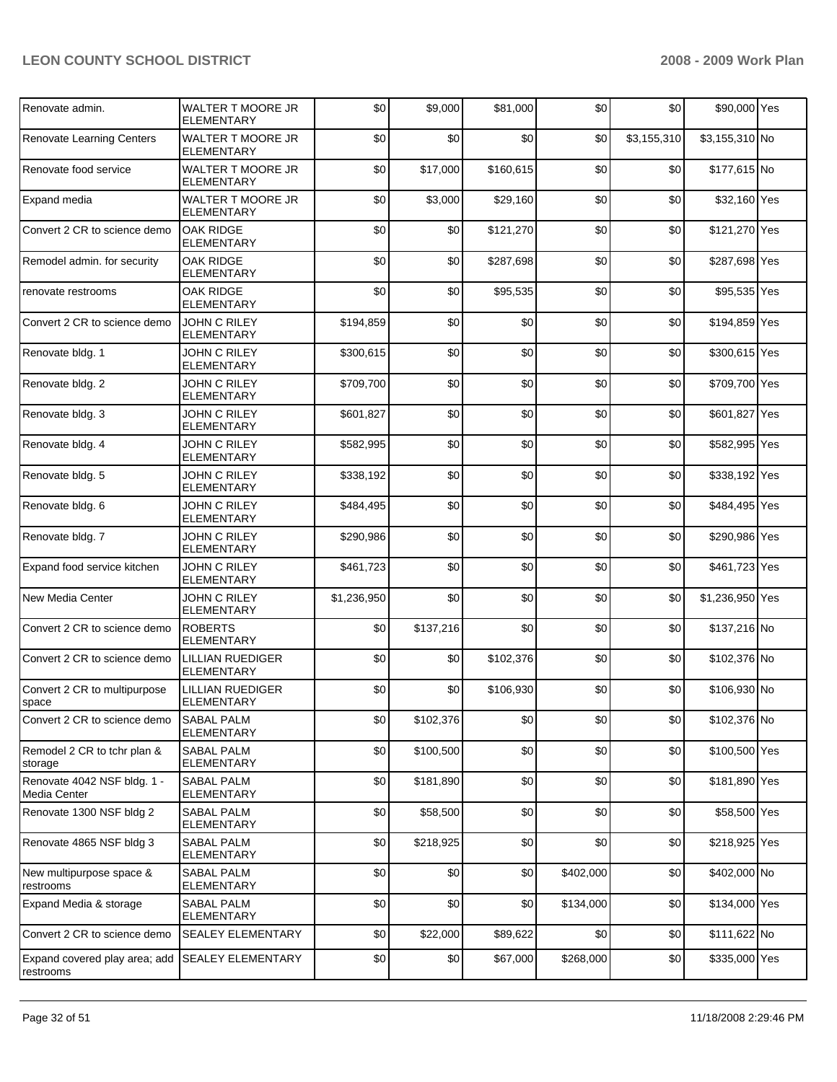| Renovate admin.                             | <b>WALTER T MOORE JR</b><br><b>ELEMENTARY</b> | \$0         | \$9,000   | \$81,000  | \$0       | \$0         | \$90,000 Yes    |  |
|---------------------------------------------|-----------------------------------------------|-------------|-----------|-----------|-----------|-------------|-----------------|--|
| Renovate Learning Centers                   | <b>WALTER T MOORE JR</b><br><b>ELEMENTARY</b> | \$0         | \$0       | \$0       | \$0       | \$3,155,310 | \$3,155,310 No  |  |
| Renovate food service                       | <b>WALTER T MOORE JR</b><br><b>ELEMENTARY</b> | \$0         | \$17,000  | \$160,615 | \$0       | \$0         | \$177,615 No    |  |
| Expand media                                | WALTER T MOORE JR<br><b>ELEMENTARY</b>        | \$0         | \$3,000   | \$29,160  | \$0       | \$0         | \$32,160 Yes    |  |
| Convert 2 CR to science demo                | <b>OAK RIDGE</b><br><b>ELEMENTARY</b>         | \$0         | \$0       | \$121,270 | \$0       | \$0         | \$121,270 Yes   |  |
| Remodel admin. for security                 | <b>OAK RIDGE</b><br><b>ELEMENTARY</b>         | \$0         | \$0       | \$287,698 | \$0       | \$0         | \$287,698 Yes   |  |
| renovate restrooms                          | <b>OAK RIDGE</b><br><b>ELEMENTARY</b>         | \$0         | \$0       | \$95,535  | \$0       | \$0         | \$95,535 Yes    |  |
| Convert 2 CR to science demo                | <b>JOHN C RILEY</b><br><b>ELEMENTARY</b>      | \$194,859   | \$0       | \$0       | \$0       | \$0         | \$194,859 Yes   |  |
| Renovate bldg. 1                            | <b>JOHN C RILEY</b><br><b>ELEMENTARY</b>      | \$300,615   | \$0       | \$0       | \$0       | \$0         | \$300,615 Yes   |  |
| Renovate bldg. 2                            | JOHN C RILEY<br><b>ELEMENTARY</b>             | \$709,700   | \$0       | \$0       | \$0       | \$0         | \$709,700 Yes   |  |
| Renovate bldg. 3                            | JOHN C RILEY<br><b>ELEMENTARY</b>             | \$601,827   | \$0       | \$0       | \$0       | \$0         | \$601,827 Yes   |  |
| Renovate bldg. 4                            | JOHN C RILEY<br><b>ELEMENTARY</b>             | \$582,995   | \$0       | \$0       | \$0       | \$0         | \$582,995 Yes   |  |
| Renovate bldg. 5                            | <b>JOHN C RILEY</b><br><b>ELEMENTARY</b>      | \$338,192   | \$0       | \$0       | \$0       | \$0         | \$338,192 Yes   |  |
| Renovate bldg. 6                            | JOHN C RILEY<br><b>ELEMENTARY</b>             | \$484,495   | \$0       | \$0       | \$0       | \$0         | \$484,495 Yes   |  |
| Renovate bldg. 7                            | JOHN C RILEY<br><b>ELEMENTARY</b>             | \$290,986   | \$0       | \$0       | \$0       | \$0         | \$290,986 Yes   |  |
| Expand food service kitchen                 | JOHN C RILEY<br><b>ELEMENTARY</b>             | \$461,723   | \$0       | \$0       | \$0       | \$0         | \$461,723 Yes   |  |
| <b>New Media Center</b>                     | <b>JOHN C RILEY</b><br><b>ELEMENTARY</b>      | \$1,236,950 | \$0       | \$0       | \$0       | \$0         | \$1,236,950 Yes |  |
| Convert 2 CR to science demo                | <b>ROBERTS</b><br><b>ELEMENTARY</b>           | \$0         | \$137,216 | \$0       | \$0       | \$0         | \$137,216 No    |  |
| Convert 2 CR to science demo                | <b>LILLIAN RUEDIGER</b><br><b>ELEMENTARY</b>  | \$0         | \$0       | \$102,376 | \$0       | \$0         | \$102,376 No    |  |
| Convert 2 CR to multipurpose<br>space       | <b>LILLIAN RUEDIGER</b><br><b>ELEMENTARY</b>  | \$0         | \$0       | \$106,930 | \$0       | \$0         | \$106,930 No    |  |
| Convert 2 CR to science demo                | SABAL PALM<br><b>ELEMENTARY</b>               | \$0         | \$102,376 | \$0       | \$0       | \$0         | \$102,376 No    |  |
| Remodel 2 CR to tchr plan &<br>storage      | <b>SABAL PALM</b><br><b>ELEMENTARY</b>        | \$0         | \$100,500 | \$0       | \$0       | \$0         | \$100,500 Yes   |  |
| Renovate 4042 NSF bldg. 1 -<br>Media Center | <b>SABAL PALM</b><br><b>ELEMENTARY</b>        | \$0         | \$181,890 | \$0       | \$0       | \$0         | \$181,890 Yes   |  |
| Renovate 1300 NSF bldg 2                    | <b>SABAL PALM</b><br><b>ELEMENTARY</b>        | \$0         | \$58,500  | \$0       | \$0       | \$0         | \$58,500 Yes    |  |
| Renovate 4865 NSF bldg 3                    | SABAL PALM<br><b>ELEMENTARY</b>               | \$0         | \$218,925 | \$0       | \$0       | \$0         | \$218,925 Yes   |  |
| New multipurpose space &<br>restrooms       | <b>SABAL PALM</b><br><b>ELEMENTARY</b>        | \$0         | \$0       | \$0       | \$402,000 | \$0         | \$402,000 No    |  |
| Expand Media & storage                      | <b>SABAL PALM</b><br><b>ELEMENTARY</b>        | \$0         | \$0       | \$0       | \$134,000 | \$0         | \$134,000 Yes   |  |
| Convert 2 CR to science demo                | <b>SEALEY ELEMENTARY</b>                      | \$0         | \$22,000  | \$89,622  | \$0       | \$0         | \$111,622 No    |  |
| Expand covered play area; add<br>restrooms  | <b>SEALEY ELEMENTARY</b>                      | \$0         | \$0       | \$67,000  | \$268,000 | \$0         | \$335,000 Yes   |  |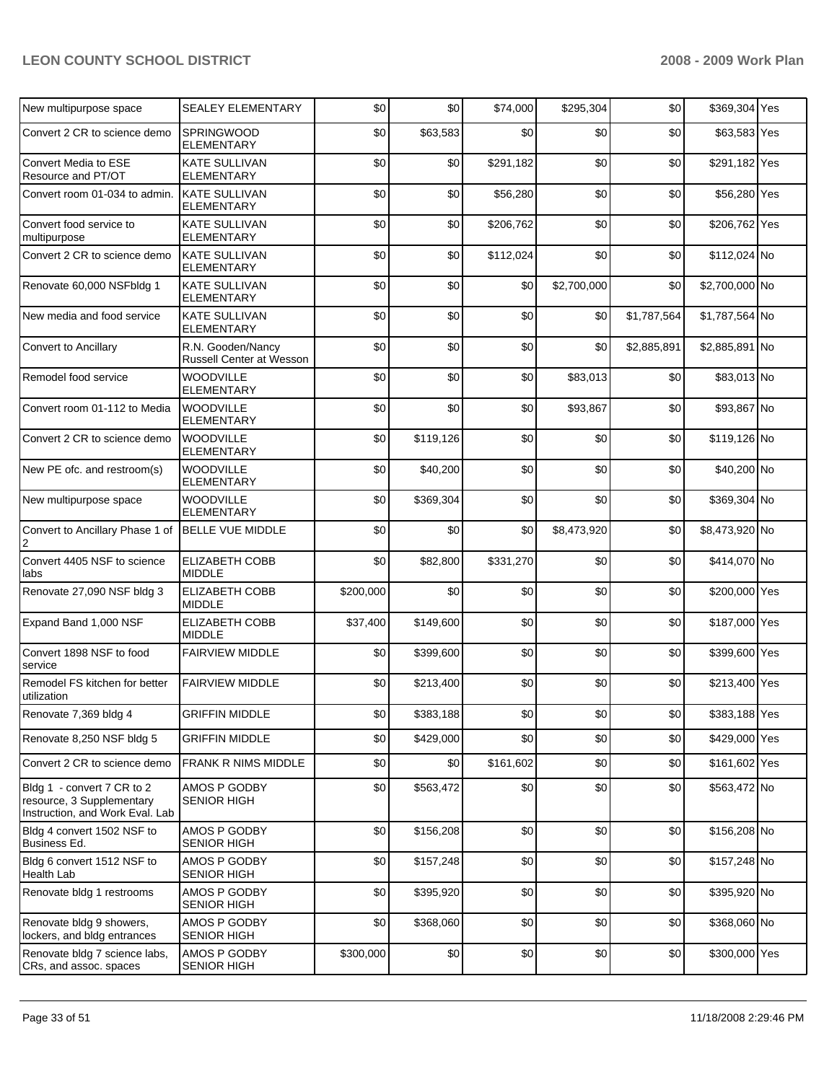| New multipurpose space                                                                     | <b>SEALEY ELEMENTARY</b>                      | \$0       | \$0       | \$74,000  | \$295,304   | \$0         | \$369,304 Yes  |  |
|--------------------------------------------------------------------------------------------|-----------------------------------------------|-----------|-----------|-----------|-------------|-------------|----------------|--|
| Convert 2 CR to science demo                                                               | SPRINGWOOD<br>ELEMENTARY                      | \$0       | \$63,583  | \$0       | \$0         | \$0         | \$63,583 Yes   |  |
| Convert Media to ESE<br>Resource and PT/OT                                                 | <b>KATE SULLIVAN</b><br><b>ELEMENTARY</b>     | \$0       | \$0       | \$291,182 | \$0         | \$0         | \$291,182 Yes  |  |
| Convert room 01-034 to admin.                                                              | <b>KATE SULLIVAN</b><br>ELEMENTARY            | \$0       | \$0       | \$56,280  | \$0         | \$0         | \$56,280 Yes   |  |
| Convert food service to<br>multipurpose                                                    | <b>KATE SULLIVAN</b><br>ELEMENTARY            | \$0       | \$0       | \$206,762 | \$0         | \$0         | \$206,762 Yes  |  |
| Convert 2 CR to science demo                                                               | <b>KATE SULLIVAN</b><br>ELEMENTARY            | \$0       | \$0       | \$112,024 | \$0         | \$0         | \$112,024 No   |  |
| Renovate 60,000 NSFbldg 1                                                                  | <b>KATE SULLIVAN</b><br><b>ELEMENTARY</b>     | \$0       | \$0       | \$0       | \$2,700,000 | \$0         | \$2,700,000 No |  |
| New media and food service                                                                 | <b>KATE SULLIVAN</b><br><b>ELEMENTARY</b>     | \$0       | \$0       | \$0       | \$0         | \$1,787,564 | \$1,787,564 No |  |
| <b>Convert to Ancillary</b>                                                                | R.N. Gooden/Nancy<br>Russell Center at Wesson | \$0       | \$0       | \$0       | \$0         | \$2,885,891 | \$2,885,891 No |  |
| Remodel food service                                                                       | WOODVILLE<br><b>ELEMENTARY</b>                | \$0       | \$0       | \$0       | \$83,013    | \$0         | \$83,013 No    |  |
| Convert room 01-112 to Media                                                               | <b>WOODVILLE</b><br><b>ELEMENTARY</b>         | \$0       | \$0       | \$0       | \$93,867    | \$0         | \$93,867 No    |  |
| Convert 2 CR to science demo                                                               | <b>WOODVILLE</b><br>ELEMENTARY                | \$0       | \$119,126 | \$0       | \$0         | \$0         | \$119,126 No   |  |
| New PE ofc. and restroom(s)                                                                | <b>WOODVILLE</b><br><b>ELEMENTARY</b>         | \$0       | \$40,200  | \$0       | \$0         | \$0         | \$40,200 No    |  |
| New multipurpose space                                                                     | <b>WOODVILLE</b><br><b>ELEMENTARY</b>         | \$0       | \$369,304 | \$0       | \$0         | \$0         | \$369,304 No   |  |
| Convert to Ancillary Phase 1 of<br>$\overline{2}$                                          | <b>BELLE VUE MIDDLE</b>                       | \$0       | \$0       | \$0       | \$8,473,920 | \$0         | \$8,473,920 No |  |
| Convert 4405 NSF to science<br>labs                                                        | <b>ELIZABETH COBB</b><br><b>MIDDLE</b>        | \$0       | \$82,800  | \$331,270 | \$0         | \$0         | \$414,070 No   |  |
| Renovate 27,090 NSF bldg 3                                                                 | <b>ELIZABETH COBB</b><br><b>MIDDLE</b>        | \$200,000 | \$0       | \$0       | \$0         | \$0         | \$200,000 Yes  |  |
| Expand Band 1,000 NSF                                                                      | <b>ELIZABETH COBB</b><br><b>MIDDLE</b>        | \$37,400  | \$149,600 | \$0       | \$0         | \$0         | \$187,000 Yes  |  |
| Convert 1898 NSF to food<br>service                                                        | <b>FAIRVIEW MIDDLE</b>                        | \$0       | \$399,600 | \$0       | \$0         | \$0         | \$399,600 Yes  |  |
| Remodel FS kitchen for better<br>utilization                                               | <b>FAIRVIEW MIDDLE</b>                        | \$0       | \$213,400 | \$0       | \$0         | \$0         | \$213,400 Yes  |  |
| Renovate 7,369 bldg 4                                                                      | <b>GRIFFIN MIDDLE</b>                         | \$0       | \$383,188 | \$0       | \$0         | \$0         | \$383,188 Yes  |  |
| Renovate 8,250 NSF bldg 5                                                                  | <b>GRIFFIN MIDDLE</b>                         | \$0       | \$429.000 | \$0       | \$0         | \$0         | \$429,000 Yes  |  |
| Convert 2 CR to science demo                                                               | <b>FRANK R NIMS MIDDLE</b>                    | \$0       | \$0       | \$161,602 | \$0         | \$0         | \$161,602 Yes  |  |
| Bldg 1 - convert 7 CR to 2<br>resource, 3 Supplementary<br>Instruction, and Work Eval. Lab | AMOS P GODBY<br><b>SENIOR HIGH</b>            | \$0       | \$563,472 | \$0       | \$0         | \$0         | \$563,472 No   |  |
| Bldg 4 convert 1502 NSF to<br>Business Ed.                                                 | AMOS P GODBY<br><b>SENIOR HIGH</b>            | \$0       | \$156,208 | \$0       | \$0         | \$0         | \$156,208 No   |  |
| Bldg 6 convert 1512 NSF to<br>Health Lab                                                   | AMOS P GODBY<br><b>SENIOR HIGH</b>            | \$0       | \$157,248 | \$0       | \$0         | \$0         | \$157,248 No   |  |
| Renovate bldg 1 restrooms                                                                  | AMOS P GODBY<br><b>SENIOR HIGH</b>            | \$0       | \$395,920 | \$0       | \$0         | \$0         | \$395,920 No   |  |
| Renovate bldg 9 showers,<br>lockers, and bldg entrances                                    | AMOS P GODBY<br><b>SENIOR HIGH</b>            | \$0       | \$368,060 | \$0       | \$0         | \$0         | \$368,060 No   |  |
| Renovate bldg 7 science labs,<br>CRs, and assoc. spaces                                    | AMOS P GODBY<br><b>SENIOR HIGH</b>            | \$300,000 | \$0       | \$0       | \$0         | \$0         | \$300,000 Yes  |  |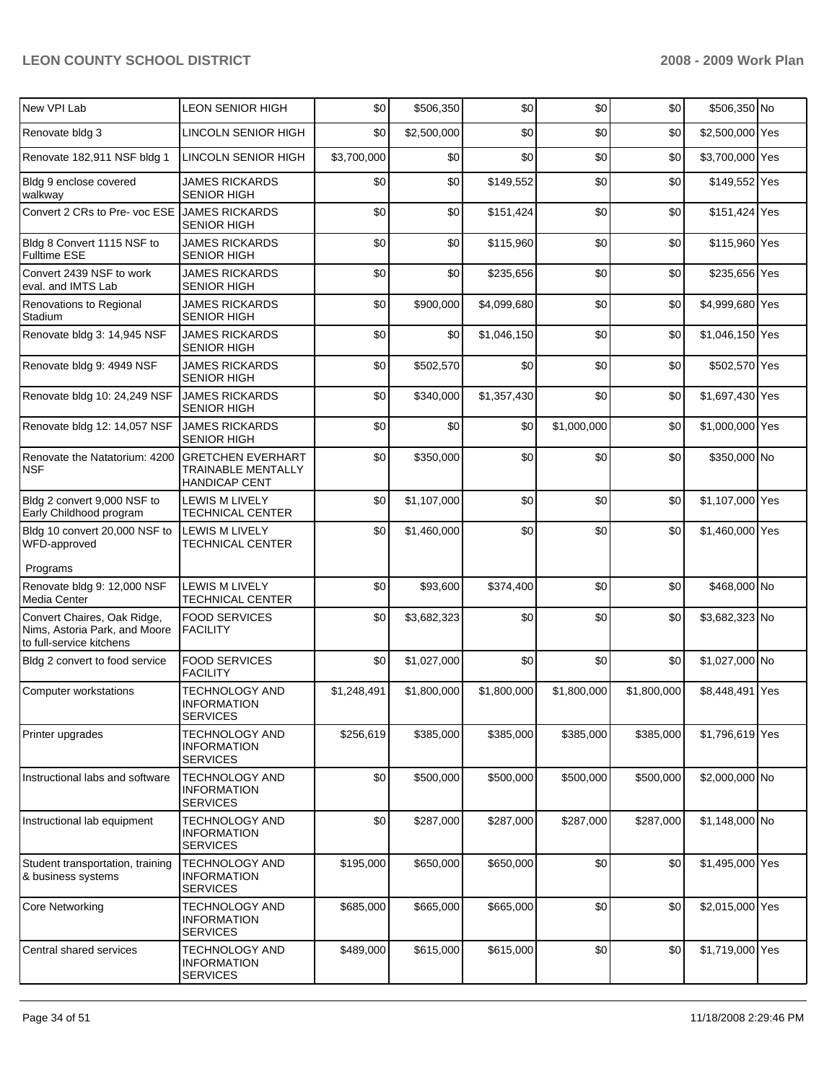| New VPI Lab                                                                              | <b>LEON SENIOR HIGH</b>                                         | \$0         | \$506,350   | \$0         | \$0         | \$0         | \$506,350 No    |     |
|------------------------------------------------------------------------------------------|-----------------------------------------------------------------|-------------|-------------|-------------|-------------|-------------|-----------------|-----|
| Renovate bldg 3                                                                          | <b>LINCOLN SENIOR HIGH</b>                                      | \$0         | \$2,500,000 | \$0         | \$0         | \$0         | \$2,500,000 Yes |     |
| Renovate 182,911 NSF bldg 1                                                              | LINCOLN SENIOR HIGH                                             | \$3,700,000 | \$0         | \$0         | \$0         | \$0         | \$3,700,000 Yes |     |
| Bldg 9 enclose covered<br>walkway                                                        | <b>JAMES RICKARDS</b><br><b>SENIOR HIGH</b>                     | \$0         | \$0         | \$149,552   | \$0         | \$0         | \$149,552 Yes   |     |
| Convert 2 CRs to Pre- voc ESE                                                            | <b>JAMES RICKARDS</b><br><b>SENIOR HIGH</b>                     | \$0         | \$0         | \$151,424   | \$0         | \$0         | \$151,424 Yes   |     |
| Bldg 8 Convert 1115 NSF to<br><b>Fulltime ESE</b>                                        | <b>JAMES RICKARDS</b><br><b>SENIOR HIGH</b>                     | \$0         | \$0         | \$115,960   | \$0         | \$0         | \$115,960 Yes   |     |
| Convert 2439 NSF to work<br>eval. and IMTS Lab                                           | <b>JAMES RICKARDS</b><br><b>SENIOR HIGH</b>                     | \$0         | \$0         | \$235,656   | \$0         | \$0         | \$235,656 Yes   |     |
| Renovations to Regional<br>Stadium                                                       | <b>JAMES RICKARDS</b><br>SENIOR HIGH                            | \$0         | \$900,000   | \$4,099,680 | \$0         | \$0         | \$4,999,680 Yes |     |
| Renovate bldg 3: 14,945 NSF                                                              | <b>JAMES RICKARDS</b><br><b>SENIOR HIGH</b>                     | \$0         | \$0         | \$1,046,150 | \$0         | \$0         | \$1,046,150 Yes |     |
| Renovate bldg 9: 4949 NSF                                                                | <b>JAMES RICKARDS</b><br><b>SENIOR HIGH</b>                     | \$0         | \$502,570   | \$0         | \$0         | \$0         | \$502,570 Yes   |     |
| Renovate bldg 10: 24,249 NSF                                                             | <b>JAMES RICKARDS</b><br><b>SENIOR HIGH</b>                     | \$0         | \$340,000   | \$1,357,430 | \$0         | \$0         | \$1,697,430 Yes |     |
| Renovate bldg 12: 14,057 NSF                                                             | <b>JAMES RICKARDS</b><br><b>SENIOR HIGH</b>                     | \$0         | \$0         | \$0         | \$1,000,000 | \$0         | \$1,000,000 Yes |     |
| Renovate the Natatorium: 4200<br><b>NSF</b>                                              | <b>GRETCHEN EVERHART</b><br>TRAINABLE MENTALLY<br>HANDICAP CENT | \$0         | \$350,000   | \$0         | \$0         | \$0         | \$350,000 No    |     |
| Bldg 2 convert 9,000 NSF to<br>Early Childhood program                                   | LEWIS M LIVELY<br>TECHNICAL CENTER                              | \$0         | \$1,107,000 | \$0         | \$0         | \$0         | \$1,107,000 Yes |     |
| Bldg 10 convert 20,000 NSF to<br>WFD-approved                                            | LEWIS M LIVELY<br><b>TECHNICAL CENTER</b>                       | \$0         | \$1,460,000 | \$0         | \$0         | \$0         | \$1,460,000 Yes |     |
| Programs                                                                                 |                                                                 |             |             |             |             |             |                 |     |
| Renovate bldg 9: 12,000 NSF<br>Media Center                                              | <b>LEWIS M LIVELY</b><br><b>TECHNICAL CENTER</b>                | \$0         | \$93,600    | \$374,400   | \$0         | \$0         | \$468,000 No    |     |
| Convert Chaires, Oak Ridge,<br>Nims, Astoria Park, and Moore<br>to full-service kitchens | <b>FOOD SERVICES</b><br><b>FACILITY</b>                         | \$0         | \$3,682,323 | \$0         | \$0         | \$0         | \$3,682,323 No  |     |
| Bldg 2 convert to food service                                                           | <b>FOOD SERVICES</b><br><b>FACILITY</b>                         | \$0         | \$1,027,000 | \$0         | \$0         | \$0         | \$1,027,000 No  |     |
| Computer workstations                                                                    | <b>TECHNOLOGY AND</b><br><b>INFORMATION</b><br><b>SERVICES</b>  | \$1,248,491 | \$1,800,000 | \$1,800,000 | \$1,800,000 | \$1,800,000 | \$8,448,491     | Yes |
| Printer upgrades                                                                         | TECHNOLOGY AND<br>INFORMATION<br><b>SERVICES</b>                | \$256,619   | \$385,000   | \$385,000   | \$385,000   | \$385,000   | \$1,796,619 Yes |     |
| Instructional labs and software                                                          | <b>TECHNOLOGY AND</b><br><b>INFORMATION</b><br><b>SERVICES</b>  | \$0         | \$500,000   | \$500,000   | \$500,000   | \$500,000   | \$2,000,000 No  |     |
| Instructional lab equipment                                                              | TECHNOLOGY AND<br>INFORMATION<br><b>SERVICES</b>                | \$0         | \$287,000   | \$287,000   | \$287,000   | \$287,000   | \$1,148,000 No  |     |
| Student transportation, training<br>& business systems                                   | <b>TECHNOLOGY AND</b><br>INFORMATION<br><b>SERVICES</b>         | \$195,000   | \$650,000   | \$650,000   | \$0         | \$0         | \$1,495,000 Yes |     |
| <b>Core Networking</b>                                                                   | TECHNOLOGY AND<br>INFORMATION<br><b>SERVICES</b>                | \$685,000   | \$665,000   | \$665,000   | \$0         | \$0         | \$2,015,000 Yes |     |
| Central shared services                                                                  | <b>TECHNOLOGY AND</b><br><b>INFORMATION</b><br><b>SERVICES</b>  | \$489,000   | \$615,000   | \$615,000   | \$0         | \$0         | \$1,719,000 Yes |     |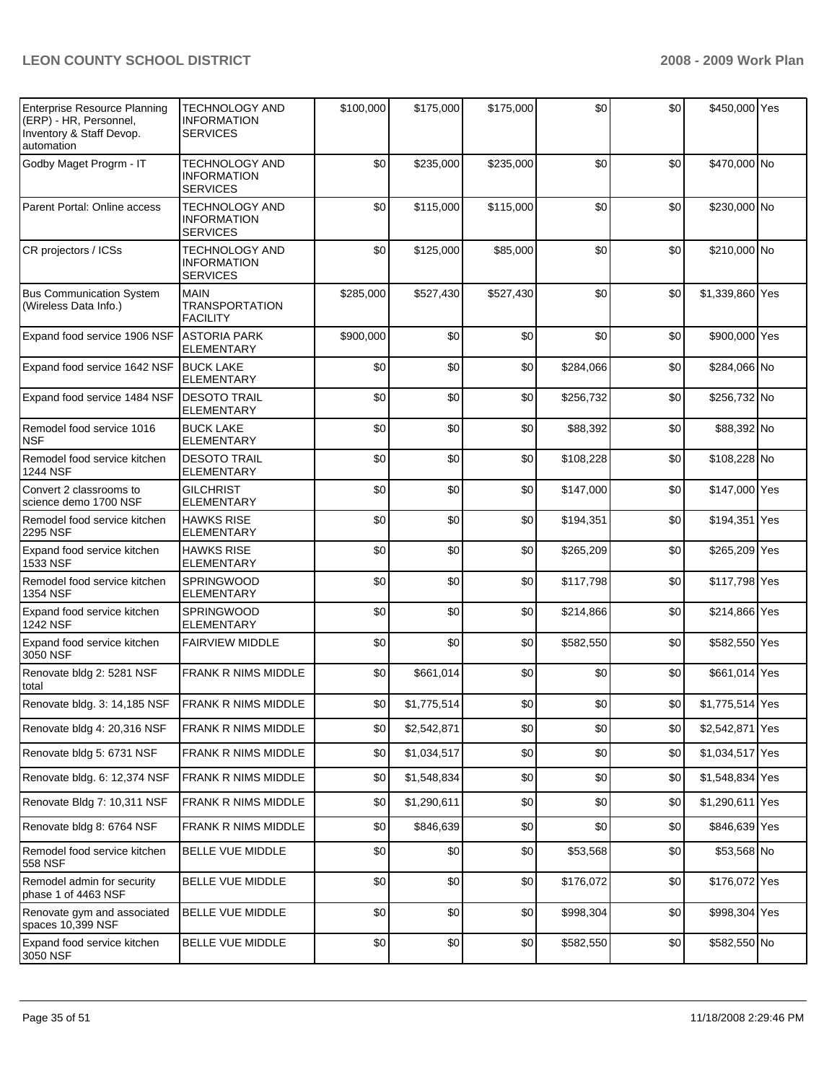| <b>Enterprise Resource Planning</b><br>(ERP) - HR, Personnel,<br>Inventory & Staff Devop.<br>automation | <b>TECHNOLOGY AND</b><br><b>INFORMATION</b><br><b>SERVICES</b> | \$100,000 | \$175,000   | \$175,000 | \$0       | \$0 | \$450,000 Yes   |  |
|---------------------------------------------------------------------------------------------------------|----------------------------------------------------------------|-----------|-------------|-----------|-----------|-----|-----------------|--|
| Godby Maget Progrm - IT                                                                                 | <b>TECHNOLOGY AND</b><br><b>INFORMATION</b><br><b>SERVICES</b> | \$0       | \$235,000   | \$235,000 | \$0       | \$0 | \$470,000 No    |  |
| Parent Portal: Online access                                                                            | <b>TECHNOLOGY AND</b><br><b>INFORMATION</b><br><b>SERVICES</b> | \$0       | \$115,000   | \$115,000 | \$0       | \$0 | \$230,000 No    |  |
| CR projectors / ICSs                                                                                    | <b>TECHNOLOGY AND</b><br><b>INFORMATION</b><br><b>SERVICES</b> | \$0       | \$125,000   | \$85,000  | \$0       | \$0 | \$210,000 No    |  |
| <b>Bus Communication System</b><br>(Wireless Data Info.)                                                | <b>MAIN</b><br><b>TRANSPORTATION</b><br><b>FACILITY</b>        | \$285,000 | \$527,430   | \$527,430 | \$0       | \$0 | \$1,339,860 Yes |  |
| Expand food service 1906 NSF                                                                            | <b>ASTORIA PARK</b><br>ELEMENTARY                              | \$900,000 | \$0         | \$0       | \$0       | \$0 | \$900,000 Yes   |  |
| Expand food service 1642 NSF                                                                            | <b>BUCK LAKE</b><br><b>ELEMENTARY</b>                          | \$0       | \$0         | \$0       | \$284,066 | \$0 | \$284,066 No    |  |
| Expand food service 1484 NSF                                                                            | <b>DESOTO TRAIL</b><br><b>ELEMENTARY</b>                       | \$0       | \$0         | \$0       | \$256,732 | \$0 | \$256,732 No    |  |
| Remodel food service 1016<br><b>NSF</b>                                                                 | <b>BUCK LAKE</b><br><b>ELEMENTARY</b>                          | \$0       | \$0         | \$0       | \$88,392  | \$0 | \$88,392 No     |  |
| Remodel food service kitchen<br>1244 NSF                                                                | <b>DESOTO TRAIL</b><br><b>ELEMENTARY</b>                       | \$0       | \$0         | \$0       | \$108,228 | \$0 | \$108,228 No    |  |
| Convert 2 classrooms to<br>science demo 1700 NSF                                                        | <b>GILCHRIST</b><br><b>ELEMENTARY</b>                          | \$0       | \$0         | \$0       | \$147,000 | \$0 | \$147,000 Yes   |  |
| Remodel food service kitchen<br>2295 NSF                                                                | <b>HAWKS RISE</b><br><b>ELEMENTARY</b>                         | \$0       | \$0         | \$0       | \$194,351 | \$0 | \$194,351 Yes   |  |
| Expand food service kitchen<br>1533 NSF                                                                 | <b>HAWKS RISE</b><br><b>ELEMENTARY</b>                         | \$0       | \$0         | \$0       | \$265,209 | \$0 | \$265,209 Yes   |  |
| Remodel food service kitchen<br>1354 NSF                                                                | SPRINGWOOD<br><b>ELEMENTARY</b>                                | \$0       | \$0         | \$0       | \$117,798 | \$0 | \$117,798 Yes   |  |
| Expand food service kitchen<br><b>1242 NSF</b>                                                          | SPRINGWOOD<br><b>ELEMENTARY</b>                                | \$0       | \$0         | \$0       | \$214,866 | \$0 | \$214,866 Yes   |  |
| Expand food service kitchen<br>3050 NSF                                                                 | <b>FAIRVIEW MIDDLE</b>                                         | \$0       | \$0         | \$0       | \$582,550 | \$0 | \$582,550 Yes   |  |
| Renovate bldg 2: 5281 NSF<br>total                                                                      | FRANK R NIMS MIDDLE                                            | \$0       | \$661,014   | \$0       | \$0       | \$0 | \$661,014 Yes   |  |
| Renovate bldg. 3: 14,185 NSF                                                                            | <b>FRANK R NIMS MIDDLE</b>                                     | \$0       | \$1,775,514 | \$0       | \$0       | \$0 | \$1,775,514 Yes |  |
| Renovate bldg 4: 20,316 NSF                                                                             | FRANK R NIMS MIDDLE                                            | \$0       | \$2,542,871 | \$0       | \$0       | \$0 | \$2,542,871 Yes |  |
| Renovate bldg 5: 6731 NSF                                                                               | FRANK R NIMS MIDDLE                                            | \$0       | \$1,034,517 | \$0       | \$0       | \$0 | \$1,034,517 Yes |  |
| Renovate bldg. 6: 12,374 NSF                                                                            | FRANK R NIMS MIDDLE                                            | \$0       | \$1,548,834 | \$0       | \$0       | \$0 | \$1,548,834 Yes |  |
| Renovate Bldg 7: 10,311 NSF                                                                             | FRANK R NIMS MIDDLE                                            | \$0       | \$1,290,611 | \$0       | \$0       | \$0 | \$1,290,611 Yes |  |
| Renovate bldg 8: 6764 NSF                                                                               | FRANK R NIMS MIDDLE                                            | \$0       | \$846,639   | \$0       | \$0       | \$0 | \$846,639 Yes   |  |
| Remodel food service kitchen<br>558 NSF                                                                 | BELLE VUE MIDDLE                                               | \$0       | \$0         | \$0       | \$53,568  | \$0 | \$53,568 No     |  |
| Remodel admin for security<br>phase 1 of 4463 NSF                                                       | BELLE VUE MIDDLE                                               | \$0       | \$0         | \$0       | \$176,072 | \$0 | \$176,072 Yes   |  |
| Renovate gym and associated<br>spaces 10,399 NSF                                                        | BELLE VUE MIDDLE                                               | \$0       | \$0         | \$0       | \$998,304 | \$0 | \$998,304 Yes   |  |
| Expand food service kitchen<br>3050 NSF                                                                 | BELLE VUE MIDDLE                                               | \$0       | \$0         | \$0       | \$582,550 | \$0 | \$582,550 No    |  |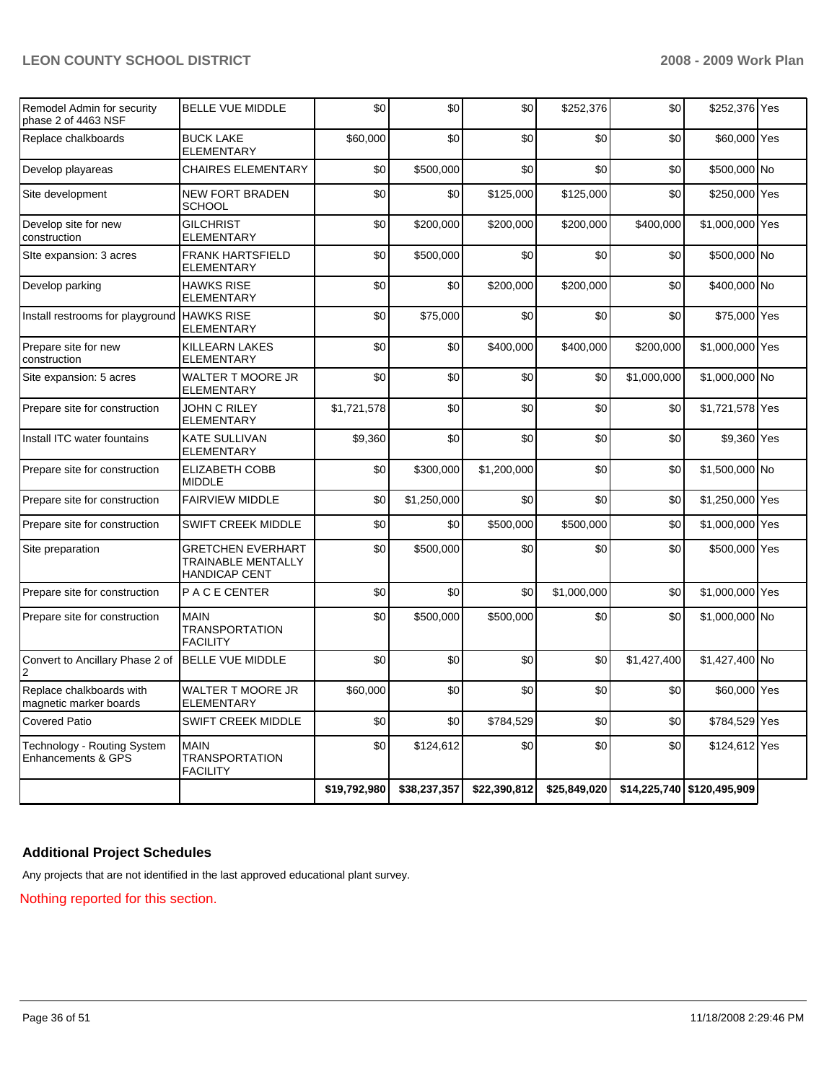| Remodel Admin for security<br>phase 2 of 4463 NSF  | <b>BELLE VUE MIDDLE</b>                                                | \$0          | \$0          | \$0          | \$252,376    | \$0         | \$252,376 Yes              |  |
|----------------------------------------------------|------------------------------------------------------------------------|--------------|--------------|--------------|--------------|-------------|----------------------------|--|
| Replace chalkboards                                | <b>BUCK LAKE</b><br><b>ELEMENTARY</b>                                  | \$60,000     | \$0          | \$0          | \$0          | \$0         | \$60,000 Yes               |  |
| Develop playareas                                  | CHAIRES ELEMENTARY                                                     | \$0          | \$500,000    | \$0          | \$0          | \$0         | \$500,000 No               |  |
| Site development                                   | <b>NEW FORT BRADEN</b><br><b>SCHOOL</b>                                | \$0          | \$0          | \$125,000    | \$125,000    | \$0         | \$250,000 Yes              |  |
| Develop site for new<br>construction               | <b>GILCHRIST</b><br>ELEMENTARY                                         | \$0          | \$200,000    | \$200,000    | \$200,000    | \$400,000   | \$1,000,000 Yes            |  |
| Site expansion: 3 acres                            | FRANK HARTSFIELD<br>ELEMENTARY                                         | \$0          | \$500,000    | \$0          | \$0          | \$0         | \$500,000 No               |  |
| Develop parking                                    | <b>HAWKS RISE</b><br>ELEMENTARY                                        | \$0          | \$0          | \$200,000    | \$200,000    | \$0         | \$400,000 No               |  |
| Install restrooms for playground HAWKS RISE        | <b>ELEMENTARY</b>                                                      | \$0          | \$75,000     | \$0          | \$0          | \$0         | \$75,000 Yes               |  |
| Prepare site for new<br>construction               | KILLEARN LAKES<br>ELEMENTARY                                           | \$0          | \$0          | \$400,000    | \$400,000    | \$200.000   | \$1,000,000 Yes            |  |
| Site expansion: 5 acres                            | WALTER T MOORE JR<br>ELEMENTARY                                        | \$0          | \$0          | \$0          | \$0          | \$1,000,000 | \$1,000,000 No             |  |
| Prepare site for construction                      | <b>JOHN C RILEY</b><br><b>ELEMENTARY</b>                               | \$1,721,578  | \$0          | \$0          | \$0          | \$0         | \$1,721,578 Yes            |  |
| Install ITC water fountains                        | KATE SULLIVAN<br>ELEMENTARY                                            | \$9,360      | \$0          | \$0          | \$0          | \$0         | \$9,360 Yes                |  |
| Prepare site for construction                      | <b>ELIZABETH COBB</b><br><b>MIDDLE</b>                                 | \$0          | \$300,000    | \$1,200,000  | \$0          | \$0         | \$1,500,000 No             |  |
| Prepare site for construction                      | <b>FAIRVIEW MIDDLE</b>                                                 | \$0          | \$1,250,000  | \$0          | \$0          | \$0         | \$1,250,000 Yes            |  |
| Prepare site for construction                      | SWIFT CREEK MIDDLE                                                     | \$0          | \$0          | \$500,000    | \$500,000    | \$0         | \$1,000,000 Yes            |  |
| Site preparation                                   | <b>GRETCHEN EVERHART</b><br>TRAINABLE MENTALLY<br><b>HANDICAP CENT</b> | \$0          | \$500,000    | \$0          | \$0          | \$0         | \$500,000 Yes              |  |
| Prepare site for construction                      | P A C E CENTER                                                         | \$0          | \$0          | \$0          | \$1,000,000  | \$0         | \$1,000,000 Yes            |  |
| Prepare site for construction                      | <b>MAIN</b><br><b>TRANSPORTATION</b><br><b>FACILITY</b>                | \$0          | \$500,000    | \$500,000    | \$0          | \$0         | \$1,000,000 No             |  |
| Convert to Ancillary Phase 2 of                    | BELLE VUE MIDDLE                                                       | \$0          | \$0          | \$0          | \$0          | \$1,427,400 | \$1,427,400 No             |  |
| Replace chalkboards with<br>magnetic marker boards | WALTER T MOORE JR<br><b>ELEMENTARY</b>                                 | \$60,000     | \$0          | \$0          | \$0          | \$0         | \$60,000 Yes               |  |
| <b>Covered Patio</b>                               | <b>SWIFT CREEK MIDDLE</b>                                              | \$0          | \$0          | \$784,529    | \$0          | \$0         | \$784,529 Yes              |  |
| Technology - Routing System<br>Enhancements & GPS  | <b>MAIN</b><br>TRANSPORTATION<br><b>FACILITY</b>                       | \$0          | \$124,612    | \$0          | \$0          | \$0         | \$124,612 Yes              |  |
|                                                    |                                                                        | \$19,792,980 | \$38,237,357 | \$22,390,812 | \$25,849,020 |             | \$14,225,740 \$120,495,909 |  |

# **Additional Project Schedules**

Any projects that are not identified in the last approved educational plant survey.

Nothing reported for this section.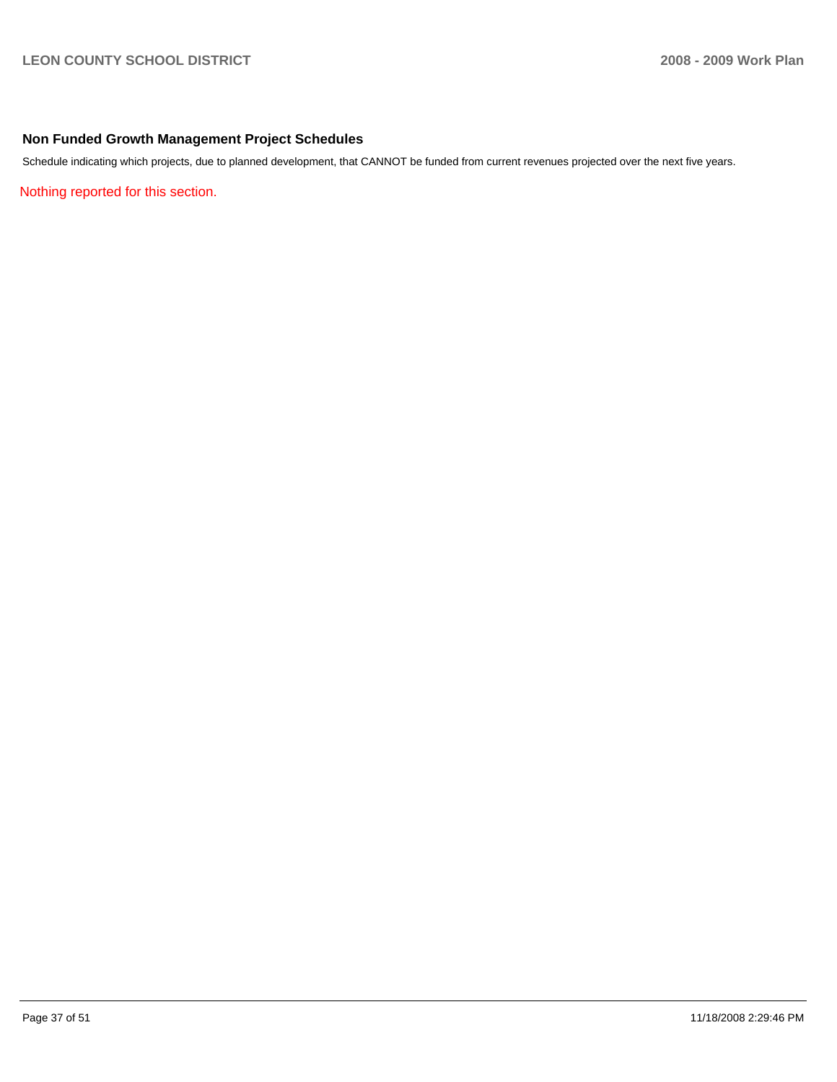### **Non Funded Growth Management Project Schedules**

Schedule indicating which projects, due to planned development, that CANNOT be funded from current revenues projected over the next five years.

Nothing reported for this section.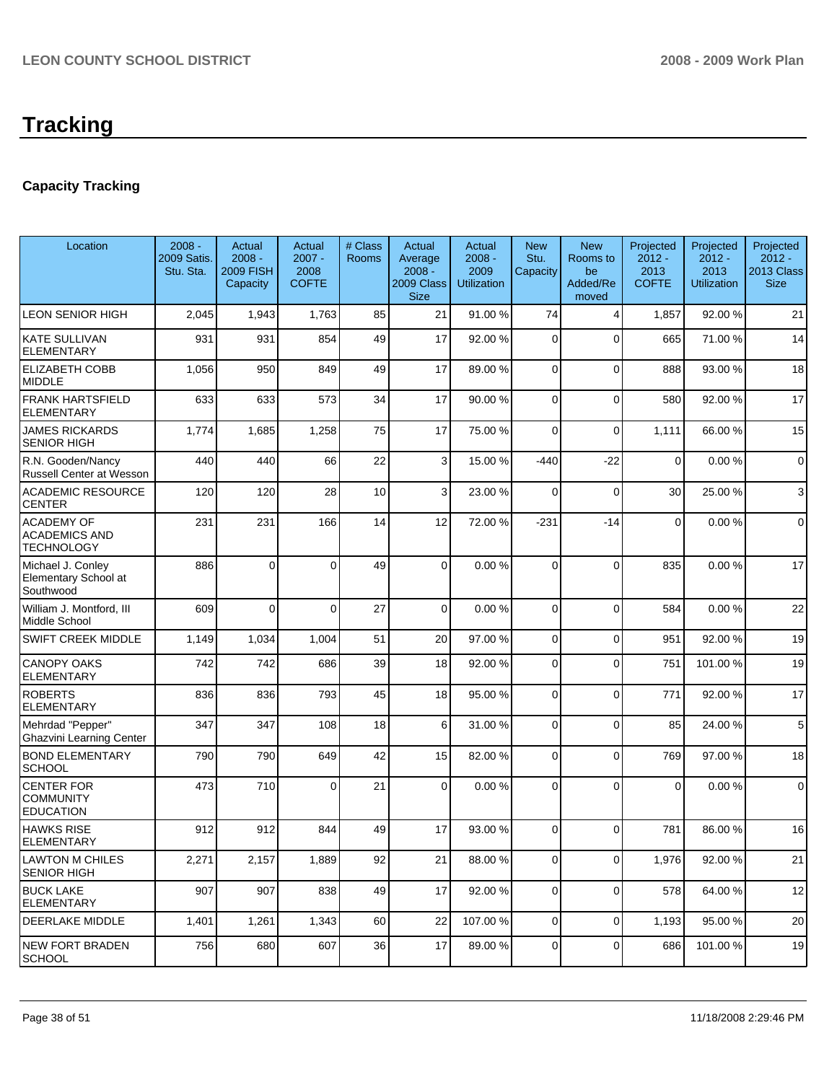# **Capacity Tracking**

| Location                                                       | $2008 -$<br>2009 Satis.<br>Stu. Sta. | Actual<br>$2008 -$<br><b>2009 FISH</b><br>Capacity | Actual<br>$2007 -$<br>2008<br><b>COFTE</b> | # Class<br>Rooms | Actual<br>Average<br>$2008 -$<br>2009 Class<br><b>Size</b> | Actual<br>$2008 -$<br>2009<br><b>Utilization</b> | <b>New</b><br>Stu.<br>Capacity | <b>New</b><br>Rooms to<br>be<br>Added/Re<br>moved | Projected<br>$2012 -$<br>2013<br><b>COFTE</b> | Projected<br>$2012 -$<br>2013<br><b>Utilization</b> | Projected<br>$2012 -$<br>2013 Class<br><b>Size</b> |
|----------------------------------------------------------------|--------------------------------------|----------------------------------------------------|--------------------------------------------|------------------|------------------------------------------------------------|--------------------------------------------------|--------------------------------|---------------------------------------------------|-----------------------------------------------|-----------------------------------------------------|----------------------------------------------------|
| LEON SENIOR HIGH                                               | 2,045                                | 1,943                                              | 1,763                                      | 85               | 21                                                         | 91.00 %                                          | 74                             | $\overline{4}$                                    | 1,857                                         | 92.00 %                                             | 21                                                 |
| <b>KATE SULLIVAN</b><br><b>ELEMENTARY</b>                      | 931                                  | 931                                                | 854                                        | 49               | 17                                                         | 92.00 %                                          | $\Omega$                       | $\mathbf{0}$                                      | 665                                           | 71.00 %                                             | 14                                                 |
| <b>ELIZABETH COBB</b><br><b>MIDDLE</b>                         | 1,056                                | 950                                                | 849                                        | 49               | 17                                                         | 89.00 %                                          | $\overline{0}$                 | $\Omega$                                          | 888                                           | 93.00 %                                             | 18                                                 |
| <b>FRANK HARTSFIELD</b><br><b>ELEMENTARY</b>                   | 633                                  | 633                                                | 573                                        | 34               | 17                                                         | 90.00 %                                          | 0                              | $\mathbf 0$                                       | 580                                           | 92.00 %                                             | 17                                                 |
| <b>JAMES RICKARDS</b><br>SENIOR HIGH                           | 1,774                                | 1,685                                              | 1,258                                      | 75               | 17                                                         | 75.00 %                                          | 0                              | $\mathbf 0$                                       | 1,111                                         | 66.00 %                                             | 15                                                 |
| R.N. Gooden/Nancy<br>Russell Center at Wesson                  | 440                                  | 440                                                | 66                                         | 22               | 3                                                          | 15.00 %                                          | $-440$                         | $-22$                                             | $\mathbf 0$                                   | 0.00%                                               | $\mathbf 0$                                        |
| <b>ACADEMIC RESOURCE</b><br><b>CENTER</b>                      | 120                                  | 120                                                | 28                                         | 10               | 3                                                          | 23.00 %                                          | $\Omega$                       | $\overline{0}$                                    | 30                                            | 25.00 %                                             | 3                                                  |
| <b>ACADEMY OF</b><br><b>ACADEMICS AND</b><br><b>TECHNOLOGY</b> | 231                                  | 231                                                | 166                                        | 14               | 12                                                         | 72.00 %                                          | $-231$                         | $-14$                                             | 0                                             | 0.00%                                               | $\mathbf 0$                                        |
| Michael J. Conley<br>Elementary School at<br>Southwood         | 886                                  | $\Omega$                                           | $\Omega$                                   | 49               | $\Omega$                                                   | 0.00%                                            | $\Omega$                       | $\Omega$                                          | 835                                           | 0.00%                                               | 17                                                 |
| William J. Montford, III<br>Middle School                      | 609                                  | 0                                                  | $\Omega$                                   | 27               | $\overline{0}$                                             | 0.00%                                            | $\mathbf 0$                    | $\mathbf 0$                                       | 584                                           | 0.00%                                               | 22                                                 |
| SWIFT CREEK MIDDLE                                             | 1,149                                | 1,034                                              | 1,004                                      | 51               | 20                                                         | 97.00 %                                          | $\mathbf 0$                    | $\mathbf 0$                                       | 951                                           | 92.00 %                                             | 19                                                 |
| <b>CANOPY OAKS</b><br><b>ELEMENTARY</b>                        | 742                                  | 742                                                | 686                                        | 39               | 18                                                         | 92.00 %                                          | $\mathbf 0$                    | $\mathbf{0}$                                      | 751                                           | 101.00 %                                            | 19                                                 |
| <b>ROBERTS</b><br><b>ELEMENTARY</b>                            | 836                                  | 836                                                | 793                                        | 45               | 18                                                         | 95.00 %                                          | 0                              | $\mathbf 0$                                       | 771                                           | 92.00 %                                             | 17                                                 |
| Mehrdad "Pepper"<br><b>Ghazvini Learning Center</b>            | 347                                  | 347                                                | 108                                        | 18               | 6                                                          | 31.00 %                                          | $\Omega$                       | $\overline{0}$                                    | 85                                            | 24.00 %                                             | $\mathbf 5$                                        |
| <b>BOND ELEMENTARY</b><br><b>SCHOOL</b>                        | 790                                  | 790                                                | 649                                        | 42               | 15                                                         | 82.00 %                                          | $\Omega$                       | $\mathbf 0$                                       | 769                                           | 97.00 %                                             | 18                                                 |
| <b>CENTER FOR</b><br><b>COMMUNITY</b><br><b>EDUCATION</b>      | 473                                  | 710                                                | $\Omega$                                   | 21               | $\Omega$                                                   | 0.00%                                            | $\mathbf 0$                    | $\Omega$                                          | $\overline{0}$                                | 0.00%                                               | $\pmb{0}$                                          |
| <b>HAWKS RISE</b><br><b>ELEMENTARY</b>                         | 912                                  | 912                                                | 844                                        | 49               | 17                                                         | 93.00 %                                          | $\Omega$                       | $\Omega$                                          | 781                                           | 86.00 %                                             | 16                                                 |
| <b>LAWTON M CHILES</b><br><b>SENIOR HIGH</b>                   | 2,271                                | 2,157                                              | 1,889                                      | 92               | 21                                                         | 88.00 %                                          | $\overline{0}$                 | 0                                                 | 1,976                                         | 92.00 %                                             | 21                                                 |
| <b>BUCK LAKE</b><br>ELEMENTARY                                 | 907                                  | 907                                                | 838                                        | 49               | 17                                                         | 92.00 %                                          | $\overline{0}$                 | $\mathbf 0$                                       | 578                                           | 64.00 %                                             | 12                                                 |
| DEERLAKE MIDDLE                                                | 1,401                                | 1,261                                              | 1,343                                      | 60               | 22                                                         | 107.00 %                                         | $\overline{0}$                 | 0                                                 | 1,193                                         | 95.00 %                                             | 20                                                 |
| <b>NEW FORT BRADEN</b><br><b>SCHOOL</b>                        | 756                                  | 680                                                | 607                                        | 36               | 17                                                         | 89.00 %                                          | $\overline{0}$                 | 0                                                 | 686                                           | 101.00%                                             | 19                                                 |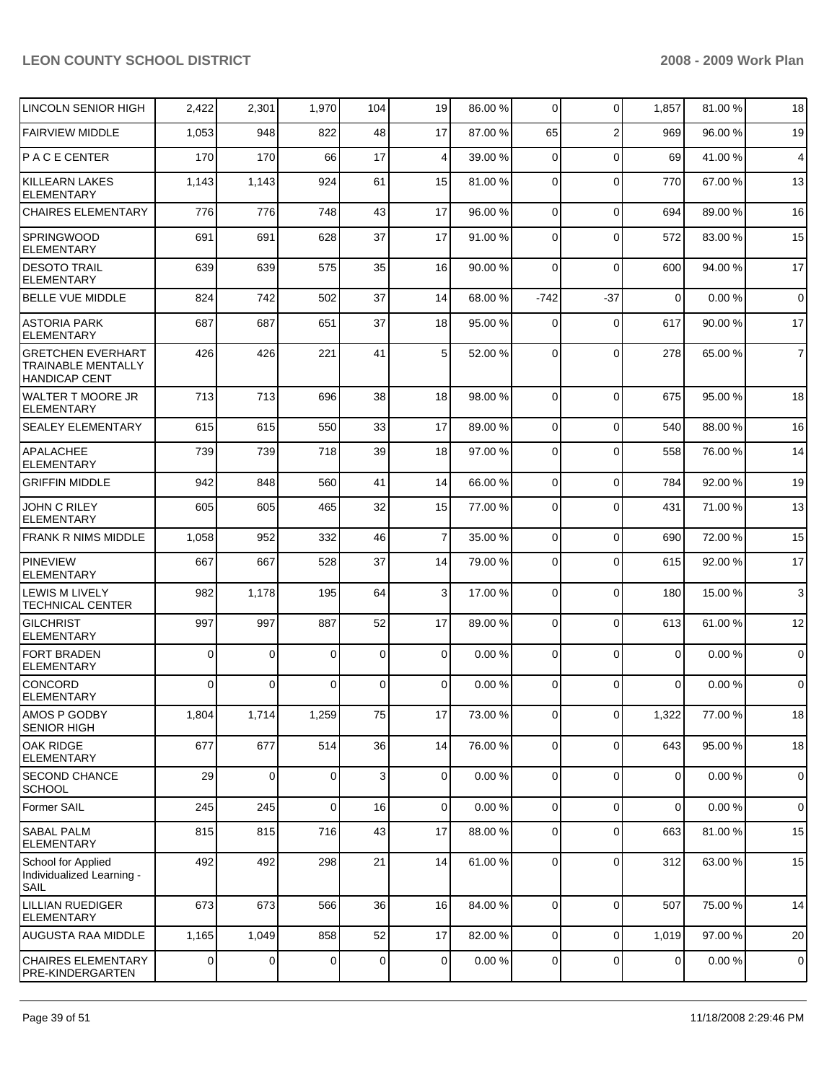| LINCOLN SENIOR HIGH                                                           | 2,422       | 2,301       | 1,970          | 104         | 19             | 86.00 % | $\overline{0}$ | $\Omega$       | 1,857       | 81.00 % | 18             |
|-------------------------------------------------------------------------------|-------------|-------------|----------------|-------------|----------------|---------|----------------|----------------|-------------|---------|----------------|
| <b>FAIRVIEW MIDDLE</b>                                                        | 1,053       | 948         | 822            | 48          | 17             | 87.00 % | 65             | $\overline{2}$ | 969         | 96.00 % | 19             |
| PACE CENTER                                                                   | 170         | 170         | 66             | 17          | $\overline{4}$ | 39.00 % | $\overline{0}$ | $\Omega$       | 69          | 41.00 % | 4              |
| <b>KILLEARN LAKES</b><br><b>ELEMENTARY</b>                                    | 1,143       | 1,143       | 924            | 61          | 15             | 81.00 % | 0              | $\Omega$       | 770         | 67.00 % | 13             |
| <b>CHAIRES ELEMENTARY</b>                                                     | 776         | 776         | 748            | 43          | 17             | 96.00 % | $\overline{0}$ | $\mathbf 0$    | 694         | 89.00 % | 16             |
| <b>SPRINGWOOD</b><br><b>ELEMENTARY</b>                                        | 691         | 691         | 628            | 37          | 17             | 91.00 % | 0              | $\Omega$       | 572         | 83.00 % | 15             |
| <b>DESOTO TRAIL</b><br><b>ELEMENTARY</b>                                      | 639         | 639         | 575            | 35          | 16             | 90.00 % | $\overline{0}$ | $\Omega$       | 600         | 94.00 % | 17             |
| <b>BELLE VUE MIDDLE</b>                                                       | 824         | 742         | 502            | 37          | 14             | 68.00 % | $-742$         | $-37$          | $\mathbf 0$ | 0.00%   | $\mathbf 0$    |
| <b>ASTORIA PARK</b><br><b>ELEMENTARY</b>                                      | 687         | 687         | 651            | 37          | 18             | 95.00 % | 0              | $\Omega$       | 617         | 90.00 % | 17             |
| <b>GRETCHEN EVERHART</b><br><b>TRAINABLE MENTALLY</b><br><b>HANDICAP CENT</b> | 426         | 426         | 221            | 41          | 5              | 52.00 % | $\Omega$       | $\Omega$       | 278         | 65.00 % | $\overline{7}$ |
| <b>WALTER T MOORE JR</b><br><b>ELEMENTARY</b>                                 | 713         | 713         | 696            | 38          | 18             | 98.00 % | $\Omega$       | $\Omega$       | 675         | 95.00 % | 18             |
| <b>SEALEY ELEMENTARY</b>                                                      | 615         | 615         | 550            | 33          | 17             | 89.00 % | $\overline{0}$ | $\Omega$       | 540         | 88.00 % | 16             |
| <b>APALACHEE</b><br><b>ELEMENTARY</b>                                         | 739         | 739         | 718            | 39          | 18             | 97.00 % | 0              | $\Omega$       | 558         | 76.00 % | 14             |
| <b>GRIFFIN MIDDLE</b>                                                         | 942         | 848         | 560            | 41          | 14             | 66.00 % | $\overline{0}$ | 0              | 784         | 92.00 % | 19             |
| JOHN C RILEY<br><b>ELEMENTARY</b>                                             | 605         | 605         | 465            | 32          | 15             | 77.00 % | $\overline{0}$ | 0              | 431         | 71.00 % | 13             |
| <b>FRANK R NIMS MIDDLE</b>                                                    | 1,058       | 952         | 332            | 46          | $\overline{7}$ | 35.00 % | $\overline{0}$ | $\Omega$       | 690         | 72.00 % | 15             |
| <b>PINEVIEW</b><br><b>ELEMENTARY</b>                                          | 667         | 667         | 528            | 37          | 14             | 79.00 % | 0              | $\Omega$       | 615         | 92.00 % | 17             |
| LEWIS M LIVELY<br><b>TECHNICAL CENTER</b>                                     | 982         | 1,178       | 195            | 64          | 3              | 17.00 % | 0              | $\Omega$       | 180         | 15.00 % | 3              |
| <b>GILCHRIST</b><br><b>ELEMENTARY</b>                                         | 997         | 997         | 887            | 52          | 17             | 89.00 % | 0              | $\Omega$       | 613         | 61.00 % | 12             |
| <b>FORT BRADEN</b><br><b>ELEMENTARY</b>                                       | $\mathbf 0$ | 0           | 0              | $\mathbf 0$ | $\mathbf 0$    | 0.00%   | 0              | $\Omega$       | $\mathbf 0$ | 0.00%   | $\mathbf 0$    |
| <b>CONCORD</b><br><b>ELEMENTARY</b>                                           | $\Omega$    | 0           | $\overline{0}$ | $\mathbf 0$ | $\overline{0}$ | 0.00%   | 0              | $\mathbf 0$    | 0           | 0.00%   | $\pmb{0}$      |
| AMOS P GODBY<br><b>SENIOR HIGH</b>                                            | 1,804       | 1,714       | 1,259          | 75          | 17             | 73.00 % | 0              | 0              | 1,322       | 77.00 % | 18             |
| <b>OAK RIDGE</b><br><b>ELEMENTARY</b>                                         | 677         | 677         | 514            | 36          | 14             | 76.00 % | $\overline{0}$ | $\Omega$       | 643         | 95.00 % | 18             |
| SECOND CHANCE<br><b>SCHOOL</b>                                                | 29          | $\mathbf 0$ | $\overline{0}$ | 3           | $\mathbf 0$    | 0.00%   | $\overline{0}$ | $\Omega$       | $\mathbf 0$ | 0.00%   | $\mathbf 0$    |
| Former SAIL                                                                   | 245         | 245         | 0              | 16          | $\mathbf{O}$   | 0.00%   | $\mathbf{O}$   | $\mathbf 0$    | 0           | 0.00%   | $\mathbf 0$    |
| <b>SABAL PALM</b><br><b>ELEMENTARY</b>                                        | 815         | 815         | 716            | 43          | 17             | 88.00 % | 0              | $\mathbf 0$    | 663         | 81.00 % | 15             |
| School for Applied<br>Individualized Learning -<br><b>SAIL</b>                | 492         | 492         | 298            | 21          | 14             | 61.00%  | $\overline{0}$ | $\mathbf 0$    | 312         | 63.00 % | 15             |
| <b>LILLIAN RUEDIGER</b><br><b>ELEMENTARY</b>                                  | 673         | 673         | 566            | 36          | 16             | 84.00 % | $\mathbf 0$    | $\Omega$       | 507         | 75.00 % | 14             |
| AUGUSTA RAA MIDDLE                                                            | 1,165       | 1,049       | 858            | 52          | 17             | 82.00 % | $\overline{0}$ | $\Omega$       | 1,019       | 97.00 % | 20             |
| <b>CHAIRES ELEMENTARY</b><br>PRE-KINDERGARTEN                                 | $\mathbf 0$ | 0           | $\overline{0}$ | $\mathbf 0$ | $\mathbf 0$    | 0.00%   | $\mathbf{O}$   | $\mathbf 0$    | $\mathbf 0$ | 0.00%   | $\mathbf 0$    |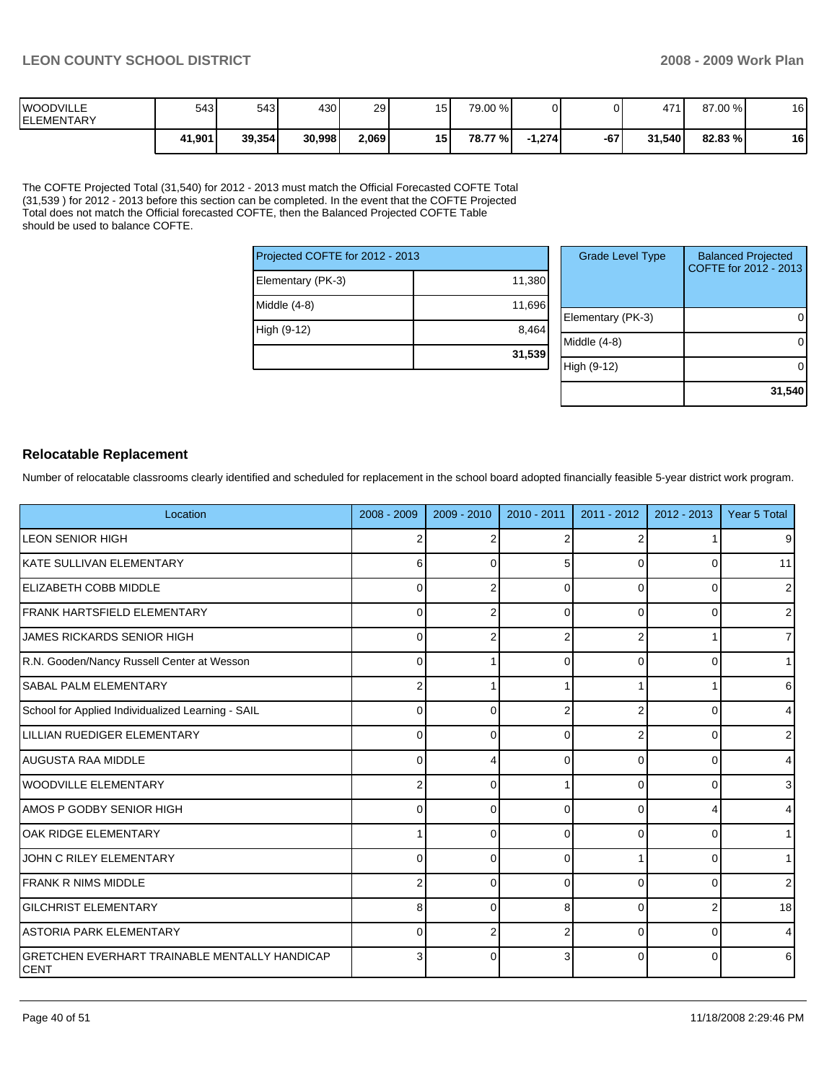| <b>IWOODVILLE</b><br><b>IELEMENTARY</b> | 543    | 543    | 430    | 29    | 15 <sub>1</sub> | 79.00 %  |          |     | 471    | 87.00 % | 16 |
|-----------------------------------------|--------|--------|--------|-------|-----------------|----------|----------|-----|--------|---------|----|
|                                         | 41,901 | 39.354 | 30,998 | 2,069 | 15              | 78.77 %I | $-1,274$ | -67 | 31.540 | 82.83 % | 16 |

The COFTE Projected Total (31,540) for 2012 - 2013 must match the Official Forecasted COFTE Total (31,539 ) for 2012 - 2013 before this section can be completed. In the event that the COFTE Projected Total does not match the Official forecasted COFTE, then the Balanced Projected COFTE Table should be used to balance COFTE.

| Projected COFTE for 2012 - 2013 |        |  |  |  |  |
|---------------------------------|--------|--|--|--|--|
| Elementary (PK-3)               | 11,380 |  |  |  |  |
| Middle (4-8)                    | 11,696 |  |  |  |  |
| High (9-12)                     | 8,464  |  |  |  |  |
|                                 | 31,539 |  |  |  |  |

| <b>Grade Level Type</b> | <b>Balanced Projected</b><br>COFTE for 2012 - 2013 |
|-------------------------|----------------------------------------------------|
| Elementary (PK-3)       |                                                    |
| Middle (4-8)            |                                                    |
| High (9-12)             |                                                    |
|                         | 31,540                                             |

### **Relocatable Replacement**

Number of relocatable classrooms clearly identified and scheduled for replacement in the school board adopted financially feasible 5-year district work program.

| Location                                                            | 2008 - 2009 | 2009 - 2010 | $2010 - 2011$ | $2011 - 2012$  | $2012 - 2013$ | Year 5 Total   |
|---------------------------------------------------------------------|-------------|-------------|---------------|----------------|---------------|----------------|
| ILEON SENIOR HIGH                                                   | 2           |             |               | 2              |               | 9              |
| KATE SULLIVAN ELEMENTARY                                            | 6           |             |               | $\Omega$       | ŋ             | 11             |
| <b>ELIZABETH COBB MIDDLE</b>                                        | $\Omega$    |             | <sup>0</sup>  | 0              | ŋ             | $\overline{2}$ |
| FRANK HARTSFIELD ELEMENTARY                                         | $\Omega$    |             | <sup>0</sup>  | $\Omega$       | ∩             | $\overline{2}$ |
| JAMES RICKARDS SENIOR HIGH                                          | $\Omega$    |             |               | $\overline{2}$ |               | $\overline{7}$ |
| R.N. Gooden/Nancy Russell Center at Wesson                          | 0           |             | $\Omega$      | $\Omega$       | 0             | 1              |
| <b>SABAL PALM ELEMENTARY</b>                                        | 2           |             |               |                |               | 6              |
| School for Applied Individualized Learning - SAIL                   | 0           | ∩           |               | 2              | $\Omega$      | $\overline{4}$ |
| LILLIAN RUEDIGER ELEMENTARY                                         | 0           | ∩           | O             | 2              | 0             | $\overline{2}$ |
| AUGUSTA RAA MIDDLE                                                  | $\Omega$    |             | 0             | $\Omega$       | 0             | $\overline{4}$ |
| <b>WOODVILLE ELEMENTARY</b>                                         | 2           | $\Omega$    |               | $\Omega$       | 0             | $\mathbf{3}$   |
| AMOS P GODBY SENIOR HIGH                                            | 0           | $\Omega$    | $\Omega$      | $\mathbf 0$    |               | $\overline{4}$ |
| <b>OAK RIDGE ELEMENTARY</b>                                         | 1           | $\Omega$    | $\Omega$      | $\Omega$       | $\Omega$      | 1              |
| JOHN C RILEY ELEMENTARY                                             | 0           | ∩           | 0             |                | ŋ             | 1              |
| FRANK R NIMS MIDDLE                                                 | 2           | $\Omega$    | $\Omega$      | 0              | 0             | $\overline{2}$ |
| <b>GILCHRIST ELEMENTARY</b>                                         | 8           | $\Omega$    | 8             | 0              |               | 18             |
| <b>ASTORIA PARK ELEMENTARY</b>                                      | 0           |             |               | $\Omega$       | ŋ             | 4              |
| <b>GRETCHEN EVERHART TRAINABLE MENTALLY HANDICAP</b><br><b>CENT</b> | 3           | $\Omega$    |               | 0              |               | 6              |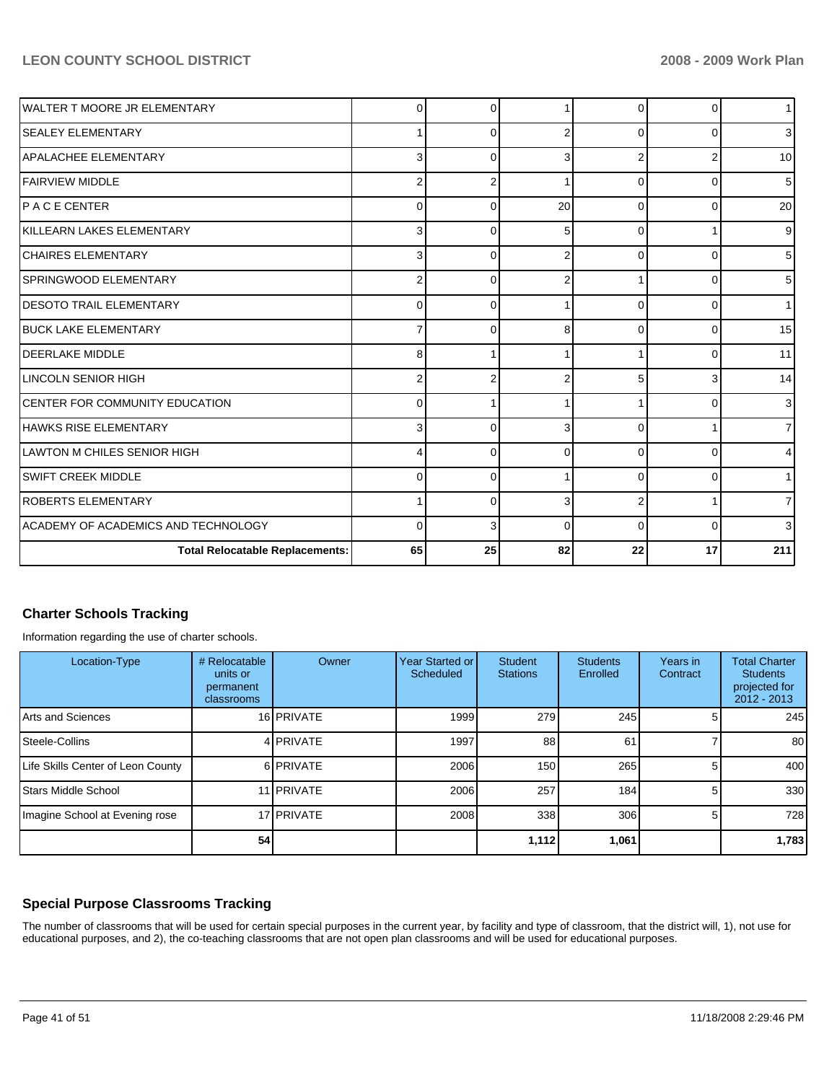| IWALTER T MOORE JR ELEMENTARY          | 0              | ∩  |               | 0        | <sup>0</sup> | 1 <sup>1</sup> |
|----------------------------------------|----------------|----|---------------|----------|--------------|----------------|
| <b>SEALEY ELEMENTARY</b>               | 1              |    | 2             | 0        | <sup>0</sup> | 3 <sup>l</sup> |
| <b>APALACHEE ELEMENTARY</b>            | 3              |    | 3             | 2        |              | 10             |
| <b>FAIRVIEW MIDDLE</b>                 | $\overline{2}$ |    |               | 0        |              | 5 <sub>l</sub> |
| PACECENTER                             | $\mathbf 0$    |    | 20            | 0        | <sup>0</sup> | 20             |
| KILLEARN LAKES ELEMENTARY              | 3              |    | 5             | $\Omega$ |              | 9 <sub>l</sub> |
| <b>CHAIRES ELEMENTARY</b>              | 3              | ſ  | $\mathcal{P}$ | 0        |              | 5 <sub>l</sub> |
| SPRINGWOOD ELEMENTARY                  | $\overline{2}$ |    |               |          |              | 5 <sub>l</sub> |
| <b>DESOTO TRAIL ELEMENTARY</b>         | 0              | ſ  |               | 0        |              | 11             |
| <b>BUCK LAKE ELEMENTARY</b>            | 7              |    | 8             | 0        |              | 15             |
| <b>DEERLAKE MIDDLE</b>                 | 8              |    |               |          |              | 11             |
| LINCOLN SENIOR HIGH                    | $\overline{2}$ |    |               |          |              | 14             |
| <b>CENTER FOR COMMUNITY EDUCATION</b>  | 0              |    |               |          |              | 3 <sup>l</sup> |
| HAWKS RISE ELEMENTARY                  | 3              | ſ  | 3             | 0        |              | 7 <sup>1</sup> |
| LAWTON M CHILES SENIOR HIGH            | 4              | ∩  | 0             | 0        | ∩            | $\overline{4}$ |
| <b>SWIFT CREEK MIDDLE</b>              | 0              | ſ  |               | 0        | ∩            | 1 <sup>1</sup> |
| <b>ROBERTS ELEMENTARY</b>              | 1              | ∩  | 3             | 2        |              | $\overline{7}$ |
| ACADEMY OF ACADEMICS AND TECHNOLOGY    | $\Omega$       |    | $\Omega$      | 0        | $\Omega$     | 3 <sup>1</sup> |
| <b>Total Relocatable Replacements:</b> | 65             | 25 | 82            | 22       | 17           | 211            |

# **Charter Schools Tracking**

Information regarding the use of charter schools.

| Location-Type                     | # Relocatable<br>units or<br>permanent<br>classrooms | Owner             | <b>Year Started or I</b><br>Scheduled | <b>Student</b><br><b>Stations</b> | <b>Students</b><br>Enrolled | Years in<br>Contract | <b>Total Charter</b><br><b>Students</b><br>projected for<br>$2012 - 2013$ |
|-----------------------------------|------------------------------------------------------|-------------------|---------------------------------------|-----------------------------------|-----------------------------|----------------------|---------------------------------------------------------------------------|
| Arts and Sciences                 |                                                      | 16 PRIVATE        | 1999                                  | 279                               | 245                         |                      | 245                                                                       |
| Steele-Collins                    |                                                      | 4 PRIVATE         | 1997                                  | 88                                | 61                          |                      | 80                                                                        |
| Life Skills Center of Leon County |                                                      | 6 PRIVATE         | 2006                                  | 150                               | 265                         |                      | 400                                                                       |
| Stars Middle School               |                                                      | 11 <b>PRIVATE</b> | 2006                                  | 257                               | 184                         |                      | 330                                                                       |
| Imagine School at Evening rose    |                                                      | 17 PRIVATE        | 2008                                  | 338                               | 306                         |                      | 728                                                                       |
|                                   | 54                                                   |                   |                                       | 1,112                             | 1,061                       |                      | 1,783                                                                     |

### **Special Purpose Classrooms Tracking**

The number of classrooms that will be used for certain special purposes in the current year, by facility and type of classroom, that the district will, 1), not use for educational purposes, and 2), the co-teaching classrooms that are not open plan classrooms and will be used for educational purposes.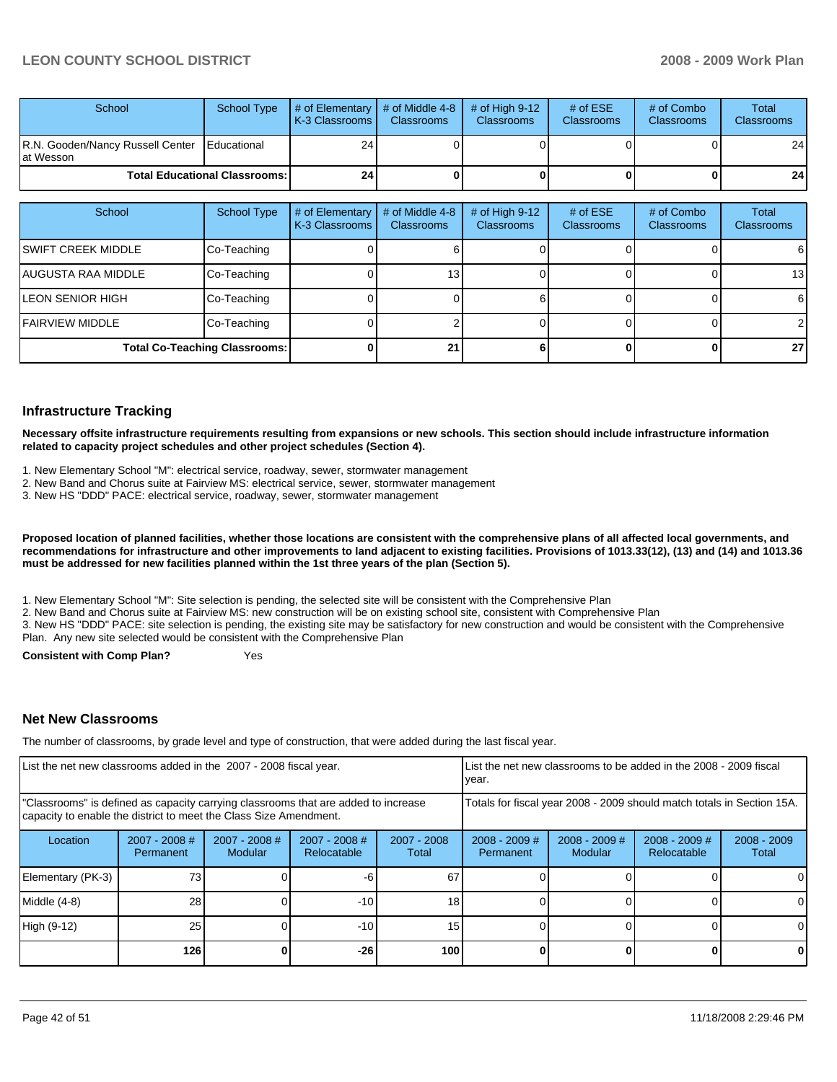| School                                                      | School Type | $\parallel$ # of Elementary $\parallel$ # of Middle 4-8 $\parallel$<br><b>IK-3 Classrooms L</b> | <b>Classrooms</b> | $\#$ of High 9-12<br><b>Classrooms</b> | # of $ESE$<br><b>Classrooms</b> | # of Combo<br><b>Classrooms</b> | Total<br><b>Classrooms</b> |
|-------------------------------------------------------------|-------------|-------------------------------------------------------------------------------------------------|-------------------|----------------------------------------|---------------------------------|---------------------------------|----------------------------|
| R.N. Gooden/Nancy Russell Center   Educational<br>at Wesson |             | 24                                                                                              |                   |                                        |                                 |                                 | 24                         |
| <b>Total Educational Classrooms: I</b>                      |             | 24 <sub>1</sub>                                                                                 |                   |                                        |                                 |                                 | 24                         |

| School                  | <b>School Type</b>                   | # of Elementary<br>K-3 Classrooms | # of Middle 4-8<br><b>Classrooms</b> | # of High $9-12$<br><b>Classrooms</b> | # of $ESE$<br><b>Classrooms</b> | # of Combo<br><b>Classrooms</b> | Total<br><b>Classrooms</b> |
|-------------------------|--------------------------------------|-----------------------------------|--------------------------------------|---------------------------------------|---------------------------------|---------------------------------|----------------------------|
| ISWIFT CREEK MIDDLE     | Co-Teaching                          |                                   |                                      |                                       |                                 |                                 | 6                          |
| IAUGUSTA RAA MIDDLE     | Co-Teaching                          |                                   | 131                                  |                                       |                                 |                                 | 13                         |
| <b>LEON SENIOR HIGH</b> | Co-Teaching                          |                                   |                                      |                                       |                                 |                                 | 6                          |
| <b>IFAIRVIEW MIDDLE</b> | Co-Teaching                          |                                   |                                      |                                       |                                 |                                 | $\overline{2}$             |
|                         | <b>Total Co-Teaching Classrooms:</b> |                                   | 21                                   |                                       |                                 |                                 | 27                         |

### **Infrastructure Tracking**

**Necessary offsite infrastructure requirements resulting from expansions or new schools. This section should include infrastructure information related to capacity project schedules and other project schedules (Section 4).** 

- 1. New Elementary School "M": electrical service, roadway, sewer, stormwater management��
- 2. New Band and Chorus suite at Fairview MS: electrical service, sewer, stormwater management
- 3. New HS "DDD" PACE: electrical service, roadway, sewer, stormwater management

**Proposed location of planned facilities, whether those locations are consistent with the comprehensive plans of all affected local governments, and recommendations for infrastructure and other improvements to land adjacent to existing facilities. Provisions of 1013.33(12), (13) and (14) and 1013.36 must be addressed for new facilities planned within the 1st three years of the plan (Section 5).** 

1. New Elementary School "M": Site selection is pending, the selected site will be consistent with the Comprehensive Plan

2. New Band and Chorus suite at Fairview MS: new construction will be on existing school site, consistent with Comprehensive Plan��

3. New HS "DDD" PACE: site selection is pending, the existing site may be satisfactory for new construction and would be consistent with the Comprehensive Plan. Any new site selected would be consistent with the Comprehensive Plan

**Consistent with Comp Plan?** Yes

### **Net New Classrooms**

The number of classrooms, by grade level and type of construction, that were added during the last fiscal year.

| List the net new classrooms added in the 2007 - 2008 fiscal year. |                              |                                                                                                                                                         |                              |                      | List the net new classrooms to be added in the 2008 - 2009 fiscal<br>year. |                            |                                       |                        |  |
|-------------------------------------------------------------------|------------------------------|---------------------------------------------------------------------------------------------------------------------------------------------------------|------------------------------|----------------------|----------------------------------------------------------------------------|----------------------------|---------------------------------------|------------------------|--|
|                                                                   |                              | "Classrooms" is defined as capacity carrying classrooms that are added to increase<br>capacity to enable the district to meet the Class Size Amendment. |                              |                      | Totals for fiscal year 2008 - 2009 should match totals in Section 15A.     |                            |                                       |                        |  |
| Location                                                          | $2007 - 2008$ #<br>Permanent | 2007 - 2008 #<br>Modular                                                                                                                                | 2007 - 2008 #<br>Relocatable | 2007 - 2008<br>Total | $2008 - 2009$ #<br>Permanent                                               | $2008 - 2009$ #<br>Modular | $2008 - 2009$ #<br><b>Relocatable</b> | $2008 - 2009$<br>Total |  |
| Elementary (PK-3)                                                 | 731                          |                                                                                                                                                         | -6.                          | 67                   |                                                                            |                            |                                       |                        |  |
| Middle (4-8)                                                      | 28                           |                                                                                                                                                         | $-10$                        | 18 <sub>1</sub>      |                                                                            |                            |                                       |                        |  |
| High (9-12)                                                       | 25                           |                                                                                                                                                         | $-10$                        | 15                   |                                                                            |                            |                                       |                        |  |
|                                                                   | 126                          |                                                                                                                                                         | $-26$                        | 100                  |                                                                            |                            |                                       | 0                      |  |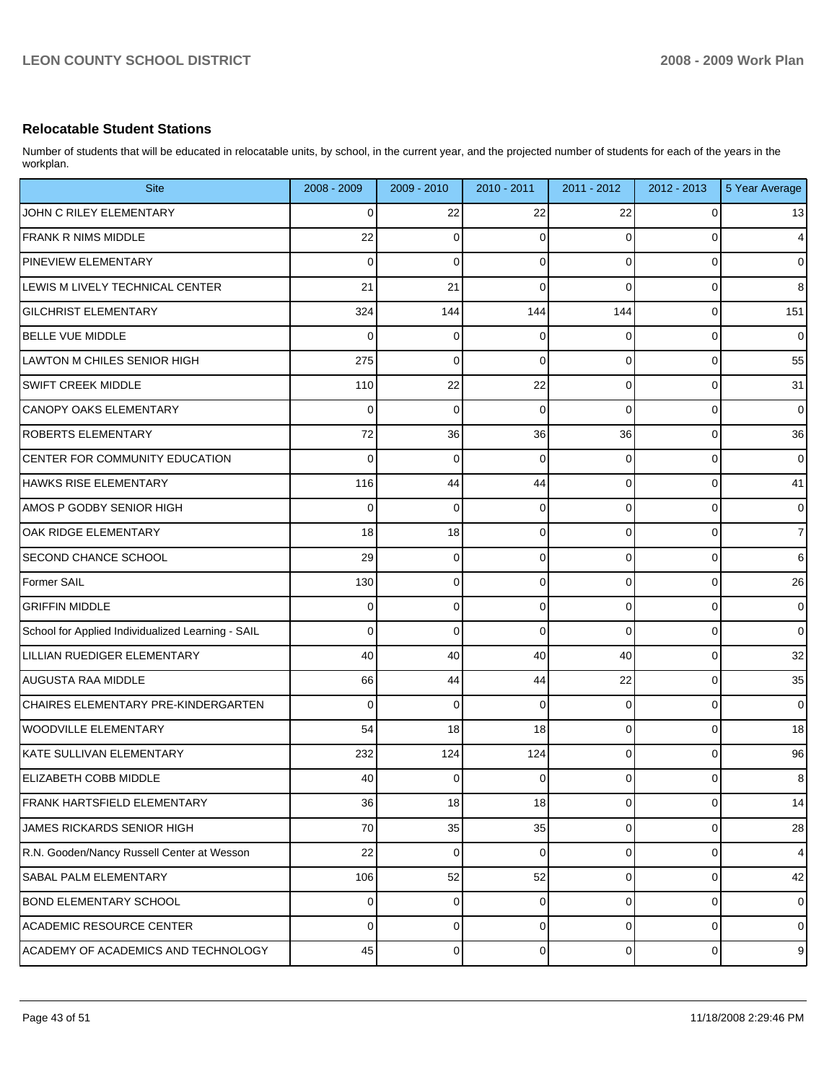# **Relocatable Student Stations**

Number of students that will be educated in relocatable units, by school, in the current year, and the projected number of students for each of the years in the workplan.

| <b>Site</b>                                       | 2008 - 2009 | 2009 - 2010 | $2010 - 2011$ | 2011 - 2012 | 2012 - 2013 | 5 Year Average          |
|---------------------------------------------------|-------------|-------------|---------------|-------------|-------------|-------------------------|
| JOHN C RILEY ELEMENTARY                           | 0           | 22          | 22            | 22          | 0           | 13                      |
| <b>FRANK R NIMS MIDDLE</b>                        | 22          | 0           | $\Omega$      | 0           | $\Omega$    | $\overline{\mathbf{4}}$ |
| PINEVIEW ELEMENTARY                               | 0           | 0           | 0             | 0           | 0           | $\pmb{0}$               |
| LEWIS M LIVELY TECHNICAL CENTER                   | 21          | 21          | $\Omega$      | 0           | 0           | 8                       |
| <b>GILCHRIST ELEMENTARY</b>                       | 324         | 144         | 144           | 144         | 0           | 151                     |
| <b>BELLE VUE MIDDLE</b>                           | 0           | 0           | $\Omega$      | 0           | 0           | $\pmb{0}$               |
| LAWTON M CHILES SENIOR HIGH                       | 275         | 0           | $\Omega$      | 0           | 0           | 55                      |
| <b>SWIFT CREEK MIDDLE</b>                         | 110         | 22          | 22            | 0           | 0           | 31                      |
| CANOPY OAKS ELEMENTARY                            | 0           | 0           | $\Omega$      | 0           | 0           | $\pmb{0}$               |
| <b>ROBERTS ELEMENTARY</b>                         | 72          | 36          | 36            | 36          | 0           | 36                      |
| CENTER FOR COMMUNITY EDUCATION                    | 0           | 0           | $\mathbf 0$   | 0           | 0           | $\pmb{0}$               |
| HAWKS RISE ELEMENTARY                             | 116         | 44          | 44            | 0           | 0           | 41                      |
| AMOS P GODBY SENIOR HIGH                          | 0           | 0           | 0             | 0           | 0           | $\pmb{0}$               |
| OAK RIDGE ELEMENTARY                              | 18          | 18          | 0             | 0           | 0           | $\overline{7}$          |
| <b>SECOND CHANCE SCHOOL</b>                       | 29          | 0           | $\mathbf 0$   | 0           | 0           | 6                       |
| Former SAIL                                       | 130         | 0           | 0             | 0           | 0           | 26                      |
| <b>GRIFFIN MIDDLE</b>                             | 0           | 0           | $\mathbf 0$   | 0           | 0           | $\pmb{0}$               |
| School for Applied Individualized Learning - SAIL | 0           | 0           | $\mathbf 0$   | 0           | 0           | $\mathbf 0$             |
| LILLIAN RUEDIGER ELEMENTARY                       | 40          | 40          | 40            | 40          | 0           | 32                      |
| AUGUSTA RAA MIDDLE                                | 66          | 44          | 44            | 22          | 0           | 35                      |
| CHAIRES ELEMENTARY PRE-KINDERGARTEN               | 0           | 0           | 0             | 0           | 0           | $\mathbf 0$             |
| WOODVILLE ELEMENTARY                              | 54          | 18          | 18            | 0           | 0           | 18                      |
| KATE SULLIVAN ELEMENTARY                          | 232         | 124         | 124           | 0           | 0           | 96                      |
| <b>ELIZABETH COBB MIDDLE</b>                      | 40          | 0           | 0             | 0           | 0           | 8                       |
| FRANK HARTSFIELD ELEMENTARY                       | 36          | 18          | 18            | 0           | 0           | 14                      |
| JAMES RICKARDS SENIOR HIGH                        | 70          | 35          | 35            | 0           | 0           | 28                      |
| R.N. Gooden/Nancy Russell Center at Wesson        | 22          | 0           | 0             | 0           | 0           | $\overline{4}$          |
| SABAL PALM ELEMENTARY                             | 106         | 52          | 52            | 0           | 0           | 42                      |
| <b>BOND ELEMENTARY SCHOOL</b>                     | 0           | 0           | 0             | 0           | 0           | $\pmb{0}$               |
| <b>ACADEMIC RESOURCE CENTER</b>                   | 0           | 0           | $\mathbf 0$   | 0           | 0           | $\pmb{0}$               |
| ACADEMY OF ACADEMICS AND TECHNOLOGY               | 45          | 0           | 0             | 0           | 0           | $\boldsymbol{9}$        |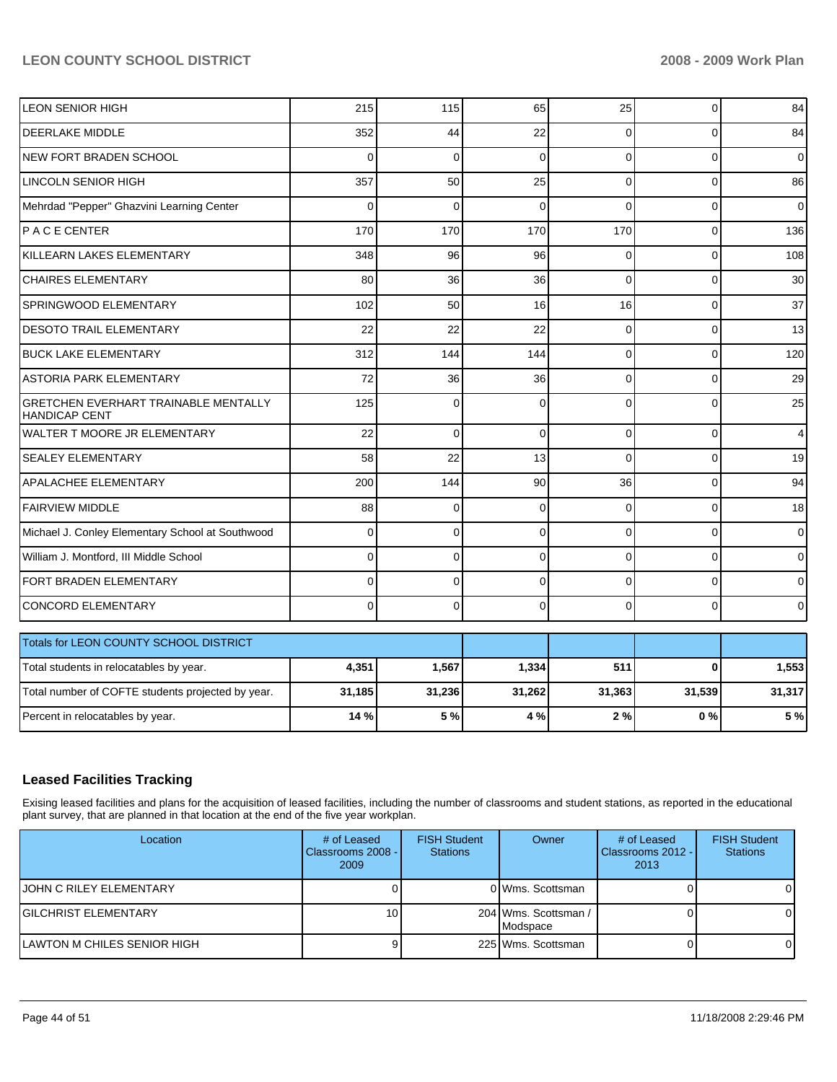| LEON SENIOR HIGH                                                    | 215      | 115         | 65          | 25       | 0        | 84             |
|---------------------------------------------------------------------|----------|-------------|-------------|----------|----------|----------------|
| <b>DEERLAKE MIDDLE</b>                                              | 352      | 44          | 22          | $\Omega$ | $\Omega$ | 84             |
| NEW FORT BRADEN SCHOOL                                              | $\Omega$ | $\Omega$    | $\Omega$    | $\Omega$ | $\Omega$ | $\overline{0}$ |
| <b>LINCOLN SENIOR HIGH</b>                                          | 357      | 50          | 25          | $\Omega$ | $\Omega$ | 86             |
| Mehrdad "Pepper" Ghazvini Learning Center                           | $\Omega$ | $\Omega$    | $\Omega$    | $\Omega$ | $\Omega$ | 0              |
| PACE CENTER                                                         | 170      | 170         | 170         | 170      | 0        | 136            |
| KILLEARN LAKES ELEMENTARY                                           | 348      | 96          | 96          | $\Omega$ | $\Omega$ | 108            |
| <b>CHAIRES ELEMENTARY</b>                                           | 80       | 36          | 36          | $\Omega$ | $\Omega$ | 30             |
| SPRINGWOOD ELEMENTARY                                               | 102      | 50          | 16          | 16       | $\Omega$ | 37             |
| <b>DESOTO TRAIL ELEMENTARY</b>                                      | 22       | 22          | 22          | $\Omega$ | $\Omega$ | 13             |
| <b>BUCK LAKE ELEMENTARY</b>                                         | 312      | 144         | 144         | $\Omega$ | $\Omega$ | 120            |
| <b>ASTORIA PARK ELEMENTARY</b>                                      | 72       | 36          | 36          | $\Omega$ | $\Omega$ | 29             |
| <b>GRETCHEN EVERHART TRAINABLE MENTALLY</b><br><b>HANDICAP CENT</b> | 125      | $\Omega$    | 0           | $\Omega$ | $\Omega$ | 25             |
| WALTER T MOORE JR ELEMENTARY                                        | 22       | $\Omega$    | $\Omega$    | $\Omega$ | $\Omega$ | 4              |
| <b>SEALEY ELEMENTARY</b>                                            | 58       | 22          | 13          | $\Omega$ | 0        | 19             |
| <b>APALACHEE ELEMENTARY</b>                                         | 200      | 144         | 90          | 36       | $\Omega$ | 94             |
| <b>FAIRVIEW MIDDLE</b>                                              | 88       | $\mathbf 0$ | $\mathbf 0$ | $\Omega$ | 0        | 18             |
| Michael J. Conley Elementary School at Southwood                    | $\Omega$ | $\Omega$    | $\Omega$    | $\Omega$ | $\Omega$ | 0              |
| William J. Montford, III Middle School                              | $\Omega$ | $\Omega$    | $\Omega$    | $\Omega$ | $\Omega$ | $\overline{0}$ |
| FORT BRADEN ELEMENTARY                                              | 0        | $\mathbf 0$ | $\mathbf 0$ | $\Omega$ | 0        | $\overline{0}$ |
| CONCORD ELEMENTARY                                                  | $\Omega$ | $\Omega$    | $\Omega$    | $\Omega$ | $\Omega$ | $\overline{0}$ |
| Totals for LEON COUNTY SCHOOL DISTRICT                              |          |             |             |          |          |                |
| Total students in relocatables by year.                             | 4,351    | 1,567       | 1,334       | 511      | $\bf{0}$ | 1,553          |
| Total number of COFTE students projected by year.                   | 31,185   | 31,236      | 31,262      | 31,363   | 31,539   | 31,317         |
| Percent in relocatables by year.                                    | 14 %     | 5 %         | 4 %         | 2%       | 0%       | 5 %            |

### **Leased Facilities Tracking**

Exising leased facilities and plans for the acquisition of leased facilities, including the number of classrooms and student stations, as reported in the educational plant survey, that are planned in that location at the end of the five year workplan.

| Location                    | # of Leased<br>Classrooms 2008 - I<br>2009 | <b>FISH Student</b><br><b>Stations</b> | Owner                            | # of Leased<br>Classrooms 2012 - I<br>2013 | <b>FISH Student</b><br><b>Stations</b> |
|-----------------------------|--------------------------------------------|----------------------------------------|----------------------------------|--------------------------------------------|----------------------------------------|
| IJOHN C RILEY ELEMENTARY    |                                            |                                        | 0 Wms. Scottsman                 |                                            |                                        |
| IGILCHRIST ELEMENTARY       | 10 I                                       |                                        | 204 Wms. Scottsman /<br>Modspace |                                            |                                        |
| LAWTON M CHILES SENIOR HIGH |                                            |                                        | 225 Wms. Scottsman               |                                            |                                        |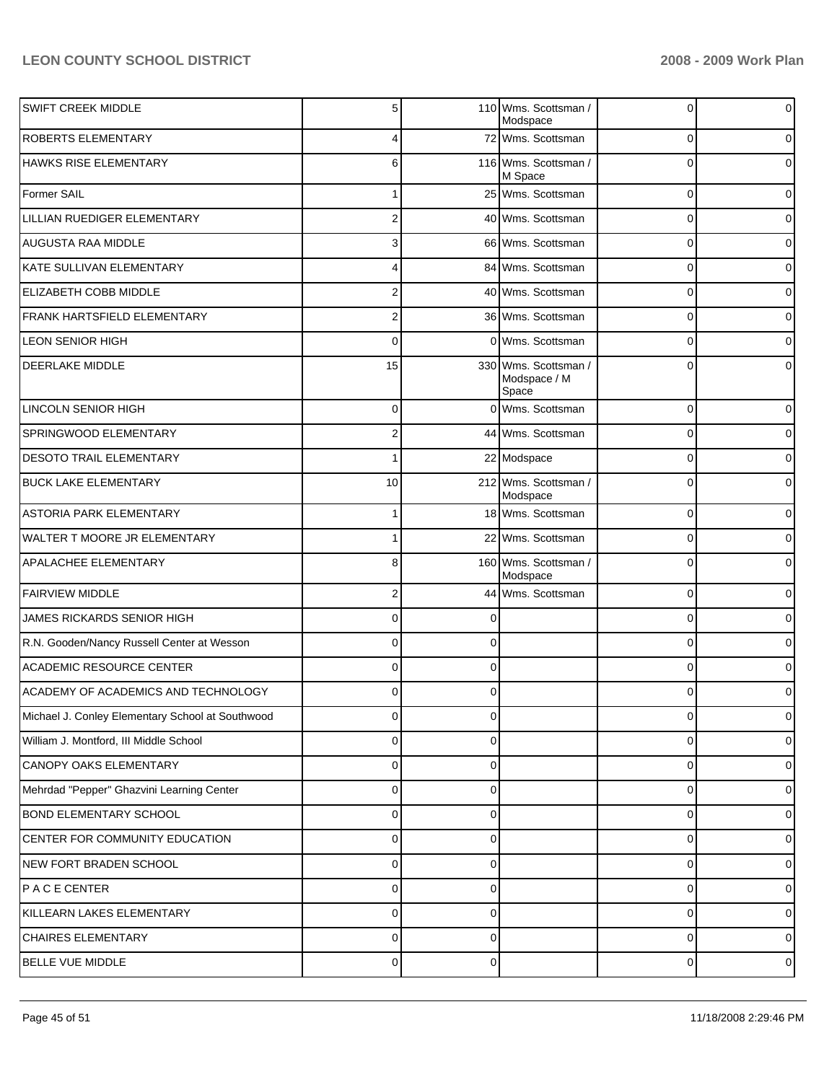| <b>SWIFT CREEK MIDDLE</b>                        | 5              |          | 110 Wms. Scottsman /<br>Modspace              | 0           | 0        |
|--------------------------------------------------|----------------|----------|-----------------------------------------------|-------------|----------|
| <b>ROBERTS ELEMENTARY</b>                        | 4              |          | 72 Wms. Scottsman                             | 0           | 0        |
| <b>HAWKS RISE ELEMENTARY</b>                     | 6              |          | 116 Wms. Scottsman /<br>M Space               | 0           | 0        |
| Former SAIL                                      | 1              |          | 25 Wms. Scottsman                             | 0           | 0        |
| LILLIAN RUEDIGER ELEMENTARY                      | $\overline{2}$ |          | 40 Wms. Scottsman                             | $\mathbf 0$ | 0        |
| <b>AUGUSTA RAA MIDDLE</b>                        | 3              |          | 66 Wms. Scottsman                             | 0           | 0        |
| KATE SULLIVAN ELEMENTARY                         | 4              |          | 84 Wms. Scottsman                             | 0           | 0        |
| ELIZABETH COBB MIDDLE                            | $\overline{2}$ |          | 40 Wms. Scottsman                             | 0           | 0        |
| FRANK HARTSFIELD ELEMENTARY                      | $\overline{2}$ |          | 36 Wms. Scottsman                             | 0           | 0        |
| <b>LEON SENIOR HIGH</b>                          | $\mathbf 0$    |          | 0 Wms. Scottsman                              | $\mathbf 0$ | 0        |
| <b>DEERLAKE MIDDLE</b>                           | 15             |          | 330 Wms. Scottsman /<br>Modspace / M<br>Space | $\Omega$    | 0        |
| <b>LINCOLN SENIOR HIGH</b>                       | $\pmb{0}$      |          | 0 Wms. Scottsman                              | 0           | 0        |
| <b>SPRINGWOOD ELEMENTARY</b>                     | $\overline{c}$ |          | 44 Wms. Scottsman                             | 0           | 0        |
| <b>DESOTO TRAIL ELEMENTARY</b>                   | 1              |          | 22 Modspace                                   | 0           | 0        |
| <b>BUCK LAKE ELEMENTARY</b>                      | 10             |          | 212 Wms. Scottsman /<br>Modspace              | 0           | 0        |
| <b>ASTORIA PARK ELEMENTARY</b>                   | $\mathbf{1}$   |          | 18 Wms. Scottsman                             | 0           | 0        |
| WALTER T MOORE JR ELEMENTARY                     | 1              |          | 22 Wms. Scottsman                             | $\mathbf 0$ | 0        |
| <b>APALACHEE ELEMENTARY</b>                      | 8              |          | 160 Wms. Scottsman /<br>Modspace              | $\mathbf 0$ | $\Omega$ |
| <b>FAIRVIEW MIDDLE</b>                           | $\overline{2}$ |          | 44 Wms. Scottsman                             | 0           | 0        |
| JAMES RICKARDS SENIOR HIGH                       | 0              |          |                                               | 0           | 0        |
| R.N. Gooden/Nancy Russell Center at Wesson       | $\mathbf 0$    | 0        |                                               | 0           | 0        |
| <b>ACADEMIC RESOURCE CENTER</b>                  | $\mathbf 0$    | ∩        |                                               | $\Omega$    | 0        |
| ACADEMY OF ACADEMICS AND TECHNOLOGY              | 0              | 0        |                                               | 0           | 0        |
| Michael J. Conley Elementary School at Southwood | $\overline{0}$ | 0        |                                               | 0           | $\circ$  |
| William J. Montford, III Middle School           | $\mathbf 0$    | 0        |                                               | 0           | 0        |
| <b>CANOPY OAKS ELEMENTARY</b>                    | $\mathbf 0$    | $\Omega$ |                                               | 0           | 0        |
| Mehrdad "Pepper" Ghazvini Learning Center        | $\mathbf 0$    | 0        |                                               | 0           | 0        |
| <b>BOND ELEMENTARY SCHOOL</b>                    | $\mathbf 0$    | $\Omega$ |                                               | 0           | 0        |
| CENTER FOR COMMUNITY EDUCATION                   | $\mathbf 0$    | 0        |                                               | 0           | 0        |
| NEW FORT BRADEN SCHOOL                           | $\mathbf 0$    | $\Omega$ |                                               | 0           | 0        |
| PACE CENTER                                      | $\mathbf 0$    | 0        |                                               | 0           | 0        |
| KILLEARN LAKES ELEMENTARY                        | $\mathbf 0$    | $\Omega$ |                                               | 0           | 0        |
| <b>CHAIRES ELEMENTARY</b>                        | $\mathbf 0$    | 0        |                                               | 0           | 0        |
| <b>BELLE VUE MIDDLE</b>                          | $\pmb{0}$      | 0        |                                               | 0           | 0        |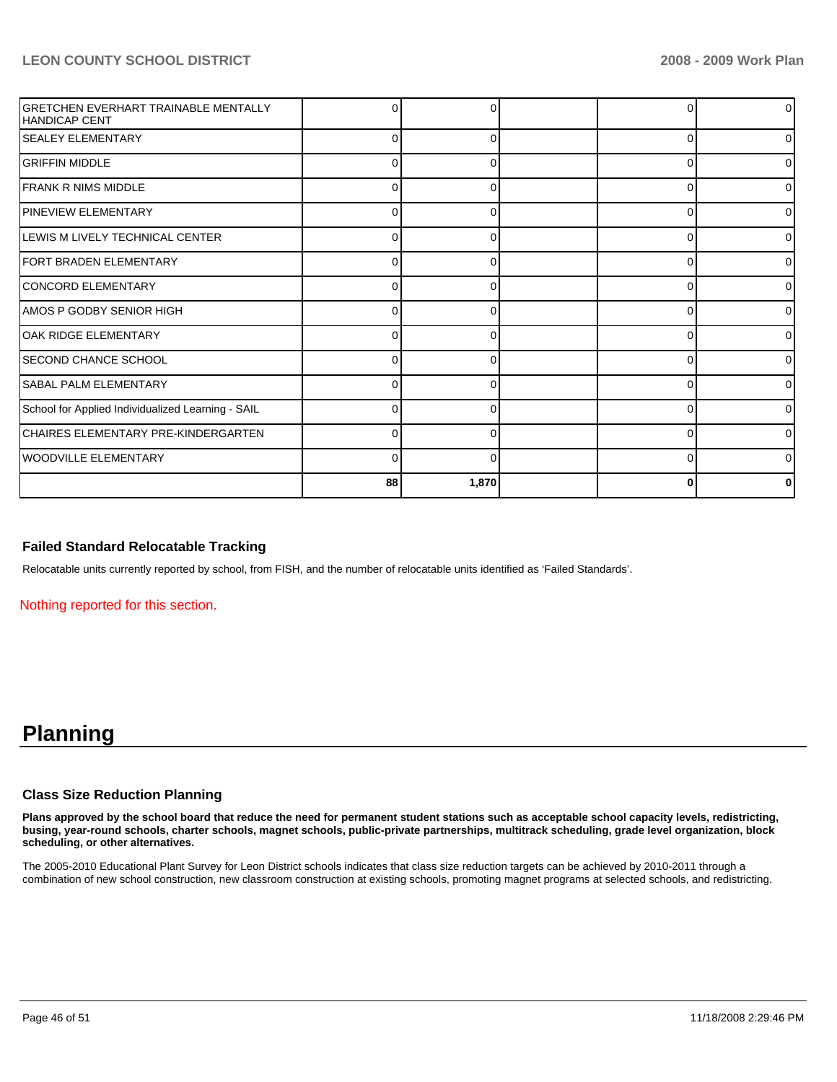| <b>GRETCHEN EVERHART TRAINABLE MENTALLY</b><br><b>HANDICAP CENT</b> | C        | 0        |          | 0              |
|---------------------------------------------------------------------|----------|----------|----------|----------------|
| <b>SEALEY ELEMENTARY</b>                                            | C        | ∩        | 0        | 01             |
| <b>GRIFFIN MIDDLE</b>                                               | 0        | 0        | 0        | 0              |
| <b>FRANK R NIMS MIDDLE</b>                                          | ∩        | 0        | $\Omega$ | 01             |
| <b>PINEVIEW ELEMENTARY</b>                                          | C        | ∩        | 0        | ΟI             |
| LEWIS M LIVELY TECHNICAL CENTER                                     | 0        | 0        | 0        | 0              |
| <b>IFORT BRADEN ELEMENTARY</b>                                      | $\Omega$ | $\Omega$ | $\Omega$ | 01             |
| CONCORD ELEMENTARY                                                  | C        | O        | $\Omega$ | 0              |
| AMOS P GODBY SENIOR HIGH                                            | C        | 0        | 0        | $\overline{0}$ |
| OAK RIDGE ELEMENTARY                                                | 0        | 0        | 0        | ΟI             |
| <b>SECOND CHANCE SCHOOL</b>                                         | C        | $\Omega$ | 0        | 0              |
| <b>SABAL PALM ELEMENTARY</b>                                        | C        | ∩        | 0        | 01             |
| School for Applied Individualized Learning - SAIL                   | 0        | $\Omega$ | 0        | $\overline{0}$ |
| CHAIRES ELEMENTARY PRE-KINDERGARTEN                                 | C        | 0        | 0        | 0              |
| WOODVILLE ELEMENTARY                                                | r        | ∩        | $\Omega$ | 0              |
|                                                                     | 88       | 1,870    | 0        | 0              |

### **Failed Standard Relocatable Tracking**

Relocatable units currently reported by school, from FISH, and the number of relocatable units identified as 'Failed Standards'.

Nothing reported for this section.

# **Planning**

### **Class Size Reduction Planning**

**Plans approved by the school board that reduce the need for permanent student stations such as acceptable school capacity levels, redistricting, busing, year-round schools, charter schools, magnet schools, public-private partnerships, multitrack scheduling, grade level organization, block scheduling, or other alternatives.** 

The 2005-2010 Educational Plant Survey for Leon District schools indicates that class size reduction targets can be achieved by 2010-2011 through a combination of new school construction, new classroom construction at existing schools, promoting magnet programs at selected schools, and redistricting.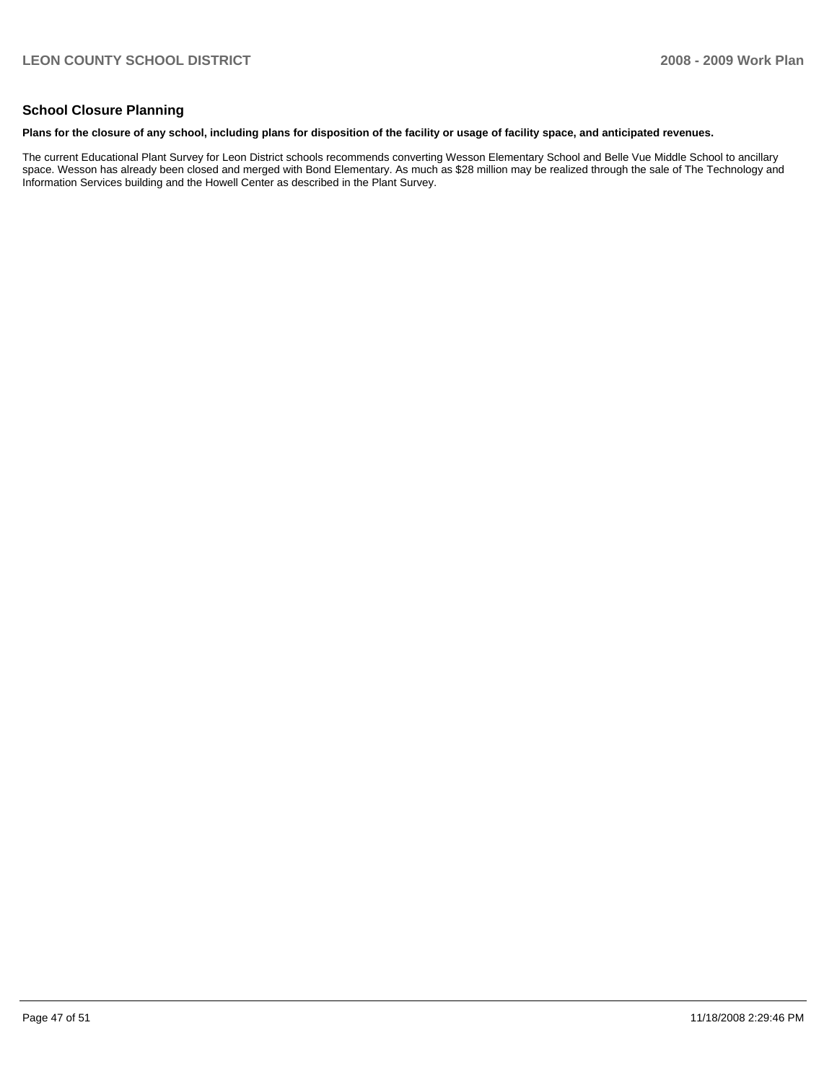### **School Closure Planning**

#### **Plans for the closure of any school, including plans for disposition of the facility or usage of facility space, and anticipated revenues.**

The current Educational Plant Survey for Leon District schools recommends converting Wesson Elementary School and Belle Vue Middle School to ancillary space. Wesson has already been closed and merged with Bond Elementary. As much as \$28 million may be realized through the sale of The Technology and Information Services building and the Howell Center as described in the Plant Survey.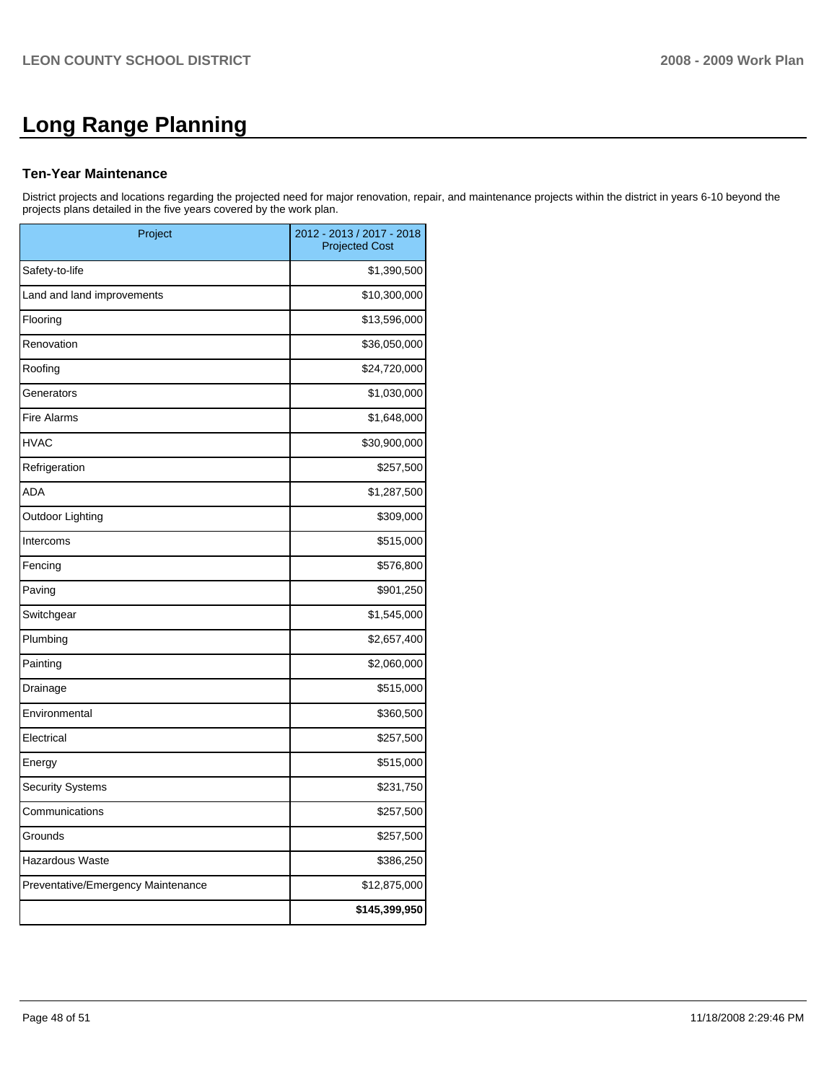# **Long Range Planning**

### **Ten-Year Maintenance**

District projects and locations regarding the projected need for major renovation, repair, and maintenance projects within the district in years 6-10 beyond the projects plans detailed in the five years covered by the work plan.

| Project                            | 2012 - 2013 / 2017 - 2018<br><b>Projected Cost</b> |
|------------------------------------|----------------------------------------------------|
| Safety-to-life                     | \$1,390,500                                        |
| Land and land improvements         | \$10,300,000                                       |
| Flooring                           | \$13,596,000                                       |
| Renovation                         | \$36,050,000                                       |
| Roofing                            | \$24,720,000                                       |
| Generators                         | \$1,030,000                                        |
| <b>Fire Alarms</b>                 | \$1,648,000                                        |
| <b>HVAC</b>                        | \$30,900,000                                       |
| Refrigeration                      | \$257,500                                          |
| <b>ADA</b>                         | \$1,287,500                                        |
| Outdoor Lighting                   | \$309,000                                          |
| Intercoms                          | \$515,000                                          |
| Fencing                            | \$576,800                                          |
| Paving                             | \$901,250                                          |
| Switchgear                         | \$1,545,000                                        |
| Plumbing                           | \$2,657,400                                        |
| Painting                           | \$2,060,000                                        |
| Drainage                           | \$515,000                                          |
| Environmental                      | \$360,500                                          |
| Electrical                         | \$257,500                                          |
| Energy                             | \$515,000                                          |
| <b>Security Systems</b>            | \$231,750                                          |
| Communications                     | \$257,500                                          |
| Grounds                            | \$257,500                                          |
| Hazardous Waste                    | \$386,250                                          |
| Preventative/Emergency Maintenance | \$12,875,000                                       |
|                                    | \$145,399,950                                      |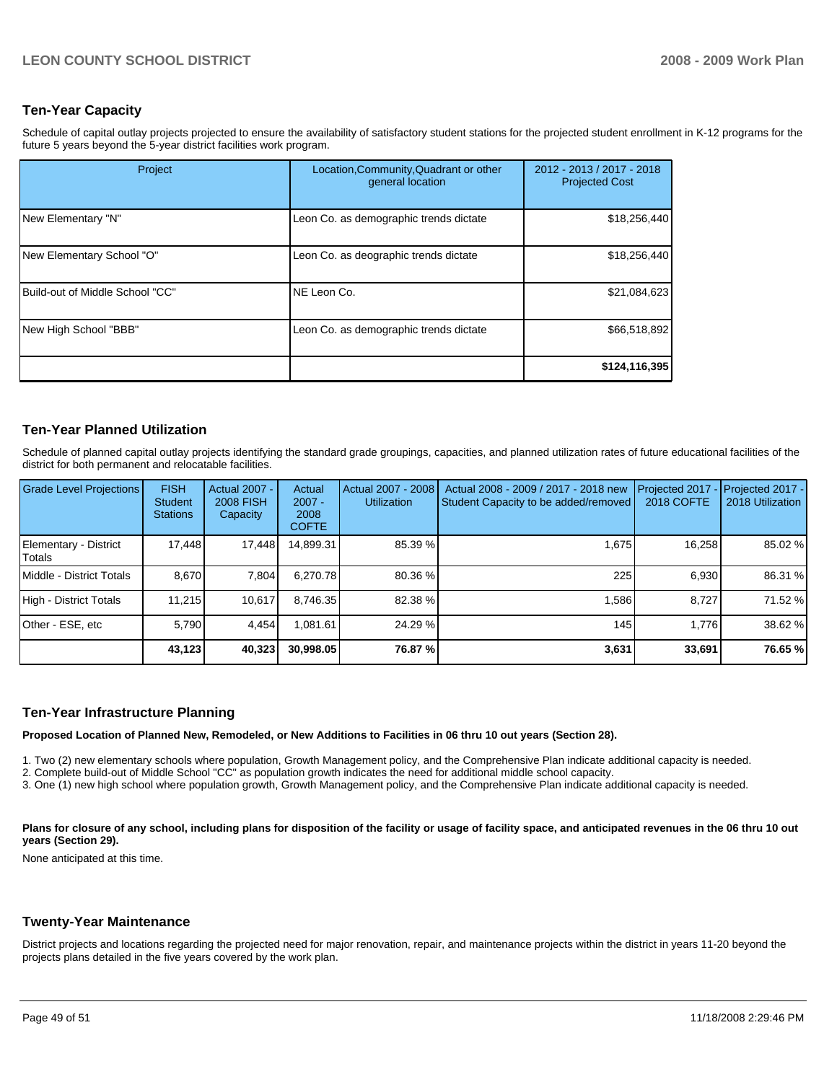### **Ten-Year Capacity**

Schedule of capital outlay projects projected to ensure the availability of satisfactory student stations for the projected student enrollment in K-12 programs for the future 5 years beyond the 5-year district facilities work program.

| Project                         | Location, Community, Quadrant or other<br>general location | 2012 - 2013 / 2017 - 2018<br><b>Projected Cost</b> |
|---------------------------------|------------------------------------------------------------|----------------------------------------------------|
| New Elementary "N"              | Leon Co. as demographic trends dictate                     | \$18,256,440                                       |
| New Elementary School "O"       | Leon Co. as deographic trends dictate                      | \$18,256,440                                       |
| Build-out of Middle School "CC" | NE Leon Co.                                                | \$21,084,623                                       |
| New High School "BBB"           | Leon Co. as demographic trends dictate                     | \$66,518,892                                       |
|                                 |                                                            | \$124,116,395                                      |

### **Ten-Year Planned Utilization**

Schedule of planned capital outlay projects identifying the standard grade groupings, capacities, and planned utilization rates of future educational facilities of the district for both permanent and relocatable facilities.

| <b>Grade Level Projections</b>    | <b>FISH</b><br><b>Student</b><br><b>Stations</b> | <b>Actual 2007 -</b><br><b>2008 FISH</b><br>Capacity | Actual<br>$2007 -$<br>2008<br><b>COFTE</b> | Actual 2007 - 2008<br><b>Utilization</b> | Actual 2008 - 2009 / 2017 - 2018 new<br>Student Capacity to be added/removed | Projected 2017<br>2018 COFTE | Projected 2017 -<br>2018 Utilization |
|-----------------------------------|--------------------------------------------------|------------------------------------------------------|--------------------------------------------|------------------------------------------|------------------------------------------------------------------------------|------------------------------|--------------------------------------|
| Elementary - District<br>l Totals | 17.448                                           | 17,448                                               | 14,899.31                                  | 85.39 %                                  | 1.675                                                                        | 16,258                       | 85.02 %                              |
| Middle - District Totals          | 8.670                                            | 7,804                                                | 6.270.78                                   | 80.36 %                                  | 225                                                                          | 6,930                        | 86.31 %                              |
| High - District Totals            | 11.215                                           | 10.617                                               | 8.746.35                                   | 82.38 %                                  | 1,586                                                                        | 8.727                        | 71.52 %                              |
| Other - ESE, etc                  | 5.790                                            | 4.454                                                | 1.081.61                                   | 24.29 %                                  | 145                                                                          | 1.776                        | 38.62 %                              |
|                                   | 43,123                                           | 40,323                                               | 30,998.05                                  | 76.87 %                                  | 3,631                                                                        | 33,691                       | 76.65 %                              |

### **Ten-Year Infrastructure Planning**

**Proposed Location of Planned New, Remodeled, or New Additions to Facilities in 06 thru 10 out years (Section 28).** 

1. Two (2) new elementary schools where population, Growth Management policy, and the Comprehensive Plan indicate additional capacity is needed.��

2. Complete build-out of Middle School "CC" as population growth indicates the need for additional middle school capacity.

3. One (1) new high school where population growth, Growth Management policy, and the Comprehensive Plan indicate additional capacity is needed.

Plans for closure of any school, including plans for disposition of the facility or usage of facility space, and anticipated revenues in the 06 thru 10 out **years (Section 29).** 

None anticipated at this time.

### **Twenty-Year Maintenance**

District projects and locations regarding the projected need for major renovation, repair, and maintenance projects within the district in years 11-20 beyond the projects plans detailed in the five years covered by the work plan.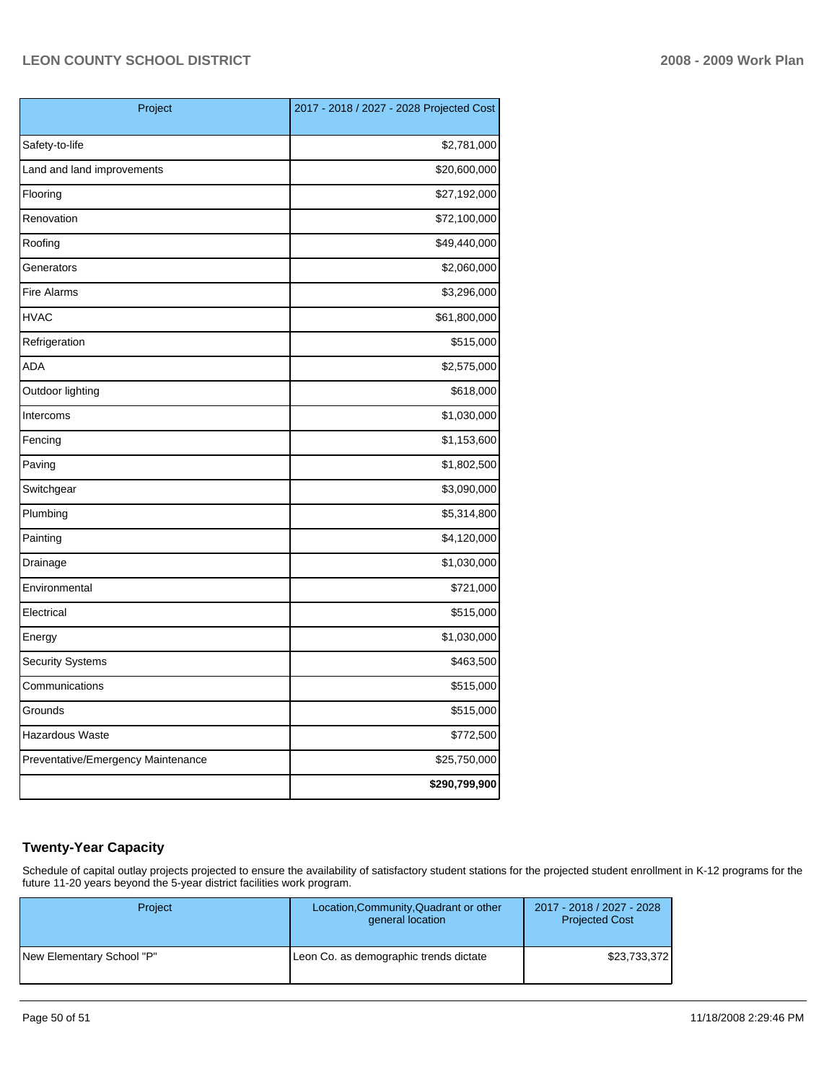| Project                            | 2017 - 2018 / 2027 - 2028 Projected Cost |
|------------------------------------|------------------------------------------|
| Safety-to-life                     | \$2,781,000                              |
| Land and land improvements         | \$20,600,000                             |
| Flooring                           | \$27,192,000                             |
| Renovation                         | \$72,100,000                             |
| Roofing                            | \$49,440,000                             |
| Generators                         | \$2,060,000                              |
| <b>Fire Alarms</b>                 | \$3,296,000                              |
| <b>HVAC</b>                        | \$61,800,000                             |
| Refrigeration                      | \$515,000                                |
| <b>ADA</b>                         | \$2,575,000                              |
| Outdoor lighting                   | \$618,000                                |
| Intercoms                          | \$1,030,000                              |
| Fencing                            | \$1,153,600                              |
| Paving                             | \$1,802,500                              |
| Switchgear                         | \$3,090,000                              |
| Plumbing                           | \$5,314,800                              |
| Painting                           | \$4,120,000                              |
| Drainage                           | \$1,030,000                              |
| Environmental                      | \$721,000                                |
| Electrical                         | \$515,000                                |
| Energy                             | \$1,030,000                              |
| <b>Security Systems</b>            | \$463,500                                |
| Communications                     | \$515,000                                |
| Grounds                            | \$515,000                                |
| Hazardous Waste                    | \$772,500                                |
| Preventative/Emergency Maintenance | \$25,750,000                             |
|                                    | \$290,799,900                            |

### **Twenty-Year Capacity**

Schedule of capital outlay projects projected to ensure the availability of satisfactory student stations for the projected student enrollment in K-12 programs for the future 11-20 years beyond the 5-year district facilities work program.

| <b>Project</b>            | Location, Community, Quadrant or other<br>general location | 2017 - 2018 / 2027 - 2028<br><b>Projected Cost</b> |
|---------------------------|------------------------------------------------------------|----------------------------------------------------|
| New Elementary School "P" | Leon Co. as demographic trends dictate                     | \$23,733,372                                       |